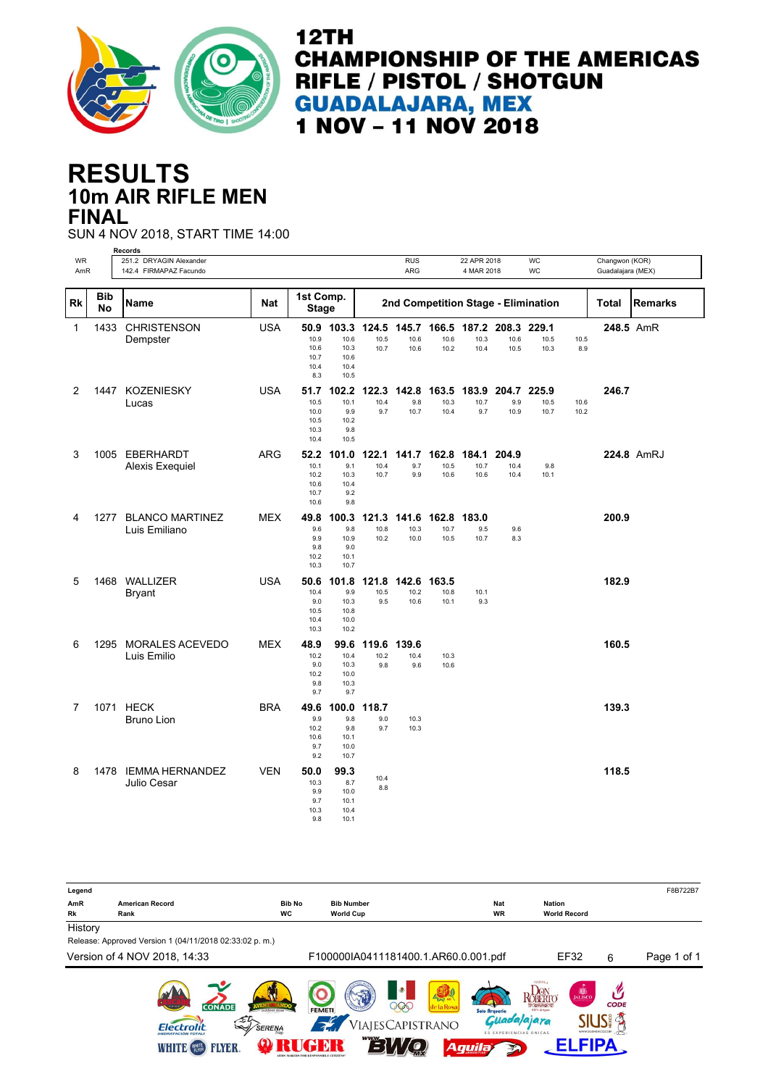

# **10m AIR RIFLE MEN RESULTS FINAL**

SUN 4 NOV 2018, START TIME 14:00

|           |                         | <b>Records</b>                      |            |                                           |                                             |              |                          |                                     |              |              |                                     |              |                   |                |
|-----------|-------------------------|-------------------------------------|------------|-------------------------------------------|---------------------------------------------|--------------|--------------------------|-------------------------------------|--------------|--------------|-------------------------------------|--------------|-------------------|----------------|
| <b>WR</b> |                         | 251.2 DRYAGIN Alexander             |            |                                           |                                             |              | <b>RUS</b><br><b>ARG</b> |                                     | 22 APR 2018  |              | <b>WC</b><br>WC                     |              | Changwon (KOR)    |                |
| AmR       |                         | 142.4 FIRMAPAZ Facundo              |            |                                           |                                             |              |                          |                                     | 4 MAR 2018   |              |                                     |              | Guadalajara (MEX) |                |
| <b>Rk</b> | <b>Bib</b><br><b>No</b> | <b>Name</b>                         | Nat        | 1st Comp.<br><b>Stage</b>                 |                                             |              |                          |                                     |              |              | 2nd Competition Stage - Elimination |              | <b>Total</b>      | <b>Remarks</b> |
| 1         | 1433                    | <b>CHRISTENSON</b>                  | <b>USA</b> | 50.9                                      | 103.3                                       |              |                          | 124.5 145.7 166.5 187.2 208.3 229.1 |              |              |                                     |              | 248.5 AmR         |                |
|           |                         | Dempster                            |            | 10.9<br>10.6<br>10.7<br>10.4<br>8.3       | 10.6<br>10.3<br>10.6<br>10.4<br>10.5        | 10.5<br>10.7 | 10.6<br>10.6             | 10.6<br>10.2                        | 10.3<br>10.4 | 10.6<br>10.5 | 10.5<br>10.3                        | 10.5<br>8.9  |                   |                |
| 2         | 1447                    | <b>KOZENIESKY</b>                   | <b>USA</b> | 51.7                                      | 102.2                                       | 122.3        | 142.8                    | 163.5                               | 183.9        | 204.7        | 225.9                               |              | 246.7             |                |
|           |                         | Lucas                               |            | 10.5<br>10.0<br>10.5<br>10.3<br>10.4      | 10.1<br>9.9<br>10.2<br>9.8<br>10.5          | 10.4<br>9.7  | 9.8<br>10.7              | 10.3<br>10.4                        | 10.7<br>9.7  | 9.9<br>10.9  | 10.5<br>10.7                        | 10.6<br>10.2 |                   |                |
| 3         |                         | 1005 EBERHARDT                      | ARG        | 52.2                                      | 101.0                                       | 122.1        |                          | 141.7 162.8                         | 184.1        | 204.9        |                                     |              |                   | 224.8 AmRJ     |
|           |                         | Alexis Exequiel                     |            | 10.1<br>10.2<br>10.6<br>10.7<br>10.6      | 9.1<br>10.3<br>10.4<br>9.2<br>9.8           | 10.4<br>10.7 | 9.7<br>9.9               | 10.5<br>10.6                        | 10.7<br>10.6 | 10.4<br>10.4 | 9.8<br>10.1                         |              |                   |                |
| 4         | 1277                    | <b>BLANCO MARTINEZ</b>              | MEX        | 49.8                                      | 100.3                                       |              | 121.3 141.6              | 162.8                               | 183.0        |              |                                     |              | 200.9             |                |
|           |                         | Luis Emiliano                       |            | 9.6<br>9.9<br>9.8<br>10.2<br>10.3         | 9.8<br>10.9<br>9.0<br>10.1<br>10.7          | 10.8<br>10.2 | 10.3<br>10.0             | 10.7<br>10.5                        | 9.5<br>10.7  | 9.6<br>8.3   |                                     |              |                   |                |
| 5         | 1468                    | WALLIZER                            | <b>USA</b> | 50.6                                      | 101.8                                       | 121.8        | 142.6                    | 163.5                               |              |              |                                     |              | 182.9             |                |
|           |                         | <b>Bryant</b>                       |            | 10.4<br>9.0<br>10.5<br>10.4<br>10.3       | 9.9<br>10.3<br>10.8<br>10.0<br>10.2         | 10.5<br>9.5  | 10.2<br>10.6             | 10.8<br>10.1                        | 10.1<br>9.3  |              |                                     |              |                   |                |
| 6         | 1295                    | <b>MORALES ACEVEDO</b>              | <b>MEX</b> | 48.9                                      | 99.6                                        | 119.6        | 139.6                    |                                     |              |              |                                     |              | 160.5             |                |
|           |                         | Luis Emilio                         |            | 10.2<br>9.0<br>10.2<br>9.8<br>9.7         | 10.4<br>10.3<br>10.0<br>10.3<br>9.7         | 10.2<br>9.8  | 10.4<br>9.6              | 10.3<br>10.6                        |              |              |                                     |              |                   |                |
| 7         |                         | 1071 HECK                           | <b>BRA</b> | 49.6                                      | 100.0                                       | 118.7        |                          |                                     |              |              |                                     |              | 139.3             |                |
|           |                         | <b>Bruno Lion</b>                   |            | 9.9<br>10.2<br>10.6<br>9.7<br>9.2         | 9.8<br>9.8<br>10.1<br>10.0<br>10.7          | 9.0<br>9.7   | 10.3<br>10.3             |                                     |              |              |                                     |              |                   |                |
| 8         |                         | 1478 IEMMA HERNANDEZ<br>Julio Cesar | <b>VEN</b> | 50.0<br>10.3<br>9.9<br>9.7<br>10.3<br>9.8 | 99.3<br>8.7<br>10.0<br>10.1<br>10.4<br>10.1 | 10.4<br>8.8  |                          |                                     |              |              |                                     |              | 118.5             |                |

| Legend  |                                                                                                         |               |                                                                                |                                                |                                                                                                                    | F8B722B7    |
|---------|---------------------------------------------------------------------------------------------------------|---------------|--------------------------------------------------------------------------------|------------------------------------------------|--------------------------------------------------------------------------------------------------------------------|-------------|
| AmR     | <b>American Record</b>                                                                                  | <b>Bib No</b> | <b>Bib Number</b>                                                              | <b>Nat</b>                                     | <b>Nation</b>                                                                                                      |             |
| Rk      | Rank                                                                                                    | WC            | <b>World Cup</b>                                                               | WR                                             | <b>World Record</b>                                                                                                |             |
| History |                                                                                                         |               |                                                                                |                                                |                                                                                                                    |             |
|         | Release: Approved Version 1 (04/11/2018 02:33:02 p. m.)                                                 |               |                                                                                |                                                |                                                                                                                    |             |
|         | Version of 4 NOV 2018, 14:33                                                                            |               | F100000IA0411181400.1.AR60.0.001.pdf                                           |                                                | EF32<br>6                                                                                                          | Page 1 of 1 |
|         | <b>CONADE</b><br><b>AMMO</b><br>$\mathcal{L}$ SERENA<br><b>Electrolit</b><br><b>IHIDRATACIÓN TOTALI</b> |               | O<br>LE BULLET MIR L<br>200<br>de la Rosa<br><b>FEMETI</b><br>VIAJESCAPISTRANO | Solo Arqueria<br><b>ES EXPERIENCIAS ÚNICAS</b> | $\frac{1}{\mu\text{LISCO}}$<br>KOBERTO<br><b>CODE</b><br>$-5002$<br>100 % de Anno<br>alajara<br>WWW.SIUSMEXICO.COM |             |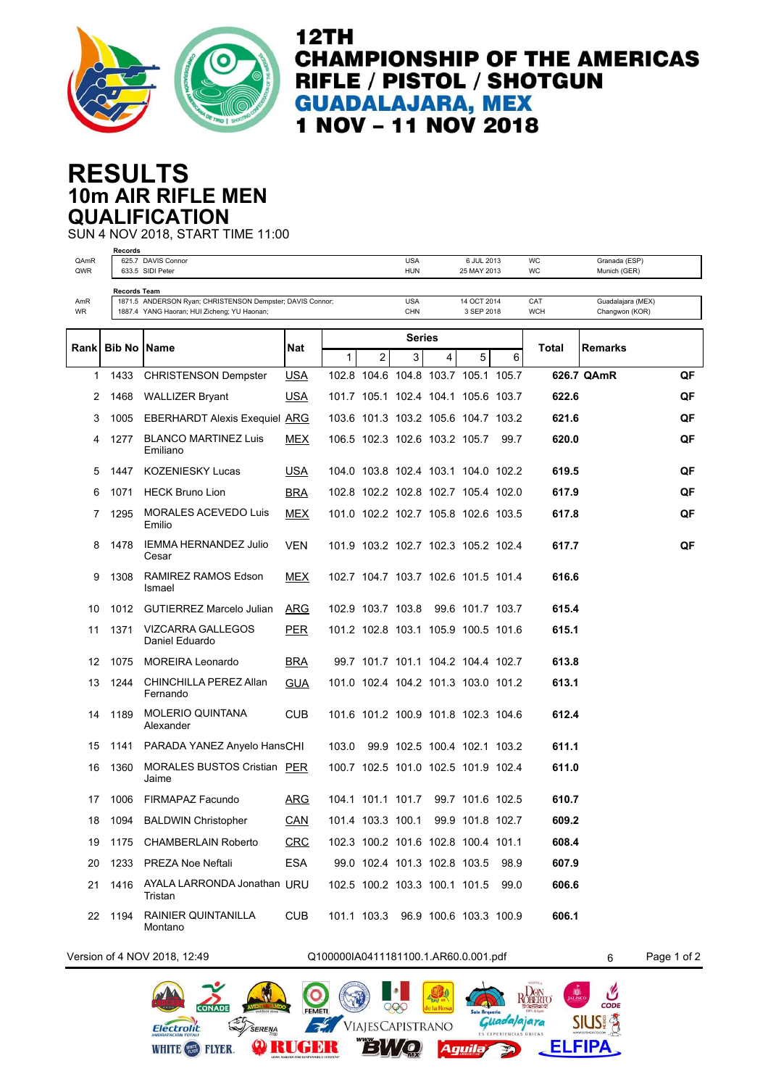

# **10m AIR RIFLE MEN RESULTS QUALIFICATION**

SUN 4 NOV 2018, START TIME 11:00

| QAmR<br>QWR | Records            | 625.7 DAVIS Connor<br>633.5 SIDI Peter                                                                   |            |       |                               | <b>USA</b><br><b>HUN</b> |   | 6 JUL 2013<br>25 MAY 2013           |      | WC<br>WC          | Granada (ESP)<br>Munich (GER)       |    |
|-------------|--------------------|----------------------------------------------------------------------------------------------------------|------------|-------|-------------------------------|--------------------------|---|-------------------------------------|------|-------------------|-------------------------------------|----|
|             | Records Team       |                                                                                                          |            |       |                               |                          |   |                                     |      |                   |                                     |    |
| AmR<br>WR   |                    | 1871.5 ANDERSON Ryan; CHRISTENSON Dempster; DAVIS Connor;<br>1887.4 YANG Haoran; HUI Zicheng; YU Haonan; |            |       |                               | <b>USA</b><br>CHN        |   | 14 OCT 2014<br>3 SEP 2018           |      | CAT<br><b>WCH</b> | Guadalajara (MEX)<br>Changwon (KOR) |    |
|             |                    |                                                                                                          |            |       |                               |                          |   |                                     |      |                   |                                     |    |
| Rankl       | <b>Bib No Name</b> |                                                                                                          | Nat        | 1     | 2                             | Series<br>3 <sup>1</sup> | 4 | 5                                   | 6    | Total             | <b>Remarks</b>                      |    |
| 1           | 1433               | <b>CHRISTENSON Dempster</b>                                                                              | <b>USA</b> |       |                               |                          |   | 102.8 104.6 104.8 103.7 105.1 105.7 |      |                   | 626.7 QAmR                          | QF |
| 2           | 1468               | <b>WALLIZER Bryant</b>                                                                                   | <b>USA</b> |       |                               |                          |   | 101.7 105.1 102.4 104.1 105.6 103.7 |      | 622.6             |                                     | QF |
| 3           | 1005               | <b>EBERHARDT Alexis Exequiel ARG</b>                                                                     |            |       |                               |                          |   | 103.6 101.3 103.2 105.6 104.7 103.2 |      | 621.6             |                                     | QF |
| 4           | 1277               | <b>BLANCO MARTINEZ Luis</b><br>Emiliano                                                                  | MEX        |       |                               |                          |   | 106.5 102.3 102.6 103.2 105.7       | 99.7 | 620.0             |                                     | QF |
| 5           | 1447               | <b>KOZENIESKY Lucas</b>                                                                                  | <u>USA</u> |       |                               |                          |   | 104.0 103.8 102.4 103.1 104.0 102.2 |      | 619.5             |                                     | QF |
| 6           | 1071               | <b>HECK Bruno Lion</b>                                                                                   | <b>BRA</b> |       |                               |                          |   | 102.8 102.2 102.8 102.7 105.4 102.0 |      | 617.9             |                                     | QF |
| 7           | 1295               | <b>MORALES ACEVEDO Luis</b><br>Emilio                                                                    | <b>MEX</b> |       |                               |                          |   | 101.0 102.2 102.7 105.8 102.6 103.5 |      | 617.8             |                                     | QF |
| 8           | 1478               | <b>IEMMA HERNANDEZ Julio</b><br>Cesar                                                                    | VEN        |       |                               |                          |   | 101.9 103.2 102.7 102.3 105.2 102.4 |      | 617.7             |                                     | QF |
| 9           | 1308               | RAMIREZ RAMOS Edson<br>Ismael                                                                            | <b>MEX</b> |       |                               |                          |   | 102.7 104.7 103.7 102.6 101.5 101.4 |      | 616.6             |                                     |    |
| 10          | 1012               | <b>GUTIERREZ Marcelo Julian</b>                                                                          | <b>ARG</b> |       | 102.9 103.7 103.8             |                          |   | 99.6 101.7 103.7                    |      | 615.4             |                                     |    |
| 11          | 1371               | VIZCARRA GALLEGOS<br>Daniel Eduardo                                                                      | <b>PER</b> |       |                               |                          |   | 101.2 102.8 103.1 105.9 100.5 101.6 |      | 615.1             |                                     |    |
| 12          | 1075               | <b>MOREIRA Leonardo</b>                                                                                  | <b>BRA</b> |       |                               |                          |   | 99.7 101.7 101.1 104.2 104.4 102.7  |      | 613.8             |                                     |    |
| 13          | 1244               | CHINCHILLA PEREZ Allan<br>Fernando                                                                       | <b>GUA</b> |       |                               |                          |   | 101.0 102.4 104.2 101.3 103.0 101.2 |      | 613.1             |                                     |    |
| 14          | 1189               | <b>MOLERIO QUINTANA</b><br>Alexander                                                                     | <b>CUB</b> |       |                               |                          |   | 101.6 101.2 100.9 101.8 102.3 104.6 |      | 612.4             |                                     |    |
| 15          | 1141               | PARADA YANEZ Anyelo HansCHI                                                                              |            | 103.0 |                               |                          |   | 99.9 102.5 100.4 102.1 103.2        |      | 611.1             |                                     |    |
| 16          | 1360               | MORALES BUSTOS Cristian PER<br>Jaime                                                                     |            |       |                               |                          |   | 100.7 102.5 101.0 102.5 101.9 102.4 |      | 611.0             |                                     |    |
| 17          | 1006               | FIRMAPAZ Facundo                                                                                         | ARG        |       | 104.1 101.1 101.7             |                          |   | 99.7 101.6 102.5                    |      | 610.7             |                                     |    |
| 18          | 1094               | <b>BALDWIN Christopher</b>                                                                               | CAN        |       | 101.4 103.3 100.1             |                          |   | 99.9 101.8 102.7                    |      | 609.2             |                                     |    |
| 19          | 1175               | <b>CHAMBERLAIN Roberto</b>                                                                               | <b>CRC</b> |       |                               |                          |   | 102.3 100.2 101.6 102.8 100.4 101.1 |      | 608.4             |                                     |    |
| 20          | 1233               | PREZA Noe Neftali                                                                                        | <b>ESA</b> |       | 99.0 102.4 101.3 102.8 103.5  |                          |   |                                     | 98.9 | 607.9             |                                     |    |
| 21          | 1416               | AYALA LARRONDA Jonathan URU<br>Tristan                                                                   |            |       | 102.5 100.2 103.3 100.1 101.5 |                          |   |                                     | 99.0 | 606.6             |                                     |    |
| 22          | 1194               | <b>RAINIER QUINTANILLA</b><br>Montano                                                                    | <b>CUB</b> |       | 101.1 103.3                   |                          |   | 96.9 100.6 103.3 100.9              |      | 606.1             |                                     |    |

Electrolit

WHITE **(28)** FLYER.

Version of 4 NOV 2018, 12:49 Q100000IA0411181100.1.AR60.0.001.pdf 6 Page 1 of 2

000

VIAJESCAPISTRANO

 $E \left( \frac{1}{2} \right)$ 

O

**ORUGBR** 

 $\mathscr{F}$ 

SERENA

ROBERIO

Guada/ajara

勁

**Aguila** 

 $rac{C}{CODE}$ 

**SIUS!** 

**ELFIPA**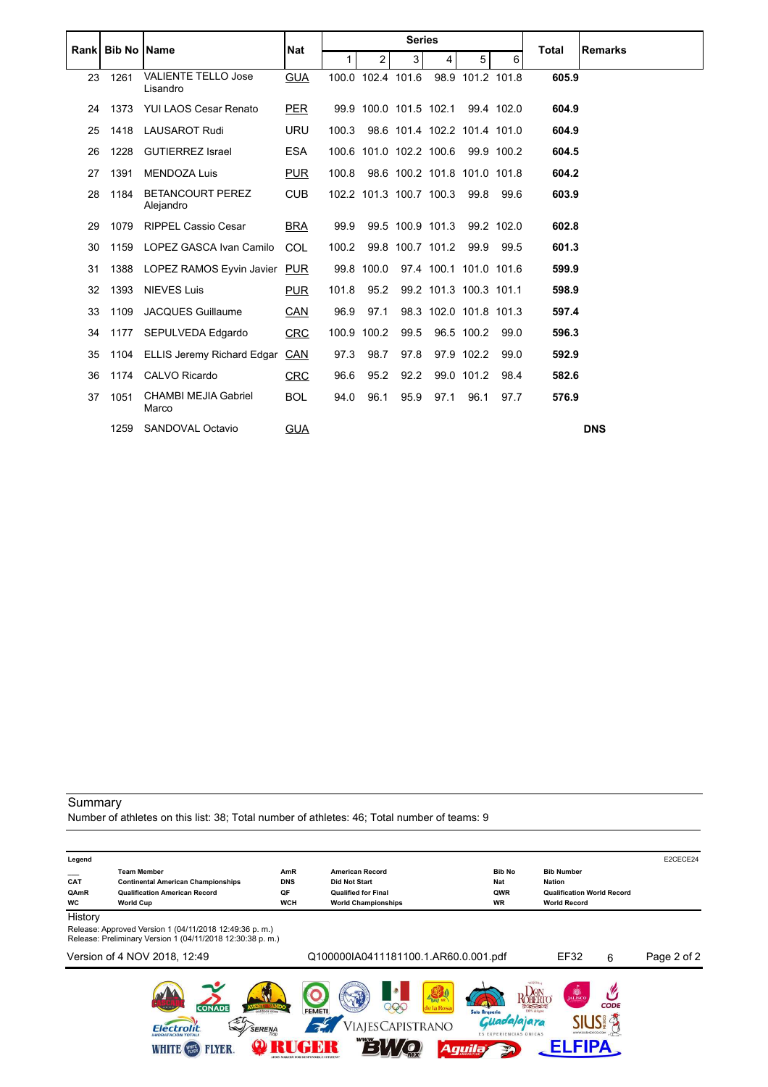|    |                           |                                        |            | <b>Series</b> |                   |                              |                        |                  |            |       |                |
|----|---------------------------|----------------------------------------|------------|---------------|-------------------|------------------------------|------------------------|------------------|------------|-------|----------------|
|    | <b>Rankl Bib No IName</b> |                                        | <b>Nat</b> | $\mathbf{1}$  | $\overline{2}$    | 3                            | 4                      | 5                | 6          | Total | <b>Remarks</b> |
| 23 | 1261                      | <b>VALIENTE TELLO Jose</b><br>Lisandro | <b>GUA</b> |               | 100.0 102.4 101.6 |                              |                        | 98.9 101.2 101.8 |            | 605.9 |                |
| 24 | 1373                      | <b>YUI LAOS Cesar Renato</b>           | <b>PER</b> |               |                   | 99.9 100.0 101.5 102.1       |                        |                  | 99.4 102.0 | 604.9 |                |
| 25 | 1418                      | <b>LAUSAROT Rudi</b>                   | <b>URU</b> | 100.3         |                   | 98.6 101.4 102.2 101.4 101.0 |                        |                  |            | 604.9 |                |
| 26 | 1228                      | <b>GUTIERREZ Israel</b>                | <b>ESA</b> |               |                   | 100.6 101.0 102.2 100.6      |                        |                  | 99.9 100.2 | 604.5 |                |
| 27 | 1391                      | <b>MENDOZA Luis</b>                    | <b>PUR</b> | 100.8         |                   | 98.6 100.2 101.8 101.0 101.8 |                        |                  |            | 604.2 |                |
| 28 | 1184                      | <b>BETANCOURT PEREZ</b><br>Alejandro   | <b>CUB</b> |               |                   | 102.2 101.3 100.7 100.3      |                        | 99.8             | 99.6       | 603.9 |                |
| 29 | 1079                      | <b>RIPPEL Cassio Cesar</b>             | <b>BRA</b> | 99.9          |                   | 99.5 100.9 101.3             |                        |                  | 99.2 102.0 | 602.8 |                |
| 30 | 1159                      | LOPEZ GASCA Ivan Camilo                | COL        | 100.2         |                   | 99.8 100.7 101.2             |                        | 99.9             | 99.5       | 601.3 |                |
| 31 | 1388                      | LOPEZ RAMOS Eyvin Javier               | <b>PUR</b> |               | 99.8 100.0        |                              | 97.4 100.1 101.0 101.6 |                  |            | 599.9 |                |
| 32 | 1393                      | <b>NIEVES Luis</b>                     | <b>PUR</b> | 101.8         | 95.2              |                              | 99.2 101.3 100.3 101.1 |                  |            | 598.9 |                |
| 33 | 1109                      | <b>JACQUES Guillaume</b>               | CAN        | 96.9          | 97.1              |                              | 98.3 102.0 101.8 101.3 |                  |            | 597.4 |                |
| 34 | 1177                      | SEPULVEDA Edgardo                      | <b>CRC</b> |               | 100.9 100.2       | 99.5                         |                        | 96.5 100.2       | 99.0       | 596.3 |                |
| 35 | 1104                      | <b>ELLIS Jeremy Richard Edgar</b>      | CAN        | 97.3          | 98.7              | 97.8                         |                        | 97.9 102.2       | 99.0       | 592.9 |                |
| 36 | 1174                      | <b>CALVO Ricardo</b>                   | <b>CRC</b> | 96.6          | 95.2              | 92.2                         |                        | 99.0 101.2       | 98.4       | 582.6 |                |
| 37 | 1051                      | <b>CHAMBI MEJIA Gabriel</b><br>Marco   | <b>BOL</b> | 94.0          | 96.1              | 95.9                         | 97.1                   | 96.1             | 97.7       | 576.9 |                |
|    | 1259                      | SANDOVAL Octavio                       | <b>GUA</b> |               |                   |                              |                        |                  |            |       | <b>DNS</b>     |

Number of athletes on this list: 38; Total number of athletes: 46; Total number of teams: 9

| Legend    |                                                            |            |                                      |                               |                                              | E2CECE24    |
|-----------|------------------------------------------------------------|------------|--------------------------------------|-------------------------------|----------------------------------------------|-------------|
|           | <b>Team Member</b>                                         | AmR        | <b>American Record</b>               | <b>Bib No</b>                 | <b>Bib Number</b>                            |             |
| CAT       | <b>Continental American Championships</b>                  | <b>DNS</b> | <b>Did Not Start</b>                 | <b>Nat</b>                    | <b>Nation</b>                                |             |
| QAmR      | <b>Qualification American Record</b>                       | QF         | <b>Qualified for Final</b>           | QWR                           | <b>Qualification World Record</b>            |             |
| <b>WC</b> | <b>World Cup</b>                                           | <b>WCH</b> | <b>World Championships</b>           | <b>WR</b>                     | <b>World Record</b>                          |             |
| History   |                                                            |            |                                      |                               |                                              |             |
|           | Release: Approved Version 1 (04/11/2018 12:49:36 p. m.)    |            |                                      |                               |                                              |             |
|           | Release: Preliminary Version 1 (04/11/2018 12:30:38 p. m.) |            |                                      |                               |                                              |             |
|           | Version of 4 NOV 2018, 12:49                               |            | Q100000IA0411181100.1.AR60.0.001.pdf |                               | EF32                                         | Page 2 of 2 |
|           |                                                            |            |                                      |                               | 6                                            |             |
|           |                                                            |            |                                      |                               |                                              |             |
|           |                                                            |            |                                      |                               |                                              |             |
|           |                                                            |            | <b>Condust</b>                       |                               | <b>DE</b>                                    |             |
|           | <b>CONADE</b>                                              |            | 200<br>la Rosa<br><b>FEMETI</b>      | Solo Arqueria                 | <b>CODE</b><br><b>Grayon</b><br>00% de Autre |             |
|           |                                                            |            | ViajesCapistrano                     | ajajara                       |                                              |             |
|           | SERENA<br>$\sim$<br>Flectrolit                             |            |                                      | <b>ES EXPERIENCIAS UNICAS</b> | WWW.SIUSHEXICO.COM                           |             |
|           | YÐR                                                        |            | Aguila                               |                               |                                              |             |
|           |                                                            |            |                                      |                               |                                              |             |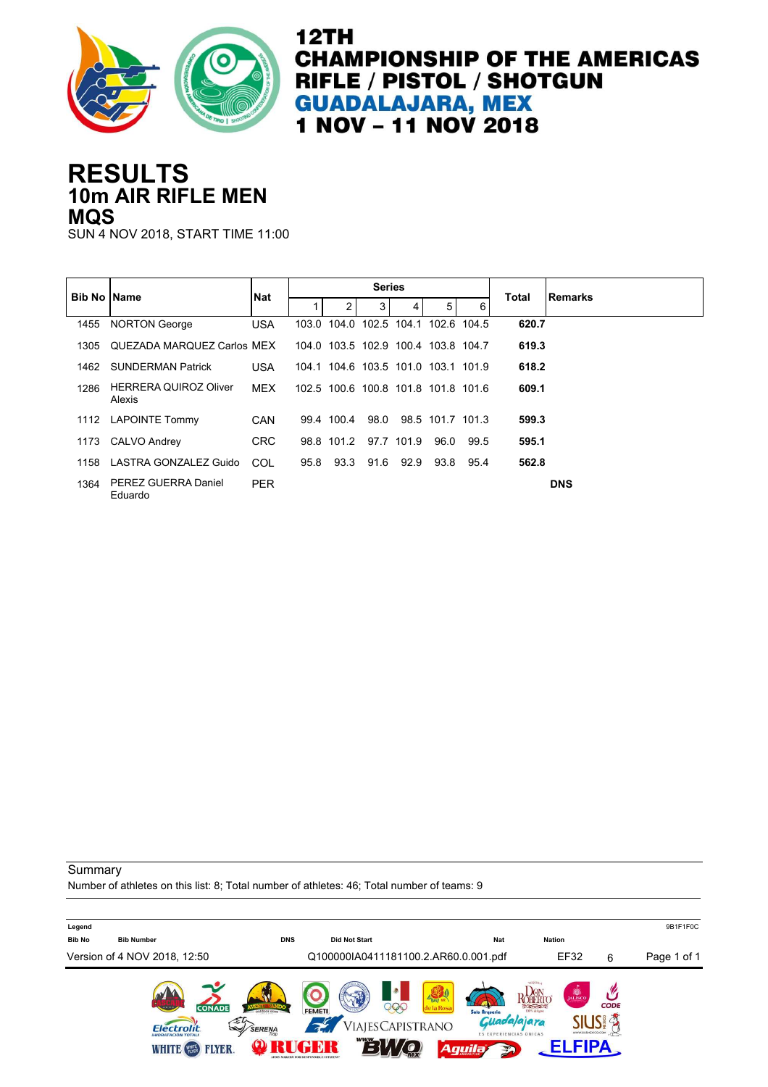

## **10m AIR RIFLE MEN RESULTS MQS**

SUN 4 NOV 2018, START TIME 11:00

| <b>Bib No IName</b> |                                        | <b>Nat</b> |       |            | <b>Series</b>  |            |                                     |      | <b>Total</b> | <b>Remarks</b> |
|---------------------|----------------------------------------|------------|-------|------------|----------------|------------|-------------------------------------|------|--------------|----------------|
|                     |                                        |            |       | 2          | 3 <sup>1</sup> | 4          | 5.                                  | 6    |              |                |
| 1455                | <b>NORTON George</b>                   | <b>USA</b> | 103.0 |            |                |            | 104.0 102.5 104.1 102.6 104.5       |      | 620.7        |                |
| 1305                | QUEZADA MARQUEZ Carlos MEX             |            |       |            |                |            | 104.0 103.5 102.9 100.4 103.8 104.7 |      | 619.3        |                |
| 1462                | <b>SUNDERMAN Patrick</b>               | <b>USA</b> |       |            |                |            | 104.1 104.6 103.5 101.0 103.1 101.9 |      | 618.2        |                |
| 1286                | <b>HERRERA QUIROZ Oliver</b><br>Alexis | MEX        |       |            |                |            | 102.5 100.6 100.8 101.8 101.8 101.6 |      | 609.1        |                |
| 1112                | <b>LAPOINTE Tommy</b>                  | CAN        |       | 99.4 100.4 | 98.0           |            | 98.5 101.7 101.3                    |      | 599.3        |                |
| 1173                | CALVO Andrey                           | <b>CRC</b> |       | 98.8 101.2 |                | 97.7 101.9 | 96.0                                | 99.5 | 595.1        |                |
| 1158                | LASTRA GONZALEZ Guido                  | COL        | 95.8  | 93.3       | 91.6           | 92.9       | 93.8                                | 95.4 | 562.8        |                |
| 1364                | PEREZ GUERRA Daniel<br>Eduardo         | <b>PER</b> |       |            |                |            |                                     |      |              | <b>DNS</b>     |

**Summary** 

Number of athletes on this list: 8; Total number of athletes: 46; Total number of teams: 9

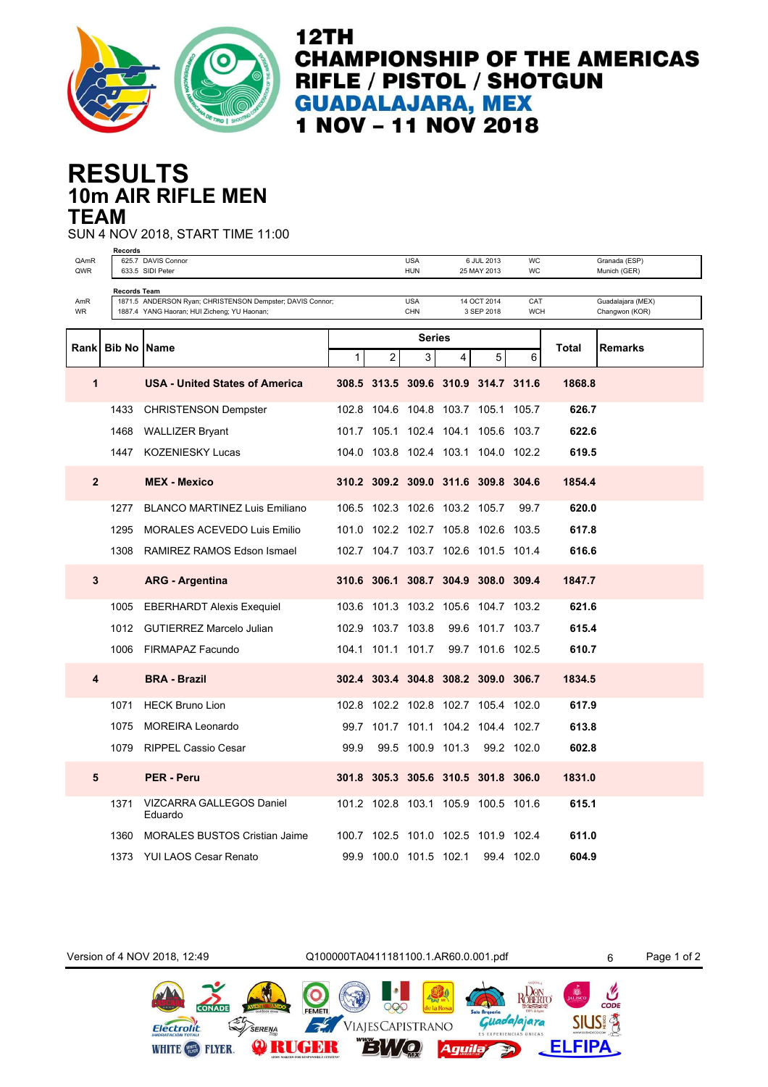

## **10m AIR RIFLE MEN RESULTS TEAM**

SUN 4 NOV 2018, START TIME 11:00

|                  | Records      |                                                           |      |                               |                          |                  |                                     |            |        |                               |
|------------------|--------------|-----------------------------------------------------------|------|-------------------------------|--------------------------|------------------|-------------------------------------|------------|--------|-------------------------------|
| QAmR<br>QWR      |              | 625.7 DAVIS Connor<br>633.5 SIDI Peter                    |      |                               | <b>USA</b><br><b>HUN</b> |                  | 6 JUL 2013<br>25 MAY 2013           | WC<br>WC   |        | Granada (ESP)<br>Munich (GER) |
|                  |              |                                                           |      |                               |                          |                  |                                     |            |        |                               |
| AmR              | Records Team | 1871.5 ANDERSON Ryan; CHRISTENSON Dempster; DAVIS Connor; |      |                               | <b>USA</b>               |                  | 14 OCT 2014                         | CAT        |        | Guadalajara (MEX)             |
| <b>WR</b>        |              | 1887.4 YANG Haoran; HUI Zicheng; YU Haonan;               |      |                               | CHN                      |                  | 3 SEP 2018                          | <b>WCH</b> |        | Changwon (KOR)                |
|                  |              |                                                           |      |                               |                          |                  |                                     |            |        |                               |
| Rank             | Bib No       | <b>Name</b>                                               |      |                               | <b>Series</b>            |                  |                                     |            | Total  | Remarks                       |
|                  |              |                                                           | 1    | 2                             | 3                        | 4                | 5                                   | 6          |        |                               |
| 1                |              | <b>USA - United States of America</b>                     |      |                               |                          |                  | 308.5 313.5 309.6 310.9 314.7 311.6 |            | 1868.8 |                               |
|                  | 1433         | <b>CHRISTENSON Dempster</b>                               |      |                               |                          |                  | 102.8 104.6 104.8 103.7 105.1 105.7 |            | 626.7  |                               |
|                  | 1468         | <b>WALLIZER Bryant</b>                                    |      |                               |                          |                  | 101.7 105.1 102.4 104.1 105.6 103.7 |            | 622.6  |                               |
|                  | 1447         | KOZENIESKY Lucas                                          |      |                               |                          |                  | 104.0 103.8 102.4 103.1 104.0 102.2 |            | 619.5  |                               |
| $\boldsymbol{2}$ |              | <b>MEX - Mexico</b>                                       |      |                               |                          |                  | 310.2 309.2 309.0 311.6 309.8 304.6 |            | 1854.4 |                               |
|                  |              |                                                           |      |                               |                          |                  |                                     |            |        |                               |
|                  | 1277         | <b>BLANCO MARTINEZ Luis Emiliano</b>                      |      | 106.5 102.3 102.6 103.2 105.7 |                          |                  |                                     | 99.7       | 620.0  |                               |
|                  | 1295         | <b>MORALES ACEVEDO Luis Emilio</b>                        |      |                               |                          |                  | 101.0 102.2 102.7 105.8 102.6 103.5 |            | 617.8  |                               |
|                  | 1308         | RAMIREZ RAMOS Edson Ismael                                |      |                               |                          |                  | 102.7 104.7 103.7 102.6 101.5 101.4 |            | 616.6  |                               |
| 3                |              | <b>ARG - Argentina</b>                                    |      |                               |                          |                  | 310.6 306.1 308.7 304.9 308.0 309.4 |            | 1847.7 |                               |
|                  | 1005         | <b>EBERHARDT Alexis Exequiel</b>                          |      |                               |                          |                  | 103.6 101.3 103.2 105.6 104.7 103.2 |            | 621.6  |                               |
|                  | 1012         | <b>GUTIERREZ Marcelo Julian</b>                           |      | 102.9 103.7 103.8             |                          |                  | 99.6 101.7 103.7                    |            | 615.4  |                               |
|                  |              | 1006 FIRMAPAZ Facundo                                     |      | 104.1 101.1 101.7             |                          |                  | 99.7 101.6 102.5                    |            | 610.7  |                               |
| 4                |              | <b>BRA - Brazil</b>                                       |      |                               |                          |                  | 302.4 303.4 304.8 308.2 309.0 306.7 |            | 1834.5 |                               |
|                  | 1071         | <b>HECK Bruno Lion</b>                                    |      |                               |                          |                  | 102.8 102.2 102.8 102.7 105.4 102.0 |            | 617.9  |                               |
|                  | 1075         | <b>MOREIRA Leonardo</b>                                   | 99.7 |                               |                          |                  | 101.7 101.1 104.2 104.4 102.7       |            | 613.8  |                               |
|                  | 1079         | <b>RIPPEL Cassio Cesar</b>                                | 99.9 |                               |                          | 99.5 100.9 101.3 |                                     | 99.2 102.0 | 602.8  |                               |
| 5                |              | <b>PER - Peru</b>                                         |      |                               |                          |                  | 301.8 305.3 305.6 310.5 301.8 306.0 |            | 1831.0 |                               |
|                  | 1371         | VIZCARRA GALLEGOS Daniel<br>Eduardo                       |      |                               |                          |                  | 101.2 102.8 103.1 105.9 100.5 101.6 |            | 615.1  |                               |
|                  | 1360         | <b>MORALES BUSTOS Cristian Jaime</b>                      |      |                               |                          |                  | 100.7 102.5 101.0 102.5 101.9 102.4 |            | 611.0  |                               |
|                  | 1373         | <b>YUI LAOS Cesar Renato</b>                              |      | 99.9 100.0 101.5 102.1        |                          |                  |                                     | 99.4 102.0 | 604.9  |                               |

Version of 4 NOV 2018, 12:49 Q100000TA0411181100.1.AR60.0.001.pdf 6 Page 1 of 2ROBERIO  $CODE$ 000 daļajara **SIUS!**  $\mathcal{L}$ VIAJESCAPISTRANO Electrolit SERENA **ELFIPA** WHITE **(28)** FLYER. **ORUGER**  $\Box'$ **Aguila** 

 $\frac{1}{2}$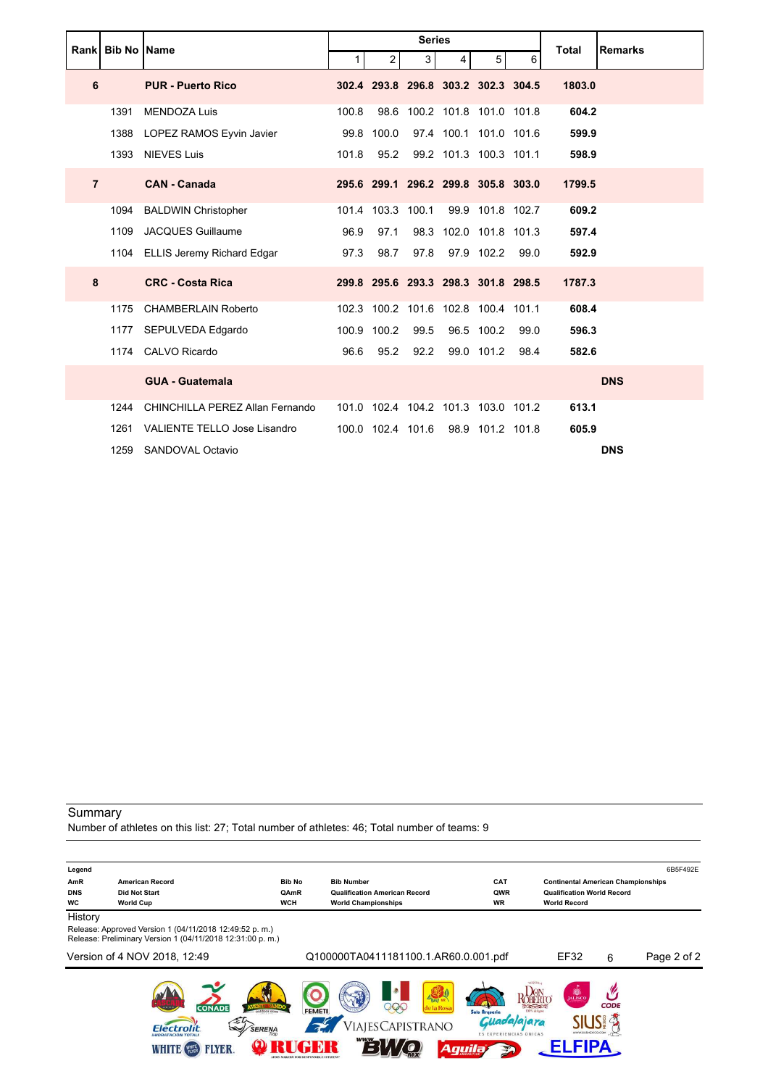|                | <b>Rankl Bib No Name</b> |                                 |       |                   | <b>Series</b>                       |                |                        |      | <b>Total</b> | <b>Remarks</b> |
|----------------|--------------------------|---------------------------------|-------|-------------------|-------------------------------------|----------------|------------------------|------|--------------|----------------|
|                |                          |                                 | 1.    | 2                 | 3                                   | $\overline{4}$ | 5                      | 6    |              |                |
| 6              |                          | <b>PUR - Puerto Rico</b>        |       |                   | 302.4 293.8 296.8 303.2 302.3 304.5 |                |                        |      | 1803.0       |                |
|                | 1391                     | <b>MENDOZA Luis</b>             | 100.8 |                   | 98.6 100.2 101.8 101.0 101.8        |                |                        |      | 604.2        |                |
|                | 1388                     | LOPEZ RAMOS Eyvin Javier        | 99.8  | 100.0             |                                     |                | 97.4 100.1 101.0 101.6 |      | 599.9        |                |
|                | 1393                     | <b>NIEVES Luis</b>              | 101.8 | 95.2              |                                     |                | 99.2 101.3 100.3 101.1 |      | 598.9        |                |
| $\overline{7}$ |                          | <b>CAN - Canada</b>             |       |                   | 295.6 299.1 296.2 299.8 305.8 303.0 |                |                        |      | 1799.5       |                |
|                | 1094                     | <b>BALDWIN Christopher</b>      |       | 101.4 103.3 100.1 |                                     |                | 99.9 101.8 102.7       |      | 609.2        |                |
|                | 1109                     | <b>JACQUES Guillaume</b>        | 96.9  | 97.1              |                                     |                | 98.3 102.0 101.8 101.3 |      | 597.4        |                |
|                |                          | 1104 ELLIS Jeremy Richard Edgar | 97.3  | 98.7              | 97.8                                |                | 97.9 102.2             | 99.0 | 592.9        |                |
| 8              |                          | <b>CRC - Costa Rica</b>         |       |                   | 299.8 295.6 293.3 298.3 301.8 298.5 |                |                        |      | 1787.3       |                |
|                | 1175                     | <b>CHAMBERLAIN Roberto</b>      |       |                   | 102.3 100.2 101.6 102.8 100.4 101.1 |                |                        |      | 608.4        |                |
|                | 1177                     | SEPULVEDA Edgardo               |       | 100.9 100.2       | 99.5                                |                | 96.5 100.2 99.0        |      | 596.3        |                |
|                | 1174                     | <b>CALVO Ricardo</b>            | 96.6  | 95.2              | 92.2                                |                | 99.0 101.2             | 98.4 | 582.6        |                |
|                |                          | <b>GUA - Guatemala</b>          |       |                   |                                     |                |                        |      |              | <b>DNS</b>     |
|                | 1244                     | CHINCHILLA PEREZ Allan Fernando |       |                   | 101.0 102.4 104.2 101.3 103.0 101.2 |                |                        |      | 613.1        |                |
|                | 1261                     | VALIENTE TELLO Jose Lisandro    |       | 100.0 102.4 101.6 |                                     |                | 98.9 101.2 101.8       |      | 605.9        |                |
|                | 1259                     | SANDOVAL Octavio                |       |                   |                                     |                |                        |      |              | <b>DNS</b>     |

Number of athletes on this list: 27; Total number of athletes: 46; Total number of teams: 9

| Legend                         |                                                                                                                       |                                     |                                                                                         |                                  |                                                                                                       | 6B5F492E    |
|--------------------------------|-----------------------------------------------------------------------------------------------------------------------|-------------------------------------|-----------------------------------------------------------------------------------------|----------------------------------|-------------------------------------------------------------------------------------------------------|-------------|
| AmR<br><b>DNS</b><br><b>WC</b> | <b>American Record</b><br><b>Did Not Start</b><br><b>World Cup</b>                                                    | <b>Bib No</b><br>QAmR<br><b>WCH</b> | <b>Bib Number</b><br><b>Qualification American Record</b><br><b>World Championships</b> | CAT<br>QWR<br><b>WR</b>          | <b>Continental American Championships</b><br><b>Qualification World Record</b><br><b>World Record</b> |             |
| History                        | Release: Approved Version 1 (04/11/2018 12:49:52 p. m.)<br>Release: Preliminary Version 1 (04/11/2018 12:31:00 p. m.) |                                     |                                                                                         |                                  |                                                                                                       |             |
|                                | Version of 4 NOV 2018, 12:49                                                                                          |                                     | Q100000TA0411181100.1.AR60.0.001.pdf                                                    |                                  | EF32<br>6                                                                                             | Page 2 of 2 |
|                                | <b>CONADE</b>                                                                                                         | <b>FEMETI</b>                       | <b>Boyl NR</b><br>206<br>la Rosa                                                        | <b>Solo Arqueria</b><br>lalajara | <b>B</b><br>JALISCO<br>KOBERIC<br><b>CODE</b><br>$-60002 - 1$                                         |             |
|                                | SERENA<br><b>Flectrolit</b><br>$\mathbb{Z}$<br><b>HIDRATACIÓN TOTALI</b>                                              |                                     | ViajesCapistrano                                                                        | <b>ES EXPERIENCIAS UNICAS</b>    | WW.SIUSHEXICO.COM                                                                                     |             |
|                                | <b>NDR</b>                                                                                                            |                                     |                                                                                         | Aguila                           |                                                                                                       |             |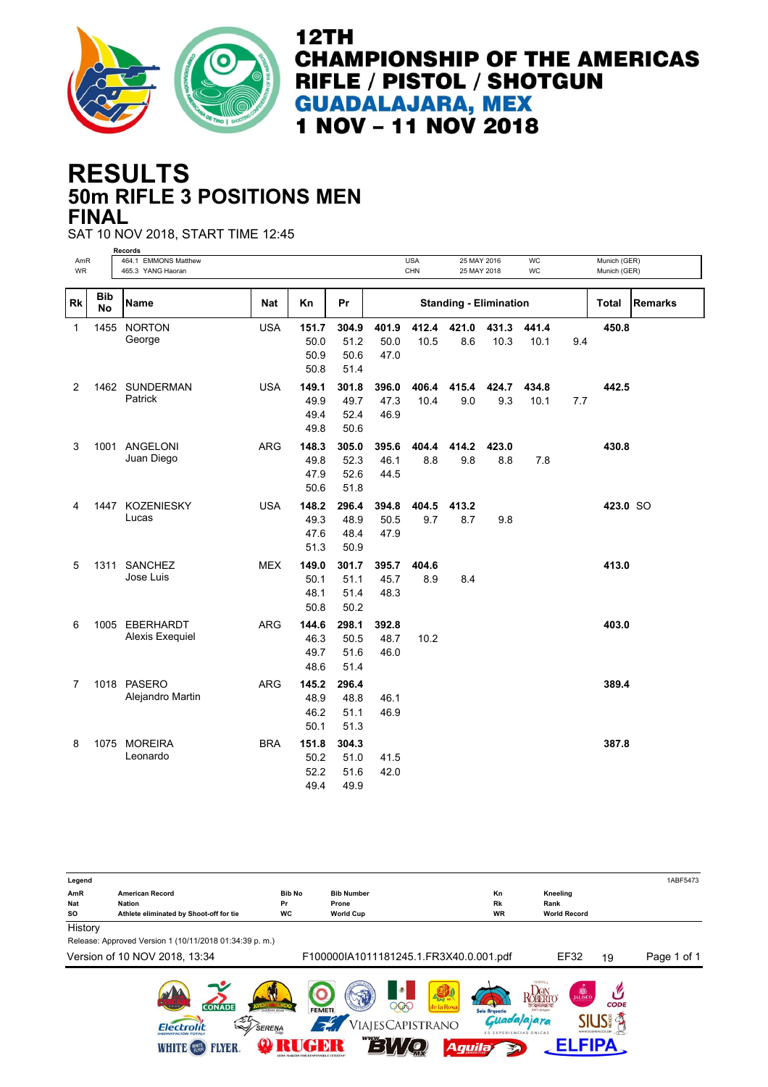

## **50m RIFLE 3 POSITIONS MEN RESULTS FINAL**

SAT 10 NOV 2018, START TIME 12:45

|           |                  | <b>Records</b>                    |            |                               |                               |                       |               |              |                               |               |     |              |                |
|-----------|------------------|-----------------------------------|------------|-------------------------------|-------------------------------|-----------------------|---------------|--------------|-------------------------------|---------------|-----|--------------|----------------|
| AmR       |                  | 464.1 EMMONS Matthew              |            |                               |                               |                       | <b>USA</b>    | 25 MAY 2016  |                               | WC            |     | Munich (GER) |                |
| <b>WR</b> |                  | 465.3 YANG Haoran                 |            |                               |                               |                       | <b>CHN</b>    | 25 MAY 2018  |                               | WC            |     | Munich (GER) |                |
|           |                  |                                   |            |                               |                               |                       |               |              |                               |               |     |              |                |
| Rk        | <b>Bib</b><br>No | Name                              | Nat        | Κn                            | Pr                            |                       |               |              | <b>Standing - Elimination</b> |               |     | Total        | <b>Remarks</b> |
| 1         | 1455             | <b>NORTON</b><br>George           | <b>USA</b> | 151.7<br>50.0<br>50.9<br>50.8 | 304.9<br>51.2<br>50.6<br>51.4 | 401.9<br>50.0<br>47.0 | 412.4<br>10.5 | 421.0<br>8.6 | 431.3<br>10.3                 | 441.4<br>10.1 | 9.4 | 450.8        |                |
| 2         |                  | 1462 SUNDERMAN<br>Patrick         | <b>USA</b> | 149.1<br>49.9<br>49.4<br>49.8 | 301.8<br>49.7<br>52.4<br>50.6 | 396.0<br>47.3<br>46.9 | 406.4<br>10.4 | 415.4<br>9.0 | 424.7<br>9.3                  | 434.8<br>10.1 | 7.7 | 442.5        |                |
| 3         |                  | 1001 ANGELONI<br>Juan Diego       | <b>ARG</b> | 148.3<br>49.8<br>47.9<br>50.6 | 305.0<br>52.3<br>52.6<br>51.8 | 395.6<br>46.1<br>44.5 | 404.4<br>8.8  | 414.2<br>9.8 | 423.0<br>8.8                  | 7.8           |     | 430.8        |                |
| 4         |                  | 1447 KOZENIESKY<br>Lucas          | <b>USA</b> | 148.2<br>49.3<br>47.6<br>51.3 | 296.4<br>48.9<br>48.4<br>50.9 | 394.8<br>50.5<br>47.9 | 404.5<br>9.7  | 413.2<br>8.7 | 9.8                           |               |     | 423.0 SO     |                |
| 5         |                  | 1311 SANCHEZ<br>Jose Luis         | <b>MEX</b> | 149.0<br>50.1<br>48.1<br>50.8 | 301.7<br>51.1<br>51.4<br>50.2 | 395.7<br>45.7<br>48.3 | 404.6<br>8.9  | 8.4          |                               |               |     | 413.0        |                |
| 6         |                  | 1005 EBERHARDT<br>Alexis Exequiel | <b>ARG</b> | 144.6<br>46.3<br>49.7<br>48.6 | 298.1<br>50.5<br>51.6<br>51.4 | 392.8<br>48.7<br>46.0 | 10.2          |              |                               |               |     | 403.0        |                |
| 7         |                  | 1018 PASERO<br>Alejandro Martin   | <b>ARG</b> | 145.2<br>48.9<br>46.2<br>50.1 | 296.4<br>48.8<br>51.1<br>51.3 | 46.1<br>46.9          |               |              |                               |               |     | 389.4        |                |
| 8         |                  | 1075 MOREIRA<br>Leonardo          | <b>BRA</b> | 151.8<br>50.2<br>52.2<br>49.4 | 304.3<br>51.0<br>51.6<br>49.9 | 41.5<br>42.0          |               |              |                               |               |     | 387.8        |                |

**Legend** 1ABF5473 **AmR American Record Bib No Bib Number Kn Kneeling Nat Nation Pr Prone Rk Rank SO Athlete eliminated by Shoot-off for tie WC World Cup WR World Record History** Release: Approved Version 1 (10/11/2018 01:34:39 p. m.) Version of 10 NOV 2018, 13:34 F100000IA1011181245.1.FR3X40.0.001.pdf EF32 19 Page 1 of 1Y ROBERTO CODE 999 **SIUS #** Guada/ajara SERENA  $\overline{\mathcal{X}}$ VIAJESCAPISTRANO **Electrolit ELFIPA** WHITE **(200** FLYER. **ORUGER** Aquila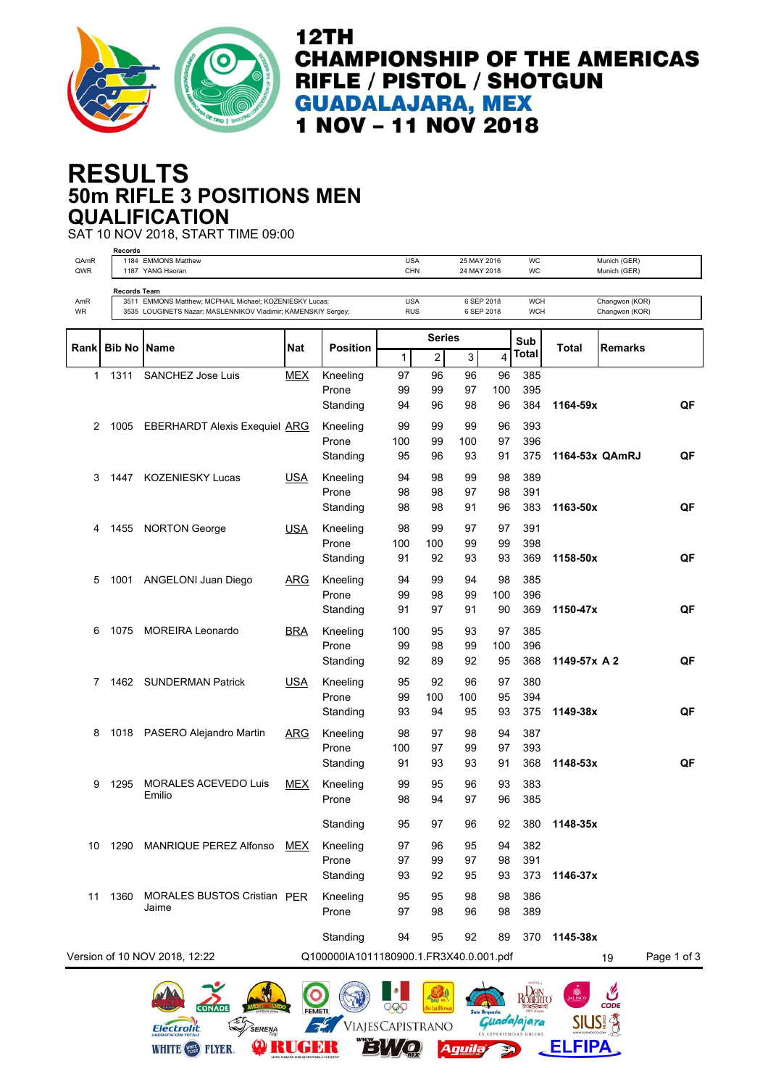

**SIUS! 含** 

**ELFIPA** 

Guada/ajara

Aguila >

## **50m RIFLE 3 POSITIONS MEN RESULTS QUALIFICATION**

SAT 10 NOV 2018, START TIME 09:00

**Electrolit** 

SERENA WHITE **@** FLYER **Q RUGER** 

| QAmR<br>QWR | Records             | 1184 EMMONS Matthew<br>1187 YANG Haoran                                                                                  |            |                                        | <b>USA</b><br>CHN        |               | 25 MAY 2016<br>24 MAY 2018 |     | WC<br>WC                 |                | Munich (GER)<br>Munich (GER)     |             |  |
|-------------|---------------------|--------------------------------------------------------------------------------------------------------------------------|------------|----------------------------------------|--------------------------|---------------|----------------------------|-----|--------------------------|----------------|----------------------------------|-------------|--|
|             | <b>Records Team</b> |                                                                                                                          |            |                                        |                          |               |                            |     |                          |                |                                  |             |  |
| AmR<br>WR   |                     | 3511 EMMONS Matthew; MCPHAIL Michael; KOZENIESKY Lucas;<br>3535 LOUGINETS Nazar; MASLENNIKOV Vladimir; KAMENSKIY Sergey; |            |                                        | <b>USA</b><br><b>RUS</b> |               | 6 SEP 2018<br>6 SEP 2018   |     | <b>WCH</b><br><b>WCH</b> |                | Changwon (KOR)<br>Changwon (KOR) |             |  |
|             |                     |                                                                                                                          |            |                                        |                          | <b>Series</b> |                            |     | Sub                      |                |                                  |             |  |
| Rank        | <b>Bib No Name</b>  |                                                                                                                          | Nat        | <b>Position</b>                        | 1                        | $\sqrt{2}$    | 3                          | 4   | <b>Total</b>             | <b>Total</b>   | <b>Remarks</b>                   |             |  |
| 1           | 1311                | <b>SANCHEZ Jose Luis</b>                                                                                                 | <b>MEX</b> | Kneeling                               | 97                       | 96            | 96                         | 96  | 385                      |                |                                  |             |  |
|             |                     |                                                                                                                          |            | Prone                                  | 99                       | 99            | 97                         | 100 | 395                      |                |                                  |             |  |
|             |                     |                                                                                                                          |            | Standing                               | 94                       | 96            | 98                         | 96  | 384                      | 1164-59x       |                                  | QF          |  |
| 2           | 1005                | <b>EBERHARDT Alexis Exequiel ARG</b>                                                                                     |            | Kneeling                               | 99                       | 99            | 99                         | 96  | 393                      |                |                                  |             |  |
|             |                     |                                                                                                                          |            | Prone                                  | 100                      | 99            | 100                        | 97  | 396                      |                |                                  |             |  |
|             |                     |                                                                                                                          |            | Standing                               | 95                       | 96            | 93                         | 91  | 375                      | 1164-53x QAmRJ |                                  | QF          |  |
| 3           | 1447                | <b>KOZENIESKY Lucas</b>                                                                                                  | <b>USA</b> | Kneeling                               | 94                       | 98            | 99                         | 98  | 389                      |                |                                  |             |  |
|             |                     |                                                                                                                          |            | Prone                                  | 98                       | 98            | 97                         | 98  | 391                      |                |                                  |             |  |
|             |                     |                                                                                                                          |            | Standing                               | 98                       | 98            | 91                         | 96  | 383                      | 1163-50x       |                                  | QF          |  |
| 4           | 1455                | <b>NORTON George</b>                                                                                                     | <u>USA</u> | Kneeling                               | 98                       | 99            | 97                         | 97  | 391                      |                |                                  |             |  |
|             |                     |                                                                                                                          |            | Prone                                  | 100                      | 100           | 99                         | 99  | 398                      |                |                                  |             |  |
|             |                     |                                                                                                                          |            | Standing                               | 91                       | 92            | 93                         | 93  | 369                      | 1158-50x       |                                  | QF          |  |
| 5           |                     | 1001 ANGELONI Juan Diego                                                                                                 | ARG        | Kneeling                               | 94                       | 99            | 94                         | 98  | 385                      |                |                                  |             |  |
|             |                     |                                                                                                                          |            | Prone                                  | 99                       | 98            | 99                         | 100 | 396                      |                |                                  |             |  |
|             |                     |                                                                                                                          |            | Standing                               | 91                       | 97            | 91                         | 90  | 369                      | 1150-47x       |                                  | QF          |  |
| 6           | 1075                | <b>MOREIRA Leonardo</b>                                                                                                  | <b>BRA</b> | Kneeling                               | 100                      | 95            | 93                         | 97  | 385                      |                |                                  |             |  |
|             |                     |                                                                                                                          |            | Prone                                  | 99                       | 98            | 99                         | 100 | 396                      |                |                                  |             |  |
|             |                     |                                                                                                                          |            | Standing                               | 92                       | 89            | 92                         | 95  | 368                      | 1149-57x A 2   |                                  | QF          |  |
| 7           |                     | 1462 SUNDERMAN Patrick                                                                                                   | <u>USA</u> | Kneeling                               | 95                       | 92            | 96                         | 97  | 380                      |                |                                  |             |  |
|             |                     |                                                                                                                          |            | Prone                                  | 99                       | 100           | 100                        | 95  | 394                      |                |                                  |             |  |
|             |                     |                                                                                                                          |            | Standing                               | 93                       | 94            | 95                         | 93  | 375                      | 1149-38x       |                                  | QF          |  |
| 8           |                     | 1018 PASERO Alejandro Martin                                                                                             | <b>ARG</b> | Kneeling                               | 98                       | 97            | 98                         | 94  | 387                      |                |                                  |             |  |
|             |                     |                                                                                                                          |            | Prone                                  | 100                      | 97            | 99                         | 97  | 393                      |                |                                  |             |  |
|             |                     |                                                                                                                          |            | Standing                               | 91                       | 93            | 93                         | 91  | 368                      | 1148-53x       |                                  | QF          |  |
| 9           | 1295                | MORALES ACEVEDO Luis                                                                                                     | <b>MEX</b> | Kneeling                               | 99                       | 95            | 96                         | 93  | 383                      |                |                                  |             |  |
|             |                     | Emilio                                                                                                                   |            | Prone                                  | 98                       | 94            | 97                         | 96  | 385                      |                |                                  |             |  |
|             |                     |                                                                                                                          |            | Standing                               | 95                       | 97            | 96                         | 92  | 380                      | 1148-35x       |                                  |             |  |
| 10          |                     | 1290 MANRIQUE PEREZ Alfonso                                                                                              | MEX        | Kneeling                               | 97                       | 96            | 95                         | 94  | 382                      |                |                                  |             |  |
|             |                     |                                                                                                                          |            | Prone                                  | 97                       | 99            | 97                         | 98  | 391                      |                |                                  |             |  |
|             |                     |                                                                                                                          |            | Standing                               | 93                       | 92            | 95                         | 93  | 373                      | 1146-37x       |                                  |             |  |
| 11          | 1360                | MORALES BUSTOS Cristian PER                                                                                              |            | Kneeling                               | 95                       | 95            | 98                         | 98  | 386                      |                |                                  |             |  |
|             |                     | Jaime                                                                                                                    |            | Prone                                  | 97                       | 98            | 96                         | 98  | 389                      |                |                                  |             |  |
|             |                     |                                                                                                                          |            | Standing                               | 94                       | 95            | 92                         | 89  | 370                      | 1145-38x       |                                  |             |  |
|             |                     | Version of 10 NOV 2018, 12:22                                                                                            |            | Q100000IA1011180900.1.FR3X40.0.001.pdf |                          |               |                            |     |                          |                | 19                               | Page 1 of 3 |  |
|             |                     |                                                                                                                          |            |                                        |                          |               |                            |     | <b>DON</b><br>ROBERTO    |                | CODE                             |             |  |

VIAJESCAPISTRANO

'BWQ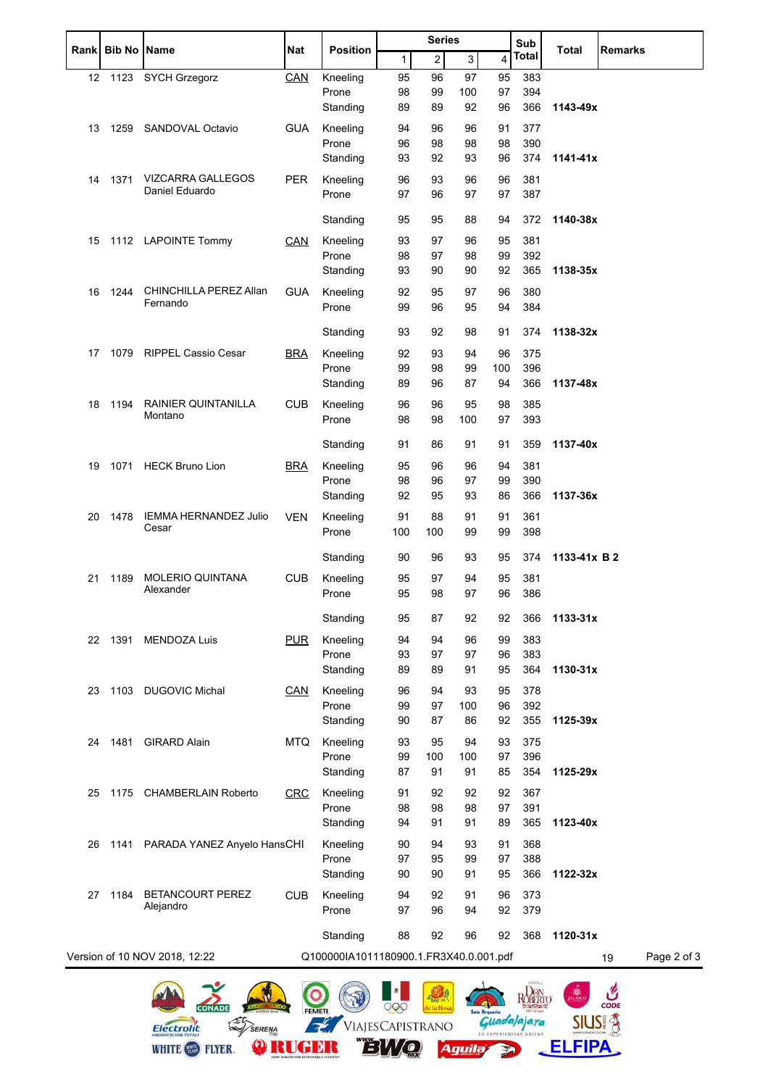| Rank | <b>Bib No Name</b> |                                      | <b>Nat</b>    | <b>Position</b>                        |                             | <b>Series</b>  |          |                         | Sub                 | Total        | <b>Remarks</b>    |
|------|--------------------|--------------------------------------|---------------|----------------------------------------|-----------------------------|----------------|----------|-------------------------|---------------------|--------------|-------------------|
|      |                    |                                      |               |                                        | 1                           | $\overline{c}$ | 3        | $\overline{\mathbf{4}}$ | <b>Total</b>        |              |                   |
| 12   |                    | 1123 SYCH Grzegorz                   | CAN           | Kneeling                               | 95                          | 96             | 97       | 95                      | 383                 |              |                   |
|      |                    |                                      |               | Prone                                  | 98                          | 99             | 100      | 97                      | 394                 |              |                   |
|      |                    |                                      |               | Standing                               | 89                          | 89             | 92       | 96                      | 366                 | 1143-49x     |                   |
| 13   | 1259               | SANDOVAL Octavio                     | <b>GUA</b>    | Kneeling                               | 94                          | 96             | 96       | 91                      | 377                 |              |                   |
|      |                    |                                      |               | Prone<br>Standing                      | 96<br>93                    | 98<br>92       | 98<br>93 | 98<br>96                | 390<br>374          | 1141-41x     |                   |
|      |                    |                                      |               |                                        |                             |                |          |                         |                     |              |                   |
| 14   | 1371               | VIZCARRA GALLEGOS<br>Daniel Eduardo  | <b>PER</b>    | Kneeling<br>Prone                      | 96<br>97                    | 93<br>96       | 96<br>97 | 96<br>97                | 381<br>387          |              |                   |
|      |                    |                                      |               |                                        |                             |                |          |                         |                     |              |                   |
|      |                    |                                      |               | Standing                               | 95                          | 95             | 88       | 94                      | 372                 | 1140-38x     |                   |
| 15   |                    | 1112 LAPOINTE Tommy                  | CAN           | Kneeling                               | 93                          | 97             | 96       | 95                      | 381                 |              |                   |
|      |                    |                                      |               | Prone                                  | 98                          | 97             | 98       | 99                      | 392                 |              |                   |
|      |                    |                                      |               | Standing                               | 93                          | 90             | 90       | 92                      | 365                 | 1138-35x     |                   |
| 16   | 1244               | CHINCHILLA PEREZ Allan<br>Fernando   | <b>GUA</b>    | Kneeling                               | 92                          | 95             | 97       | 96                      | 380                 |              |                   |
|      |                    |                                      |               | Prone                                  | 99                          | 96             | 95       | 94                      | 384                 |              |                   |
|      |                    |                                      |               | Standing                               | 93                          | 92             | 98       | 91                      | 374                 | 1138-32x     |                   |
| 17   | 1079               | <b>RIPPEL Cassio Cesar</b>           | <b>BRA</b>    | Kneeling                               | 92                          | 93             | 94       | 96                      | 375                 |              |                   |
|      |                    |                                      |               | Prone                                  | 99                          | 98             | 99       | 100                     | 396                 |              |                   |
|      |                    |                                      |               | Standing                               | 89                          | 96             | 87       | 94                      | 366                 | 1137-48x     |                   |
| 18   | 1194               | RAINIER QUINTANILLA                  | <b>CUB</b>    | Kneeling                               | 96                          | 96             | 95       | 98                      | 385                 |              |                   |
|      |                    | Montano                              |               | Prone                                  | 98                          | 98             | 100      | 97                      | 393                 |              |                   |
|      |                    |                                      |               | Standing                               | 91                          | 86             | 91       | 91                      | 359                 | 1137-40x     |                   |
|      |                    |                                      |               |                                        |                             |                |          |                         |                     |              |                   |
| 19   | 1071               | <b>HECK Bruno Lion</b>               | <b>BRA</b>    | Kneeling                               | 95                          | 96             | 96       | 94                      | 381                 |              |                   |
|      |                    |                                      |               | Prone<br>Standing                      | 98<br>92                    | 96<br>95       | 97<br>93 | 99<br>86                | 390<br>366          | 1137-36x     |                   |
|      |                    | <b>IEMMA HERNANDEZ Julio</b>         |               |                                        |                             |                |          |                         |                     |              |                   |
| 20   | 1478               | Cesar                                | <b>VEN</b>    | Kneeling<br>Prone                      | 91<br>100                   | 88<br>100      | 91<br>99 | 91<br>99                | 361<br>398          |              |                   |
|      |                    |                                      |               |                                        |                             |                |          |                         |                     |              |                   |
|      |                    |                                      |               | Standing                               | 90                          | 96             | 93       | 95                      | 374                 | 1133-41x B 2 |                   |
| 21   | 1189               | <b>MOLERIO QUINTANA</b><br>Alexander | <b>CUB</b>    | Kneeling                               | 95                          | 97             | 94       | 95                      | 381                 |              |                   |
|      |                    |                                      |               | Prone                                  | 95                          | 98             | 97       | 96                      | 386                 |              |                   |
|      |                    |                                      |               | Standing                               | 95                          | 87             | 92       | 92                      | 366                 | 1133-31x     |                   |
| 22   | 1391               | <b>MENDOZA Luis</b>                  | <b>PUR</b>    | Kneeling                               | 94                          | 94             | 96       | 99                      | 383                 |              |                   |
|      |                    |                                      |               | Prone                                  | 93                          | 97             | 97       | 96                      | 383                 |              |                   |
|      |                    |                                      |               | Standing                               | 89                          | 89             | 91       | 95                      | 364                 | 1130-31x     |                   |
| 23   | 1103               | <b>DUGOVIC Michal</b>                | <b>CAN</b>    | Kneeling                               | 96                          | 94             | 93       | 95                      | 378                 |              |                   |
|      |                    |                                      |               | Prone                                  | 99                          | 97             | 100      | 96                      | 392                 |              |                   |
|      |                    |                                      |               | Standing                               | 90                          | 87             | 86       | 92                      | 355                 | 1125-39x     |                   |
| 24   | 1481               | <b>GIRARD Alain</b>                  | <b>MTQ</b>    | Kneeling                               | 93                          | 95             | 94       | 93                      | 375                 |              |                   |
|      |                    |                                      |               | Prone                                  | 99                          | 100            | 100      | 97                      | 396                 |              |                   |
|      |                    |                                      |               | Standing                               | 87                          | 91             | 91       | 85                      | 354                 | 1125-29x     |                   |
| 25   | 1175               | <b>CHAMBERLAIN Roberto</b>           | <b>CRC</b>    | Kneeling                               | 91                          | 92             | 92       | 92                      | 367                 |              |                   |
|      |                    |                                      |               | Prone                                  | 98                          | 98             | 98       | 97                      | 391                 |              |                   |
|      |                    |                                      |               | Standing                               | 94                          | 91             | 91       | 89                      | 365                 | 1123-40x     |                   |
| 26   | 1141               | PARADA YANEZ Anyelo HansCHI          |               | Kneeling                               | 90                          | 94             | 93       | 91                      | 368                 |              |                   |
|      |                    |                                      |               | Prone<br>Standing                      | 97<br>90                    | 95<br>90       | 99<br>91 | 97<br>95                | 388<br>366          | 1122-32x     |                   |
|      |                    |                                      |               |                                        |                             |                |          |                         |                     |              |                   |
| 27   | 1184               | <b>BETANCOURT PEREZ</b><br>Alejandro | <b>CUB</b>    | Kneeling<br>Prone                      | 94<br>97                    | 92<br>96       | 91<br>94 | 96<br>92                | 373<br>379          |              |                   |
|      |                    |                                      |               |                                        |                             |                |          |                         |                     |              |                   |
|      |                    |                                      |               | Standing                               | 88                          | 92             | 96       | 92                      | 368                 | 1120-31x     |                   |
|      |                    | Version of 10 NOV 2018, 12:22        |               | Q100000IA1011180900.1.FR3X40.0.001.pdf |                             |                |          |                         |                     |              | Page 2 of 3<br>19 |
|      |                    |                                      |               |                                        |                             |                |          |                         |                     |              |                   |
|      |                    |                                      |               |                                        |                             |                |          |                         | <b>KOBERTO</b>      |              |                   |
|      |                    |                                      | <b>FEMETI</b> |                                        | 999                         | de la Rosa     |          | <b>Guada/ajara</b>      |                     |              | CODE              |
|      |                    | <b>Electrolit</b><br><b>SERENA</b>   |               |                                        | VIAJESCAPISTRANO<br>WWW JAN |                |          |                         | <b>NCIAS ÚNICAS</b> |              |                   |

WHITE S FLYER. 9 RUGHR "BWQ Aguila > ELFIPA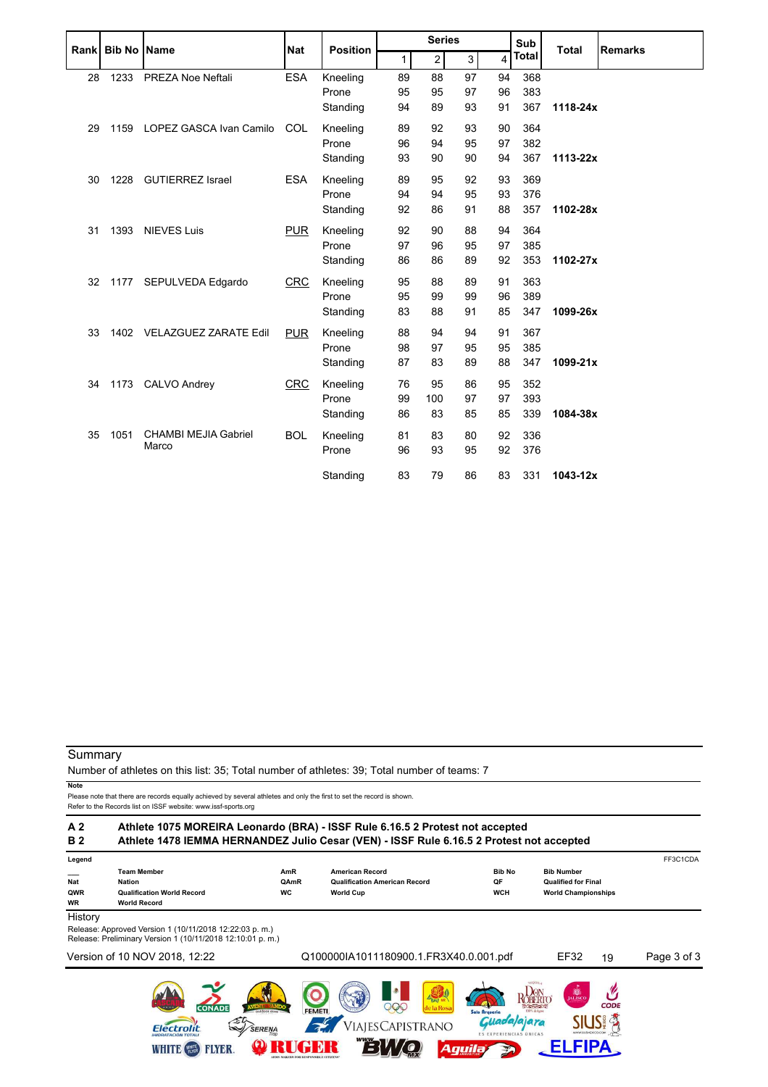| Rank |      | <b>Bib No Name</b>           | <b>Nat</b> | <b>Position</b> |    | <b>Series</b>           |    |    | Sub   | <b>Total</b> | <b>Remarks</b> |
|------|------|------------------------------|------------|-----------------|----|-------------------------|----|----|-------|--------------|----------------|
|      |      |                              |            |                 | 1  | $\overline{\mathbf{c}}$ | 3  | 4  | Total |              |                |
| 28   | 1233 | <b>PREZA Noe Neftali</b>     | <b>ESA</b> | Kneeling        | 89 | 88                      | 97 | 94 | 368   |              |                |
|      |      |                              |            | Prone           | 95 | 95                      | 97 | 96 | 383   |              |                |
|      |      |                              |            | Standing        | 94 | 89                      | 93 | 91 | 367   | 1118-24x     |                |
| 29   | 1159 | LOPEZ GASCA Ivan Camilo      | COL        | Kneeling        | 89 | 92                      | 93 | 90 | 364   |              |                |
|      |      |                              |            | Prone           | 96 | 94                      | 95 | 97 | 382   |              |                |
|      |      |                              |            | Standing        | 93 | 90                      | 90 | 94 | 367   | 1113-22x     |                |
| 30   | 1228 | <b>GUTIERREZ Israel</b>      | ESA        | Kneeling        | 89 | 95                      | 92 | 93 | 369   |              |                |
|      |      |                              |            | Prone           | 94 | 94                      | 95 | 93 | 376   |              |                |
|      |      |                              |            | Standing        | 92 | 86                      | 91 | 88 | 357   | 1102-28x     |                |
| 31   | 1393 | <b>NIEVES Luis</b>           | <b>PUR</b> | Kneeling        | 92 | 90                      | 88 | 94 | 364   |              |                |
|      |      |                              |            | Prone           | 97 | 96                      | 95 | 97 | 385   |              |                |
|      |      |                              |            | Standing        | 86 | 86                      | 89 | 92 | 353   | 1102-27x     |                |
| 32   | 1177 | SEPULVEDA Edgardo            | <b>CRC</b> | Kneeling        | 95 | 88                      | 89 | 91 | 363   |              |                |
|      |      |                              |            | Prone           | 95 | 99                      | 99 | 96 | 389   |              |                |
|      |      |                              |            | Standing        | 83 | 88                      | 91 | 85 | 347   | 1099-26x     |                |
| 33   | 1402 | <b>VELAZGUEZ ZARATE Edil</b> | <b>PUR</b> | Kneeling        | 88 | 94                      | 94 | 91 | 367   |              |                |
|      |      |                              |            | Prone           | 98 | 97                      | 95 | 95 | 385   |              |                |
|      |      |                              |            | Standing        | 87 | 83                      | 89 | 88 | 347   | 1099-21x     |                |
| 34   |      | 1173 CALVO Andrey            | <b>CRC</b> | Kneeling        | 76 | 95                      | 86 | 95 | 352   |              |                |
|      |      |                              |            | Prone           | 99 | 100                     | 97 | 97 | 393   |              |                |
|      |      |                              |            | Standing        | 86 | 83                      | 85 | 85 | 339   | 1084-38x     |                |
| 35   | 1051 | <b>CHAMBI MEJIA Gabriel</b>  | <b>BOL</b> | Kneeling        | 81 | 83                      | 80 | 92 | 336   |              |                |
|      |      | Marco                        |            | Prone           | 96 | 93                      | 95 | 92 | 376   |              |                |
|      |      |                              |            | Standing        | 83 | 79                      | 86 | 83 | 331   | 1043-12x     |                |

Number of athletes on this list: 35; Total number of athletes: 39; Total number of teams: 7

**Note**

Please note that there are records equally achieved by several athletes and only the first to set the record is shown.

| A <sub>2</sub><br><b>B2</b> | Athlete 1075 MOREIRA Leonardo (BRA) - ISSF Rule 6.16.5 2 Protest not accepted<br>Athlete 1478 IEMMA HERNANDEZ Julio Cesar (VEN) - ISSF Rule 6.16.5 2 Protest not accepted |                          |                                                                                    |                                                                      |                                                                               |             |
|-----------------------------|---------------------------------------------------------------------------------------------------------------------------------------------------------------------------|--------------------------|------------------------------------------------------------------------------------|----------------------------------------------------------------------|-------------------------------------------------------------------------------|-------------|
| Legend                      |                                                                                                                                                                           |                          |                                                                                    |                                                                      |                                                                               | FF3C1CDA    |
| <b>Nat</b><br>QWR<br>WR     | <b>Team Member</b><br><b>Nation</b><br><b>Qualification World Record</b><br><b>World Record</b>                                                                           | AmR<br>QAmR<br><b>WC</b> | <b>American Record</b><br><b>Qualification American Record</b><br><b>World Cup</b> | <b>Bib No</b><br>QF<br><b>WCH</b>                                    | <b>Bib Number</b><br><b>Qualified for Final</b><br><b>World Championships</b> |             |
| History                     |                                                                                                                                                                           |                          |                                                                                    |                                                                      |                                                                               |             |
|                             | Release: Approved Version 1 (10/11/2018 12:22:03 p.m.)<br>Release: Preliminary Version 1 (10/11/2018 12:10:01 p.m.)                                                       |                          |                                                                                    |                                                                      |                                                                               |             |
|                             | Version of 10 NOV 2018, 12:22                                                                                                                                             |                          | Q100000IA1011180900.1.FR3X40.0.001.pdf                                             |                                                                      | EF32<br>19                                                                    | Page 3 of 3 |
|                             | <b>CONADE</b><br><b>SERENA</b><br>Flectrolit<br>MER                                                                                                                       | <b>FEMETI</b>            | <b>Day I MR</b><br>DOC<br>de la Rosa<br>iajesCapistrano                            | Solo Arqueria<br>dalajara<br><b>ES EXPERIENCIAS UNICAS</b><br>Aguila | 愿<br><b>JALISCO</b><br><b>CODE</b><br><b>GAYAR</b>                            |             |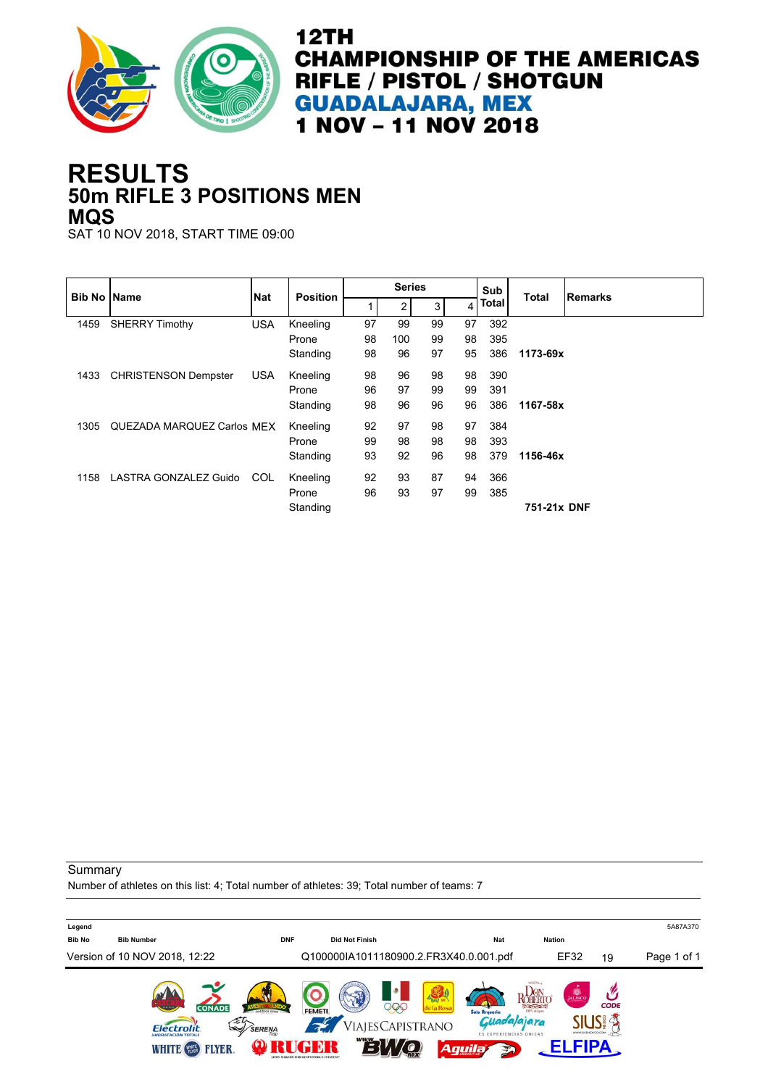

### **50m RIFLE 3 POSITIONS MEN RESULTS MQS**

SAT 10 NOV 2018, START TIME 09:00

|      | <b>Bib No Name</b>          | <b>Nat</b> | <b>Position</b> |    | <b>Series</b> |    |    | Sub          | <b>Total</b> | <b>IRemarks</b> |
|------|-----------------------------|------------|-----------------|----|---------------|----|----|--------------|--------------|-----------------|
|      |                             |            |                 |    | 2             | 3  | 4  | <b>Total</b> |              |                 |
| 1459 | <b>SHERRY Timothy</b>       | <b>USA</b> | Kneeling        | 97 | 99            | 99 | 97 | 392          |              |                 |
|      |                             |            | Prone           | 98 | 100           | 99 | 98 | 395          |              |                 |
|      |                             |            | Standing        | 98 | 96            | 97 | 95 | 386          | 1173-69x     |                 |
| 1433 | <b>CHRISTENSON Dempster</b> | <b>USA</b> | Kneeling        | 98 | 96            | 98 | 98 | 390          |              |                 |
|      |                             |            | Prone           | 96 | 97            | 99 | 99 | 391          |              |                 |
|      |                             |            | Standing        | 98 | 96            | 96 | 96 | 386          | 1167-58x     |                 |
| 1305 | QUEZADA MARQUEZ Carlos MEX  |            | Kneeling        | 92 | 97            | 98 | 97 | 384          |              |                 |
|      |                             |            | Prone           | 99 | 98            | 98 | 98 | 393          |              |                 |
|      |                             |            | Standing        | 93 | 92            | 96 | 98 | 379          | 1156-46x     |                 |
| 1158 | LASTRA GONZALEZ Guido       | COL        | Kneeling        | 92 | 93            | 87 | 94 | 366          |              |                 |
|      |                             |            | Prone           | 96 | 93            | 97 | 99 | 385          |              |                 |
|      |                             |            | Standing        |    |               |    |    |              | 751-21x DNF  |                 |

**Summary** 

Number of athletes on this list: 4; Total number of athletes: 39; Total number of teams: 7

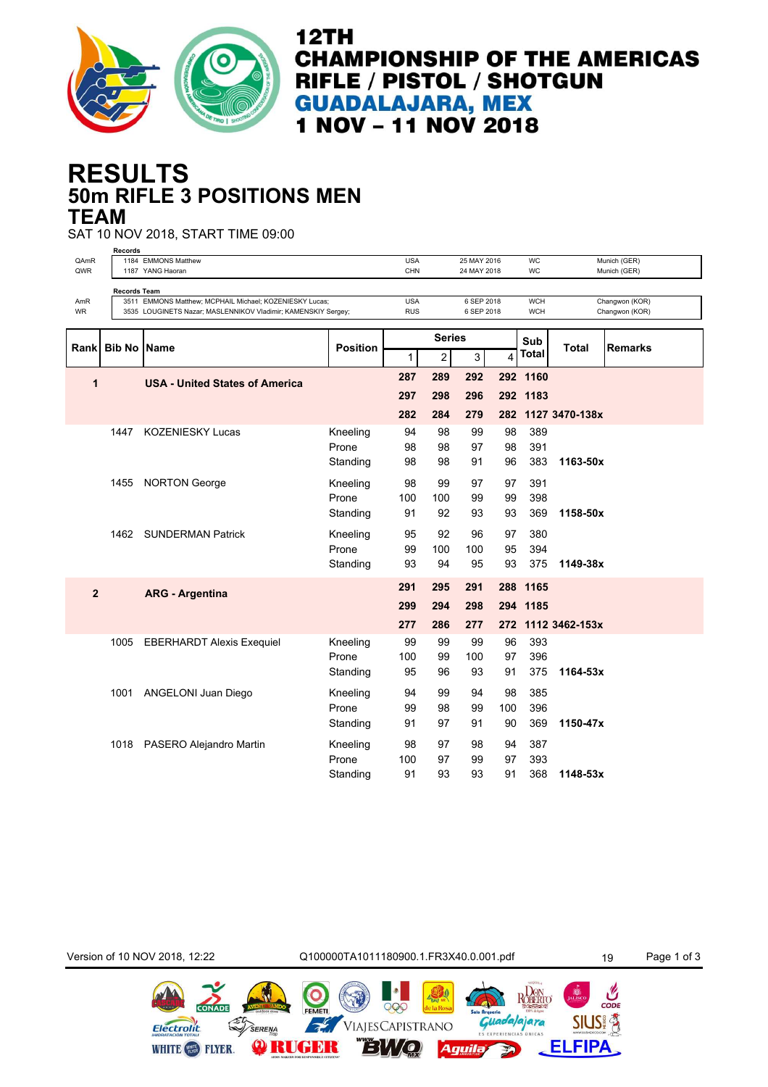

## **50m RIFLE 3 POSITIONS MEN RESULTS TEAM**

SAT 10 NOV 2018, START TIME 09:00

|                | <b>Records</b>      |                                                               |                 |            |               |             |     |              |                    |                |  |
|----------------|---------------------|---------------------------------------------------------------|-----------------|------------|---------------|-------------|-----|--------------|--------------------|----------------|--|
| QAmR           |                     | 1184 EMMONS Matthew                                           |                 | <b>USA</b> |               | 25 MAY 2016 |     | <b>WC</b>    |                    | Munich (GER)   |  |
| QWR            |                     | 1187 YANG Haoran                                              |                 | CHN        |               | 24 MAY 2018 |     | <b>WC</b>    |                    | Munich (GER)   |  |
|                |                     |                                                               |                 |            |               |             |     |              |                    |                |  |
| AmR            | <b>Records Team</b> | 3511 EMMONS Matthew; MCPHAIL Michael; KOZENIESKY Lucas;       |                 | <b>USA</b> | 6 SEP 2018    |             |     | <b>WCH</b>   | Changwon (KOR)     |                |  |
| <b>WR</b>      |                     | 3535 LOUGINETS Nazar; MASLENNIKOV Vladimir; KAMENSKIY Sergey; |                 | <b>RUS</b> |               | 6 SEP 2018  |     | <b>WCH</b>   |                    | Changwon (KOR) |  |
|                |                     |                                                               |                 |            |               |             |     |              |                    |                |  |
|                |                     |                                                               |                 |            | <b>Series</b> |             |     |              |                    |                |  |
| Rank           | <b>Bib No Name</b>  |                                                               | <b>Position</b> |            |               |             |     | Sub          | <b>Total</b>       | <b>Remarks</b> |  |
|                |                     |                                                               |                 | 1          | 2             | 3           | 4   | <b>Total</b> |                    |                |  |
|                |                     |                                                               |                 |            |               |             |     |              |                    |                |  |
| 1              |                     | <b>USA - United States of America</b>                         |                 | 287        | 289           | 292         |     | 292 1160     |                    |                |  |
|                |                     |                                                               |                 | 297        | 298           | 296         |     | 292 1183     |                    |                |  |
|                |                     |                                                               |                 |            |               |             |     |              |                    |                |  |
|                |                     |                                                               |                 | 282        | 284           | 279         |     |              | 282 1127 3470-138x |                |  |
|                | 1447                | <b>KOZENIESKY Lucas</b>                                       | Kneeling        | 94         | 98            | 99          | 98  | 389          |                    |                |  |
|                |                     |                                                               | Prone           | 98         | 98            | 97          | 98  | 391          |                    |                |  |
|                |                     |                                                               |                 |            |               |             |     |              |                    |                |  |
|                |                     |                                                               | Standing        | 98         | 98            | 91          | 96  | 383          | 1163-50x           |                |  |
|                | 1455                |                                                               |                 | 98         | 99            | 97          | 97  | 391          |                    |                |  |
|                |                     | <b>NORTON George</b>                                          | Kneeling        |            |               |             |     |              |                    |                |  |
|                |                     |                                                               | Prone           | 100        | 100           | 99          | 99  | 398          |                    |                |  |
|                |                     |                                                               | Standing        | 91         | 92            | 93          | 93  | 369          | 1158-50x           |                |  |
|                |                     |                                                               |                 |            |               |             |     |              |                    |                |  |
|                |                     | 1462 SUNDERMAN Patrick                                        | Kneeling        | 95         | 92            | 96          | 97  | 380          |                    |                |  |
|                |                     |                                                               | Prone           | 99         | 100           | 100         | 95  | 394          |                    |                |  |
|                |                     |                                                               | Standing        | 93         | 94            | 95          | 93  | 375          | 1149-38x           |                |  |
|                |                     |                                                               |                 |            |               |             |     |              |                    |                |  |
|                |                     |                                                               |                 | 291        | 295           | 291         |     | 288 1165     |                    |                |  |
| $\overline{2}$ |                     | <b>ARG - Argentina</b>                                        |                 |            |               |             |     |              |                    |                |  |
|                |                     |                                                               |                 | 299        | 294           | 298         |     | 294 1185     |                    |                |  |
|                |                     |                                                               |                 | 277        | 286           | 277         |     |              | 272 1112 3462-153x |                |  |
|                |                     |                                                               |                 |            |               |             |     |              |                    |                |  |
|                | 1005                | <b>EBERHARDT Alexis Exequiel</b>                              | Kneeling        | 99         | 99            | 99          | 96  | 393          |                    |                |  |
|                |                     |                                                               | Prone           | 100        | 99            | 100         | 97  | 396          |                    |                |  |
|                |                     |                                                               | Standing        | 95         | 96            | 93          | 91  | 375          | 1164-53x           |                |  |
|                |                     |                                                               |                 |            |               |             |     |              |                    |                |  |
|                |                     | 1001 ANGELONI Juan Diego                                      | Kneeling        | 94         | 99            | 94          | 98  | 385          |                    |                |  |
|                |                     |                                                               | Prone           | 99         | 98            | 99          | 100 | 396          |                    |                |  |
|                |                     |                                                               | Standing        | 91         | 97            | 91          | 90  | 369          | 1150-47x           |                |  |
|                |                     |                                                               |                 |            |               |             |     |              |                    |                |  |
|                |                     | 1018 PASERO Alejandro Martin                                  | Kneeling        | 98         | 97            | 98          | 94  | 387          |                    |                |  |
|                |                     |                                                               | Prone           | 100        | 97            | 99          | 97  | 393          |                    |                |  |
|                |                     |                                                               |                 |            |               | 93          |     | 368          |                    |                |  |
|                |                     |                                                               | Standing        | 91         | 93            |             | 91  |              | 1148-53x           |                |  |

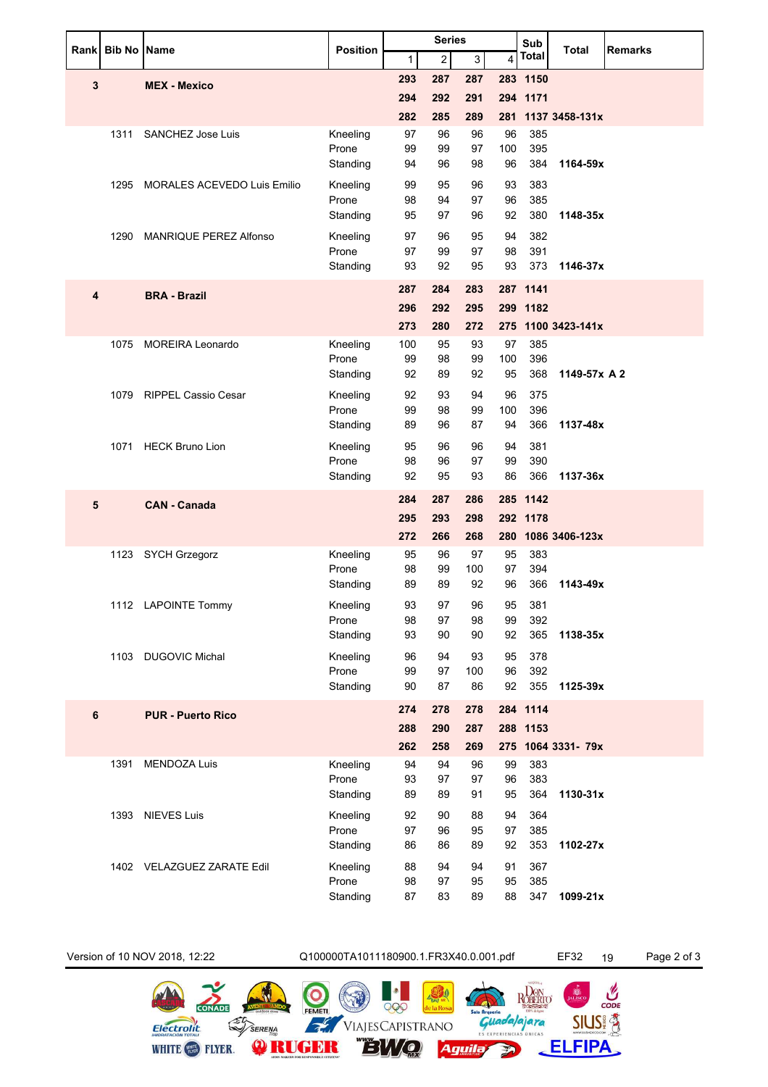|   |                  |                                    |                   |            | <b>Series</b>  |            |           | Sub                  |                                |
|---|------------------|------------------------------------|-------------------|------------|----------------|------------|-----------|----------------------|--------------------------------|
|   | Rank Bib No Name |                                    | <b>Position</b>   | 1          | $\overline{c}$ | 3          | 4         | <b>Total</b>         | <b>Total</b><br><b>Remarks</b> |
| 3 |                  | <b>MEX - Mexico</b>                |                   | 293        | 287            | 287        |           | 283 1150             |                                |
|   |                  |                                    |                   | 294        | 292            | 291        |           | 294 1171             |                                |
|   |                  |                                    |                   | 282        | 285            | 289        |           |                      | 281 1137 3458-131x             |
|   | 1311             | <b>SANCHEZ Jose Luis</b>           | Kneeling          | 97         | 96             | 96         | 96        | 385                  |                                |
|   |                  |                                    | Prone<br>Standing | 99<br>94   | 99<br>96       | 97<br>98   | 100<br>96 | 395<br>384           | 1164-59x                       |
|   | 1295             | <b>MORALES ACEVEDO Luis Emilio</b> | Kneeling          | 99         | 95             | 96         | 93        | 383                  |                                |
|   |                  |                                    | Prone             | 98         | 94             | 97         | 96        | 385                  |                                |
|   |                  |                                    | Standing          | 95         | 97             | 96         | 92        | 380                  | 1148-35x                       |
|   |                  | 1290 MANRIQUE PEREZ Alfonso        | Kneeling          | 97         | 96             | 95         | 94        | 382                  |                                |
|   |                  |                                    | Prone             | 97         | 99             | 97         | 98        | 391                  |                                |
|   |                  |                                    | Standing          | 93         | 92             | 95         | 93        | 373                  | 1146-37x                       |
| 4 |                  | <b>BRA - Brazil</b>                |                   | 287        | 284            | 283        |           | 287 1141             |                                |
|   |                  |                                    |                   | 296        | 292            | 295        |           | 299 1182             |                                |
|   |                  |                                    |                   | 273        | 280            | 272        |           |                      | 275 1100 3423-141x             |
|   | 1075             | <b>MOREIRA Leonardo</b>            | Kneeling<br>Prone | 100<br>99  | 95<br>98       | 93<br>99   | 97<br>100 | 385<br>396           |                                |
|   |                  |                                    | Standing          | 92         | 89             | 92         | 95        | 368                  | 1149-57x A 2                   |
|   |                  | 1079 RIPPEL Cassio Cesar           | Kneeling          | 92         | 93             | 94         | 96        | 375                  |                                |
|   |                  |                                    | Prone             | 99         | 98             | 99         | 100       | 396                  |                                |
|   |                  |                                    | Standing          | 89         | 96             | 87         | 94        | 366                  | 1137-48x                       |
|   |                  | 1071 HECK Bruno Lion               | Kneeling          | 95         | 96             | 96         | 94        | 381                  |                                |
|   |                  |                                    | Prone             | 98         | 96             | 97         | 99        | 390                  |                                |
|   |                  |                                    | Standing          | 92         | 95             | 93         | 86        | 366                  | 1137-36x                       |
| 5 |                  | <b>CAN - Canada</b>                |                   | 284        | 287            | 286        |           | 285 1142             |                                |
|   |                  |                                    |                   | 295        | 293            | 298        |           | 292 1178             |                                |
|   |                  |                                    |                   | 272        | 266<br>96      | 268<br>97  | 280       |                      | 1086 3406-123x                 |
|   |                  | 1123 SYCH Grzegorz                 | Kneeling<br>Prone | 95<br>98   | 99             | 100        | 95<br>97  | 383<br>394           |                                |
|   |                  |                                    | Standing          | 89         | 89             | 92         | 96        | 366                  | 1143-49x                       |
|   |                  | 1112 LAPOINTE Tommy                | Kneeling          | 93         | 97             | 96         | 95        | 381                  |                                |
|   |                  |                                    | Prone             | 98         | 97             | 98         | 99        | 392                  |                                |
|   |                  |                                    | Standing          | 93         | 90             | 90         | 92        | 365                  | 1138-35x                       |
|   |                  | 1103 DUGOVIC Michal                | Kneeling          | 96         | 94             | 93         | 95        | 378                  |                                |
|   |                  |                                    | Prone<br>Standing | 99<br>90   | 97<br>87       | 100<br>86  | 96<br>92  | 392<br>355           | 1125-39x                       |
|   |                  |                                    |                   |            |                |            |           |                      |                                |
| 6 |                  | <b>PUR - Puerto Rico</b>           |                   | 274<br>288 | 278<br>290     | 278<br>287 |           | 284 1114<br>288 1153 |                                |
|   |                  |                                    |                   | 262        | 258            | 269        |           |                      | 275 1064 3331- 79x             |
|   | 1391             | <b>MENDOZA Luis</b>                | Kneeling          | 94         | 94             | 96         | 99        | 383                  |                                |
|   |                  |                                    | Prone             | 93         | 97             | 97         | 96        | 383                  |                                |
|   |                  |                                    | Standing          | 89         | 89             | 91         | 95        | 364                  | 1130-31x                       |
|   |                  | 1393 NIEVES Luis                   | Kneeling          | 92         | 90             | 88         | 94        | 364                  |                                |
|   |                  |                                    | Prone             | 97         | 96             | 95         | 97        | 385                  |                                |
|   |                  |                                    | Standing          | 86         | 86             | 89         | 92        | 353                  | 1102-27x                       |
|   |                  | 1402 VELAZGUEZ ZARATE Edil         | Kneeling<br>Prone | 88<br>98   | 94<br>97       | 94<br>95   | 91<br>95  | 367<br>385           |                                |
|   |                  |                                    | Standing          | 87         | 83             | 89         | 88        | 347                  | 1099-21x                       |
|   |                  |                                    |                   |            |                |            |           |                      |                                |

CONADE

Electrolit

WHITE **WE** FLYER.

**EL SERENA** 

 $\bullet$ 

FEMETI

**ORUGBR** 

 $\frac{1}{2}$ 

Version of 10 NOV 2018, 12:22 Q100000TA1011180900.1.FR3X40.0.001.pdf EF32 19 Page 2 of 3

 $QQQ$ 

VIAJESCAPISTRANO

**BWQ** 

黑

e la Ros

Aguila

**B** 

**ELFIPA** 

ROBERIO

**Guada/ajara** 

五

 $\mathcal{C}$ 

**SIUSI** 含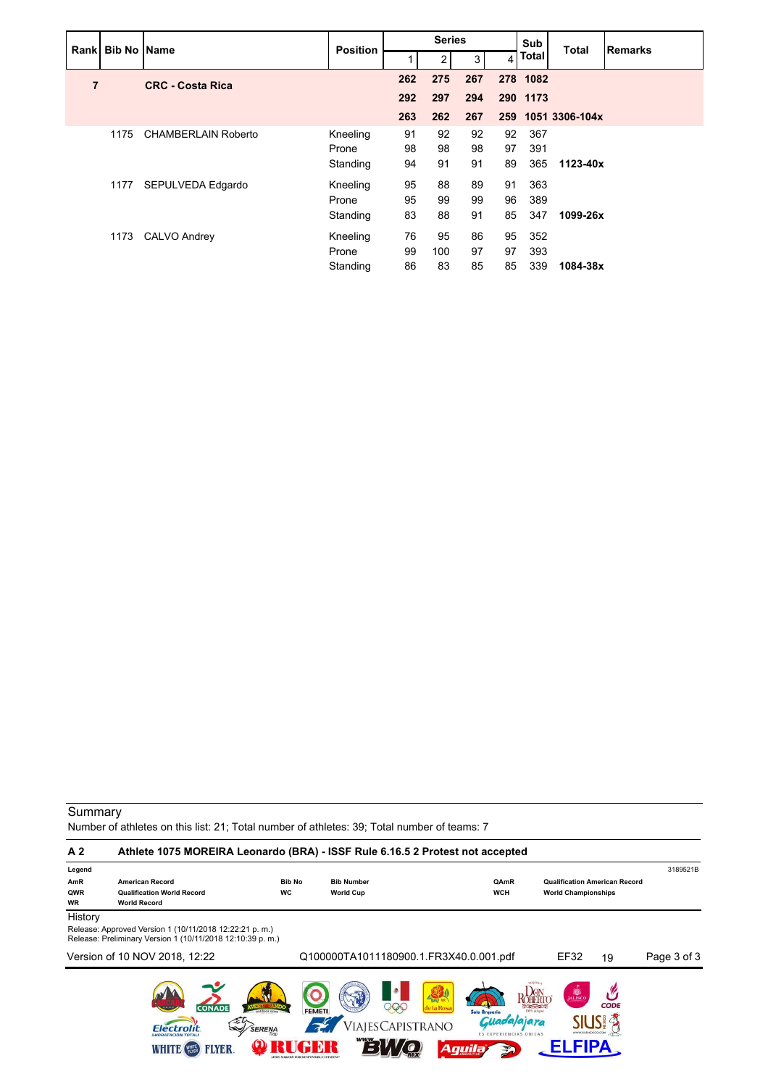| Rank   Bib No   Name |      |                            | <b>Position</b> |     | <b>Series</b> |     |                | Sub      | <b>Total</b>       | <b>Remarks</b> |
|----------------------|------|----------------------------|-----------------|-----|---------------|-----|----------------|----------|--------------------|----------------|
|                      |      |                            |                 |     | 2             | 3   | $\overline{4}$ | Total    |                    |                |
| $\overline{7}$       |      | <b>CRC - Costa Rica</b>    |                 | 262 | 275           | 267 |                | 278 1082 |                    |                |
|                      |      |                            |                 | 292 | 297           | 294 |                | 290 1173 |                    |                |
|                      |      |                            |                 | 263 | 262           | 267 |                |          | 259 1051 3306-104x |                |
|                      | 1175 | <b>CHAMBERLAIN Roberto</b> | Kneeling        | 91  | 92            | 92  | 92             | 367      |                    |                |
|                      |      |                            | Prone           | 98  | 98            | 98  | 97             | 391      |                    |                |
|                      |      |                            | Standing        | 94  | 91            | 91  | 89             | 365      | 1123-40x           |                |
|                      | 1177 | SEPULVEDA Edgardo          | Kneeling        | 95  | 88            | 89  | 91             | 363      |                    |                |
|                      |      |                            | Prone           | 95  | 99            | 99  | 96             | 389      |                    |                |
|                      |      |                            | Standing        | 83  | 88            | 91  | 85             | 347      | 1099-26x           |                |
|                      | 1173 | CALVO Andrey               | Kneeling        | 76  | 95            | 86  | 95             | 352      |                    |                |
|                      |      |                            | Prone           | 99  | 100           | 97  | 97             | 393      |                    |                |
|                      |      |                            | Standing        | 86  | 83            | 85  | 85             | 339      | 1084-38x           |                |

Number of athletes on this list: 21; Total number of athletes: 39; Total number of teams: 7

| A <sub>2</sub>          | Athlete 1075 MOREIRA Leonardo (BRA) - ISSF Rule 6.16.5 2 Protest not accepted                                         |                            |                                        |                                           |                                         |                                                                    |             |             |
|-------------------------|-----------------------------------------------------------------------------------------------------------------------|----------------------------|----------------------------------------|-------------------------------------------|-----------------------------------------|--------------------------------------------------------------------|-------------|-------------|
| Legend                  |                                                                                                                       |                            |                                        |                                           |                                         |                                                                    |             | 3189521B    |
| AmR<br>QWR<br><b>WR</b> | <b>American Record</b><br><b>Qualification World Record</b><br><b>World Record</b>                                    | <b>Bib No</b><br><b>WC</b> | <b>Bib Number</b><br><b>World Cup</b>  |                                           | QAmR<br><b>WCH</b>                      | <b>Qualification American Record</b><br><b>World Championships</b> |             |             |
| History                 |                                                                                                                       |                            |                                        |                                           |                                         |                                                                    |             |             |
|                         | Release: Approved Version 1 (10/11/2018 12:22:21 p. m.)<br>Release: Preliminary Version 1 (10/11/2018 12:10:39 p. m.) |                            |                                        |                                           |                                         |                                                                    |             |             |
|                         | Version of 10 NOV 2018, 12:22                                                                                         |                            | Q100000TA1011180900.1.FR3X40.0.001.pdf |                                           |                                         | EF32                                                               | 19          | Page 3 of 3 |
|                         | <b>CONADE</b><br><b>SERENA</b><br>Flectrolit                                                                          | <b>FEMETI</b>              | 206                                    | EAST NR<br>de la Rosa<br>ViajesCapistrano | Solo Arqueria<br>lalajara               | <b>DE</b>                                                          | <b>CODE</b> |             |
|                         | <b>FLYBR</b><br><b>WHITE</b> (WHILE                                                                                   |                            |                                        |                                           | <b>ES EXPERIENCIAS UNICAS</b><br>Aguila |                                                                    |             |             |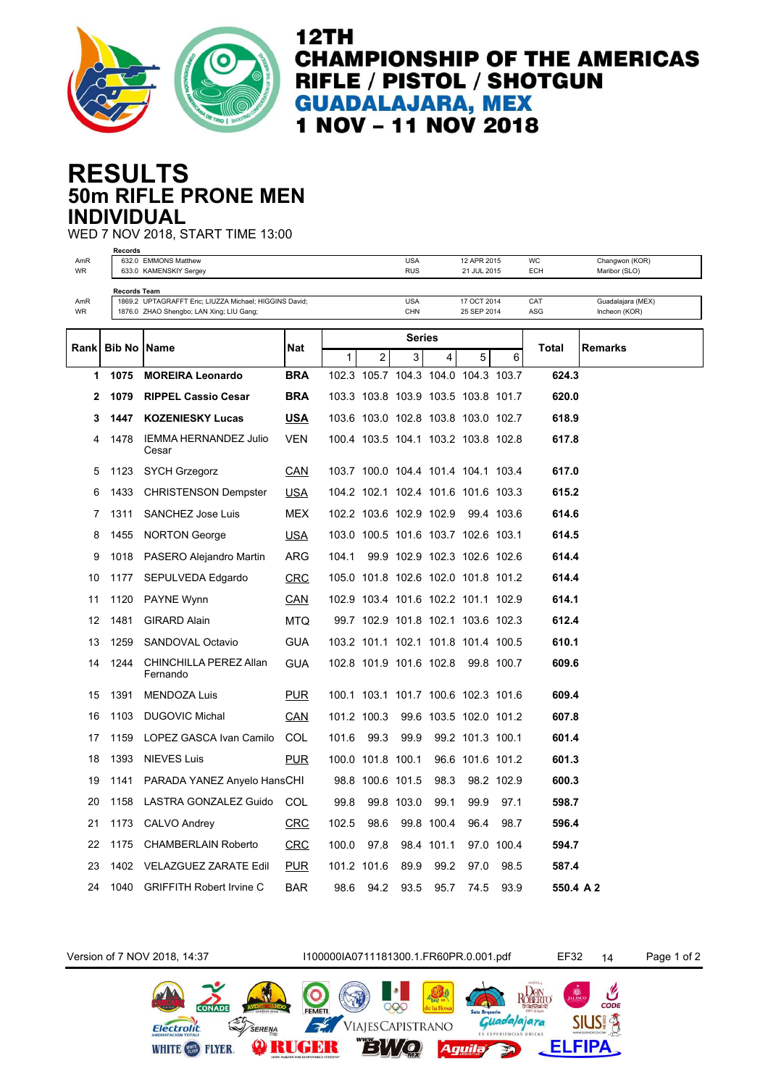

## **50m RIFLE PRONE MEN RESULTS INDIVIDUAL**

WED 7 NOV 2018, START TIME 13:00 **Records**

| AmR<br><b>WR</b> | necorua             | 632.0 EMMONS Matthew<br>633.0 KAMENSKIY Sergey                                                     |            |       |                   | <b>USA</b><br><b>RUS</b>            |            | 12 APR 2015<br>21 JUL 2015 |            | WC<br><b>ECH</b> | Changwon (KOR)<br>Maribor (SLO)    |
|------------------|---------------------|----------------------------------------------------------------------------------------------------|------------|-------|-------------------|-------------------------------------|------------|----------------------------|------------|------------------|------------------------------------|
| AmR<br><b>WR</b> | <b>Records Team</b> | 1869.2 UPTAGRAFFT Eric; LIUZZA Michael; HIGGINS David;<br>1876.0 ZHAO Shengbo; LAN Xing; LIU Gang; |            |       |                   | <b>USA</b><br>CHN                   |            | 17 OCT 2014<br>25 SEP 2014 |            | CAT<br>ASG       | Guadalajara (MEX)<br>Incheon (KOR) |
| Rank             | <b>Bib No IName</b> |                                                                                                    | Nat        |       |                   | <b>Series</b>                       |            |                            |            | Total            | Remarks                            |
|                  |                     |                                                                                                    |            | 1     | $\overline{2}$    | 3                                   | 4          | 5                          | 6          |                  |                                    |
| 1                | 1075                | <b>MOREIRA Leonardo</b>                                                                            | <b>BRA</b> |       |                   | 102.3 105.7 104.3 104.0 104.3 103.7 |            |                            |            | 624.3            |                                    |
| 2                | 1079                | <b>RIPPEL Cassio Cesar</b>                                                                         | <b>BRA</b> |       |                   | 103.3 103.8 103.9 103.5 103.8 101.7 |            |                            |            | 620.0            |                                    |
| 3                | 1447                | <b>KOZENIESKY Lucas</b>                                                                            | <b>USA</b> |       |                   | 103.6 103.0 102.8 103.8 103.0 102.7 |            |                            |            | 618.9            |                                    |
| 4                | 1478                | <b>IEMMA HERNANDEZ Julio</b><br>Cesar                                                              | <b>VEN</b> |       |                   | 100.4 103.5 104.1 103.2 103.8 102.8 |            |                            |            | 617.8            |                                    |
| 5                | 1123                | <b>SYCH Grzegorz</b>                                                                               | <u>CAN</u> |       |                   | 103.7 100.0 104.4 101.4 104.1 103.4 |            |                            |            | 617.0            |                                    |
| 6                | 1433                | <b>CHRISTENSON Dempster</b>                                                                        | <u>USA</u> |       |                   | 104.2 102.1 102.4 101.6 101.6 103.3 |            |                            |            | 615.2            |                                    |
| 7                | 1311                | SANCHEZ Jose Luis                                                                                  | MEX        |       |                   | 102.2 103.6 102.9 102.9 99.4 103.6  |            |                            |            | 614.6            |                                    |
| 8                | 1455                | <b>NORTON George</b>                                                                               | <b>USA</b> |       |                   | 103.0 100.5 101.6 103.7 102.6 103.1 |            |                            |            | 614.5            |                                    |
| 9                | 1018                | PASERO Alejandro Martin                                                                            | ARG        | 104.1 |                   | 99.9 102.9 102.3 102.6 102.6        |            |                            |            | 614.4            |                                    |
| 10               | 1177                | SEPULVEDA Edgardo                                                                                  | <u>CRC</u> |       |                   | 105.0 101.8 102.6 102.0 101.8 101.2 |            |                            |            | 614.4            |                                    |
| 11               | 1120                | <b>PAYNE Wynn</b>                                                                                  | <b>CAN</b> |       |                   | 102.9 103.4 101.6 102.2 101.1 102.9 |            |                            |            | 614.1            |                                    |
| 12               | 1481                | <b>GIRARD Alain</b>                                                                                | <b>MTQ</b> |       |                   | 99.7 102.9 101.8 102.1 103.6 102.3  |            |                            |            | 612.4            |                                    |
| 13               | 1259                | SANDOVAL Octavio                                                                                   | <b>GUA</b> |       |                   | 103.2 101.1 102.1 101.8 101.4 100.5 |            |                            |            | 610.1            |                                    |
| 14               | 1244                | CHINCHILLA PEREZ Allan<br>Fernando                                                                 | <b>GUA</b> |       |                   | 102.8 101.9 101.6 102.8             |            |                            | 99.8 100.7 | 609.6            |                                    |
| 15               | 1391                | <b>MENDOZA Luis</b>                                                                                | <b>PUR</b> |       |                   | 100.1 103.1 101.7 100.6 102.3 101.6 |            |                            |            | 609.4            |                                    |
| 16               | 1103                | <b>DUGOVIC Michal</b>                                                                              | <u>CAN</u> |       | 101.2 100.3       |                                     |            | 99.6 103.5 102.0 101.2     |            | 607.8            |                                    |
| 17               | 1159                | LOPEZ GASCA Ivan Camilo                                                                            | COL        | 101.6 | 99.3              | 99.9                                |            | 99.2 101.3 100.1           |            | 601.4            |                                    |
| 18               | 1393                | <b>NIEVES Luis</b>                                                                                 | <b>PUR</b> |       | 100.0 101.8 100.1 |                                     |            | 96.6 101.6 101.2           |            | 601.3            |                                    |
| 19               | 1141                | PARADA YANEZ Anyelo HansCHI                                                                        |            |       | 98.8 100.6 101.5  |                                     | 98.3       |                            | 98.2 102.9 | 600.3            |                                    |
| 20               | 1158                | LASTRA GONZALEZ Guido                                                                              | COL        | 99.8  |                   | 99.8 103.0                          | 99.1       | 99.9                       | 97.1       | 598.7            |                                    |
| 21               | 1173                | CALVO Andrey                                                                                       | <u>CRC</u> | 102.5 | 98.6              |                                     | 99.8 100.4 | 96.4                       | 98.7       | 596.4            |                                    |
| 22               | 1175                | <b>CHAMBERLAIN Roberto</b>                                                                         | <u>CRC</u> | 100.0 | 97.8              |                                     | 98.4 101.1 |                            | 97.0 100.4 | 594.7            |                                    |
| 23               | 1402                | <b>VELAZGUEZ ZARATE Edil</b>                                                                       | <b>PUR</b> |       | 101.2 101.6       | 89.9                                | 99.2       | 97.0                       | 98.5       | 587.4            |                                    |
| 24               |                     | 1040 GRIFFITH Robert Irvine C                                                                      | BAR        | 98.6  | 94.2              | 93.5                                | 95.7       | 74.5                       | 93.9       | 550.4 A 2        |                                    |

Version of 7 NOV 2018, 14:37 I100000IA0711181300.1.FR60PR.0.001.pdf EF32 14 Page 1 of 2ROBERIO O  $rac{C}{CODE}$ 000 Guada|ajara **SIUS!**  $\mathcal{L}'$ VIAJESCAPISTRANO Electrolit SERENA **ELFIPA** WHITE **(28)** FLYER. **ORUGER**  $E \left( \frac{1}{2} \right)$ **Aguila** 勁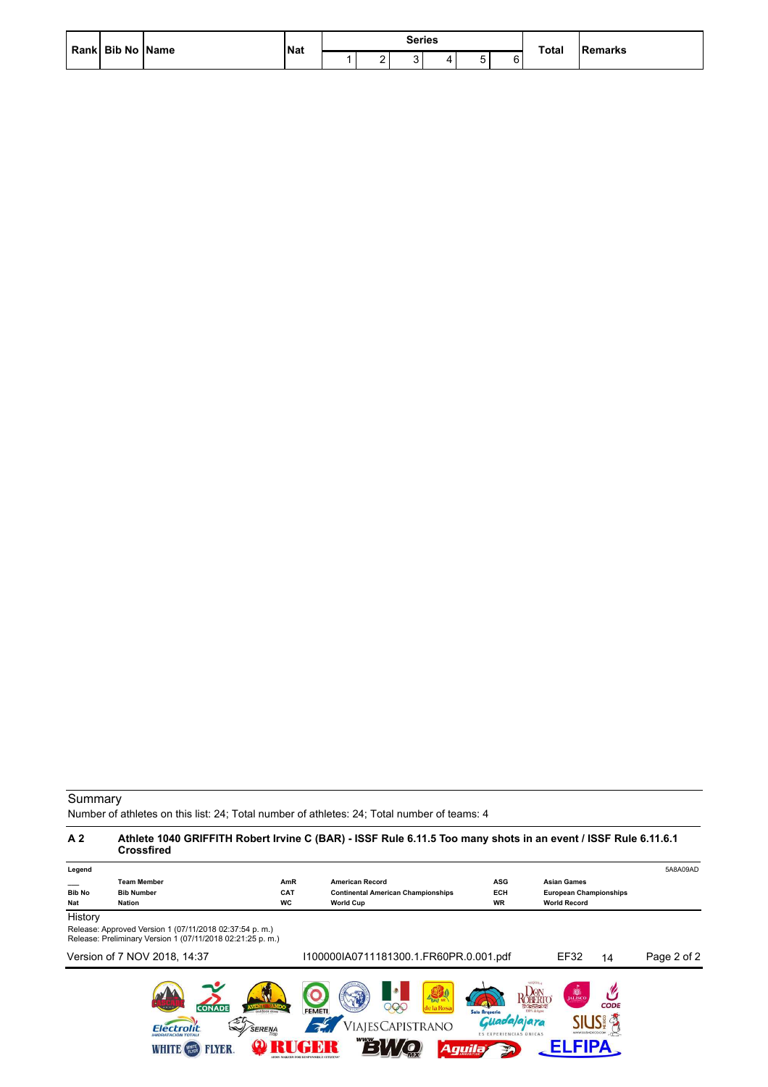|  | Rank Bib No Name | <b>Nat</b> |  | Series |  | <b>Total</b> | <b>Remarks</b> |   |
|--|------------------|------------|--|--------|--|--------------|----------------|---|
|  |                  |            |  | -      |  |              | -              | ~ |

Number of athletes on this list: 24; Total number of athletes: 24; Total number of teams: 4

#### **A 2 Athlete 1040 GRIFFITH Robert Irvine C (BAR) - ISSF Rule 6.11.5 Too many shots in an event / ISSF Rule 6.11.6.1 Crossfired Legend** 5A8A09AD **\_\_\_ Team Member AmR American Record ASG Asian Games Bib No Bib Number CAT Continental American Championships ECH European Championships Nat Nation WC World Cup WR World Record History** Release: Approved Version 1 (07/11/2018 02:37:54 p. m.) Release: Preliminary Version 1 (07/11/2018 02:21:25 p. m.)

Version of 7 NOV 2018, 14:37 I100000IA0711181300.1.FR60PR.0.001.pdf EF32 14 Page 2 of 2C ్లు<br><sub>code</sub> 000 'a/ajara **SIUS 多** VIAJESCAPISTRANO Electrolit SERENA **ELFIPA** WHITE **BE** FLYER. **CHER**  $E'/Q$ Aguila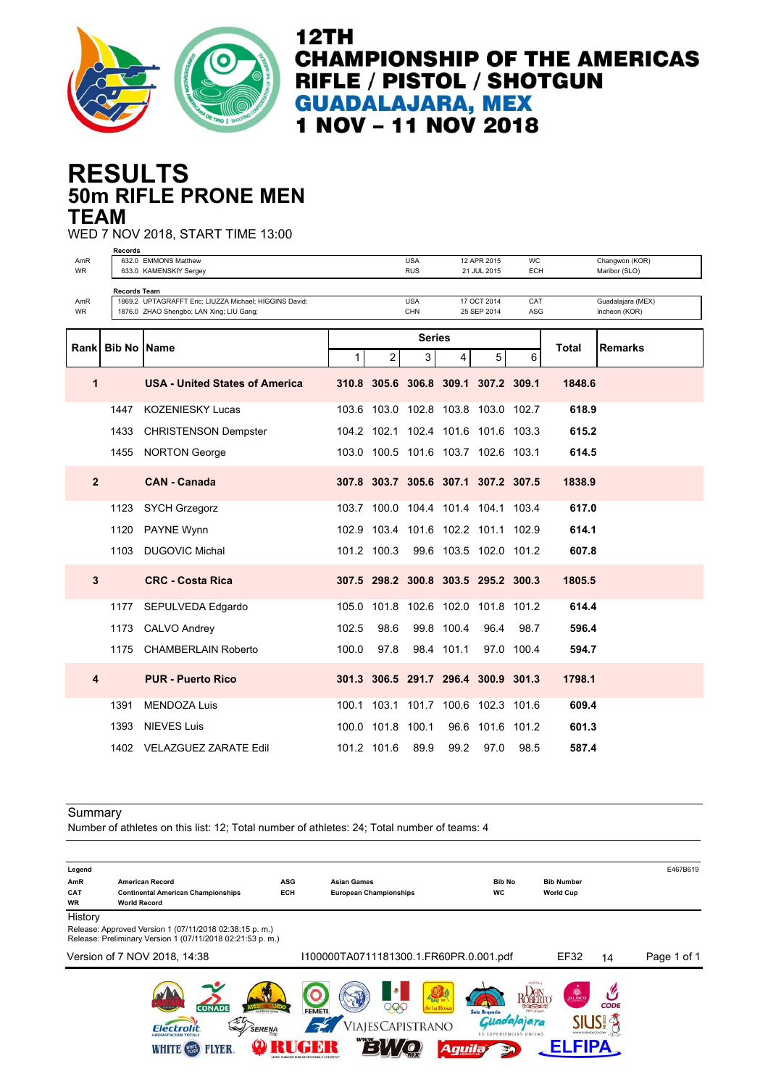

## **50m RIFLE PRONE MEN RESULTS TEAM**

WED 7 NOV 2018, START TIME 13:00

|                         | <b>Records</b>      |                                                        |       |                   |                                     |            |                            |                         |        |                   |
|-------------------------|---------------------|--------------------------------------------------------|-------|-------------------|-------------------------------------|------------|----------------------------|-------------------------|--------|-------------------|
| AmR<br><b>WR</b>        |                     | 632.0 EMMONS Matthew                                   |       |                   | <b>USA</b><br><b>RUS</b>            |            | 12 APR 2015<br>21 JUL 2015 | <b>WC</b><br><b>ECH</b> |        | Changwon (KOR)    |
|                         |                     | 633.0 KAMENSKIY Sergey                                 |       |                   |                                     |            |                            |                         |        | Maribor (SLO)     |
|                         | <b>Records Team</b> |                                                        |       |                   |                                     |            |                            |                         |        |                   |
| AmR<br><b>WR</b>        |                     | 1869.2 UPTAGRAFFT Eric; LIUZZA Michael; HIGGINS David; |       |                   | <b>USA</b><br>CHN                   |            | 17 OCT 2014                | CAT<br>ASG              |        | Guadalajara (MEX) |
|                         |                     | 1876.0 ZHAO Shengbo; LAN Xing; LIU Gang;               |       |                   |                                     |            | 25 SEP 2014                |                         |        | Incheon (KOR)     |
|                         |                     |                                                        |       |                   | <b>Series</b>                       |            |                            |                         |        |                   |
| Rankl                   | <b>Bib No Name</b>  |                                                        |       |                   |                                     |            |                            |                         | Total  | Remarks           |
|                         |                     |                                                        | 1     | 2                 | 3                                   | 4          | 5                          | 6                       |        |                   |
| 1                       |                     | <b>USA - United States of America</b>                  |       |                   | 310.8 305.6 306.8 309.1 307.2 309.1 |            |                            |                         | 1848.6 |                   |
|                         | 1447                | <b>KOZENIESKY Lucas</b>                                |       |                   | 103.6 103.0 102.8 103.8 103.0 102.7 |            |                            |                         | 618.9  |                   |
|                         | 1433                | <b>CHRISTENSON Dempster</b>                            |       |                   | 104.2 102.1 102.4 101.6 101.6 103.3 |            |                            |                         | 615.2  |                   |
|                         | 1455                | <b>NORTON George</b>                                   |       |                   | 103.0 100.5 101.6 103.7 102.6 103.1 |            |                            |                         | 614.5  |                   |
|                         |                     |                                                        |       |                   |                                     |            |                            |                         |        |                   |
| $\overline{2}$          |                     | <b>CAN - Canada</b>                                    |       |                   | 307.8 303.7 305.6 307.1 307.2 307.5 |            |                            |                         | 1838.9 |                   |
|                         |                     |                                                        |       |                   |                                     |            |                            |                         |        |                   |
|                         | 1123                | <b>SYCH Grzegorz</b>                                   |       |                   | 103.7 100.0 104.4 101.4 104.1 103.4 |            |                            |                         | 617.0  |                   |
|                         | 1120                | PAYNE Wynn                                             |       |                   | 102.9 103.4 101.6 102.2 101.1 102.9 |            |                            |                         | 614.1  |                   |
|                         | 1103                | <b>DUGOVIC Michal</b>                                  |       | 101.2 100.3       |                                     |            | 99.6 103.5 102.0 101.2     |                         | 607.8  |                   |
| 3                       |                     | <b>CRC - Costa Rica</b>                                |       |                   | 307.5 298.2 300.8 303.5 295.2 300.3 |            |                            |                         | 1805.5 |                   |
|                         | 1177                | SEPULVEDA Edgardo                                      | 105.0 |                   | 101.8 102.6 102.0 101.8 101.2       |            |                            |                         | 614.4  |                   |
|                         | 1173                | CALVO Andrey                                           | 102.5 | 98.6              |                                     | 99.8 100.4 | 96.4                       | 98.7                    | 596.4  |                   |
|                         | 1175                | <b>CHAMBERLAIN Roberto</b>                             | 100.0 | 97.8              |                                     | 98.4 101.1 |                            | 97.0 100.4              | 594.7  |                   |
| $\overline{\mathbf{4}}$ |                     | <b>PUR - Puerto Rico</b>                               |       |                   | 301.3 306.5 291.7 296.4 300.9 301.3 |            |                            |                         | 1798.1 |                   |
|                         | 1391                | <b>MENDOZA Luis</b>                                    | 100.1 |                   | 103.1 101.7 100.6 102.3 101.6       |            |                            |                         | 609.4  |                   |
|                         | 1393                | <b>NIEVES Luis</b>                                     |       | 100.0 101.8 100.1 |                                     | 96.6       | 101.6 101.2                |                         | 601.3  |                   |
|                         |                     | 1402 VELAZGUEZ ZARATE Edil                             |       | 101.2 101.6       | 89.9                                | 99.2       | 97.0                       | 98.5                    | 587.4  |                   |

#### **Summary**

Number of athletes on this list: 12; Total number of athletes: 24; Total number of teams: 4

| Legend           |                                                                                                                     |            |                                                      |                                          |                                      | E467B619    |
|------------------|---------------------------------------------------------------------------------------------------------------------|------------|------------------------------------------------------|------------------------------------------|--------------------------------------|-------------|
| AmR              | <b>American Record</b>                                                                                              | <b>ASG</b> | <b>Asian Games</b>                                   | <b>Bib No</b>                            | <b>Bib Number</b>                    |             |
| CAT<br><b>WR</b> | <b>Continental American Championships</b><br><b>World Record</b>                                                    | ECH        | <b>European Championships</b>                        | <b>WC</b>                                | <b>World Cup</b>                     |             |
| History          |                                                                                                                     |            |                                                      |                                          |                                      |             |
|                  | Release: Approved Version 1 (07/11/2018 02:38:15 p.m.)<br>Release: Preliminary Version 1 (07/11/2018 02:21:53 p.m.) |            |                                                      |                                          |                                      |             |
|                  | Version of 7 NOV 2018, 14:38                                                                                        |            | I100000TA0711181300.1.FR60PR.0.001.pdf               |                                          | EF32<br>14                           | Page 1 of 1 |
|                  | <b>CONADE</b>                                                                                                       |            | <b>EXAMINE</b><br>206<br>de la Rosa<br><b>FEMETI</b> | Solo Arqueria                            | B <sub>u</sub><br><b>CODE</b><br>$-$ |             |
|                  | SERENA<br>Flectrolit<br><b>HIDRATACIÓN TOTALI</b>                                                                   |            | ViajesCapistrano                                     | alajara<br><b>ES EXPERIENCIAS UNICAS</b> | WWW.SIUSHEXICO.COM                   |             |
|                  | FLYER<br><b>WHITE</b>                                                                                               |            |                                                      | Aguila                                   |                                      |             |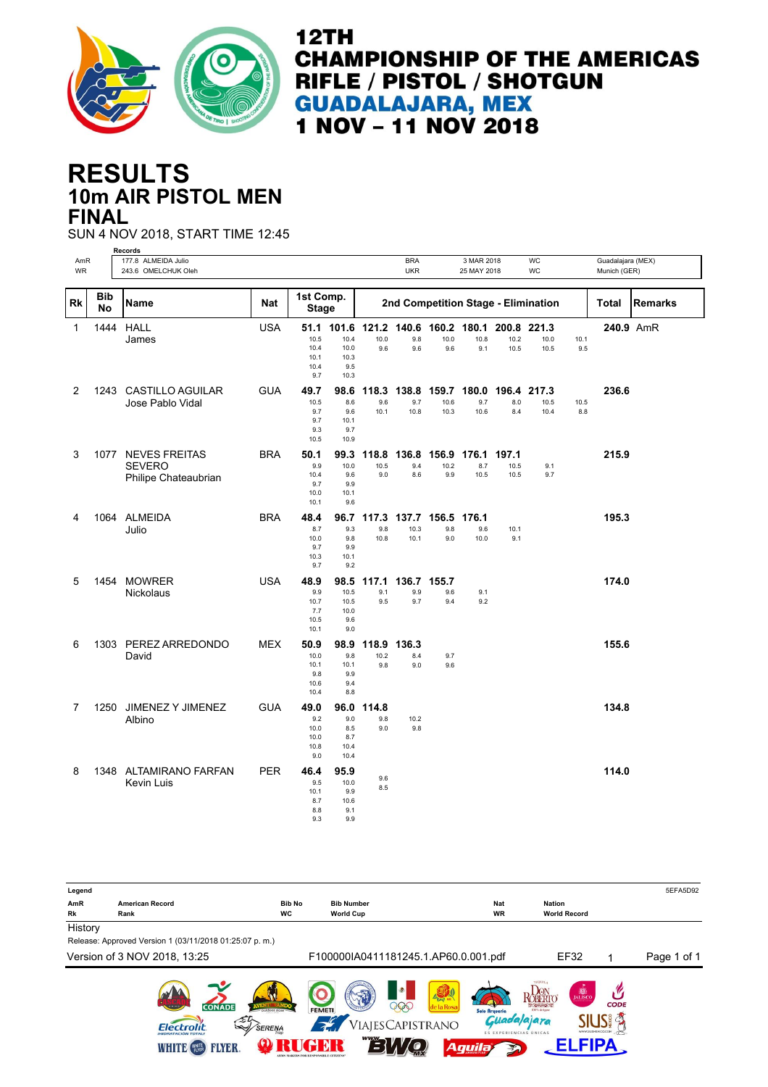

# **10m AIR PISTOL MEN RESULTS FINAL**

SUN 4 NOV 2018, START TIME 12:45

|                  |                         | <b>Records</b>                             |            |                                          |                                           |             |                          |              |                           |                                     |                                     |             |                                   |           |
|------------------|-------------------------|--------------------------------------------|------------|------------------------------------------|-------------------------------------------|-------------|--------------------------|--------------|---------------------------|-------------------------------------|-------------------------------------|-------------|-----------------------------------|-----------|
| AmR<br><b>WR</b> |                         | 177.8 ALMEIDA Julio<br>243.6 OMELCHUK Oleh |            |                                          |                                           |             | <b>BRA</b><br><b>UKR</b> |              | 3 MAR 2018<br>25 MAY 2018 |                                     | <b>WC</b><br><b>WC</b>              |             | Guadalajara (MEX)<br>Munich (GER) |           |
|                  |                         |                                            |            |                                          |                                           |             |                          |              |                           |                                     |                                     |             |                                   |           |
| <b>Rk</b>        | <b>Bib</b><br><b>No</b> | <b>Name</b>                                | Nat        | 1st Comp.<br><b>Stage</b>                |                                           |             |                          |              |                           |                                     | 2nd Competition Stage - Elimination |             | <b>Total</b>                      | Remarks   |
| $\mathbf{1}$     | 1444                    | <b>HALL</b>                                | <b>USA</b> | 51.1                                     | 101.6                                     |             |                          |              |                           | 121.2 140.6 160.2 180.1 200.8 221.3 |                                     |             |                                   | 240.9 AmR |
|                  |                         | James                                      |            | 10.5<br>10.4<br>10.1<br>10.4<br>9.7      | 10.4<br>10.0<br>10.3<br>9.5<br>10.3       | 10.0<br>9.6 | 9.8<br>9.6               | 10.0<br>9.6  | 10.8<br>9.1               | 10.2<br>10.5                        | 10.0<br>10.5                        | 10.1<br>9.5 |                                   |           |
| 2                |                         | 1243 CASTILLO AGUILAR                      | <b>GUA</b> | 49.7                                     | 98.6                                      | 118.3       | 138.8                    | 159.7        | 180.0                     |                                     | 196.4 217.3                         |             | 236.6                             |           |
|                  |                         | Jose Pablo Vidal                           |            | 10.5<br>9.7<br>9.7<br>9.3<br>10.5        | 8.6<br>9.6<br>10.1<br>9.7<br>10.9         | 9.6<br>10.1 | 9.7<br>10.8              | 10.6<br>10.3 | 9.7<br>10.6               | 8.0<br>8.4                          | 10.5<br>10.4                        | 10.5<br>8.8 |                                   |           |
| 3                |                         | 1077 NEVES FREITAS                         | <b>BRA</b> | 50.1                                     | 99.3                                      | 118.8       | 136.8                    | 156.9        | 176.1                     | 197.1                               |                                     |             | 215.9                             |           |
|                  |                         | <b>SEVERO</b><br>Philipe Chateaubrian      |            | 9.9<br>10.4<br>9.7<br>10.0<br>10.1       | 10.0<br>9.6<br>9.9<br>10.1<br>9.6         | 10.5<br>9.0 | 9.4<br>8.6               | 10.2<br>9.9  | 8.7<br>10.5               | 10.5<br>10.5                        | 9.1<br>9.7                          |             |                                   |           |
| 4                |                         | 1064 ALMEIDA                               | <b>BRA</b> | 48.4                                     | 96.7                                      |             | 117.3 137.7 156.5 176.1  |              |                           |                                     |                                     |             | 195.3                             |           |
|                  |                         | Julio                                      |            | 8.7<br>10.0<br>9.7<br>10.3<br>9.7        | 9.3<br>9.8<br>9.9<br>10.1<br>9.2          | 9.8<br>10.8 | 10.3<br>10.1             | 9.8<br>9.0   | 9.6<br>10.0               | 10.1<br>9.1                         |                                     |             |                                   |           |
| 5                | 1454                    | <b>MOWRER</b>                              | <b>USA</b> | 48.9                                     | 98.5                                      | 117.1       | 136.7 155.7              |              |                           |                                     |                                     |             | 174.0                             |           |
|                  |                         | <b>Nickolaus</b>                           |            | 9.9<br>10.7<br>7.7<br>10.5<br>10.1       | 10.5<br>10.5<br>10.0<br>9.6<br>9.0        | 9.1<br>9.5  | 9.9<br>9.7               | 9.6<br>9.4   | 9.1<br>9.2                |                                     |                                     |             |                                   |           |
| 6                |                         | 1303 PEREZ ARREDONDO                       | <b>MEX</b> | 50.9                                     | 98.9                                      | 118.9       | 136.3                    |              |                           |                                     |                                     |             | 155.6                             |           |
|                  |                         | David                                      |            | 10.0<br>10.1<br>9.8<br>10.6<br>10.4      | 9.8<br>10.1<br>9.9<br>9.4<br>8.8          | 10.2<br>9.8 | 8.4<br>9.0               | 9.7<br>9.6   |                           |                                     |                                     |             |                                   |           |
| 7                |                         | 1250 JIMENEZ Y JIMENEZ                     | <b>GUA</b> | 49.0                                     | 96.0                                      | 114.8       |                          |              |                           |                                     |                                     |             | 134.8                             |           |
|                  |                         | Albino                                     |            | 9.2<br>10.0<br>10.0<br>10.8<br>9.0       | 9.0<br>8.5<br>8.7<br>10.4<br>10.4         | 9.8<br>9.0  | 10.2<br>9.8              |              |                           |                                     |                                     |             |                                   |           |
| 8                |                         | 1348 ALTAMIRANO FARFAN<br>Kevin Luis       | <b>PER</b> | 46.4<br>9.5<br>10.1<br>8.7<br>8.8<br>9.3 | 95.9<br>10.0<br>9.9<br>10.6<br>9.1<br>9.9 | 9.6<br>8.5  |                          |              |                           |                                     |                                     |             | 114.0                             |           |

| Legend  |                                                        |                              |                                              |                                      |                        |                                                    |             | 5EFA5D92    |
|---------|--------------------------------------------------------|------------------------------|----------------------------------------------|--------------------------------------|------------------------|----------------------------------------------------|-------------|-------------|
| AmR     | <b>American Record</b>                                 | <b>Bib No</b>                | <b>Bib Number</b>                            |                                      | <b>Nat</b>             | <b>Nation</b>                                      |             |             |
| Rk      | Rank                                                   | <b>WC</b>                    | <b>World Cup</b>                             |                                      | <b>WR</b>              | <b>World Record</b>                                |             |             |
| History |                                                        |                              |                                              |                                      |                        |                                                    |             |             |
|         | Release: Approved Version 1 (03/11/2018 01:25:07 p.m.) |                              |                                              |                                      |                        |                                                    |             |             |
|         | Version of 3 NOV 2018, 13:25                           |                              |                                              | F100000IA0411181245.1.AP60.0.001.pdf |                        | EF32                                               | 1           | Page 1 of 1 |
|         | <b>CONADE</b><br>A 10 10 13                            | outdoor store                | <b>FEMETI</b>                                | <b>EVALUE</b><br>200<br>de la Rosa   | Solo Arqueria          | <b>D</b><br>JALISCO<br>ROBERTO<br><b>SPISCORES</b> | <b>CODE</b> |             |
|         | <b>Flectrolit</b><br><b>IHIDRATACIÓN TOTALI</b>        | Ev<br>$\mathbb{Z}$<br>SERENA |                                              | VIAJESCAPISTRANO                     | ES EXPERIENCIAS ÚNICAS | Jajara<br>WWW.SIUSMEXICO.COM                       |             |             |
|         | <b>FLYER</b><br><b>WHITE</b><br>WHIND                  |                              | www <sub>y</sub><br>$\overline{\phantom{0}}$ |                                      | Aguila                 | LFIPA                                              |             |             |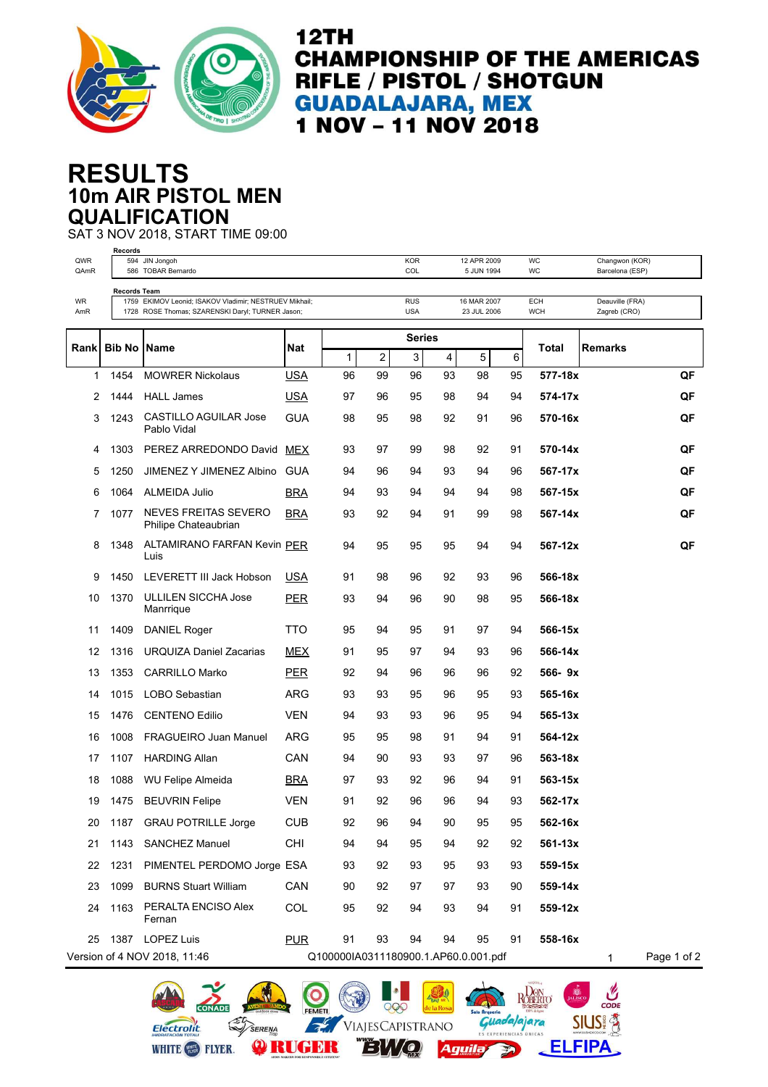

ROBERTO

Guada/ajara

五

**Aguila** 

 $\mathcal{C}$ 

**SIUS 含** 

**ELFIPA** 

# **10m AIR PISTOL MEN RESULTS QUALIFICATION**

SAT 3 NOV 2018, START TIME 09:00 **Records**

**Electrolit** 

SERENA

WHITE **@** FLYER **Q RUGER** 

 $\mathscr{F}$ 

| QWR<br>QAmR |                     | 594 JIN Jongoh<br>586 TOBAR Bernardo                                                                       |            |    |    | <b>KOR</b><br>COL               |    | 12 APR 2009<br>5 JUN 1994            |    | WC<br>WC          | Changwon (KOR)<br>Barcelona (ESP) |  |
|-------------|---------------------|------------------------------------------------------------------------------------------------------------|------------|----|----|---------------------------------|----|--------------------------------------|----|-------------------|-----------------------------------|--|
|             | <b>Records Team</b> |                                                                                                            |            |    |    |                                 |    |                                      |    |                   |                                   |  |
| WR<br>AmR   |                     | 1759 EKIMOV Leonid; ISAKOV Vladimir; NESTRUEV Mikhail;<br>1728 ROSE Thomas; SZARENSKI Daryl; TURNER Jason; |            |    |    | <b>RUS</b><br><b>USA</b>        |    | 16 MAR 2007<br>23 JUL 2006           |    | ECH<br><b>WCH</b> | Deauville (FRA)<br>Zagreb (CRO)   |  |
|             |                     |                                                                                                            |            |    |    |                                 |    |                                      |    |                   |                                   |  |
| Rank        | <b>Bib No</b>       | Name                                                                                                       | Nat        | 1  | 2  | <b>Series</b><br>3 <sup>1</sup> | 4  | 5                                    | 6  | Total             | <b>Remarks</b>                    |  |
| 1           | 1454                | <b>MOWRER Nickolaus</b>                                                                                    | <b>USA</b> | 96 | 99 | 96                              | 93 | 98                                   | 95 | 577-18x           | QF                                |  |
| 2           | 1444                | <b>HALL James</b>                                                                                          | <u>USA</u> | 97 | 96 | 95                              | 98 | 94                                   | 94 | 574-17x           | QF                                |  |
| 3           | 1243                | <b>CASTILLO AGUILAR Jose</b><br>Pablo Vidal                                                                | <b>GUA</b> | 98 | 95 | 98                              | 92 | 91                                   | 96 | 570-16x           | QF                                |  |
| 4           | 1303                | PEREZ ARREDONDO David                                                                                      | <b>MEX</b> | 93 | 97 | 99                              | 98 | 92                                   | 91 | 570-14x           | QF                                |  |
| 5           | 1250                | JIMENEZ Y JIMENEZ Albino                                                                                   | <b>GUA</b> | 94 | 96 | 94                              | 93 | 94                                   | 96 | 567-17x           | QF                                |  |
| 6           | 1064                | <b>ALMEIDA Julio</b>                                                                                       | <b>BRA</b> | 94 | 93 | 94                              | 94 | 94                                   | 98 | 567-15x           | QF                                |  |
| 7           | 1077                | NEVES FREITAS SEVERO<br>Philipe Chateaubrian                                                               | <b>BRA</b> | 93 | 92 | 94                              | 91 | 99                                   | 98 | 567-14x           | QF                                |  |
| 8           | 1348                | ALTAMIRANO FARFAN Kevin PER<br>Luis                                                                        |            | 94 | 95 | 95                              | 95 | 94                                   | 94 | 567-12x           | QF                                |  |
| 9           | 1450                | LEVERETT III Jack Hobson                                                                                   | <u>USA</u> | 91 | 98 | 96                              | 92 | 93                                   | 96 | 566-18x           |                                   |  |
| 10          | 1370                | <b>ULLILEN SICCHA Jose</b><br>Manrrique                                                                    | <b>PER</b> | 93 | 94 | 96                              | 90 | 98                                   | 95 | 566-18x           |                                   |  |
| 11          | 1409                | DANIEL Roger                                                                                               | TTO        | 95 | 94 | 95                              | 91 | 97                                   | 94 | 566-15x           |                                   |  |
| 12          | 1316                | URQUIZA Daniel Zacarias                                                                                    | <u>MEX</u> | 91 | 95 | 97                              | 94 | 93                                   | 96 | 566-14x           |                                   |  |
| 13          | 1353                | <b>CARRILLO Marko</b>                                                                                      | <b>PER</b> | 92 | 94 | 96                              | 96 | 96                                   | 92 | $566 - 9x$        |                                   |  |
| 14          | 1015                | LOBO Sebastian                                                                                             | ARG        | 93 | 93 | 95                              | 96 | 95                                   | 93 | 565-16x           |                                   |  |
| 15          | 1476                | <b>CENTENO Edilio</b>                                                                                      | <b>VEN</b> | 94 | 93 | 93                              | 96 | 95                                   | 94 | $565 - 13x$       |                                   |  |
| 16          | 1008                | <b>FRAGUEIRO Juan Manuel</b>                                                                               | ARG        | 95 | 95 | 98                              | 91 | 94                                   | 91 | 564-12x           |                                   |  |
| 17          | 1107                | <b>HARDING Allan</b>                                                                                       | CAN        | 94 | 90 | 93                              | 93 | 97                                   | 96 | 563-18x           |                                   |  |
| 18          | 1088                | <b>WU Felipe Almeida</b>                                                                                   | <b>BRA</b> | 97 | 93 | 92                              | 96 | 94                                   | 91 | 563-15x           |                                   |  |
| 19          | 1475                | <b>BEUVRIN Felipe</b>                                                                                      | VEN        | 91 | 92 | 96                              | 96 | 94                                   | 93 | 562-17x           |                                   |  |
| 20          | 1187                | <b>GRAU POTRILLE Jorge</b>                                                                                 | <b>CUB</b> | 92 | 96 | 94                              | 90 | 95                                   | 95 | 562-16x           |                                   |  |
| 21          | 1143                | <b>SANCHEZ Manuel</b>                                                                                      | <b>CHI</b> | 94 | 94 | 95                              | 94 | 92                                   | 92 | 561-13x           |                                   |  |
| 22          | 1231                | PIMENTEL PERDOMO Jorge ESA                                                                                 |            | 93 | 92 | 93                              | 95 | 93                                   | 93 | 559-15x           |                                   |  |
| 23          | 1099                | <b>BURNS Stuart William</b>                                                                                | CAN        | 90 | 92 | 97                              | 97 | 93                                   | 90 | 559-14x           |                                   |  |
| 24          | 1163                | PERALTA ENCISO Alex<br>Fernan                                                                              | COL        | 95 | 92 | 94                              | 93 | 94                                   | 91 | 559-12x           |                                   |  |
| 25          |                     | 1387 LOPEZ Luis                                                                                            | <b>PUR</b> | 91 | 93 | 94                              | 94 | 95                                   | 91 | 558-16x           |                                   |  |
|             |                     | Version of 4 NOV 2018, 11:46                                                                               |            |    |    |                                 |    | Q100000IA0311180900.1.AP60.0.001.pdf |    |                   | Page 1 of 2<br>1                  |  |

000

VIAJESCAPISTRANO

'BWQ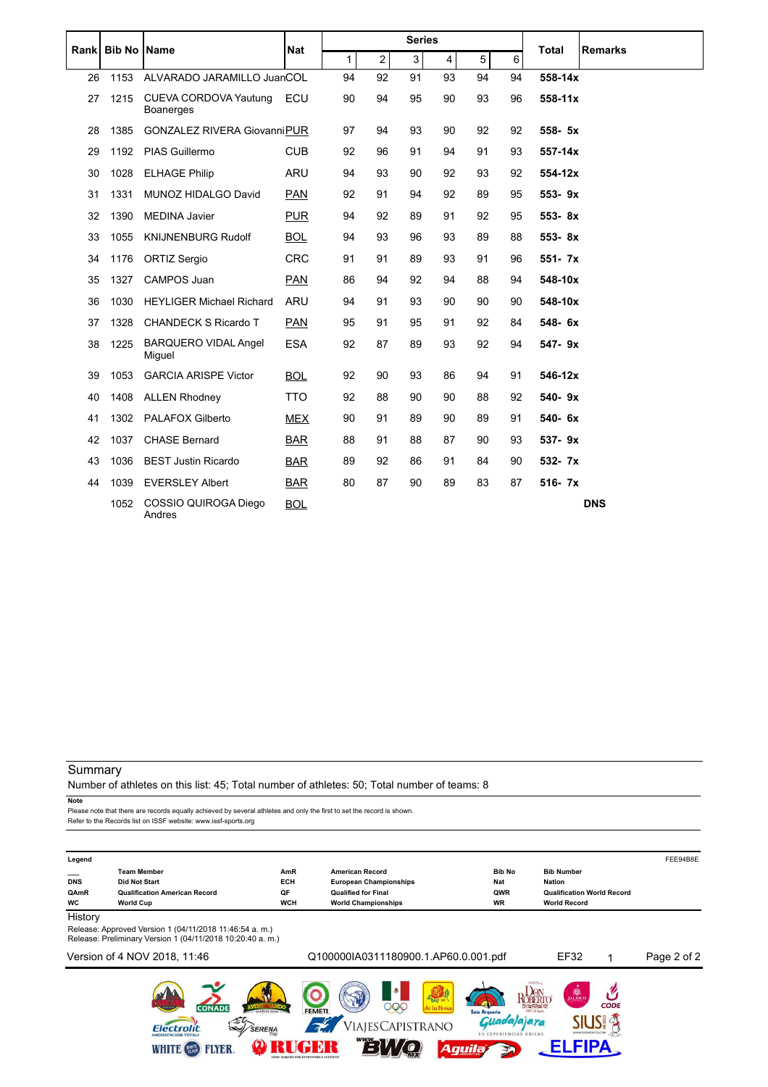| Rank | <b>Bib No IName</b> |                                           | <b>Nat</b> | <b>Series</b> |                | <b>Total</b> | <b>Remarks</b>          |    |    |         |            |
|------|---------------------|-------------------------------------------|------------|---------------|----------------|--------------|-------------------------|----|----|---------|------------|
|      |                     |                                           |            | 1             | $\overline{c}$ | 3            | $\overline{\mathbf{4}}$ | 5  | 6  |         |            |
| 26   | 1153                | ALVARADO JARAMILLO JuanCOL                |            | 94            | 92             | 91           | 93                      | 94 | 94 | 558-14x |            |
| 27   | 1215                | CUEVA CORDOVA Yautung<br><b>Boanerges</b> | ECU        | 90            | 94             | 95           | 90                      | 93 | 96 | 558-11x |            |
| 28   | 1385                | <b>GONZALEZ RIVERA GiovanniPUR</b>        |            | 97            | 94             | 93           | 90                      | 92 | 92 | 558-5x  |            |
| 29   | 1192                | PIAS Guillermo                            | <b>CUB</b> | 92            | 96             | 91           | 94                      | 91 | 93 | 557-14x |            |
| 30   | 1028                | <b>ELHAGE Philip</b>                      | <b>ARU</b> | 94            | 93             | 90           | 92                      | 93 | 92 | 554-12x |            |
| 31   | 1331                | MUNOZ HIDALGO David                       | <b>PAN</b> | 92            | 91             | 94           | 92                      | 89 | 95 | 553-9x  |            |
| 32   | 1390                | <b>MEDINA Javier</b>                      | <b>PUR</b> | 94            | 92             | 89           | 91                      | 92 | 95 | 553-8x  |            |
| 33   | 1055                | <b>KNIJNENBURG Rudolf</b>                 | <b>BOL</b> | 94            | 93             | 96           | 93                      | 89 | 88 | 553-8x  |            |
| 34   | 1176                | <b>ORTIZ Sergio</b>                       | <b>CRC</b> | 91            | 91             | 89           | 93                      | 91 | 96 | 551- 7x |            |
| 35   | 1327                | <b>CAMPOS Juan</b>                        | <b>PAN</b> | 86            | 94             | 92           | 94                      | 88 | 94 | 548-10x |            |
| 36   | 1030                | <b>HEYLIGER Michael Richard</b>           | ARU        | 94            | 91             | 93           | 90                      | 90 | 90 | 548-10x |            |
| 37   | 1328                | CHANDECK S Ricardo T                      | <b>PAN</b> | 95            | 91             | 95           | 91                      | 92 | 84 | 548-6x  |            |
| 38   | 1225                | <b>BARQUERO VIDAL Angel</b><br>Miguel     | <b>ESA</b> | 92            | 87             | 89           | 93                      | 92 | 94 | 547-9x  |            |
| 39   | 1053                | <b>GARCIA ARISPE Victor</b>               | <b>BOL</b> | 92            | 90             | 93           | 86                      | 94 | 91 | 546-12x |            |
| 40   | 1408                | <b>ALLEN Rhodney</b>                      | <b>TTO</b> | 92            | 88             | 90           | 90                      | 88 | 92 | 540-9x  |            |
| 41   | 1302                | <b>PALAFOX Gilberto</b>                   | <b>MEX</b> | 90            | 91             | 89           | 90                      | 89 | 91 | 540-6x  |            |
| 42   | 1037                | <b>CHASE Bernard</b>                      | <b>BAR</b> | 88            | 91             | 88           | 87                      | 90 | 93 | 537-9x  |            |
| 43   | 1036                | <b>BEST Justin Ricardo</b>                | <b>BAR</b> | 89            | 92             | 86           | 91                      | 84 | 90 | 532- 7x |            |
| 44   | 1039                | <b>EVERSLEY Albert</b>                    | <b>BAR</b> | 80            | 87             | 90           | 89                      | 83 | 87 | 516-7x  |            |
|      | 1052                | COSSIO QUIROGA Diego<br>Andres            | <b>BOL</b> |               |                |              |                         |    |    |         | <b>DNS</b> |

Number of athletes on this list: 45; Total number of athletes: 50; Total number of teams: 8

#### **Note**

Please note that there are records equally achieved by several athletes and only the first to set the record is shown. Refer to the Records list on ISSF website: www.issf-sports.org

| Legend               |                                                                                                                      |                   |                                                                             |                               |                                               | FEE94B8E    |
|----------------------|----------------------------------------------------------------------------------------------------------------------|-------------------|-----------------------------------------------------------------------------|-------------------------------|-----------------------------------------------|-------------|
| <b>DNS</b>           | <b>Team Member</b><br><b>Did Not Start</b>                                                                           | AmR<br><b>ECH</b> | <b>American Record</b><br><b>European Championships</b>                     | <b>Bib No</b><br><b>Nat</b>   | <b>Bib Number</b><br><b>Nation</b>            |             |
| QAmR                 | <b>Qualification American Record</b>                                                                                 | QF                | <b>Qualified for Final</b>                                                  | QWR                           | <b>Qualification World Record</b>             |             |
| <b>WC</b><br>History | <b>World Cup</b>                                                                                                     | <b>WCH</b>        | <b>World Championships</b>                                                  | <b>WR</b>                     | <b>World Record</b>                           |             |
|                      | Release: Approved Version 1 (04/11/2018 11:46:54 a. m.)<br>Release: Preliminary Version 1 (04/11/2018 10:20:40 a.m.) |                   |                                                                             |                               |                                               |             |
|                      | Version of 4 NOV 2018, 11:46                                                                                         |                   | Q100000IA0311180900.1.AP60.0.001.pdf                                        |                               | EF32                                          | Page 2 of 2 |
|                      | <b>CONADE</b><br><b>SERENA</b><br>$\mathbb{Z}$                                                                       |                   | <b>Fral</b> NR<br>la Rosa<br><b>FEMETI</b><br><b><i>IAJESCAPISTRANO</i></b> | <b>Solo Arqueria</b><br>ajara | <b>D</b><br>JALISCO<br><b>CODE</b><br>4.50024 |             |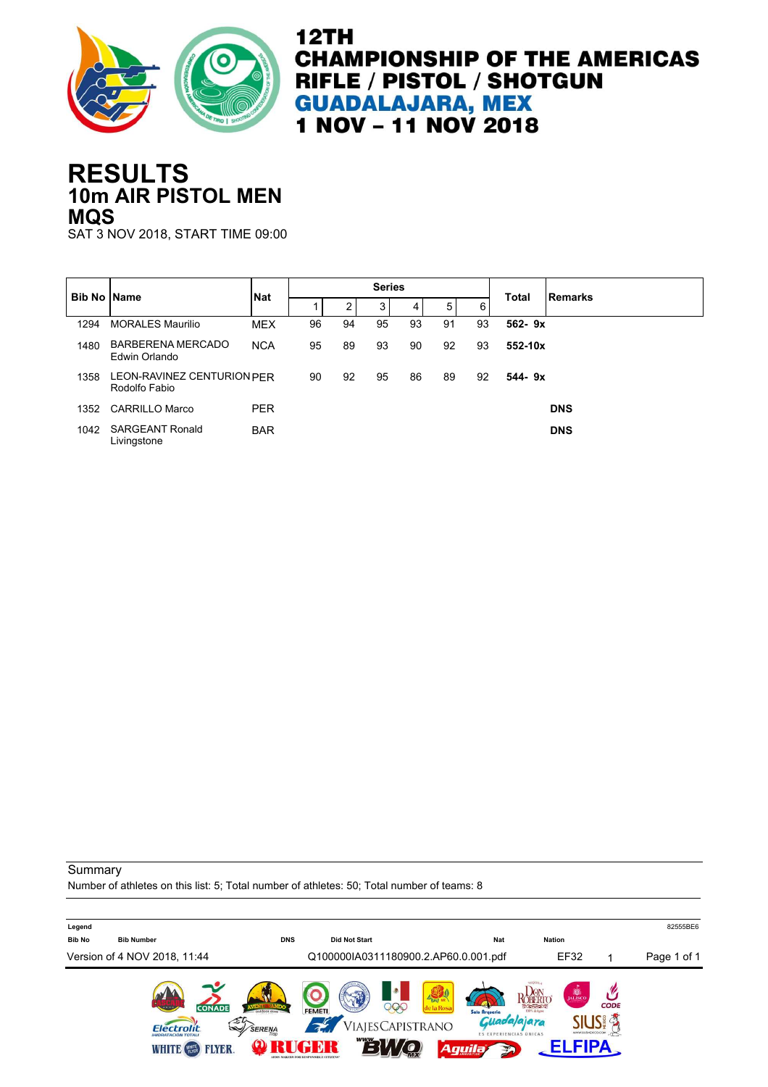

## **10m AIR PISTOL MEN RESULTS MQS**

SAT 3 NOV 2018, START TIME 09:00

| <b>Bib No IName</b> |                                             | <b>Nat</b> |    |    | <b>Series</b> |    |    |    | <b>Total</b> | <b>Remarks</b> |  |
|---------------------|---------------------------------------------|------------|----|----|---------------|----|----|----|--------------|----------------|--|
|                     |                                             |            |    | 2  | 3             | 4  | 5  | 6  |              |                |  |
| 1294                | <b>MORALES Maurilio</b>                     | <b>MEX</b> | 96 | 94 | 95            | 93 | 91 | 93 | $562 - 9x$   |                |  |
| 1480                | BARBERENA MERCADO<br>Edwin Orlando          | <b>NCA</b> | 95 | 89 | 93            | 90 | 92 | 93 | 552-10x      |                |  |
| 1358                | LEON-RAVINEZ CENTURION PFR<br>Rodolfo Fabio |            | 90 | 92 | 95            | 86 | 89 | 92 | $544 - 9x$   |                |  |
| 1352                | <b>CARRILLO Marco</b>                       | <b>PER</b> |    |    |               |    |    |    |              | <b>DNS</b>     |  |
| 1042                | <b>SARGEANT Ronald</b><br>Livingstone       | <b>BAR</b> |    |    |               |    |    |    |              | <b>DNS</b>     |  |

**Summary** 

Number of athletes on this list: 5; Total number of athletes: 50; Total number of teams: 8

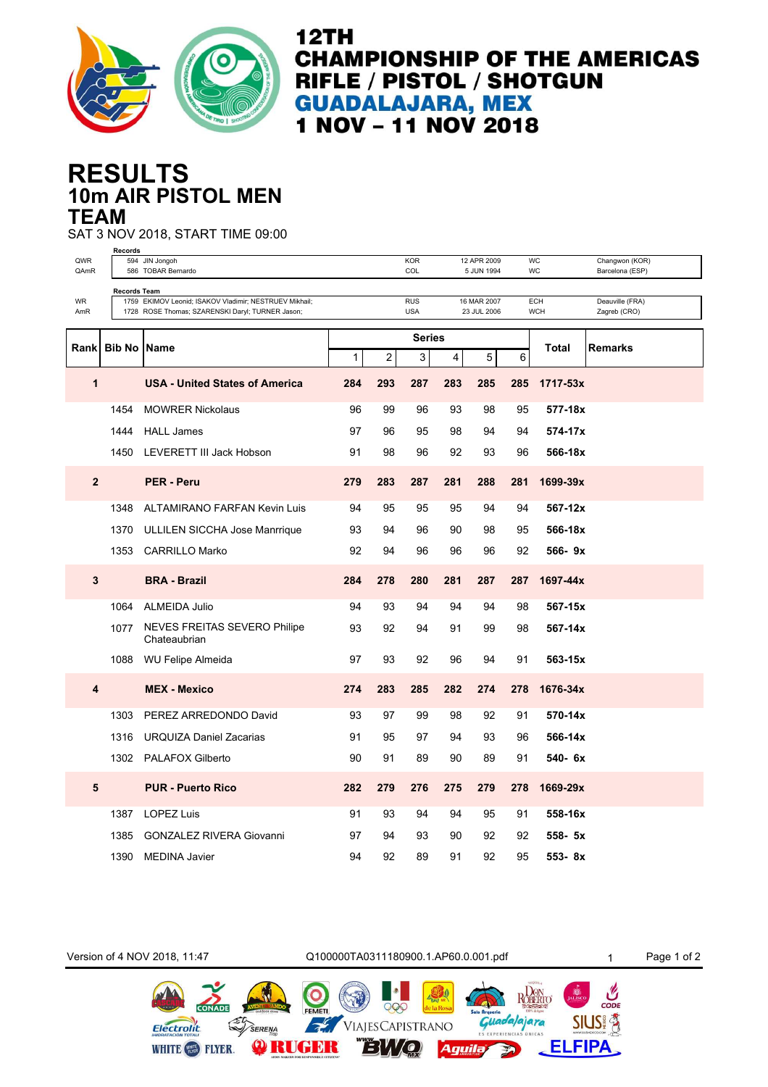

## **10m AIR PISTOL MEN RESULTS TEAM**

SAT 3 NOV 2018, START TIME 09:00

| QWR          | Records             | 594 JIN Jongoh                                         |              |                | <b>KOR</b>    |                         | 12 APR 2009 |     | WC          | Changwon (KOR)  |
|--------------|---------------------|--------------------------------------------------------|--------------|----------------|---------------|-------------------------|-------------|-----|-------------|-----------------|
| QAmR         |                     | 586 TOBAR Bernardo                                     |              |                | COL           |                         | 5 JUN 1994  |     | WC          | Barcelona (ESP) |
| WR           | <b>Records Team</b> | 1759 EKIMOV Leonid; ISAKOV Vladimir; NESTRUEV Mikhail; |              |                | <b>RUS</b>    |                         | 16 MAR 2007 |     | <b>ECH</b>  | Deauville (FRA) |
| AmR          |                     | 1728 ROSE Thomas; SZARENSKI Daryl; TURNER Jason;       |              |                | <b>USA</b>    |                         | 23 JUL 2006 |     | <b>WCH</b>  | Zagreb (CRO)    |
|              |                     |                                                        |              |                | <b>Series</b> |                         |             |     |             |                 |
| Rank         | <b>Bib No</b>       | <b>Name</b>                                            | $\mathbf{1}$ | $\overline{c}$ | 3             | $\overline{\mathbf{4}}$ | 5           | 6   | Total       | Remarks         |
| $\mathbf{1}$ |                     | <b>USA - United States of America</b>                  | 284          | 293            | 287           | 283                     | 285         | 285 | 1717-53x    |                 |
|              | 1454                | <b>MOWRER Nickolaus</b>                                | 96           | 99             | 96            | 93                      | 98          | 95  | 577-18x     |                 |
|              | 1444                | <b>HALL James</b>                                      | 97           | 96             | 95            | 98                      | 94          | 94  | 574-17x     |                 |
|              | 1450                | LEVERETT III Jack Hobson                               | 91           | 98             | 96            | 92                      | 93          | 96  | 566-18x     |                 |
| $\mathbf{2}$ |                     | <b>PER - Peru</b>                                      | 279          | 283            | 287           | 281                     | 288         | 281 | 1699-39x    |                 |
|              | 1348                | ALTAMIRANO FARFAN Kevin Luis                           | 94           | 95             | 95            | 95                      | 94          | 94  | 567-12x     |                 |
|              | 1370                | ULLILEN SICCHA Jose Manrrique                          | 93           | 94             | 96            | 90                      | 98          | 95  | 566-18x     |                 |
|              | 1353                | <b>CARRILLO Marko</b>                                  | 92           | 94             | 96            | 96                      | 96          | 92  | $566 - 9x$  |                 |
| 3            |                     | <b>BRA - Brazil</b>                                    | 284          | 278            | 280           | 281                     | 287         | 287 | 1697-44x    |                 |
|              | 1064                | ALMEIDA Julio                                          | 94           | 93             | 94            | 94                      | 94          | 98  | 567-15x     |                 |
|              | 1077                | NEVES FREITAS SEVERO Philipe<br>Chateaubrian           | 93           | 92             | 94            | 91                      | 99          | 98  | $567 - 14x$ |                 |
|              |                     | 1088 WU Felipe Almeida                                 | 97           | 93             | 92            | 96                      | 94          | 91  | 563-15x     |                 |
| 4            |                     | <b>MEX - Mexico</b>                                    | 274          | 283            | 285           | 282                     | 274         | 278 | 1676-34x    |                 |
|              | 1303                | PEREZ ARREDONDO David                                  | 93           | 97             | 99            | 98                      | 92          | 91  | 570-14x     |                 |
|              | 1316                | URQUIZA Daniel Zacarias                                | 91           | 95             | 97            | 94                      | 93          | 96  | 566-14x     |                 |
|              |                     | 1302 PALAFOX Gilberto                                  | 90           | 91             | 89            | 90                      | 89          | 91  | 540- 6x     |                 |
| 5            |                     | <b>PUR - Puerto Rico</b>                               | 282          | 279            | 276           | 275                     | 279         | 278 | 1669-29x    |                 |
|              | 1387                | <b>LOPEZ Luis</b>                                      | 91           | 93             | 94            | 94                      | 95          | 91  | 558-16x     |                 |
|              | 1385                | <b>GONZALEZ RIVERA Giovanni</b>                        | 97           | 94             | 93            | 90                      | 92          | 92  | $558 - 5x$  |                 |
|              | 1390                | <b>MEDINA Javier</b>                                   | 94           | 92             | 89            | 91                      | 92          | 95  | $553 - 8x$  |                 |

Version of 4 NOV 2018, 11:47 Q100000TA0311180900.1.AP60.0.001.pdf 1 Page 1 of 2 ROBERTO  $\overline{CODF}$ 999 daļajara **SIUS!**  $\mathcal{F}$ VIAJESCAPISTRANO Electrolit SERENA **ELFIPA** WHITE **(28)** FLYER. **ORUGBR**  $\Box'$ **Aguila**  $\frac{1}{2}$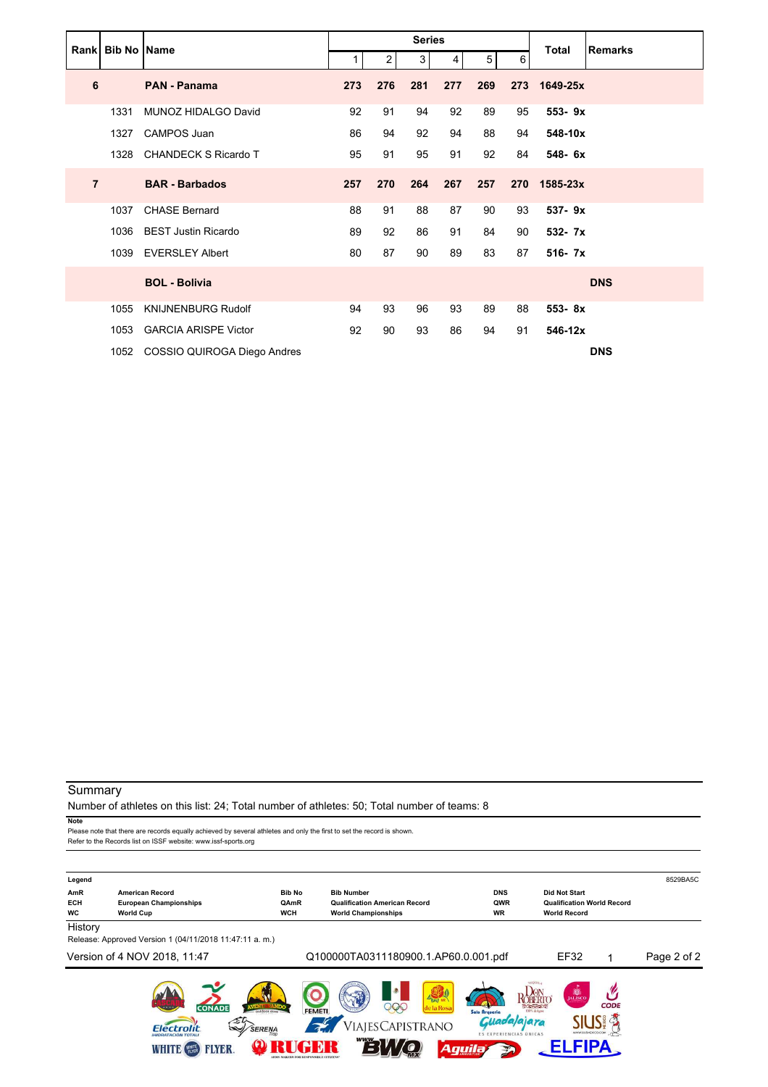|                | Rank Bib No Name |                             |     |     | <b>Series</b>  |     |     |     | <b>Total</b> | <b>Remarks</b> |
|----------------|------------------|-----------------------------|-----|-----|----------------|-----|-----|-----|--------------|----------------|
|                |                  |                             |     | 2   | 3 <sup>1</sup> | 4   | 5   | 6   |              |                |
| 6              |                  | <b>PAN - Panama</b>         | 273 | 276 | 281            | 277 | 269 | 273 | 1649-25x     |                |
|                | 1331             | MUNOZ HIDALGO David         | 92  | 91  | 94             | 92  | 89  | 95  | 553-9x       |                |
|                | 1327             | <b>CAMPOS Juan</b>          | 86  | 94  | 92             | 94  | 88  | 94  | 548-10x      |                |
|                | 1328             | CHANDECK S Ricardo T        | 95  | 91  | 95             | 91  | 92  | 84  | 548-6x       |                |
| $\overline{7}$ |                  | <b>BAR - Barbados</b>       | 257 | 270 | 264            | 267 | 257 | 270 | 1585-23x     |                |
|                | 1037             | <b>CHASE Bernard</b>        | 88  | 91  | 88             | 87  | 90  | 93  | $537 - 9x$   |                |
|                | 1036             | <b>BEST Justin Ricardo</b>  | 89  | 92  | 86             | 91  | 84  | 90  | 532- 7x      |                |
|                | 1039             | <b>EVERSLEY Albert</b>      | 80  | 87  | 90             | 89  | 83  | 87  | $516 - 7x$   |                |
|                |                  | <b>BOL - Bolivia</b>        |     |     |                |     |     |     |              | <b>DNS</b>     |
|                | 1055             | <b>KNIJNENBURG Rudolf</b>   | 94  | 93  | 96             | 93  | 89  | 88  | $553 - 8x$   |                |
|                | 1053             | <b>GARCIA ARISPE Victor</b> | 92  | 90  | 93             | 86  | 94  | 91  | 546-12x      |                |
|                | 1052             | COSSIO QUIROGA Diego Andres |     |     |                |     |     |     |              | <b>DNS</b>     |

Number of athletes on this list: 24; Total number of athletes: 50; Total number of teams: 8

#### **Note**

Please note that there are records equally achieved by several athletes and only the first to set the record is shown. Refer to the Records list on ISSF website: www.issf-sports.org

| Legend                  |                                                           |                    |                                                                    |                                          |                                                          | 8529BA5C    |
|-------------------------|-----------------------------------------------------------|--------------------|--------------------------------------------------------------------|------------------------------------------|----------------------------------------------------------|-------------|
| AmR                     | <b>American Record</b>                                    | <b>Bib No</b>      | <b>Bib Number</b>                                                  | <b>DNS</b>                               | <b>Did Not Start</b>                                     |             |
| <b>ECH</b><br><b>WC</b> | <b>European Championships</b><br><b>World Cup</b>         | QAmR<br><b>WCH</b> | <b>Qualification American Record</b><br><b>World Championships</b> | QWR<br><b>WR</b>                         | <b>Qualification World Record</b><br><b>World Record</b> |             |
| History                 |                                                           |                    |                                                                    |                                          |                                                          |             |
|                         | Release: Approved Version 1 (04/11/2018 11:47:11 a. m.)   |                    |                                                                    |                                          |                                                          |             |
|                         | Version of 4 NOV 2018, 11:47                              |                    | Q100000TA0311180900.1.AP60.0.001.pdf                               |                                          | <b>EF32</b>                                              | Page 2 of 2 |
|                         | <b>CONADE</b>                                             | outdoor store -    | <b>B</b><br><b>BOAT MR</b><br>200<br>la Rosa<br><b>FEMETI</b>      | Solo Arqueria                            | <b>D</b><br><b>CODE</b><br>$-5000$<br>100% de Autre      |             |
|                         | SERENA<br><b>Flectrolit</b><br><b>IHIDRATACIÓN TOTALI</b> |                    | VIAJESCAPISTRANO                                                   | ajajara<br><b>ES EXPERIENCIAS UNICAS</b> |                                                          |             |
|                         | <b>NIMER</b>                                              |                    |                                                                    | <b>Aguila</b>                            |                                                          |             |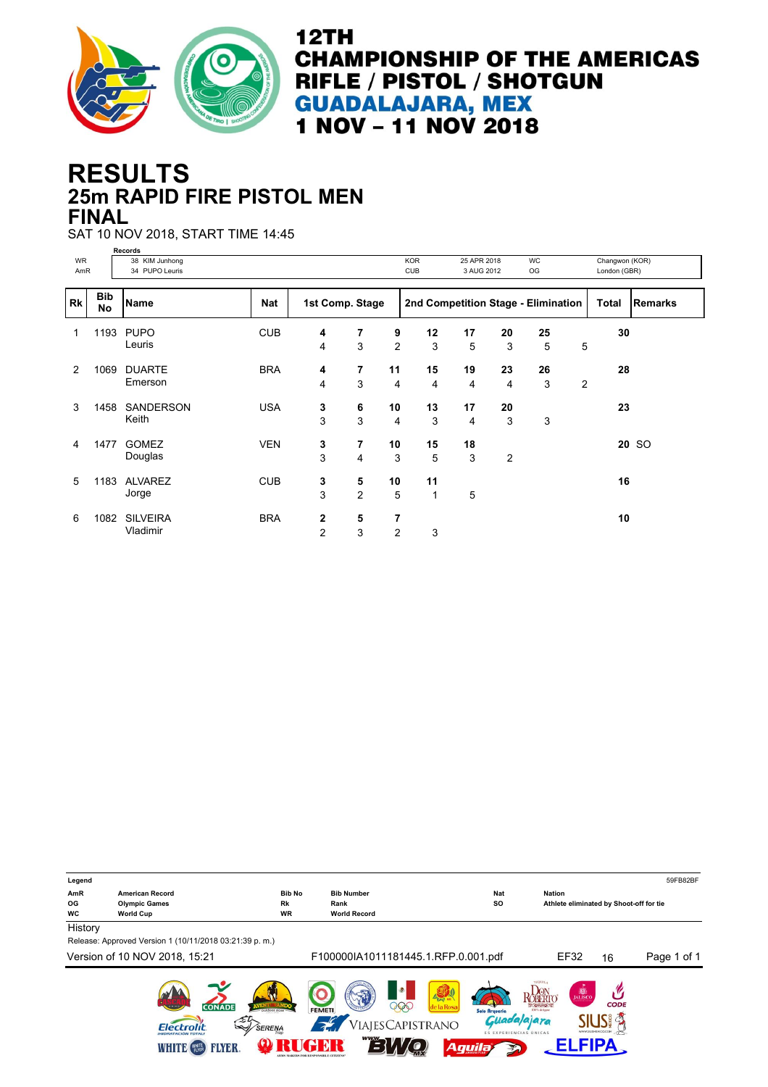

# **25m RAPID FIRE PISTOL MEN RESULTS FINAL**

SAT 10 NOV 2018, START TIME 14:45

|           |                  | <b>Records</b>              |            |                     |                     |         |                                     |             |         |           |                |                |                |
|-----------|------------------|-----------------------------|------------|---------------------|---------------------|---------|-------------------------------------|-------------|---------|-----------|----------------|----------------|----------------|
| <b>WR</b> |                  | 38 KIM Junhong              |            |                     |                     |         | <b>KOR</b>                          | 25 APR 2018 |         | <b>WC</b> |                | Changwon (KOR) |                |
| AmR       |                  | 34 PUPO Leuris              |            |                     |                     |         | <b>CUB</b>                          | 3 AUG 2012  |         | OG        |                | London (GBR)   |                |
|           |                  |                             |            |                     |                     |         |                                     |             |         |           |                |                |                |
| Rk        | <b>Bib</b><br>No | <b>Name</b>                 | <b>Nat</b> | 1st Comp. Stage     |                     |         | 2nd Competition Stage - Elimination |             |         |           |                | Total          | <b>Remarks</b> |
| 1         | 1193             | <b>PUPO</b><br>Leuris       | <b>CUB</b> | 4<br>4              | 7<br>3              | 9<br>2  | 12<br>3                             | 17<br>5     | 20<br>3 | 25<br>5   | 5              | 30             |                |
| 2         | 1069             | <b>DUARTE</b><br>Emerson    | <b>BRA</b> | 4<br>4              | 7<br>3              | 11<br>4 | 15<br>4                             | 19<br>4     | 23<br>4 | 26<br>3   | $\overline{2}$ | 28             |                |
| 3         | 1458             | <b>SANDERSON</b><br>Keith   | <b>USA</b> | 3<br>3              | 6<br>3              | 10<br>4 | 13<br>3                             | 17<br>4     | 20<br>3 | 3         |                | 23             |                |
| 4         | 1477             | <b>GOMEZ</b><br>Douglas     | <b>VEN</b> | 3<br>3              | 7<br>4              | 10<br>3 | 15<br>5                             | 18<br>3     | 2       |           |                |                | 20 SO          |
| 5         | 1183             | <b>ALVAREZ</b><br>Jorge     | <b>CUB</b> | 3<br>3              | 5<br>$\overline{c}$ | 10<br>5 | 11<br>1                             | 5           |         |           |                | 16             |                |
| 6         | 1082             | <b>SILVEIRA</b><br>Vladimir | <b>BRA</b> | 2<br>$\overline{2}$ | 5<br>3              | 7<br>2  | 3                                   |             |         |           |                | 10             |                |

| Legend    |                                                                                                                                         |                                |                                          |                                                                                     |                                                                                 | 59FB82BF    |
|-----------|-----------------------------------------------------------------------------------------------------------------------------------------|--------------------------------|------------------------------------------|-------------------------------------------------------------------------------------|---------------------------------------------------------------------------------|-------------|
| AmR<br>OG | <b>American Record</b><br><b>Olympic Games</b>                                                                                          | <b>Bib No</b><br>Rk            | <b>Bib Number</b><br>Rank                | <b>Nat</b><br><b>SO</b>                                                             | <b>Nation</b><br>Athlete eliminated by Shoot-off for tie                        |             |
| <b>WC</b> | <b>World Cup</b>                                                                                                                        | <b>WR</b>                      | <b>World Record</b>                      |                                                                                     |                                                                                 |             |
| History   |                                                                                                                                         |                                |                                          |                                                                                     |                                                                                 |             |
|           | Release: Approved Version 1 (10/11/2018 03:21:39 p. m.)                                                                                 |                                |                                          |                                                                                     |                                                                                 |             |
|           | Version of 10 NOV 2018, 15:21                                                                                                           |                                | F100000IA1011181445.1.RFP.0.001.pdf      |                                                                                     | <b>EF32</b><br>16                                                               | Page 1 of 1 |
|           | <b>CONADE</b><br>$\mathbf{A}$ is as in<br><b>Flectrolit</b><br>$\tilde{}$<br><b>IHIDRATACIÓN TOTALI</b><br><b>FLYER</b><br><b>WHITE</b> | outdoor store<br><b>SERENA</b> | 990<br><b>FEMETI</b><br>VIAJESCAPISTRANO | I EUN MRY<br>de la Rosa<br>Solo Arqueria<br><b>ES EXPERIENCIAS ÚNICAS</b><br>Aguila | <b>D</b><br>JALISCO<br><b>ROBERTO</b><br><b>CODE</b><br>100 % de Anne<br>Jajara |             |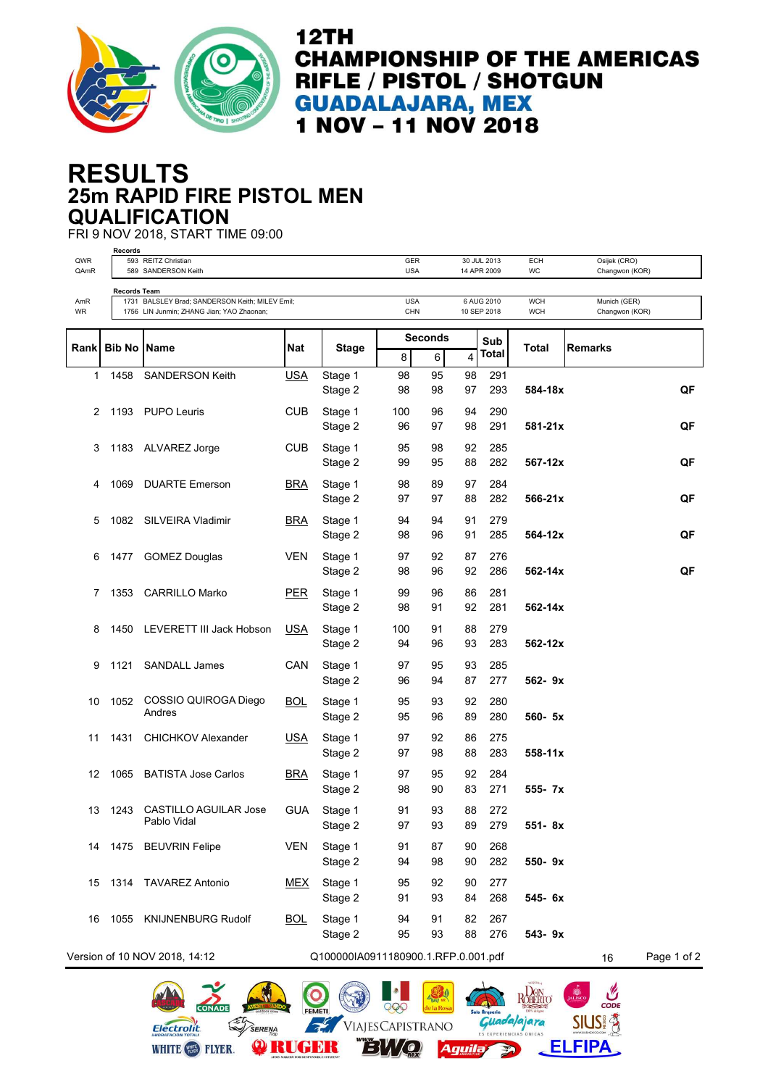

 $\mathcal{C}$ 

**SIUS 含** 

**ELFIPA** 

**ROBERTO** 

Guada/ajara

 $\mathcal{D}$ 

**Aguila** 

## **25m RAPID FIRE PISTOL MEN RESULTS QUALIFICATION**

FRI 9 NOV 2018, START TIME 09:00

**Electrolit** 

SERENA WHITE **@** FLYER **Q RUGER** 

| QWR<br>QAmR | Records             | 593 REITZ Christian<br>589 SANDERSON Keith                                                   |            |                                     | GER<br><b>USA</b> |                |          | 30 JUL 2013<br>14 APR 2009 | <b>ECH</b><br>WC         | Osijek (CRO)<br>Changwon (KOR) |
|-------------|---------------------|----------------------------------------------------------------------------------------------|------------|-------------------------------------|-------------------|----------------|----------|----------------------------|--------------------------|--------------------------------|
| AmR<br>WR   | <b>Records Team</b> | 1731 BALSLEY Brad; SANDERSON Keith; MILEV Emil;<br>1756 LIN Junmin; ZHANG Jian; YAO Zhaonan; |            |                                     | <b>USA</b><br>CHN |                |          | 6 AUG 2010<br>10 SEP 2018  | <b>WCH</b><br><b>WCH</b> | Munich (GER)<br>Changwon (KOR) |
|             | <b>Bib No Name</b>  |                                                                                              | Nat        |                                     |                   | <b>Seconds</b> |          | Sub                        | Total                    | <b>Remarks</b>                 |
| Rank        |                     |                                                                                              |            | <b>Stage</b>                        | 8                 | 6              | 4        | <b>Total</b>               |                          |                                |
| 1           | 1458                | <b>SANDERSON Keith</b>                                                                       | <b>USA</b> | Stage 1<br>Stage 2                  | 98<br>98          | 95<br>98       | 98<br>97 | 291<br>293                 | 584-18x                  | QF                             |
| 2           |                     | 1193 PUPO Leuris                                                                             | <b>CUB</b> | Stage 1<br>Stage 2                  | 100<br>96         | 96<br>97       | 94<br>98 | 290<br>291                 | 581-21x                  | QF                             |
| 3           |                     | 1183 ALVAREZ Jorge                                                                           | <b>CUB</b> | Stage 1<br>Stage 2                  | 95<br>99          | 98<br>95       | 92<br>88 | 285<br>282                 | 567-12x                  | QF                             |
| 4           | 1069                | <b>DUARTE Emerson</b>                                                                        | <b>BRA</b> | Stage 1<br>Stage 2                  | 98<br>97          | 89<br>97       | 97<br>88 | 284<br>282                 | 566-21x                  | QF                             |
| 5           |                     | 1082 SILVEIRA Vladimir                                                                       | <b>BRA</b> | Stage 1<br>Stage 2                  | 94<br>98          | 94<br>96       | 91<br>91 | 279<br>285                 | 564-12x                  | QF                             |
| 6           |                     | 1477 GOMEZ Douglas                                                                           | <b>VEN</b> | Stage 1<br>Stage 2                  | 97<br>98          | 92<br>96       | 87<br>92 | 276<br>286                 | 562-14x                  | QF                             |
| 7           | 1353                | <b>CARRILLO Marko</b>                                                                        | <b>PER</b> | Stage 1<br>Stage 2                  | 99<br>98          | 96<br>91       | 86<br>92 | 281<br>281                 | 562-14x                  |                                |
| 8           | 1450                | LEVERETT III Jack Hobson                                                                     | <u>USA</u> | Stage 1<br>Stage 2                  | 100<br>94         | 91<br>96       | 88<br>93 | 279<br>283                 | 562-12x                  |                                |
| 9           | 1121                | SANDALL James                                                                                | CAN        | Stage 1<br>Stage 2                  | 97<br>96          | 95<br>94       | 93<br>87 | 285<br>277                 | 562-9x                   |                                |
| 10          | 1052                | COSSIO QUIROGA Diego<br>Andres                                                               | <b>BOL</b> | Stage 1<br>Stage 2                  | 95<br>95          | 93<br>96       | 92<br>89 | 280<br>280                 | 560- 5x                  |                                |
| 11          | 1431                | <b>CHICHKOV Alexander</b>                                                                    | <u>USA</u> | Stage 1<br>Stage 2                  | 97<br>97          | 92<br>98       | 86<br>88 | 275<br>283                 | 558-11x                  |                                |
| 12          | 1065                | <b>BATISTA Jose Carlos</b>                                                                   | <b>BRA</b> | Stage 1<br>Stage 2                  | 97<br>98          | 95<br>90       | 92<br>83 | 284<br>271                 | 555- 7x                  |                                |
| 13          | 1243                | <b>CASTILLO AGUILAR Jose</b><br>Pablo Vidal                                                  | <b>GUA</b> | Stage 1<br>Stage 2                  | 91<br>97          | 93<br>93       | 88<br>89 | 272<br>279                 | 551-8x                   |                                |
|             |                     | 14 1475 BEUVRIN Felipe                                                                       | <b>VEN</b> | Stage 1<br>Stage 2                  | 91<br>94          | 87<br>98       | 90<br>90 | 268<br>282                 | 550-9x                   |                                |
| 15          |                     | 1314 TAVAREZ Antonio                                                                         | <b>MEX</b> | Stage 1<br>Stage 2                  | 95<br>91          | 92<br>93       | 90<br>84 | 277<br>268                 | 545- 6x                  |                                |
| 16          |                     | 1055 KNIJNENBURG Rudolf                                                                      | <b>BOL</b> | Stage 1<br>Stage 2                  | 94<br>95          | 91<br>93       | 82<br>88 | 267<br>276                 | 543-9x                   |                                |
|             |                     | Version of 10 NOV 2018, 14:12                                                                |            | Q100000IA0911180900.1.RFP.0.001.pdf |                   |                |          |                            |                          | Page 1 of 2<br>16              |

999

VIAJESCAPISTRANO

**EWQ**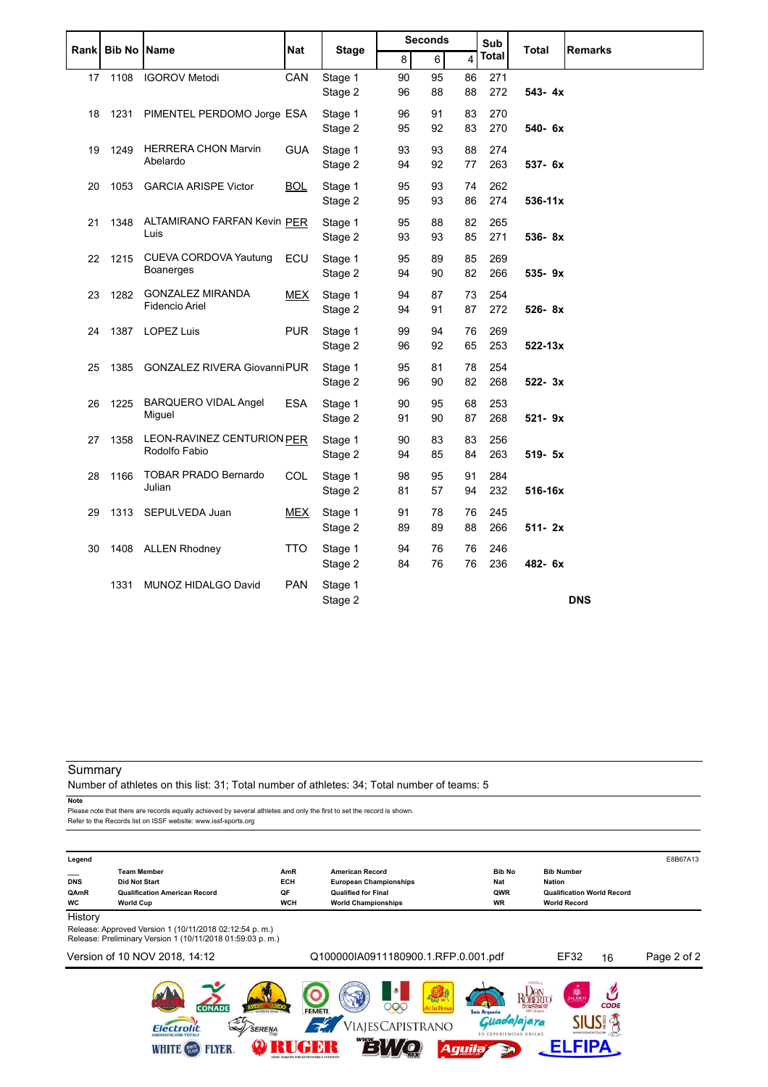|      | <b>Bib No   Name</b> |                                    | Nat        |         |    | <b>Seconds</b> |                | Sub   | Total       | <b>Remarks</b> |
|------|----------------------|------------------------------------|------------|---------|----|----------------|----------------|-------|-------------|----------------|
| Rank |                      |                                    |            | Stage   | 8  | 6              | $\overline{4}$ | Total |             |                |
| 17   | 1108                 | <b>IGOROV Metodi</b>               | CAN        | Stage 1 | 90 | 95             | 86             | 271   |             |                |
|      |                      |                                    |            | Stage 2 | 96 | 88             | 88             | 272   | 543-4x      |                |
| 18   | 1231                 | PIMENTEL PERDOMO Jorge ESA         |            | Stage 1 | 96 | 91             | 83             | 270   |             |                |
|      |                      |                                    |            | Stage 2 | 95 | 92             | 83             | 270   | 540-6x      |                |
| 19   | 1249                 | <b>HERRERA CHON Marvin</b>         | <b>GUA</b> | Stage 1 | 93 | 93             | 88             | 274   |             |                |
|      |                      | Abelardo                           |            | Stage 2 | 94 | 92             | 77             | 263   | 537- 6x     |                |
| 20   | 1053                 | <b>GARCIA ARISPE Victor</b>        | <b>BOL</b> | Stage 1 | 95 | 93             | 74             | 262   |             |                |
|      |                      |                                    |            | Stage 2 | 95 | 93             | 86             | 274   | $536-11x$   |                |
| 21   | 1348                 | ALTAMIRANO FARFAN Kevin PER        |            | Stage 1 | 95 | 88             | 82             | 265   |             |                |
|      |                      | Luis                               |            | Stage 2 | 93 | 93             | 85             | 271   | 536-8x      |                |
| 22   | 1215                 | CUEVA CORDOVA Yautung              | ECU        | Stage 1 | 95 | 89             | 85             | 269   |             |                |
|      |                      | Boanerges                          |            | Stage 2 | 94 | 90             | 82             | 266   | 535-9x      |                |
| 23   | 1282                 | <b>GONZALEZ MIRANDA</b>            | <b>MEX</b> | Stage 1 | 94 | 87             | 73             | 254   |             |                |
|      |                      | Fidencio Ariel                     |            | Stage 2 | 94 | 91             | 87             | 272   | 526-8x      |                |
| 24   | 1387                 | <b>LOPEZ Luis</b>                  | <b>PUR</b> | Stage 1 | 99 | 94             | 76             | 269   |             |                |
|      |                      |                                    |            | Stage 2 | 96 | 92             | 65             | 253   | $522 - 13x$ |                |
| 25   | 1385                 | <b>GONZALEZ RIVERA GiovanniPUR</b> |            | Stage 1 | 95 | 81             | 78             | 254   |             |                |
|      |                      |                                    |            | Stage 2 | 96 | 90             | 82             | 268   | $522 - 3x$  |                |
| 26   | 1225                 | <b>BARQUERO VIDAL Angel</b>        | <b>ESA</b> | Stage 1 | 90 | 95             | 68             | 253   |             |                |
|      |                      | Miguel                             |            | Stage 2 | 91 | 90             | 87             | 268   | 521-9x      |                |
| 27   | 1358                 | LEON-RAVINEZ CENTURION PER         |            | Stage 1 | 90 | 83             | 83             | 256   |             |                |
|      |                      | Rodolfo Fabio                      |            | Stage 2 | 94 | 85             | 84             | 263   | 519- 5x     |                |
| 28   | 1166                 | <b>TOBAR PRADO Bernardo</b>        | COL        | Stage 1 | 98 | 95             | 91             | 284   |             |                |
|      |                      | Julian                             |            | Stage 2 | 81 | 57             | 94             | 232   | 516-16x     |                |
| 29   | 1313                 | SEPULVEDA Juan                     | <b>MEX</b> | Stage 1 | 91 | 78             | 76             | 245   |             |                |
|      |                      |                                    |            | Stage 2 | 89 | 89             | 88             | 266   | $511 - 2x$  |                |
| 30   |                      | 1408 ALLEN Rhodney                 | TTO        | Stage 1 | 94 | 76             | 76             | 246   |             |                |
|      |                      |                                    |            | Stage 2 | 84 | 76             | 76             | 236   | 482- 6x     |                |
|      | 1331                 | MUNOZ HIDALGO David                | <b>PAN</b> | Stage 1 |    |                |                |       |             |                |
|      |                      |                                    |            | Stage 2 |    |                |                |       |             | <b>DNS</b>     |

Number of athletes on this list: 31; Total number of athletes: 34; Total number of teams: 5

**Note**

Please note that there are records equally achieved by several athletes and only the first to set the record is shown.

Refer to the Records list on ISSF website: www.issf-sports.org

| Legend                          |                                                                                                                      |                                       |                                                                                                                     |                                                                   |                                                                                                | E8B67A13    |
|---------------------------------|----------------------------------------------------------------------------------------------------------------------|---------------------------------------|---------------------------------------------------------------------------------------------------------------------|-------------------------------------------------------------------|------------------------------------------------------------------------------------------------|-------------|
| <b>DNS</b><br>QAmR<br><b>WC</b> | <b>Team Member</b><br><b>Did Not Start</b><br><b>Qualification American Record</b><br><b>World Cup</b>               | AmR<br><b>ECH</b><br>QF<br><b>WCH</b> | <b>American Record</b><br><b>European Championships</b><br><b>Qualified for Final</b><br><b>World Championships</b> | <b>Bib No</b><br><b>Nat</b><br>QWR<br><b>WR</b>                   | <b>Bib Number</b><br><b>Nation</b><br><b>Qualification World Record</b><br><b>World Record</b> |             |
| History                         |                                                                                                                      |                                       |                                                                                                                     |                                                                   |                                                                                                |             |
|                                 | Release: Approved Version 1 (10/11/2018 02:12:54 p.m.)<br>Release: Preliminary Version 1 (10/11/2018 01:59:03 p. m.) |                                       |                                                                                                                     |                                                                   |                                                                                                |             |
|                                 | Version of 10 NOV 2018, 14:12                                                                                        |                                       | Q100000IA0911180900.1.RFP.0.001.pdf                                                                                 |                                                                   | EF32<br>16                                                                                     | Page 2 of 2 |
|                                 | <b>CONADE</b><br><b>SERENA</b><br>Flectrolit<br>$\rightarrow$<br><b>AYER</b><br>WHITE                                | outdoor store                         | ۰<br><b>FANT NR</b><br>206<br><b>FEMETI</b><br>VIAJESCAPISTRANO                                                     | Grund<br><b>Solo Arqueria</b><br>ES EXPERIENCIAS ÚNICAS<br>Aguila | <b>DE</b><br><b>CODE</b><br>00% de Autre<br>WWW.SIUSHEXICO.COM                                 |             |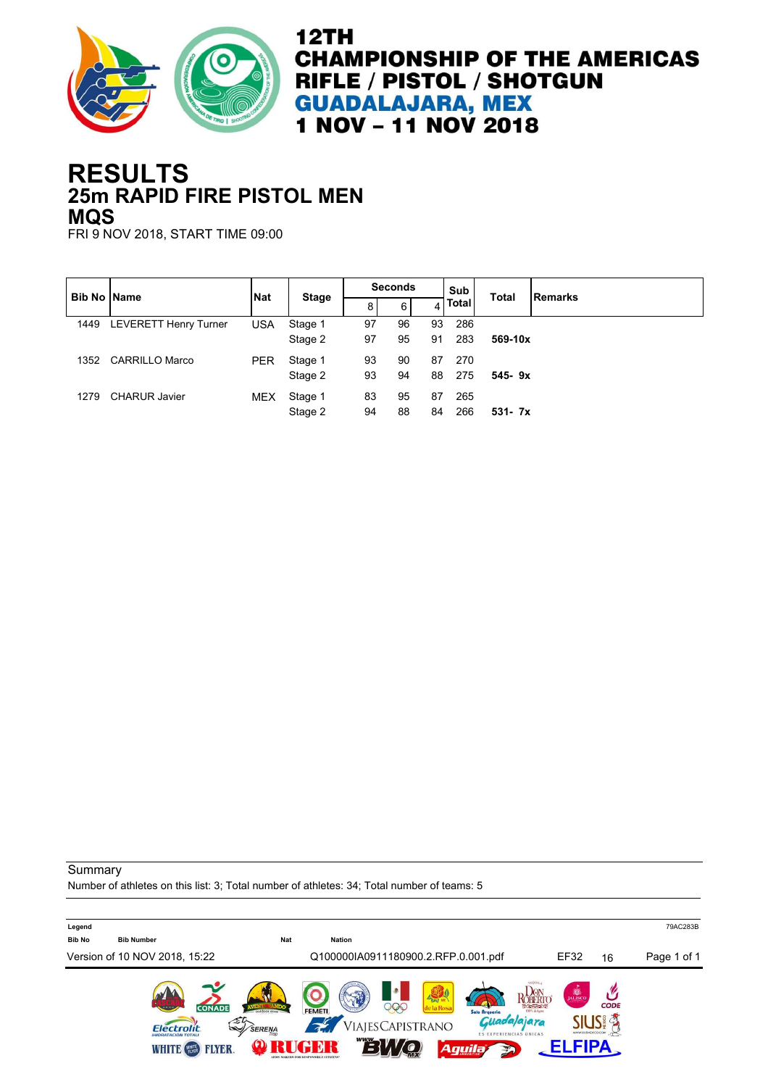

### **25m RAPID FIRE PISTOL MEN RESULTS MQS**

FRI 9 NOV 2018, START TIME 09:00

|      | <b>Bib No Name</b>           | <b>Nat</b> | <b>Stage</b> | <b>Seconds</b> |          |    | <b>Sub</b>   | <b>Total</b> | <b>Remarks</b> |
|------|------------------------------|------------|--------------|----------------|----------|----|--------------|--------------|----------------|
|      |                              |            |              | 8              | $6 \mid$ |    | <b>Total</b> |              |                |
| 1449 | <b>LEVERETT Henry Turner</b> | <b>USA</b> | Stage 1      | 97             | 96       | 93 | 286          |              |                |
|      |                              |            | Stage 2      | 97             | 95       | 91 | 283          | 569-10x      |                |
| 1352 | <b>CARRILLO Marco</b>        | <b>PER</b> | Stage 1      | 93             | 90       | 87 | 270          |              |                |
|      |                              |            | Stage 2      | 93             | 94       | 88 | 275          | $545 - 9x$   |                |
| 1279 | <b>CHARUR Javier</b>         | <b>MEX</b> | Stage 1      | 83             | 95       | 87 | 265          |              |                |
|      |                              |            | Stage 2      | 94             | 88       | 84 | 266          | $531 - 7x$   |                |

**Summary** 

Number of athletes on this list: 3; Total number of athletes: 34; Total number of teams: 5

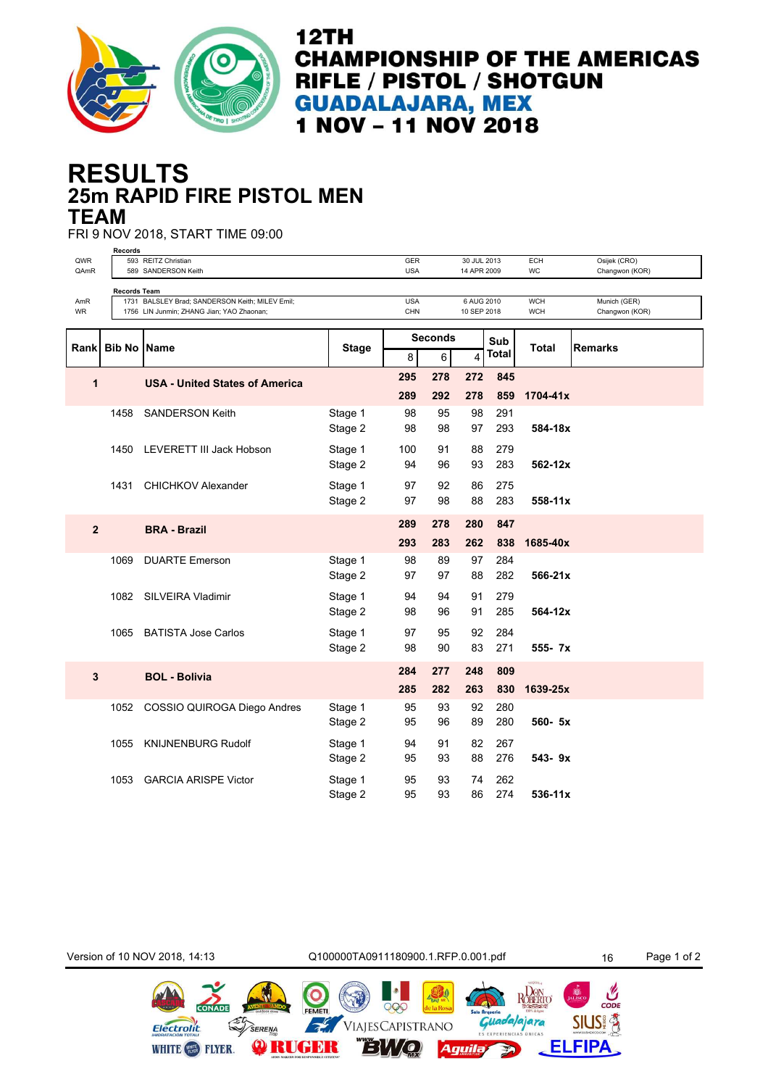

## **25m RAPID FIRE PISTOL MEN RESULTS TEAM**

FRI 9 NOV 2018, START TIME 09:00

|                  | <b>Records</b>      |                                                 |              |            |                |             |       |             |                |
|------------------|---------------------|-------------------------------------------------|--------------|------------|----------------|-------------|-------|-------------|----------------|
| QWR              |                     | 593 REITZ Christian                             |              | <b>GER</b> |                | 30 JUL 2013 |       | <b>ECH</b>  | Osijek (CRO)   |
| QAmR             |                     | 589 SANDERSON Keith                             |              | <b>USA</b> |                | 14 APR 2009 |       | WC          | Changwon (KOR) |
|                  |                     |                                                 |              |            |                |             |       |             |                |
|                  | <b>Records Team</b> | 1731 BALSLEY Brad; SANDERSON Keith; MILEV Emil; |              | <b>USA</b> |                | 6 AUG 2010  |       | <b>WCH</b>  | Munich (GER)   |
| AmR<br><b>WR</b> |                     | 1756 LIN Junmin; ZHANG Jian; YAO Zhaonan;       |              | <b>CHN</b> |                | 10 SEP 2018 |       | <b>WCH</b>  | Changwon (KOR) |
|                  |                     |                                                 |              |            |                |             |       |             |                |
|                  |                     |                                                 |              |            |                |             |       |             |                |
|                  | <b>Bib No</b>       | <b>Name</b>                                     |              |            | <b>Seconds</b> |             | Sub   | Total       | <b>Remarks</b> |
| Rank             |                     |                                                 | <b>Stage</b> | 8          | 6              | 4           | Total |             |                |
|                  |                     |                                                 |              |            |                |             |       |             |                |
| 1                |                     | <b>USA - United States of America</b>           |              | 295        | 278            | 272         | 845   |             |                |
|                  |                     |                                                 |              | 289        | 292            | 278         | 859   | 1704-41x    |                |
|                  |                     |                                                 |              |            |                |             |       |             |                |
|                  | 1458                | <b>SANDERSON Keith</b>                          | Stage 1      | 98         | 95             | 98          | 291   |             |                |
|                  |                     |                                                 | Stage 2      | 98         | 98             | 97          | 293   | 584-18x     |                |
|                  |                     |                                                 |              |            |                |             |       |             |                |
|                  | 1450                | LEVERETT III Jack Hobson                        | Stage 1      | 100        | 91             | 88          | 279   |             |                |
|                  |                     |                                                 | Stage 2      | 94         | 96             | 93          | 283   | 562-12x     |                |
|                  |                     |                                                 |              |            |                |             |       |             |                |
|                  | 1431                | <b>CHICHKOV Alexander</b>                       | Stage 1      | 97         | 92             | 86          | 275   |             |                |
|                  |                     |                                                 | Stage 2      | 97         | 98             | 88          | 283   | 558-11x     |                |
|                  |                     |                                                 |              |            |                |             |       |             |                |
|                  |                     |                                                 |              | 289        | 278            | 280         | 847   |             |                |
| $\overline{2}$   |                     | <b>BRA - Brazil</b>                             |              |            |                |             |       |             |                |
|                  |                     |                                                 |              | 293        | 283            | 262         | 838   | 1685-40x    |                |
|                  | 1069                | <b>DUARTE Emerson</b>                           | Stage 1      | 98         | 89             | 97          | 284   |             |                |
|                  |                     |                                                 |              |            |                |             |       |             |                |
|                  |                     |                                                 | Stage 2      | 97         | 97             | 88          | 282   | 566-21x     |                |
|                  |                     | 1082 SILVEIRA Vladimir                          | Stage 1      | 94         | 94             | 91          | 279   |             |                |
|                  |                     |                                                 |              |            |                |             |       |             |                |
|                  |                     |                                                 | Stage 2      | 98         | 96             | 91          | 285   | 564-12x     |                |
|                  | 1065                | <b>BATISTA Jose Carlos</b>                      | Stage 1      | 97         | 95             | 92          | 284   |             |                |
|                  |                     |                                                 |              |            |                |             |       |             |                |
|                  |                     |                                                 | Stage 2      | 98         | 90             | 83          | 271   | $555 - 7x$  |                |
|                  |                     |                                                 |              | 284        | 277            | 248         | 809   |             |                |
| 3                |                     | <b>BOL - Bolivia</b>                            |              |            |                |             |       |             |                |
|                  |                     |                                                 |              | 285        | 282            | 263         | 830   | 1639-25x    |                |
|                  | 1052                | COSSIO QUIROGA Diego Andres                     | Stage 1      | 95         | 93             | 92          | 280   |             |                |
|                  |                     |                                                 |              |            |                |             |       |             |                |
|                  |                     |                                                 | Stage 2      | 95         | 96             | 89          | 280   | 560- 5x     |                |
|                  |                     |                                                 |              |            | 91             | 82          |       |             |                |
|                  | 1055                | <b>KNIJNENBURG Rudolf</b>                       | Stage 1      | 94         |                |             | 267   |             |                |
|                  |                     |                                                 | Stage 2      | 95         | 93             | 88          | 276   | 543-9x      |                |
|                  |                     |                                                 |              |            |                |             |       |             |                |
|                  | 1053                | <b>GARCIA ARISPE Victor</b>                     | Stage 1      | 95         | 93             | 74          | 262   |             |                |
|                  |                     |                                                 | Stage 2      | 95         | 93             | 86          | 274   | $536 - 11x$ |                |
|                  |                     |                                                 |              |            |                |             |       |             |                |

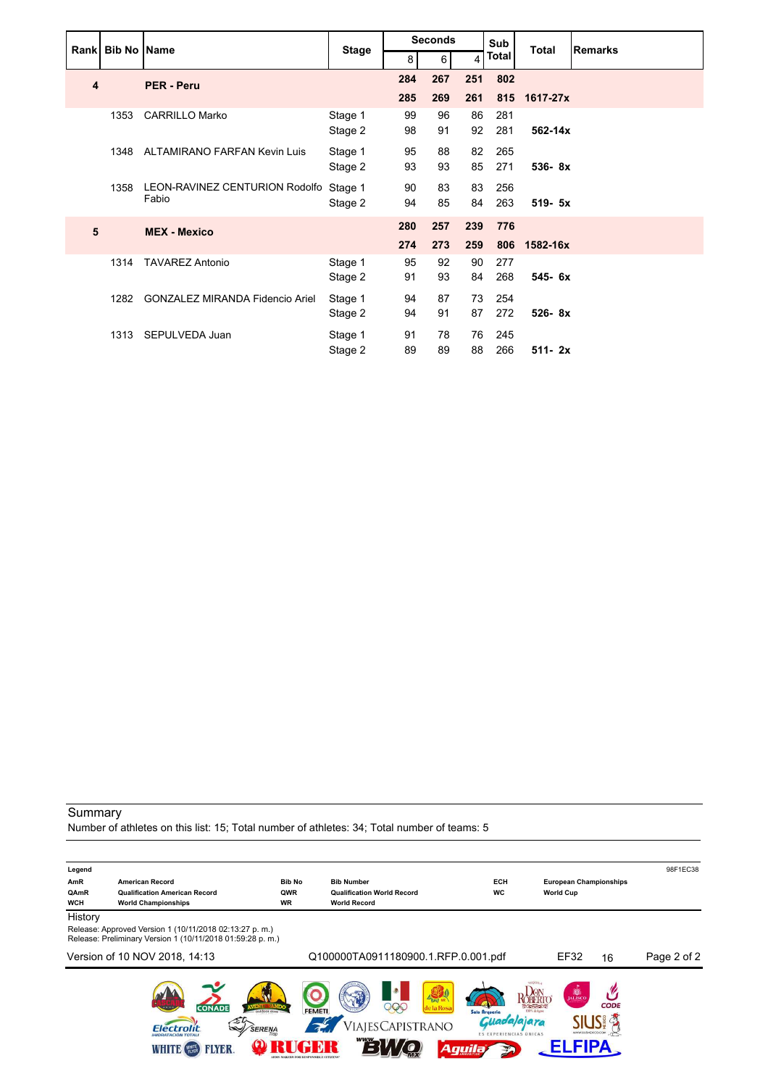|   | Rank Bib No Name |                                        | <b>Stage</b> |     | <b>Seconds</b> |     | Sub   | <b>Total</b> | <b>Remarks</b> |
|---|------------------|----------------------------------------|--------------|-----|----------------|-----|-------|--------------|----------------|
|   |                  |                                        |              | 8   | 6              | 4   | Total |              |                |
| 4 |                  | <b>PER - Peru</b>                      |              | 284 | 267            | 251 | 802   |              |                |
|   |                  |                                        |              | 285 | 269            | 261 |       | 815 1617-27x |                |
|   | 1353             | <b>CARRILLO Marko</b>                  | Stage 1      | 99  | 96             | 86  | 281   |              |                |
|   |                  |                                        | Stage 2      | 98  | 91             | 92  | 281   | 562-14x      |                |
|   | 1348             | ALTAMIRANO FARFAN Kevin Luis           | Stage 1      | 95  | 88             | 82  | 265   |              |                |
|   |                  |                                        | Stage 2      | 93  | 93             | 85  | 271   | 536-8x       |                |
|   | 1358             | LEON-RAVINEZ CENTURION Rodolfo         | Stage 1      | 90  | 83             | 83  | 256   |              |                |
|   |                  | Fabio                                  | Stage 2      | 94  | 85             | 84  | 263   | 519- 5x      |                |
| 5 |                  | <b>MEX - Mexico</b>                    |              | 280 | 257            | 239 | 776   |              |                |
|   |                  |                                        |              | 274 | 273            | 259 | 806   | 1582-16x     |                |
|   | 1314             | <b>TAVAREZ Antonio</b>                 | Stage 1      | 95  | 92             | 90  | 277   |              |                |
|   |                  |                                        | Stage 2      | 91  | 93             | 84  | 268   | 545-6x       |                |
|   | 1282             | <b>GONZALEZ MIRANDA Fidencio Ariel</b> | Stage 1      | 94  | 87             | 73  | 254   |              |                |
|   |                  |                                        | Stage 2      | 94  | 91             | 87  | 272   | 526-8x       |                |
|   | 1313             | SEPULVEDA Juan                         | Stage 1      | 91  | 78             | 76  | 245   |              |                |
|   |                  |                                        | Stage 2      | 89  | 89             | 88  | 266   | $511 - 2x$   |                |

Number of athletes on this list: 15; Total number of athletes: 34; Total number of teams: 5

| Legend             |                                                                                                                       |                  |                                                          |                               |                                    | 98F1EC38    |
|--------------------|-----------------------------------------------------------------------------------------------------------------------|------------------|----------------------------------------------------------|-------------------------------|------------------------------------|-------------|
| AmR                | <b>American Record</b>                                                                                                | <b>Bib No</b>    | <b>Bib Number</b>                                        | <b>ECH</b>                    | <b>European Championships</b>      |             |
| QAmR<br><b>WCH</b> | <b>Qualification American Record</b><br><b>World Championships</b>                                                    | QWR<br><b>WR</b> | <b>Qualification World Record</b><br><b>World Record</b> | <b>WC</b>                     | <b>World Cup</b>                   |             |
|                    |                                                                                                                       |                  |                                                          |                               |                                    |             |
| History            |                                                                                                                       |                  |                                                          |                               |                                    |             |
|                    | Release: Approved Version 1 (10/11/2018 02:13:27 p. m.)<br>Release: Preliminary Version 1 (10/11/2018 01:59:28 p. m.) |                  |                                                          |                               |                                    |             |
|                    | Version of 10 NOV 2018, 14:13                                                                                         |                  | Q100000TA0911180900.1.RFP.0.001.pdf                      |                               | EF32<br>16                         | Page 2 of 2 |
|                    | <b>CONADE</b><br>outdoor store                                                                                        | <b>FEMETI</b>    | <b>TZAT NR</b><br>e la Rosa                              | Solo Arqueria                 | <b>DE</b><br><b>CODE</b><br>$\sim$ |             |
|                    | <b>SERENA</b><br>Flectro                                                                                              |                  | ViajesCapistrano                                         | <b>ES EXPERIENCIAS ÚNICAS</b> |                                    |             |
|                    | YER                                                                                                                   |                  |                                                          | Aguila                        |                                    |             |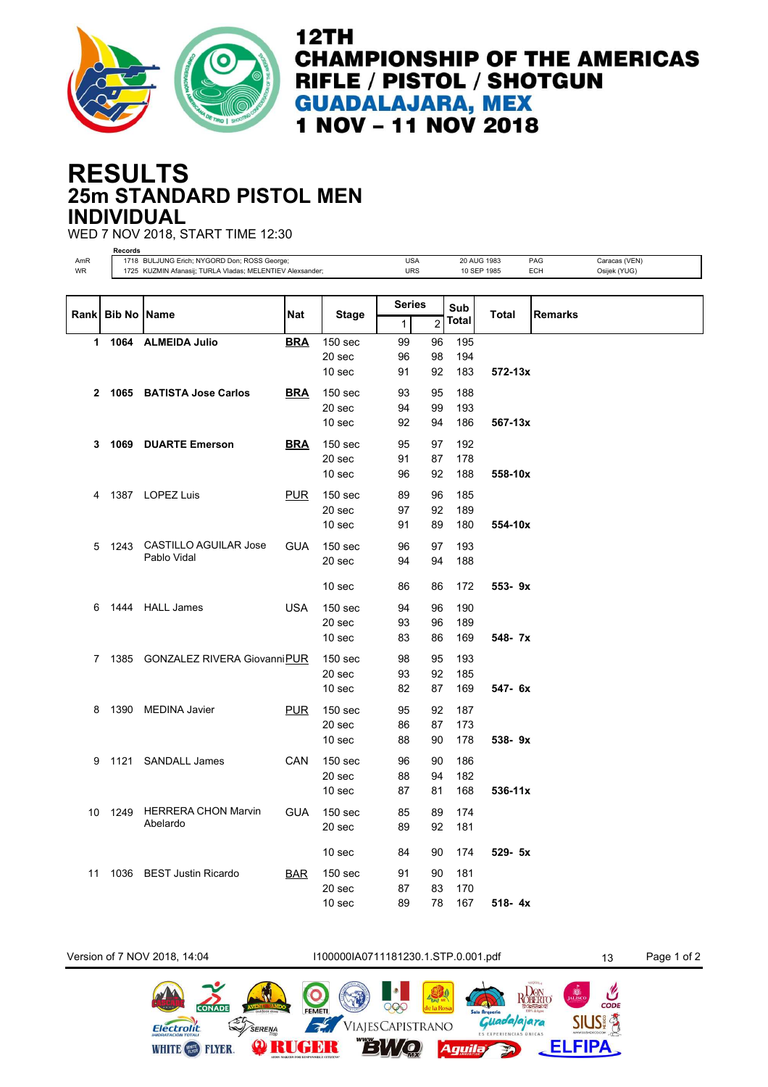

### **25m STANDARD PISTOL MEN RESULTS INDIVIDUAL**

WED 7 NOV 2018, START TIME 12:30 **Records**

| AmR<br><b>WR</b> | necorus            | 1718 BULJUNG Erich; NYGORD Don; ROSS George;<br>1725 KUZMIN Afanasij; TURLA Vladas; MELENTIEV Alexsander; |            | <b>USA</b><br><b>URS</b>     |          |            | 20 AUG 1983<br>10 SEP 1985 | PAG<br><b>ECH</b> | Caracas (VEN)<br>Osijek (YUG) |  |  |
|------------------|--------------------|-----------------------------------------------------------------------------------------------------------|------------|------------------------------|----------|------------|----------------------------|-------------------|-------------------------------|--|--|
|                  |                    |                                                                                                           |            |                              |          |            |                            |                   |                               |  |  |
| Rank             | <b>Bib No Name</b> |                                                                                                           | Nat        | Stage                        | Series   |            | Sub                        | Total             | <b>Remarks</b>                |  |  |
|                  |                    |                                                                                                           |            |                              | 1        | $\sqrt{2}$ | Total                      |                   |                               |  |  |
| 1                |                    | 1064 ALMEIDA Julio                                                                                        | <b>BRA</b> | 150 <sub>sec</sub>           | 99       | 96         | 195                        |                   |                               |  |  |
|                  |                    |                                                                                                           |            | 20 sec                       | 96       | 98         | 194                        |                   |                               |  |  |
|                  |                    |                                                                                                           |            | 10 <sub>sec</sub>            | 91       | 92         | 183                        | 572-13x           |                               |  |  |
| 2                |                    | 1065 BATISTA Jose Carlos                                                                                  | <b>BRA</b> | 150 <sub>sec</sub>           | 93       | 95         | 188                        |                   |                               |  |  |
|                  |                    |                                                                                                           |            | 20 sec                       | 94       | 99         | 193                        |                   |                               |  |  |
|                  |                    |                                                                                                           |            | 10 sec                       | 92       | 94         | 186                        | $567 - 13x$       |                               |  |  |
| 3                |                    | 1069 DUARTE Emerson                                                                                       | <u>BRA</u> | 150 <sub>sec</sub>           | 95       | 97         | 192                        |                   |                               |  |  |
|                  |                    |                                                                                                           |            | 20 sec                       | 91       | 87         | 178                        |                   |                               |  |  |
|                  |                    |                                                                                                           |            | 10 sec                       | 96       | 92         | 188                        | 558-10x           |                               |  |  |
|                  |                    |                                                                                                           |            |                              |          |            |                            |                   |                               |  |  |
| 4                |                    | 1387 LOPEZ Luis                                                                                           | <b>PUR</b> | 150 <sub>sec</sub><br>20 sec | 89<br>97 | 96<br>92   | 185<br>189                 |                   |                               |  |  |
|                  |                    |                                                                                                           |            | 10 sec                       | 91       | 89         | 180                        | 554-10x           |                               |  |  |
|                  |                    |                                                                                                           |            |                              |          |            |                            |                   |                               |  |  |
| 5                |                    | 1243 CASTILLO AGUILAR Jose<br>Pablo Vidal                                                                 | <b>GUA</b> | 150 <sub>sec</sub>           | 96       | 97         | 193                        |                   |                               |  |  |
|                  |                    |                                                                                                           |            | 20 sec                       | 94       | 94         | 188                        |                   |                               |  |  |
|                  |                    |                                                                                                           |            | 10 sec                       | 86       | 86         | 172                        | $553 - 9x$        |                               |  |  |
| 6                |                    | 1444 HALL James                                                                                           | <b>USA</b> | 150 <sub>sec</sub>           | 94       | 96         | 190                        |                   |                               |  |  |
|                  |                    |                                                                                                           |            | 20 sec                       | 93       | 96         | 189                        |                   |                               |  |  |
|                  |                    |                                                                                                           |            | 10 sec                       | 83       | 86         | 169                        | 548- 7x           |                               |  |  |
| 7                |                    | 1385 GONZALEZ RIVERA GiovanniPUR                                                                          |            | 150 <sub>sec</sub>           | 98       | 95         | 193                        |                   |                               |  |  |
|                  |                    |                                                                                                           |            | 20 sec                       | 93       | 92         | 185                        |                   |                               |  |  |
|                  |                    |                                                                                                           |            | 10 sec                       | 82       | 87         | 169                        | $547 - 6x$        |                               |  |  |
| 8                |                    | 1390 MEDINA Javier                                                                                        | <b>PUR</b> | 150 <sub>sec</sub>           | 95       | 92         | 187                        |                   |                               |  |  |
|                  |                    |                                                                                                           |            | 20 sec                       | 86       | 87         | 173                        |                   |                               |  |  |
|                  |                    |                                                                                                           |            | 10 <sub>sec</sub>            | 88       | 90         | 178                        | 538-9x            |                               |  |  |
| 9                |                    | 1121 SANDALL James                                                                                        | CAN        | 150 <sub>sec</sub>           | 96       | 90         | 186                        |                   |                               |  |  |
|                  |                    |                                                                                                           |            | 20 sec                       | 88       | 94         | 182                        |                   |                               |  |  |
|                  |                    |                                                                                                           |            | 10 sec                       | 87       | 81         | 168                        | $536-11x$         |                               |  |  |
|                  |                    | <b>HERRERA CHON Marvin</b>                                                                                |            |                              |          |            |                            |                   |                               |  |  |
| 10               | 1249               | Abelardo                                                                                                  | <b>GUA</b> | 150 <sub>sec</sub><br>20 sec | 85       | 89         | 174                        |                   |                               |  |  |
|                  |                    |                                                                                                           |            |                              | 89       | 92         | 181                        |                   |                               |  |  |
|                  |                    |                                                                                                           |            | 10 sec                       | 84       | 90         | 174                        | 529- 5x           |                               |  |  |
| 11               |                    | 1036 BEST Justin Ricardo                                                                                  | <b>BAR</b> | 150 <sub>sec</sub>           | 91       | 90         | 181                        |                   |                               |  |  |
|                  |                    |                                                                                                           |            | 20 sec                       | 87       | 83         | 170                        |                   |                               |  |  |
|                  |                    |                                                                                                           |            | 10 sec                       | 89       | 78         | 167                        | $518 - 4x$        |                               |  |  |

Electrolit

WHITE **(28)** FLYER.

Version of 7 NOV 2018, 14:04 11000001A0711181230.1.STP.0.001.pdf 13 Page 1 of 2

000

VIAJESCAPISTRANO

 $\Box'$ 

 $\mathscr{F}$ 

**ORUGER** 

SERENA

ROBERIO

Guada|ajara

 $\overline{P}$ 

**Aguila** 

 $\frac{C}{CODE}$ 

**SIUS!** 

**ELFIPA**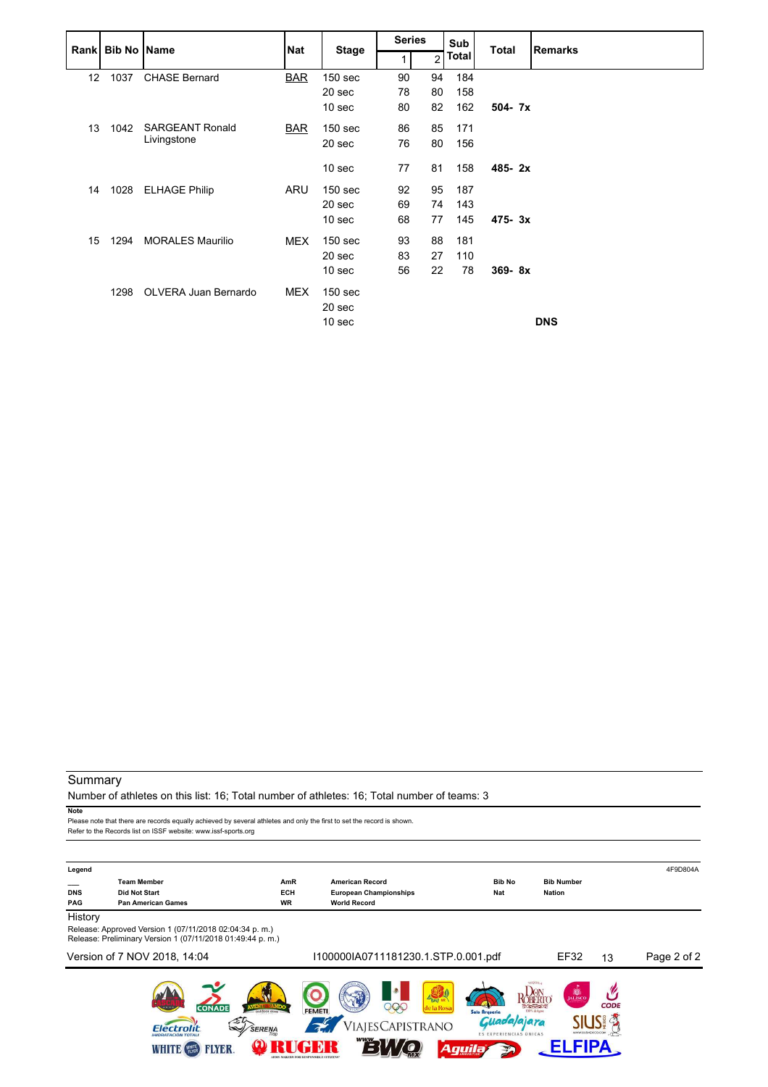|    | Rank Bib No Name |                         | <b>Nat</b> | <b>Stage</b>       | <b>Series</b> |                | Sub   | <b>Total</b> | <b>Remarks</b> |
|----|------------------|-------------------------|------------|--------------------|---------------|----------------|-------|--------------|----------------|
|    |                  |                         |            |                    |               | $\overline{2}$ | Total |              |                |
| 12 | 1037             | <b>CHASE Bernard</b>    | <b>BAR</b> | 150 <sub>sec</sub> | 90            | 94             | 184   |              |                |
|    |                  |                         |            | 20 <sub>sec</sub>  | 78            | 80             | 158   |              |                |
|    |                  |                         |            | 10 <sub>sec</sub>  | 80            | 82             | 162   | $504 - 7x$   |                |
| 13 | 1042             | <b>SARGEANT Ronald</b>  | <b>BAR</b> | 150 <sub>sec</sub> | 86            | 85             | 171   |              |                |
|    |                  | Livingstone             |            | 20 sec             | 76            | 80             | 156   |              |                |
|    |                  |                         |            | 10 sec             | 77            | 81             | 158   | 485-2x       |                |
| 14 | 1028             | <b>ELHAGE Philip</b>    | ARU        | 150 <sub>sec</sub> | 92            | 95             | 187   |              |                |
|    |                  |                         |            | 20 sec             | 69            | 74             | 143   |              |                |
|    |                  |                         |            | 10 sec             | 68            | 77             | 145   | 475-3x       |                |
| 15 | 1294             | <b>MORALES Maurilio</b> | <b>MEX</b> | 150 <sub>sec</sub> | 93            | 88             | 181   |              |                |
|    |                  |                         |            | 20 <sub>sec</sub>  | 83            | 27             | 110   |              |                |
|    |                  |                         |            | 10 sec             | 56            | 22             | 78    | $369 - 8x$   |                |
|    | 1298             | OLVERA Juan Bernardo    | <b>MEX</b> | 150 <sub>sec</sub> |               |                |       |              |                |
|    |                  |                         |            | 20 sec             |               |                |       |              |                |
|    |                  |                         |            | 10 <sub>sec</sub>  |               |                |       |              | <b>DNS</b>     |
|    |                  |                         |            |                    |               |                |       |              |                |

Number of athletes on this list: 16; Total number of athletes: 16; Total number of teams: 3

**Note**

Please note that there are records equally achieved by several athletes and only the first to set the record is shown. Refer to the Records list on ISSF website: www.issf-sports.org

| Legend     |                                                                                                                     |                 |                                                     |                               |                                     | 4F9D804A    |
|------------|---------------------------------------------------------------------------------------------------------------------|-----------------|-----------------------------------------------------|-------------------------------|-------------------------------------|-------------|
|            | <b>Team Member</b>                                                                                                  | AmR             | <b>American Record</b>                              | <b>Bib No</b>                 | <b>Bib Number</b>                   |             |
| <b>DNS</b> | <b>Did Not Start</b>                                                                                                | ECH             | <b>European Championships</b>                       | <b>Nat</b>                    | <b>Nation</b>                       |             |
| <b>PAG</b> | <b>Pan American Games</b>                                                                                           | <b>WR</b>       | <b>World Record</b>                                 |                               |                                     |             |
| History    |                                                                                                                     |                 |                                                     |                               |                                     |             |
|            | Release: Approved Version 1 (07/11/2018 02:04:34 p.m.)<br>Release: Preliminary Version 1 (07/11/2018 01:49:44 p.m.) |                 |                                                     |                               |                                     |             |
|            | Version of 7 NOV 2018, 14:04                                                                                        |                 | I100000IA0711181230.1.STP.0.001.pdf                 |                               | <b>EF32</b><br>13                   | Page 2 of 2 |
|            | <b>CONADE</b>                                                                                                       | outdoor store - | <b>EXAMPLE</b><br>200<br>e la Rosa<br><b>FEMETI</b> | Solo Arqueria<br>ajara        | <b>DE</b><br><b>CODE</b><br>$1 - 5$ |             |
|            | $\mathbb{Z}$<br>Flectro                                                                                             | <b>SERENA</b>   | ViajesCapistrano                                    | <b>ES EXPERIENCIAS ÚNICAS</b> |                                     |             |
|            | YER                                                                                                                 |                 |                                                     | Aguila                        |                                     |             |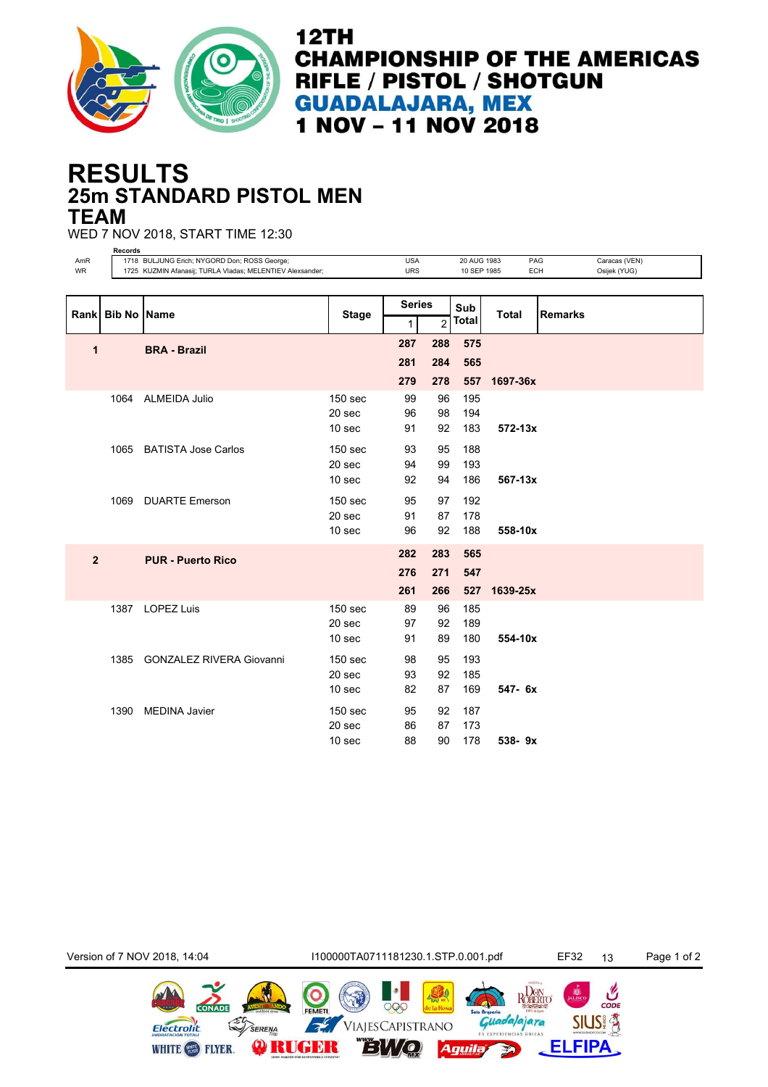

## **25m STANDARD PISTOL MEN RESULTS TEAM**

WED 7 NOV 2018, START TIME 12:30

|                | Records            |                                                           |                    |               |                |             |              |                |               |  |
|----------------|--------------------|-----------------------------------------------------------|--------------------|---------------|----------------|-------------|--------------|----------------|---------------|--|
| AmR            |                    | 1718 BULJUNG Erich; NYGORD Don; ROSS George;              |                    | <b>USA</b>    |                | 20 AUG 1983 | PAG          |                | Caracas (VEN) |  |
| WR             |                    | 1725 KUZMIN Afanasij; TURLA Vladas; MELENTIEV Alexsander; |                    | <b>URS</b>    |                | 10 SEP 1985 | <b>ECH</b>   |                | Osijek (YUG)  |  |
|                |                    |                                                           |                    |               |                |             |              |                |               |  |
|                |                    |                                                           |                    | <b>Series</b> |                |             |              |                |               |  |
| Rank           | <b>Bib No Name</b> |                                                           | <b>Stage</b>       |               |                | Sub         | <b>Total</b> | <b>Remarks</b> |               |  |
|                |                    |                                                           |                    | 1             | $\overline{c}$ | Total       |              |                |               |  |
|                |                    |                                                           |                    | 287           | 288            | 575         |              |                |               |  |
| 1              |                    | <b>BRA - Brazil</b>                                       |                    |               |                |             |              |                |               |  |
|                |                    |                                                           |                    | 281           | 284            | 565         |              |                |               |  |
|                |                    |                                                           |                    | 279           | 278            | 557         | 1697-36x     |                |               |  |
|                | 1064               | <b>ALMEIDA Julio</b>                                      | 150 <sub>sec</sub> | 99            | 96             | 195         |              |                |               |  |
|                |                    |                                                           | 20 sec             | 96            | 98             | 194         |              |                |               |  |
|                |                    |                                                           | 10 sec             | 91            | 92             | 183         | $572 - 13x$  |                |               |  |
|                |                    |                                                           |                    |               |                |             |              |                |               |  |
|                |                    | 1065 BATISTA Jose Carlos                                  | 150 sec            | 93            | 95             | 188         |              |                |               |  |
|                |                    |                                                           | 20 <sub>sec</sub>  | 94            | 99             | 193         |              |                |               |  |
|                |                    |                                                           | 10 sec             | 92            | 94             | 186         | 567-13x      |                |               |  |
|                |                    |                                                           |                    |               |                |             |              |                |               |  |
|                | 1069               | <b>DUARTE Emerson</b>                                     | 150 sec            | 95            | 97             | 192         |              |                |               |  |
|                |                    |                                                           | 20 sec             | 91            | 87             | 178         |              |                |               |  |
|                |                    |                                                           | 10 <sub>sec</sub>  | 96            | 92             | 188         | 558-10x      |                |               |  |
|                |                    |                                                           |                    | 282           | 283            | 565         |              |                |               |  |
| $\overline{2}$ |                    | <b>PUR - Puerto Rico</b>                                  |                    |               |                |             |              |                |               |  |
|                |                    |                                                           |                    | 276           | 271            | 547         |              |                |               |  |
|                |                    |                                                           |                    | 261           | 266            | 527         | 1639-25x     |                |               |  |
|                |                    | 1387 LOPEZ Luis                                           | 150 sec            | 89            | 96             | 185         |              |                |               |  |
|                |                    |                                                           | 20 sec             | 97            | 92             | 189         |              |                |               |  |
|                |                    |                                                           | 10 sec             | 91            | 89             | 180         | 554-10x      |                |               |  |
|                |                    |                                                           |                    |               |                |             |              |                |               |  |
|                | 1385               | <b>GONZALEZ RIVERA Giovanni</b>                           | 150 <sub>sec</sub> | 98            | 95             | 193         |              |                |               |  |
|                |                    |                                                           | 20 sec             | 93            | 92             | 185         |              |                |               |  |
|                |                    |                                                           | 10 sec             | 82            | 87             | 169         | 547- 6x      |                |               |  |
|                |                    |                                                           |                    |               |                |             |              |                |               |  |
|                | 1390               | <b>MEDINA Javier</b>                                      | 150 <sub>sec</sub> | 95            | 92             | 187         |              |                |               |  |
|                |                    |                                                           | 20 sec             | 86            | 87             | 173         |              |                |               |  |
|                |                    |                                                           | 10 sec             | 88            | 90             | 178         | $538 - 9x$   |                |               |  |
|                |                    |                                                           |                    |               |                |             |              |                |               |  |

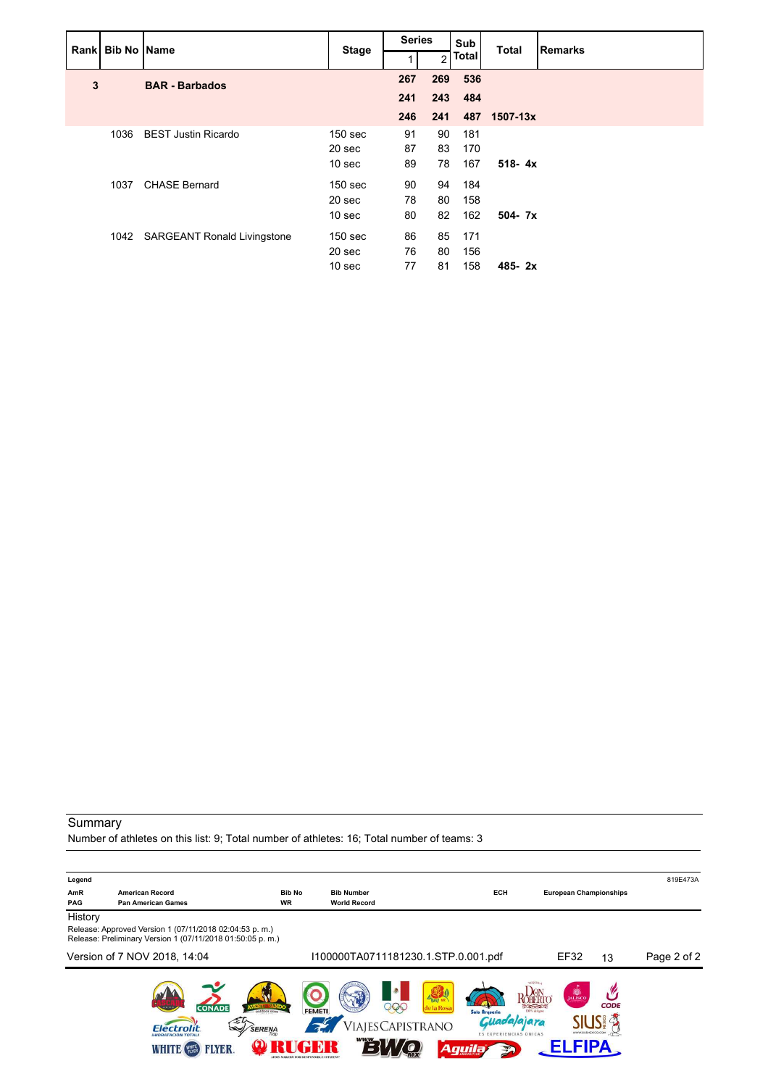|   |      | Rank Bib No Name                 | <b>Stage</b>       | <b>Series</b> |     | Sub          | <b>Total</b> | <b>Remarks</b> |
|---|------|----------------------------------|--------------------|---------------|-----|--------------|--------------|----------------|
|   |      |                                  |                    |               | 2   | <b>Total</b> |              |                |
| 3 |      | <b>BAR - Barbados</b>            |                    | 267           | 269 | 536          |              |                |
|   |      |                                  |                    | 241           | 243 | 484          |              |                |
|   |      |                                  |                    | 246           | 241 | 487          | 1507-13x     |                |
|   | 1036 | <b>BEST Justin Ricardo</b>       | 150 <sub>sec</sub> | 91            | 90  | 181          |              |                |
|   |      |                                  | 20 sec             | 87            | 83  | 170          |              |                |
|   |      |                                  | 10 <sub>sec</sub>  | 89            | 78  | 167          | $518 - 4x$   |                |
|   | 1037 | <b>CHASE Bernard</b>             | 150 <sub>sec</sub> | 90            | 94  | 184          |              |                |
|   |      |                                  | 20 sec             | 78            | 80  | 158          |              |                |
|   |      |                                  | 10 <sub>sec</sub>  | 80            | 82  | 162          | $504 - 7x$   |                |
|   |      | 1042 SARGEANT Ronald Livingstone | 150 <sub>sec</sub> | 86            | 85  | 171          |              |                |
|   |      |                                  | 20 sec             | 76            | 80  | 156          |              |                |
|   |      |                                  | 10 <sub>sec</sub>  | 77            | 81  | 158          | 485-2x       |                |

Number of athletes on this list: 9; Total number of athletes: 16; Total number of teams: 3

| Legend         |                                                                                                                     |               |                                                      |                                                                                                   |                                                                                | 819E473A    |
|----------------|---------------------------------------------------------------------------------------------------------------------|---------------|------------------------------------------------------|---------------------------------------------------------------------------------------------------|--------------------------------------------------------------------------------|-------------|
| AmR            | <b>American Record</b>                                                                                              | <b>Bib No</b> | <b>Bib Number</b>                                    | <b>ECH</b>                                                                                        | <b>European Championships</b>                                                  |             |
| PAG<br>History | <b>Pan American Games</b>                                                                                           | WR            | <b>World Record</b>                                  |                                                                                                   |                                                                                |             |
|                | Release: Approved Version 1 (07/11/2018 02:04:53 p.m.)<br>Release: Preliminary Version 1 (07/11/2018 01:50:05 p.m.) |               |                                                      |                                                                                                   |                                                                                |             |
|                | Version of 7 NOV 2018, 14:04                                                                                        |               | I100000TA0711181230.1.STP.0.001.pdf                  |                                                                                                   | EF32<br>13                                                                     | Page 2 of 2 |
|                | <b>CONADE</b><br>$\tilde{}$<br>SERENA<br><b>Flectrolit</b><br><b>WHITE (WE)</b><br><b>FLYER</b>                     |               | <b>B</b><br>206<br><b>FEMETI</b><br>VIAJESCAPISTRANO | <b>EXPANDING</b><br>le la Rosa<br>Solo Arqueria<br><b>ES EXPERIENCIAS UNICAS</b><br><b>Aquila</b> | <b>B</b><br>V<br><b>CODE</b><br>$-50000$<br>00% de Autre<br>WWW.SEUSHEXICO.COM |             |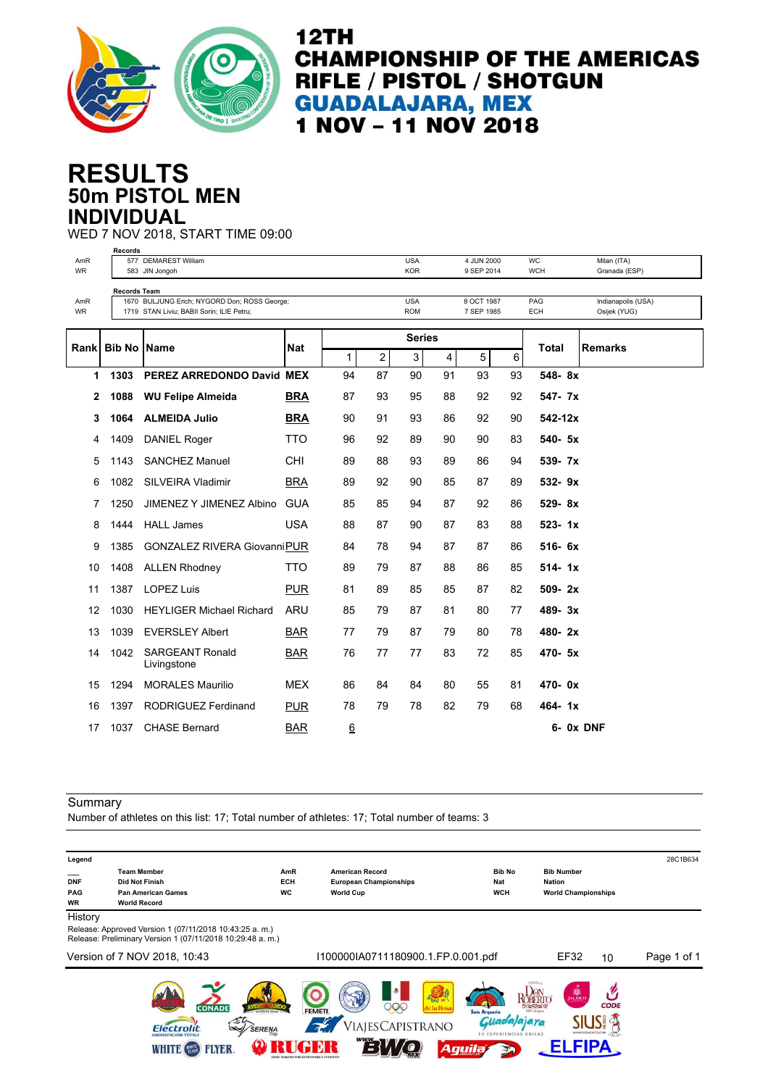

# **50m PISTOL MEN RESULTS INDIVIDUAL**

WED 7 NOV 2018, START TIME 09:00

|           | <b>Records</b>      |                                              |            |                 |                |                          |    |                          |          |                         |                              |
|-----------|---------------------|----------------------------------------------|------------|-----------------|----------------|--------------------------|----|--------------------------|----------|-------------------------|------------------------------|
| AmR<br>WR |                     | 577 DEMAREST William<br>583 JIN Jongoh       |            |                 |                | <b>USA</b><br><b>KOR</b> |    | 4 JUN 2000<br>9 SEP 2014 |          | <b>WC</b><br><b>WCH</b> | Milan (ITA)<br>Granada (ESP) |
|           |                     |                                              |            |                 |                |                          |    |                          |          |                         |                              |
| AmR       | <b>Records Team</b> | 1670 BULJUNG Erich; NYGORD Don; ROSS George; |            |                 |                | <b>USA</b>               |    | 8 OCT 1987               |          | PAG                     | Indianapolis (USA)           |
| WR        |                     | 1719 STAN Liviu; BABII Sorin; ILIE Petru;    |            |                 |                | <b>ROM</b>               |    | 7 SEP 1985               |          | ECH                     | Osijek (YUG)                 |
|           |                     |                                              |            |                 |                |                          |    |                          |          |                         |                              |
| Rank      | Bib No              | Name                                         | <b>Nat</b> | <b>Series</b>   |                |                          |    |                          |          | <b>Total</b>            | <b>Remarks</b>               |
|           |                     |                                              |            | 1               | $\overline{2}$ | 3                        | 4  | 5                        | 6        |                         |                              |
| 1         | 1303                | PEREZ ARREDONDO David MEX                    |            | 94              | 87             | 90                       | 91 | 93                       | 93       | 548-8x                  |                              |
| 2         | 1088                | <b>WU Felipe Almeida</b>                     | <b>BRA</b> | 87              | 93             | 95                       | 88 | 92                       | 92       | 547- 7x                 |                              |
| 3         | 1064                | <b>ALMEIDA Julio</b>                         | <b>BRA</b> | 90              | 91             | 93                       | 86 | 92                       | 90       | 542-12x                 |                              |
| 4         | 1409                | <b>DANIEL Roger</b>                          | <b>TTO</b> | 96              | 92             | 89                       | 90 | 90                       | 83       | 540- 5x                 |                              |
| 5         | 1143                | <b>SANCHEZ Manuel</b>                        | <b>CHI</b> | 89              | 88             | 93                       | 89 | 86                       | 94       | 539- 7x                 |                              |
| 6         | 1082                | SILVEIRA Vladimir                            | <b>BRA</b> | 89              | 92             | 90                       | 85 | 87                       | 89       | 532-9x                  |                              |
| 7         | 1250                | JIMENEZ Y JIMENEZ Albino                     | <b>GUA</b> | 85              | 85             | 94                       | 87 | 92                       | 86       | $529 - 8x$              |                              |
| 8         | 1444                | <b>HALL James</b>                            | <b>USA</b> | 88              | 87             | 90                       | 87 | 83                       | 88       | $523 - 1x$              |                              |
| 9         | 1385                | <b>GONZALEZ RIVERA GiovanniPUR</b>           |            | 84              | 78             | 94                       | 87 | 87                       | 86       | 516-6x                  |                              |
| 10        | 1408                | <b>ALLEN Rhodney</b>                         | <b>TTO</b> | 89              | 79             | 87                       | 88 | 86                       | 85       | $514 - 1x$              |                              |
| 11        | 1387                | <b>LOPEZ Luis</b>                            | <b>PUR</b> | 81              | 89             | 85                       | 85 | 87                       | 82       | $509 - 2x$              |                              |
| 12        | 1030                | <b>HEYLIGER Michael Richard</b>              | ARU        | 85              | 79             | 87                       | 81 | 80                       | 77       | 489-3x                  |                              |
| 13        | 1039                | <b>EVERSLEY Albert</b>                       | <b>BAR</b> | 77              | 79             | 87                       | 79 | 80                       | 78       | $480 - 2x$              |                              |
| 14        | 1042                | <b>SARGEANT Ronald</b><br>Livingstone        | <b>BAR</b> | 76              | 77             | 77                       | 83 | 72                       | 85       | 470- 5x                 |                              |
| 15        | 1294                | <b>MORALES Maurilio</b>                      | <b>MEX</b> | 86              | 84             | 84                       | 80 | 55                       | 81       | 470-0x                  |                              |
| 16        | 1397                | <b>RODRIGUEZ Ferdinand</b>                   | <b>PUR</b> | 78              | 79             | 78                       | 82 | 79                       | 68       | $464 - 1x$              |                              |
| 17        | 1037                | <b>CHASE Bernard</b>                         | <b>BAR</b> | $\underline{6}$ | $\sim$         |                          |    | $\alpha$                 | $\alpha$ | 6- Ox DNF               |                              |

#### **Summary**

Number of athletes on this list: 17; Total number of athletes: 17; Total number of teams: 3

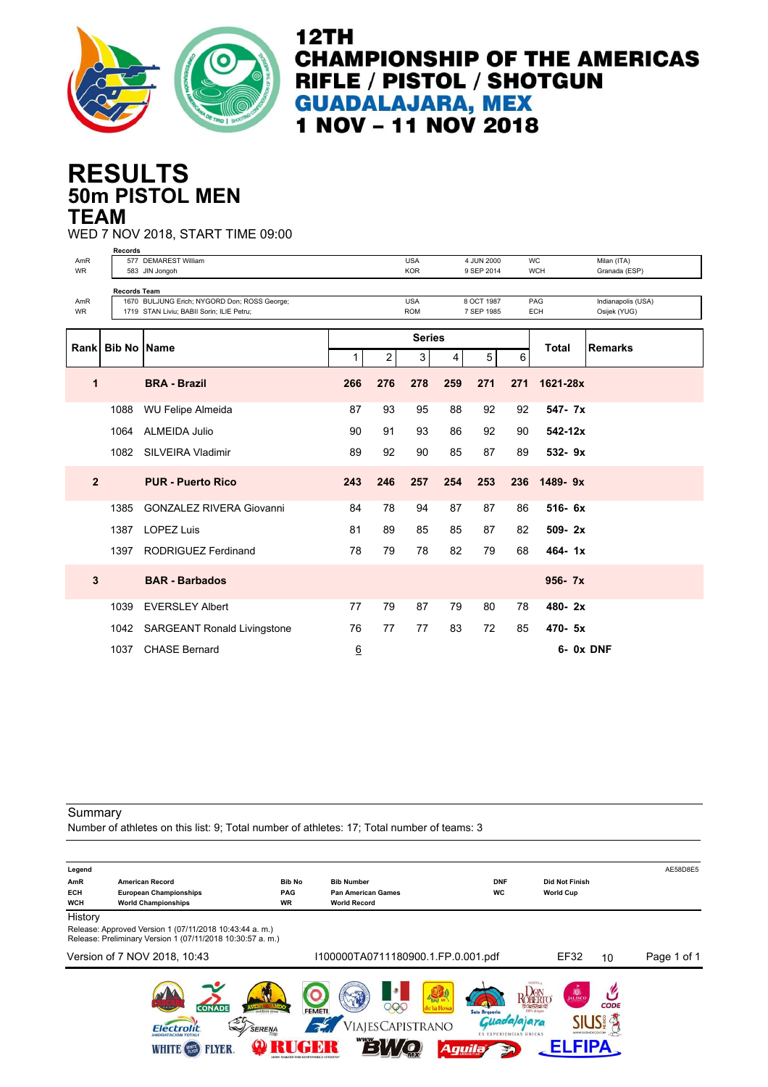

## **50m PISTOL MEN RESULTS TEAM**

WED 7 NOV 2018, START TIME 09:00

|                | <b>Records</b>      |                                              |                 |                |                 |            |            |        |              |                    |
|----------------|---------------------|----------------------------------------------|-----------------|----------------|-----------------|------------|------------|--------|--------------|--------------------|
| AmR            |                     | 577 DEMAREST William                         |                 |                | <b>USA</b>      |            | 4 JUN 2000 |        | WC           | Milan (ITA)        |
| <b>WR</b>      |                     | 583 JIN Jongoh                               |                 |                | <b>KOR</b>      |            | 9 SEP 2014 |        | <b>WCH</b>   | Granada (ESP)      |
| AmR            | <b>Records Team</b> | 1670 BULJUNG Erich; NYGORD Don; ROSS George; |                 |                | <b>USA</b>      |            | 8 OCT 1987 |        | PAG          | Indianapolis (USA) |
| <b>WR</b>      |                     | 1719 STAN Liviu; BABII Sorin; ILIE Petru;    |                 |                | <b>ROM</b>      |            | 7 SEP 1985 |        | <b>ECH</b>   | Osijek (YUG)       |
|                |                     |                                              |                 |                |                 |            |            |        |              |                    |
|                | Rank Bib No<br>Name |                                              | <b>Series</b>   |                |                 |            |            |        | <b>Total</b> | <b>Remarks</b>     |
|                |                     |                                              | 1               | $\overline{c}$ | 3               | 4          | 5          | 6      |              |                    |
| 1              |                     | <b>BRA - Brazil</b>                          | 266             | 276            | 278             | 259        | 271        | 271    | 1621-28x     |                    |
|                | 1088                | <b>WU Felipe Almeida</b>                     | 87              | 93             | 95              | 88         | 92         | 92     | 547- 7x      |                    |
|                | 1064                | ALMEIDA Julio                                | 90              | 91             | 93              | 86         | 92         | 90     | $542 - 12x$  |                    |
|                | 1082                | SILVEIRA Vladimir                            | 89              | 92             | 90              | 85         | 87         | 89     | 532-9x       |                    |
| $\overline{2}$ |                     | <b>PUR - Puerto Rico</b>                     | 243             | 246            | 257             | 254        | 253        | 236    | 1489-9x      |                    |
|                | 1385                | <b>GONZALEZ RIVERA Giovanni</b>              | 84              | 78             | 94              | 87         | 87         | 86     | $516 - 6x$   |                    |
|                | 1387                | <b>LOPEZ Luis</b>                            | 81              | 89             | 85              | 85         | 87         | 82     | $509 - 2x$   |                    |
|                | 1397                | <b>RODRIGUEZ Ferdinand</b>                   | 78              | 79             | 78              | 82         | 79         | 68     | $464 - 1x$   |                    |
| 3              |                     | <b>BAR</b> - Barbados                        |                 |                |                 |            |            |        | $956 - 7x$   |                    |
|                | 1039                | <b>EVERSLEY Albert</b>                       | 77              | 79             | 87              | 79         | 80         | 78     | 480-2x       |                    |
|                | 1042                | <b>SARGEANT Ronald Livingstone</b>           | 76              | 77             | 77              | 83         | 72         | 85     | 470- 5x      |                    |
|                | 1037                | <b>CHASE Bernard</b>                         | $\underline{6}$ |                | $\sim 10^{-11}$ | $\sim 100$ | $\sim$     | $\sim$ | 6- 0x DNF    |                    |

**Summary** 

Number of athletes on this list: 9; Total number of athletes: 17; Total number of teams: 3

| Legend                          |                                                                                                                     |                                          |                                                                       |                                                  |                                                               | AE58D8E5    |
|---------------------------------|---------------------------------------------------------------------------------------------------------------------|------------------------------------------|-----------------------------------------------------------------------|--------------------------------------------------|---------------------------------------------------------------|-------------|
| AmR<br><b>ECH</b><br><b>WCH</b> | <b>American Record</b><br><b>European Championships</b><br><b>World Championships</b>                               | <b>Bib No</b><br><b>PAG</b><br><b>WR</b> | <b>Bib Number</b><br><b>Pan American Games</b><br><b>World Record</b> | <b>DNF</b><br><b>WC</b>                          | <b>Did Not Finish</b><br><b>World Cup</b>                     |             |
| History                         | Release: Approved Version 1 (07/11/2018 10:43:44 a.m.)<br>Release: Preliminary Version 1 (07/11/2018 10:30:57 a.m.) |                                          |                                                                       |                                                  |                                                               |             |
|                                 | Version of 7 NOV 2018, 10:43                                                                                        |                                          | I100000TA0711180900.1.FP.0.001.pdf                                    |                                                  | <b>EF32</b><br>10                                             | Page 1 of 1 |
|                                 | <b>CONADE</b>                                                                                                       | outdoor store -                          | $\bullet$<br>206<br><b>FEMETI</b>                                     | <b>A DOWN WIR</b><br>le la Rosa<br>Solo Arqueria | <b>D</b><br>JALISCO<br><b>CODE</b><br>4.50024<br>00% de Autre |             |
|                                 | $\mathbb{S}^{\prime}$<br>Flectrolit<br><b>IHIDRATACIÓN TOTALI</b>                                                   | SERENA                                   | VIAJESCAPISTRANO                                                      | ES EXPERIENCIAS UNICAS                           | a jara<br>WWW.SIUSHEXICO.COM                                  |             |
|                                 | FLYER<br>WHIND                                                                                                      |                                          |                                                                       | <b>Aquila</b>                                    |                                                               |             |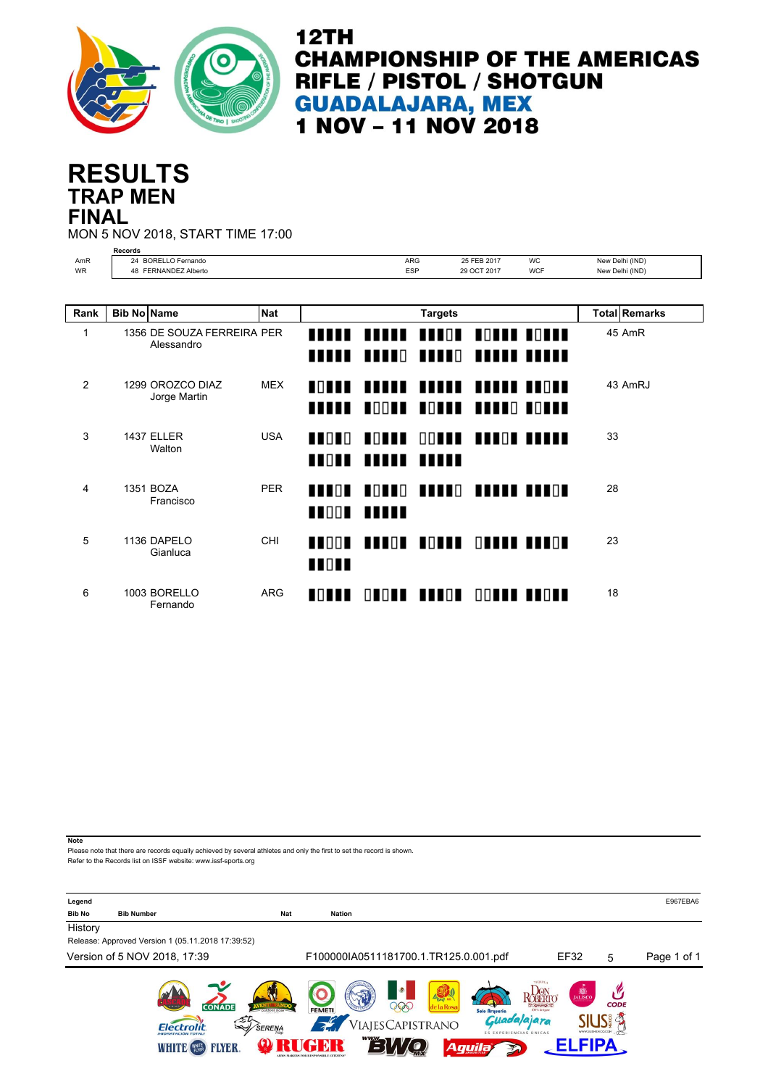

### **TRAP MEN RESULTS FINAL**

MON 5 NOV 2018, START TIME 17:00

|                | <b>Records</b>                           |            |                                |                                    |                            |                                    |                                        |                      |
|----------------|------------------------------------------|------------|--------------------------------|------------------------------------|----------------------------|------------------------------------|----------------------------------------|----------------------|
| AmR            | 24 BORELLO Fernando                      | ARG        |                                | 25 FEB 2017                        | <b>WC</b>                  | New Delhi (IND)<br>New Delhi (IND) |                                        |                      |
| <b>WR</b>      | 48 FERNANDEZ Alberto                     | ESP        |                                | 29 OCT 2017                        | <b>WCF</b>                 |                                    |                                        |                      |
|                |                                          |            |                                |                                    |                            |                                    |                                        |                      |
| Rank           | <b>Bib No Name</b>                       | <b>Nat</b> |                                |                                    | <b>Targets</b>             |                                    |                                        | <b>Total Remarks</b> |
| 1              | 1356 DE SOUZA FERREIRA PER<br>Alessandro |            | ,,,,,<br>IIII                  | ,,,,,,<br><b>THTD</b>              | <b>THEF</b><br><b>THTD</b> |                                    | <b>TOTTE TOTTE</b><br><b>THIL HILL</b> | 45 AmR               |
| $\overline{2}$ | 1299 OROZCO DIAZ<br>Jorge Martin         | <b>MEX</b> | HOT TI<br>.                    | ,,,,,,<br>$\blacksquare$           | <b>TOTTE</b>               |                                    | HITO TOTTI                             | 43 AmRJ              |
| 3              | <b>1437 ELLER</b><br>Walton              | <b>USA</b> | $\blacksquare$<br><b>TIOTI</b> | <b>TOTTE</b><br><b>11111 11111</b> |                            | <b>OOKAK KAROK KARAR</b>           |                                        | 33                   |
| 4              | 1351 BOZA<br>Francisco                   | <b>PER</b> | <b>THEFT</b><br>$\blacksquare$ | Ш                                  |                            | HOURD BERRO BREEK BRADE            |                                        | 28                   |
| 5              | 1136 DAPELO<br>Gianluca                  | CHI        | $\blacksquare$<br><b>TIOLI</b> |                                    |                            | THEOR HORRI ORDER BROOK            |                                        | 23                   |
| 6              | 1003 BORELLO<br>Fernando                 | <b>ARG</b> | <b>TOTITI</b>                  | O 0 0 1 1 1 1 0 1                  |                            | <b>OON TO HOME</b>                 |                                        | 18                   |

**Note**

Please note that there are records equally achieved by several athletes and only the first to set the record is shown.

Refer to the Records list on ISSF website: www.issf-sports.org

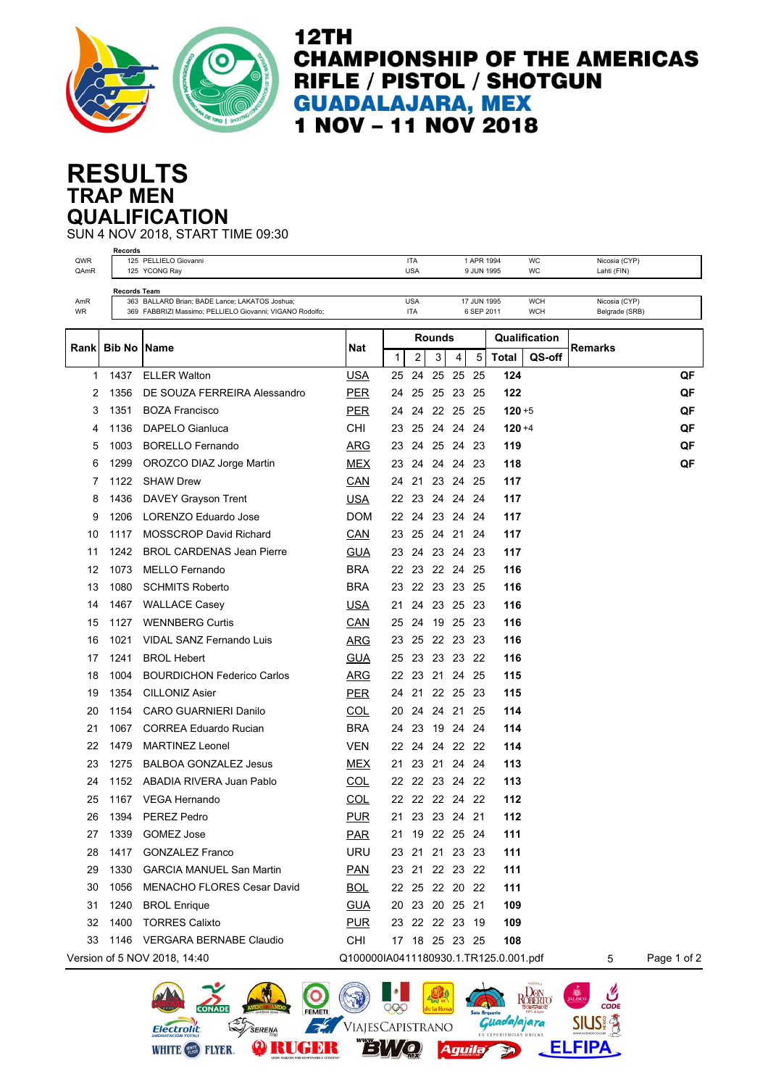

# **TRAP MEN RESULTS QUALIFICATION**

SUN 4 NOV 2018, START TIME 09:30

| QWR<br>QAmR | Records              | 125 PELLIELO Giovanni<br>125 YCONG Ray                   |                                       |    | <b>ITA</b><br><b>USA</b> |             |          | 1 APR 1994<br>9 JUN 1995 |              | WC<br>WC      | Nicosia (CYP)<br>Lahti (FIN) |             |
|-------------|----------------------|----------------------------------------------------------|---------------------------------------|----|--------------------------|-------------|----------|--------------------------|--------------|---------------|------------------------------|-------------|
| AmR         | <b>Records Team</b>  | 363 BALLARD Brian; BADE Lance; LAKATOS Joshua;           |                                       |    | <b>USA</b>               |             |          | 17 JUN 1995              |              | <b>WCH</b>    | Nicosia (CYP)                |             |
| WR          |                      | 369 FABBRIZI Massimo; PELLIELO Giovanni; VIGANO Rodolfo; |                                       |    | ITA                      |             |          | 6 SEP 2011               |              | <b>WCH</b>    | Belgrade (SRB)               |             |
|             |                      |                                                          |                                       |    |                          | Rounds      |          |                          |              | Qualification |                              |             |
| Rankl       | <b>Bib No   Name</b> |                                                          | Nat                                   | 1  | 2                        | 3           | 4        | 5                        | <b>Total</b> | QS-off        | Remarks                      |             |
| 1           | 1437                 | <b>ELLER Walton</b>                                      | <b>USA</b>                            | 25 | 24                       |             | 25 25    | 25                       | 124          |               |                              | QF          |
| 2           | 1356                 | DE SOUZA FERREIRA Alessandro                             | <b>PER</b>                            | 24 | 25                       |             | 25 23    | 25                       | 122          |               |                              | QF          |
| 3           | 1351                 | <b>BOZA Francisco</b>                                    | <b>PER</b>                            | 24 | 24                       |             | 22 25    | - 25                     | $120 + 5$    |               |                              | QF          |
| 4           | 1136                 | DAPELO Gianluca                                          | CHI                                   | 23 | 25                       | 24 24 24    |          |                          | $120 + 4$    |               |                              | QF          |
| 5           | 1003                 | <b>BORELLO Fernando</b>                                  | <b>ARG</b>                            | 23 | 24                       |             | 25 24 23 |                          | 119          |               |                              | QF          |
| 6           | 1299                 | OROZCO DIAZ Jorge Martin                                 | <b>MEX</b>                            | 23 | 24                       |             | 24 24    | 23                       | 118          |               |                              | QF          |
| 7           | 1122                 | <b>SHAW Drew</b>                                         | <b>CAN</b>                            | 24 | 21                       |             | 23 24 25 |                          | 117          |               |                              |             |
| 8           | 1436                 | DAVEY Grayson Trent                                      | <b>USA</b>                            | 22 |                          | 23 24 24 24 |          |                          | 117          |               |                              |             |
| 9           | 1206                 | LORENZO Eduardo Jose                                     | <b>DOM</b>                            | 22 | 24                       |             | 23 24    | - 24                     | 117          |               |                              |             |
| 10          | 1117                 | <b>MOSSCROP David Richard</b>                            | CAN                                   | 23 | 25                       | 24 21       |          | 24                       | 117          |               |                              |             |
| 11          | 1242                 | <b>BROL CARDENAS Jean Pierre</b>                         | <b>GUA</b>                            | 23 |                          | 24 23 24 23 |          |                          | 117          |               |                              |             |
| 12          | 1073                 | <b>MELLO Fernando</b>                                    | BRA                                   | 22 |                          | 23 22 24 25 |          |                          | 116          |               |                              |             |
| 13          | 1080                 | <b>SCHMITS Roberto</b>                                   | <b>BRA</b>                            | 23 |                          | 22 23 23    |          | - 25                     | 116          |               |                              |             |
| 14          | 1467                 | <b>WALLACE Casey</b>                                     | <b>USA</b>                            | 21 | 24                       |             | 23 25    | -23                      | 116          |               |                              |             |
| 15          | 1127                 | <b>WENNBERG Curtis</b>                                   | <b>CAN</b>                            | 25 | 24                       |             | 19 25 23 |                          | 116          |               |                              |             |
| 16          | 1021                 | VIDAL SANZ Fernando Luis                                 | ARG                                   | 23 | 25                       |             | 22 23 23 |                          | 116          |               |                              |             |
| 17          | 1241                 | <b>BROL Hebert</b>                                       | <b>GUA</b>                            | 25 | 23                       | 23 23       |          | - 22                     | 116          |               |                              |             |
| 18          | 1004                 | <b>BOURDICHON Federico Carlos</b>                        | <u>ARG</u>                            | 22 | 23                       | 21 24 25    |          |                          | 115          |               |                              |             |
| 19          | 1354                 | <b>CILLONIZ Asier</b>                                    | <b>PER</b>                            | 24 |                          | 21 22 25 23 |          |                          | 115          |               |                              |             |
| 20          | 1154                 | <b>CARO GUARNIERI Danilo</b>                             | COL                                   | 20 | 24                       | 24 21       |          | 25                       | 114          |               |                              |             |
| 21          | 1067                 | <b>CORREA Eduardo Rucian</b>                             | <b>BRA</b>                            | 24 | 23                       |             | 19 24 24 |                          | 114          |               |                              |             |
| 22          | 1479                 | <b>MARTINEZ Leonel</b>                                   | <b>VEN</b>                            | 22 | 24                       | 24 22 22    |          |                          | 114          |               |                              |             |
| 23          | 1275                 | <b>BALBOA GONZALEZ Jesus</b>                             | <b>MEX</b>                            | 21 |                          | 23 21 24 24 |          |                          | 113          |               |                              |             |
| 24          | 1152                 | ABADIA RIVERA Juan Pablo                                 | COL                                   |    | 22 22 23 24 22           |             |          |                          | 113          |               |                              |             |
| 25          | 1167                 | VEGA Hernando                                            | <u>COL</u>                            | 22 |                          | 22 22 24 22 |          |                          | 112          |               |                              |             |
| 26          | 1394                 | <b>PEREZ Pedro</b>                                       | <b>PUR</b>                            |    | 21 23 23 24 21           |             |          |                          | 112          |               |                              |             |
| 27          | 1339                 | GOMEZ Jose                                               | <u>PAR</u>                            |    | 21 19 22 25 24           |             |          |                          | 111          |               |                              |             |
| 28          | 1417                 | <b>GONZALEZ Franco</b>                                   | URU                                   |    | 23 21 21 23 23           |             |          |                          | 111          |               |                              |             |
| 29          | 1330                 | <b>GARCIA MANUEL San Martin</b>                          | <u>PAN</u>                            |    | 23 21 22 23 22           |             |          |                          | 111          |               |                              |             |
| 30          | 1056                 | MENACHO FLORES Cesar David                               | <b>BOL</b>                            |    | 22 25 22 20 22           |             |          |                          | 111          |               |                              |             |
| 31          |                      | 1240 BROL Enrique                                        | <b>GUA</b>                            |    | 20 23 20 25 21           |             |          |                          | 109          |               |                              |             |
| 32          | 1400                 | <b>TORRES Calixto</b>                                    | <b>PUR</b>                            |    | 23 22 22 23 19           |             |          |                          | 109          |               |                              |             |
| 33          |                      | 1146 VERGARA BERNABE Claudio                             | CHI                                   |    | 17 18 25 23 25           |             |          |                          | 108          |               |                              |             |
|             |                      | Version of 5 NOV 2018, 14:40                             | Q100000IA0411180930.1.TR125.0.001.pdf |    |                          |             |          |                          |              |               | 5                            | Page 1 of 2 |

 $\begin{array}{c} \mathbf{Q} \\ \mathbf{R} \\ \text{de la Rosa} \end{array}$ 

999

VIAJES CAPISTRANO

**ELVO** 

SERENA

**ORUGER** 

**Electrolit** 

WHITE **BEE** FLYER.

ROBERIO

. arqueria<br>Guada/ajara

**Aguila** 

 $\mathcal{C}$ 

**SIUS 秀** 

**ELFIPA**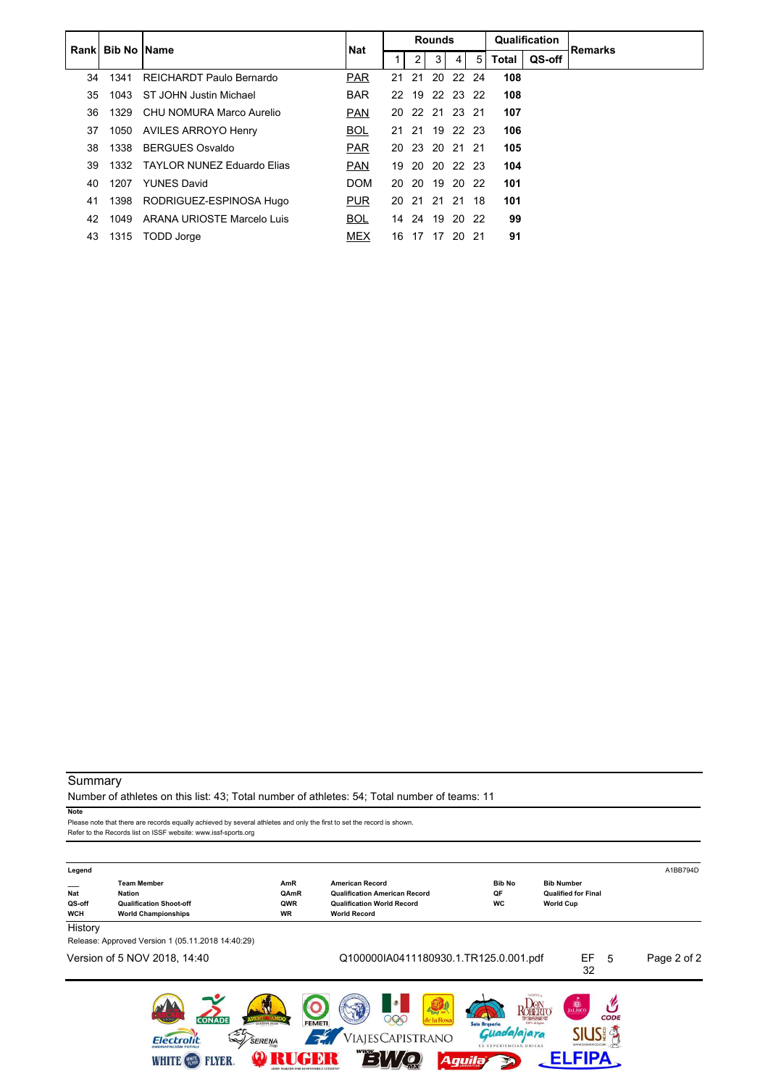|    | Rankl Bib No IName |                                   | <b>Nat</b> |           |                | <b>Rounds</b> |             |     |       | Qualification | Remarks |
|----|--------------------|-----------------------------------|------------|-----------|----------------|---------------|-------------|-----|-------|---------------|---------|
|    |                    |                                   |            |           | $\overline{2}$ | 3             | 4           | 5   | Total | QS-off        |         |
| 34 | 1341               | REICHARDT Paulo Bernardo          | <b>PAR</b> | 21        | 21             |               | 20 22       | -24 | 108   |               |         |
| 35 | 1043               | ST JOHN Justin Michael            | <b>BAR</b> | 22        |                |               | 19 22 23 22 |     | 108   |               |         |
| 36 | 1329               | CHU NOMURA Marco Aurelio          | <b>PAN</b> | <b>20</b> | 22 21 23 21    |               |             |     | 107   |               |         |
| 37 | 1050               | AVILES ARROYO Henry               | <b>BOL</b> | 21        | -21            |               | 19 22 23    |     | 106   |               |         |
| 38 | 1338               | <b>BERGUES Osvaldo</b>            | <b>PAR</b> | <b>20</b> | 23             |               | 20 21 21    |     | 105   |               |         |
| 39 | 1332               | <b>TAYLOR NUNEZ Eduardo Elias</b> | <b>PAN</b> | 19        | 20             |               | 20 22 23    |     | 104   |               |         |
| 40 | 1207               | <b>YUNES David</b>                | <b>DOM</b> | 20        | -20            | 19            | 20 22       |     | 101   |               |         |
| 41 | 1398               | RODRIGUEZ-ESPINOSA Hugo           | <b>PUR</b> | 20        | 21 21 21       |               |             | 18  | 101   |               |         |
| 42 | 1049               | ARANA URIOSTE Marcelo Luis        | <b>BOL</b> | 14        | 24             | 19            | 20 22       |     | 99    |               |         |
| 43 | 1315               | TODD Jorge                        | <b>MEX</b> | 16        | 17             | 17            | 20          | -21 | 91    |               |         |

Number of athletes on this list: 43; Total number of athletes: 54; Total number of teams: 11

**Note**

Please note that there are records equally achieved by several athletes and only the first to set the record is shown. Refer to the Records list on ISSF website: www.issf-sports.org

| Legend                             |                                                                                                     |                                |                                                                                                                            |                                   |                                                                     | A1BB794D    |
|------------------------------------|-----------------------------------------------------------------------------------------------------|--------------------------------|----------------------------------------------------------------------------------------------------------------------------|-----------------------------------|---------------------------------------------------------------------|-------------|
| <b>Nat</b><br>QS-off<br><b>WCH</b> | <b>Team Member</b><br><b>Nation</b><br><b>Qualification Shoot-off</b><br><b>World Championships</b> | AmR<br>QAmR<br>QWR<br>WR       | <b>American Record</b><br><b>Qualification American Record</b><br><b>Qualification World Record</b><br><b>World Record</b> | <b>Bib No</b><br>QF<br><b>WC</b>  | <b>Bib Number</b><br><b>Qualified for Final</b><br><b>World Cup</b> |             |
| History                            |                                                                                                     |                                |                                                                                                                            |                                   |                                                                     |             |
|                                    | Release: Approved Version 1 (05.11.2018 14:40:29)                                                   |                                |                                                                                                                            |                                   |                                                                     |             |
|                                    | Version of 5 NOV 2018, 14:40                                                                        |                                | Q100000IA0411180930.1.TR125.0.001.pdf                                                                                      |                                   | EF<br>-5<br>32                                                      | Page 2 of 2 |
|                                    | <b>CONADE</b>                                                                                       | <b>FEMETI</b><br>outdoor store | <b>FANT NR</b><br>DOC<br>de la Rosa                                                                                        | Solo Arqueria                     | <b>B</b><br>JALISCO<br><b>CODE</b><br>$-5000$<br>00% de Autre       |             |
|                                    | <b>Flectrolit</b>                                                                                   | SERENA                         | ViajesCapistrano                                                                                                           | ajajara<br>ES EXPERIENCIAS ÚNICAS | WWW.SIUSMEXICO.COM                                                  |             |
|                                    | <b>LYER</b><br><b>WHITE</b><br>WHITE                                                                |                                |                                                                                                                            | Aguila                            |                                                                     |             |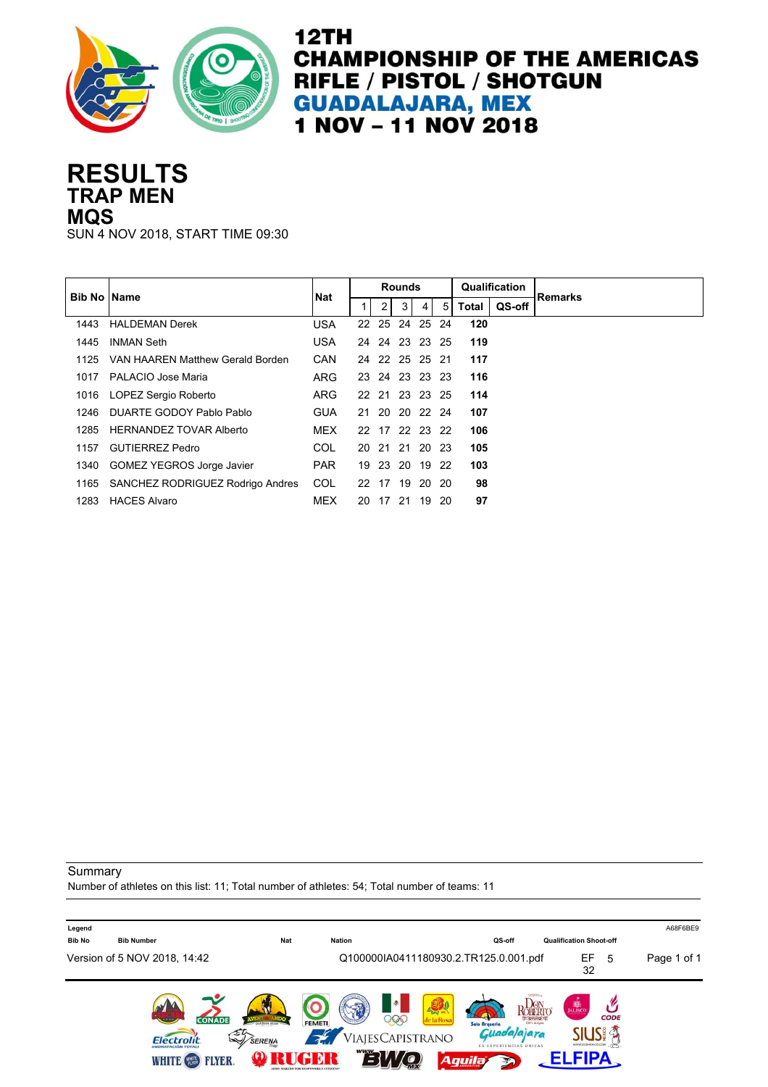

#### **TRAP MEN RESULTS MQS**

SUN 4 NOV 2018, START TIME 09:30

|      | <b>Bib No IName</b>              | <b>Nat</b> |    |                | <b>Rounds</b> |    |       |       | Qualification | <b>Remarks</b> |
|------|----------------------------------|------------|----|----------------|---------------|----|-------|-------|---------------|----------------|
|      |                                  |            |    | 2              | 3             | 4  | 5     | Total | QS-off        |                |
| 1443 | <b>HALDEMAN Derek</b>            | <b>USA</b> |    | 22 25 24 25 24 |               |    |       | 120   |               |                |
| 1445 | <b>INMAN Seth</b>                | <b>USA</b> |    | 24 24 23 23 25 |               |    |       | 119   |               |                |
| 1125 | VAN HAAREN Matthew Gerald Borden | <b>CAN</b> |    | 24 22 25 25 21 |               |    |       | 117   |               |                |
| 1017 | PALACIO Jose Maria               | <b>ARG</b> |    | 23 24 23 23 23 |               |    |       | 116   |               |                |
| 1016 | LOPEZ Sergio Roberto             | <b>ARG</b> |    | 22 21 23 23 25 |               |    |       | 114   |               |                |
| 1246 | DUARTE GODOY Pablo Pablo         | <b>GUA</b> |    | 21 20 20 22 24 |               |    |       | 107   |               |                |
| 1285 | <b>HERNANDEZ TOVAR Alberto</b>   | MEX        |    | 22 17 22 23 22 |               |    |       | 106   |               |                |
| 1157 | <b>GUTIERREZ Pedro</b>           | <b>COL</b> |    | 20 21 21 20 23 |               |    |       | 105   |               |                |
| 1340 | <b>GOMEZ YEGROS Jorge Javier</b> | <b>PAR</b> | 19 | 23 20 19 22    |               |    |       | 103   |               |                |
| 1165 | SANCHEZ RODRIGUEZ Rodrigo Andres | <b>COL</b> |    | 22 17          | 19            |    | 20 20 | 98    |               |                |
| 1283 | <b>HACES Alvaro</b>              | <b>MEX</b> | 20 | 17             | 21            | 19 | -20   | 97    |               |                |

**Summary** 

Number of athletes on this list: 11; Total number of athletes: 54; Total number of teams: 11

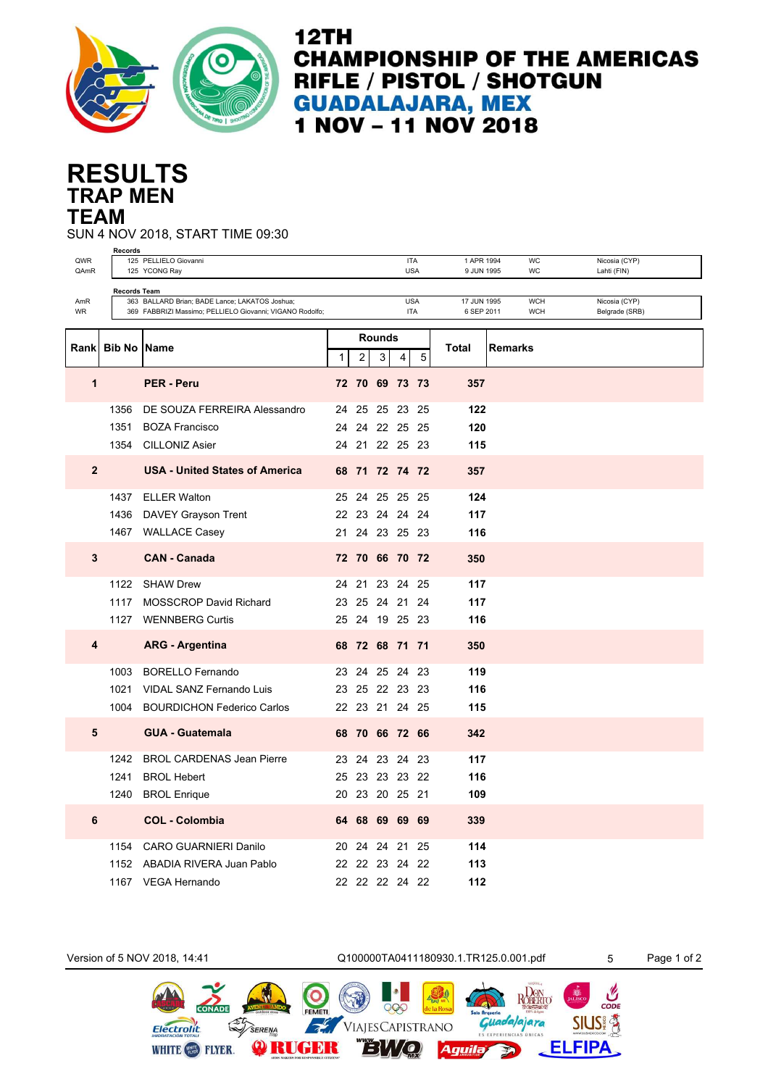

## **TRAP MEN RESULTS TEAM**

SUN 4 NOV 2018, START TIME 09:30

| QWR<br>QAmR    | Records             | 125 PELLIELO Giovanni<br>125 YCONG Ray                                                                     |              |   |               | <b>ITA</b><br><b>USA</b> |   | 1 APR 1994<br>9 JUN 1995  |                | WC<br>WC                 | Nicosia (CYP)<br>Lahti (FIN)    |
|----------------|---------------------|------------------------------------------------------------------------------------------------------------|--------------|---|---------------|--------------------------|---|---------------------------|----------------|--------------------------|---------------------------------|
|                | <b>Records Team</b> |                                                                                                            |              |   |               |                          |   |                           |                |                          |                                 |
| AmR<br>WR      |                     | 363 BALLARD Brian; BADE Lance; LAKATOS Joshua;<br>369 FABBRIZI Massimo; PELLIELO Giovanni; VIGANO Rodolfo; |              |   |               | <b>USA</b><br><b>ITA</b> |   | 17 JUN 1995<br>6 SEP 2011 |                | <b>WCH</b><br><b>WCH</b> | Nicosia (CYP)<br>Belgrade (SRB) |
|                |                     |                                                                                                            |              |   | <b>Rounds</b> |                          |   |                           |                |                          |                                 |
| Rankl          | <b>Bib No IName</b> |                                                                                                            | $\mathbf{1}$ | 2 | 3             | $\overline{4}$           | 5 | Total                     | <b>Remarks</b> |                          |                                 |
| 1              |                     | <b>PER - Peru</b>                                                                                          |              |   |               | 72 70 69 73 73           |   | 357                       |                |                          |                                 |
|                | 1356                | DE SOUZA FERREIRA Alessandro                                                                               |              |   |               | 24 25 25 23 25           |   | 122                       |                |                          |                                 |
|                | 1351                | <b>BOZA Francisco</b>                                                                                      |              |   |               | 24 24 22 25 25           |   | 120                       |                |                          |                                 |
|                |                     | 1354 CILLONIZ Asier                                                                                        |              |   |               | 24 21 22 25 23           |   | 115                       |                |                          |                                 |
| $\overline{2}$ |                     | <b>USA - United States of America</b>                                                                      |              |   |               | 68 71 72 74 72           |   | 357                       |                |                          |                                 |
|                | 1437                | <b>ELLER Walton</b>                                                                                        |              |   |               | 25 24 25 25 25           |   | 124                       |                |                          |                                 |
|                |                     | 1436 DAVEY Grayson Trent                                                                                   |              |   |               | 22 23 24 24 24           |   | 117                       |                |                          |                                 |
|                |                     | 1467 WALLACE Casey                                                                                         |              |   |               | 21 24 23 25 23           |   | 116                       |                |                          |                                 |
| 3              |                     | <b>CAN - Canada</b>                                                                                        |              |   |               | 72 70 66 70 72           |   | 350                       |                |                          |                                 |
|                | 1122                | <b>SHAW Drew</b>                                                                                           |              |   |               | 24 21 23 24 25           |   | 117                       |                |                          |                                 |
|                | 1117                | <b>MOSSCROP David Richard</b>                                                                              | 23           |   |               | 25 24 21 24              |   | 117                       |                |                          |                                 |
|                |                     | 1127 WENNBERG Curtis                                                                                       |              |   |               | 25 24 19 25 23           |   | 116                       |                |                          |                                 |
| 4              |                     | <b>ARG - Argentina</b>                                                                                     |              |   |               | 68 72 68 71 71           |   | 350                       |                |                          |                                 |
|                | 1003                | <b>BORELLO Fernando</b>                                                                                    |              |   |               | 23 24 25 24 23           |   | 119                       |                |                          |                                 |
|                | 1021                | VIDAL SANZ Fernando Luis                                                                                   | 23           |   |               | 25 22 23 23              |   | 116                       |                |                          |                                 |
|                | 1004                | <b>BOURDICHON Federico Carlos</b>                                                                          |              |   |               | 22 23 21 24 25           |   | 115                       |                |                          |                                 |
| 5              |                     | <b>GUA - Guatemala</b>                                                                                     |              |   |               | 68 70 66 72 66           |   | 342                       |                |                          |                                 |
|                | 1242                | <b>BROL CARDENAS Jean Pierre</b>                                                                           |              |   |               | 23 24 23 24 23           |   | 117                       |                |                          |                                 |
|                | 1241                | <b>BROL Hebert</b>                                                                                         |              |   |               | 25 23 23 23 22           |   | 116                       |                |                          |                                 |
|                |                     | 1240 BROL Enrique                                                                                          |              |   |               | 20 23 20 25 21           |   | 109                       |                |                          |                                 |
| 6              |                     | <b>COL - Colombia</b>                                                                                      |              |   |               | 64 68 69 69 69           |   | 339                       |                |                          |                                 |
|                | 1154                | <b>CARO GUARNIERI Danilo</b>                                                                               |              |   |               | 20 24 24 21 25           |   | 114                       |                |                          |                                 |
|                | 1152                | ABADIA RIVERA Juan Pablo                                                                                   |              |   |               | 22 22 23 24 22           |   | 113                       |                |                          |                                 |
|                |                     | 1167 VEGA Hernando                                                                                         |              |   |               | 22 22 22 24 22           |   | 112                       |                |                          |                                 |

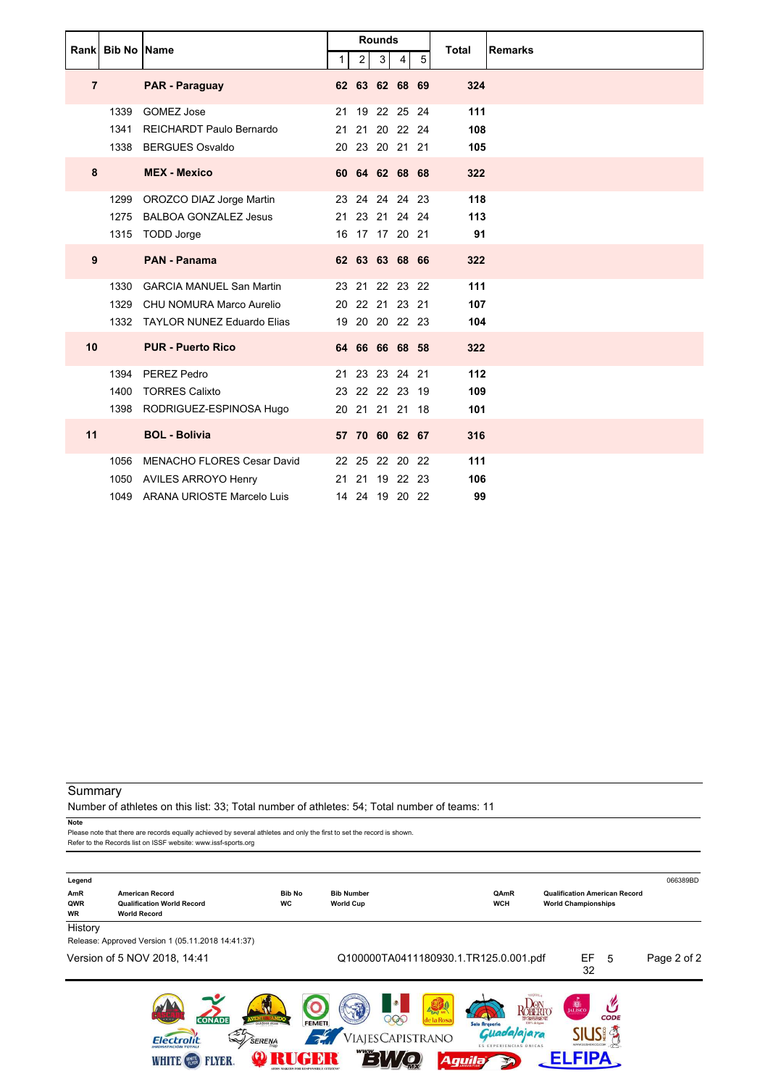| Rank           | <b>Bib No Name</b> |                                   |    |                | <b>Rounds</b>  |   |                | <b>Total</b> | <b>Remarks</b> |
|----------------|--------------------|-----------------------------------|----|----------------|----------------|---|----------------|--------------|----------------|
|                |                    |                                   | 1  | $\overline{2}$ | 3 <sup>1</sup> | 4 | 5 <sup>1</sup> |              |                |
| $\overline{7}$ |                    | <b>PAR - Paraguay</b>             |    |                | 62 63 62 68 69 |   |                | 324          |                |
|                | 1339               | <b>GOMEZ Jose</b>                 | 21 |                | 19 22 25 24    |   |                | 111          |                |
|                | 1341               | <b>REICHARDT Paulo Bernardo</b>   | 21 |                | 21 20 22 24    |   |                | 108          |                |
|                | 1338               | <b>BERGUES Osvaldo</b>            |    |                | 20 23 20 21 21 |   |                | 105          |                |
| 8              |                    | <b>MEX - Mexico</b>               |    |                | 60 64 62 68 68 |   |                | 322          |                |
|                | 1299               | OROZCO DIAZ Jorge Martin          |    |                | 23 24 24 24 23 |   |                | 118          |                |
|                | 1275               | <b>BALBOA GONZALEZ Jesus</b>      |    |                | 21 23 21 24 24 |   |                | 113          |                |
|                | 1315               | TODD Jorge                        |    |                | 16 17 17 20 21 |   |                | 91           |                |
| 9              |                    | <b>PAN - Panama</b>               |    |                | 62 63 63 68 66 |   |                | 322          |                |
|                | 1330               | <b>GARCIA MANUEL San Martin</b>   |    |                | 23 21 22 23 22 |   |                | 111          |                |
|                | 1329               | CHU NOMURA Marco Aurelio          |    |                | 20 22 21 23 21 |   |                | 107          |                |
|                | 1332               | TAYLOR NUNEZ Eduardo Elias        |    |                | 19 20 20 22 23 |   |                | 104          |                |
| 10             |                    | <b>PUR - Puerto Rico</b>          |    |                | 64 66 66 68 58 |   |                | 322          |                |
|                | 1394               | PEREZ Pedro                       |    |                | 21 23 23 24 21 |   |                | 112          |                |
|                | 1400               | <b>TORRES Calixto</b>             |    |                | 23 22 22 23 19 |   |                | 109          |                |
|                | 1398               | RODRIGUEZ-ESPINOSA Hugo           |    |                | 20 21 21 21 18 |   |                | 101          |                |
| 11             |                    | <b>BOL - Bolivia</b>              |    |                | 57 70 60 62 67 |   |                | 316          |                |
|                | 1056               | <b>MENACHO FLORES Cesar David</b> |    |                | 22 25 22 20 22 |   |                | 111          |                |
|                | 1050               | AVILES ARROYO Henry               |    |                | 21 21 19 22 23 |   |                | 106          |                |
|                |                    | 1049 ARANA URIOSTE Marcelo Luis   |    |                | 14 24 19 20 22 |   |                | 99           |                |

Number of athletes on this list: 33; Total number of athletes: 54; Total number of teams: 11

**Note**

Please note that there are records equally achieved by several athletes and only the first to set the record is shown. Refer to the Records list on ISSF website: www.issf-sports.org

| Legend<br>AmR<br>QWR<br><b>WR</b> | <b>American Record</b><br><b>Qualification World Record</b><br><b>World Record</b>    | <b>Bib No</b><br><b>WC</b>     | <b>Bib Number</b><br><b>World Cup</b> |                                                         | QAmR<br><b>WCH</b>                                                                                     | <b>Qualification American Record</b><br><b>World Championships</b> | 066389BD    |
|-----------------------------------|---------------------------------------------------------------------------------------|--------------------------------|---------------------------------------|---------------------------------------------------------|--------------------------------------------------------------------------------------------------------|--------------------------------------------------------------------|-------------|
| History                           |                                                                                       |                                |                                       |                                                         |                                                                                                        |                                                                    |             |
|                                   | Release: Approved Version 1 (05.11.2018 14:41:37)<br>Version of 5 NOV 2018, 14:41     |                                |                                       |                                                         | Q100000TA0411180930.1.TR125.0.001.pdf                                                                  | EF<br>5<br>32                                                      | Page 2 of 2 |
|                                   | <b>CONADE</b><br>SERENA<br><b>Flectrolit</b><br><b>FLYER</b><br>WHITE<br><b>WHITE</b> | <b>FEMETI</b><br>outdoor store |                                       | <b>DOWN</b> NR<br>DOC<br>de la Rosa<br>VIAJESCAPISTRANO | ROBERTO<br>$\sqrt{C}$<br>Solo Arqueria<br>00% de Autre<br>dalajara<br>ES EXPERIENCIAS ÚNICAS<br>Aguila | <b>DE</b><br><b>CODE</b><br>WWW.SIUSHEXICO.COM                     |             |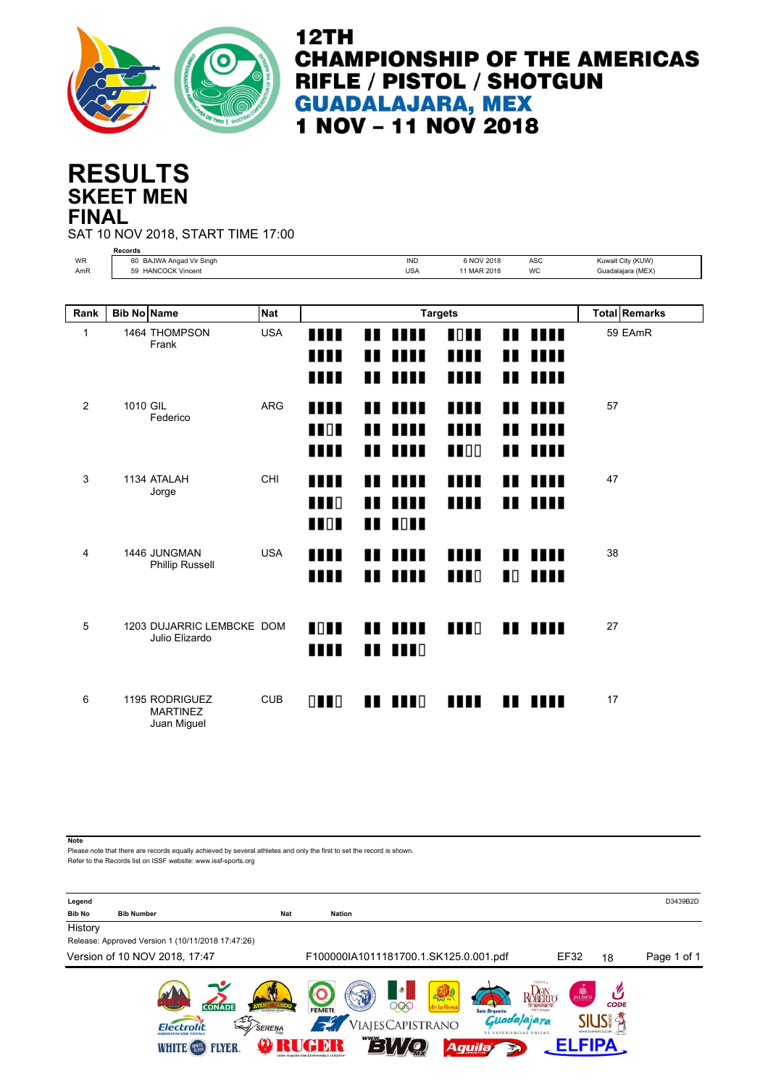

### **SKEET MEN RESULTS FINAL**

SAT 10 NOV 2018, START TIME 17:00

|                  | <b>Records</b>                                   |            |                                       |                         |                            |                                   |             |                            |                                        |  |
|------------------|--------------------------------------------------|------------|---------------------------------------|-------------------------|----------------------------|-----------------------------------|-------------|----------------------------|----------------------------------------|--|
| <b>WR</b><br>AmR | 60 BAJWA Angad Vir Singh<br>59 HANCOCK Vincent   |            |                                       |                         | <b>IND</b><br><b>USA</b>   | 6 NOV 2018<br>11 MAR 2018         |             | ASC<br><b>WC</b>           | Kuwait City (KUW)<br>Guadalajara (MEX) |  |
|                  |                                                  |            |                                       |                         |                            |                                   |             |                            |                                        |  |
| Rank             | <b>Bib No Name</b>                               | <b>Nat</b> |                                       |                         |                            | <b>Targets</b>                    |             |                            | <b>Total Remarks</b>                   |  |
| $\mathbf{1}$     | 1464 THOMPSON<br>Frank                           | <b>USA</b> | ш<br>Ш<br>m                           | Ш                       | . .<br>IIII<br>11 1111     | <b>TOTT</b><br>,,,,<br>1 I I I    | <br>∎∎      | <b>THE</b><br>.<br>11 1111 | 59 EAmR                                |  |
| 2                | 1010 GIL<br>Federico                             | <b>ARG</b> | Ш<br>$\blacksquare$<br><b>THE</b>     | Ш<br>$\blacksquare$<br> | .<br>m<br>11 I I           | ,,,,<br>1 I I I<br>$\blacksquare$ | ∎<br>Ш<br>Ш | <br>Ш<br><b>THE</b>        | 57                                     |  |
| 3                | 1134 ATALAH<br>Jorge                             | CHI        | Ш<br>$\blacksquare$<br>$\blacksquare$ | ∎∎<br>Ш                 | 11 MH<br>Ш<br><b>I</b> OHI | <b>THE</b><br>Ш                   |             | 11 MH<br>11 1111           | 47                                     |  |
| 4                | 1446 JUNGMAN<br><b>Phillip Russell</b>           | <b>USA</b> | HH<br>HH                              | ∎<br>ш                  | <br>,,,,,                  | 11 I I<br>$\blacksquare$          | <br>∎⊡      | ----<br><b>THE</b>         | 38                                     |  |
| 5                | 1203 DUJARRIC LEMBCKE DOM<br>Julio Elizardo      |            | H Q H L<br><b>THE</b>                 |                         | <br><b>THE READ</b>        | <b>TTT</b>                        |             | 11 1111                    | 27                                     |  |
| 6                | 1195 RODRIGUEZ<br><b>MARTINEZ</b><br>Juan Miguel | <b>CUB</b> | $\Box$                                |                         | <b>TI 1110</b>             | ,,,,,                             |             | ----                       | 17                                     |  |

**Note**

Please note that there are records equally achieved by several athletes and only the first to set the record is shown.

Refer to the Records list on ISSF website: www.issf-sports.org

| Legend        |                                                                                                               |                           |               |                                                                                                      |                                                                        |                                                               |                     | D3439B2D    |
|---------------|---------------------------------------------------------------------------------------------------------------|---------------------------|---------------|------------------------------------------------------------------------------------------------------|------------------------------------------------------------------------|---------------------------------------------------------------|---------------------|-------------|
| <b>Bib No</b> | <b>Bib Number</b>                                                                                             | Nat                       | <b>Nation</b> |                                                                                                      |                                                                        |                                                               |                     |             |
| History       |                                                                                                               |                           |               |                                                                                                      |                                                                        |                                                               |                     |             |
|               | Release: Approved Version 1 (10/11/2018 17:47:26)                                                             |                           |               |                                                                                                      |                                                                        |                                                               |                     |             |
|               | Version of 10 NOV 2018, 17:47                                                                                 |                           |               | F100000IA1011181700.1.SK125.0.001.pdf                                                                |                                                                        | <b>EF32</b>                                                   | 18                  | Page 1 of 1 |
|               | <b>CONADE</b><br>A M M D<br><b>Flectrolit</b><br><b>IHIDRATACIÓN TOTAL</b><br><b>FLYER.</b><br><b>WHITE (</b> | outdoor store -<br>SERENA | <b>FEMETI</b> | ۸<br>$\frac{1}{2}$<br>206<br>la Rosa<br>VIAJESCAPISTRANO<br>$V_{\rm{C}}$<br>$\overline{\phantom{0}}$ | <b>Solo Arqueria</b><br><b>ES EXPERIENCIAS ÚNICAS</b><br>Aguila<br>-52 | <b>DE</b><br>ROBERTO<br><i>lalajara</i><br>WWW.SIUSMEXICO.COM | <b>CODE</b><br>FIPA |             |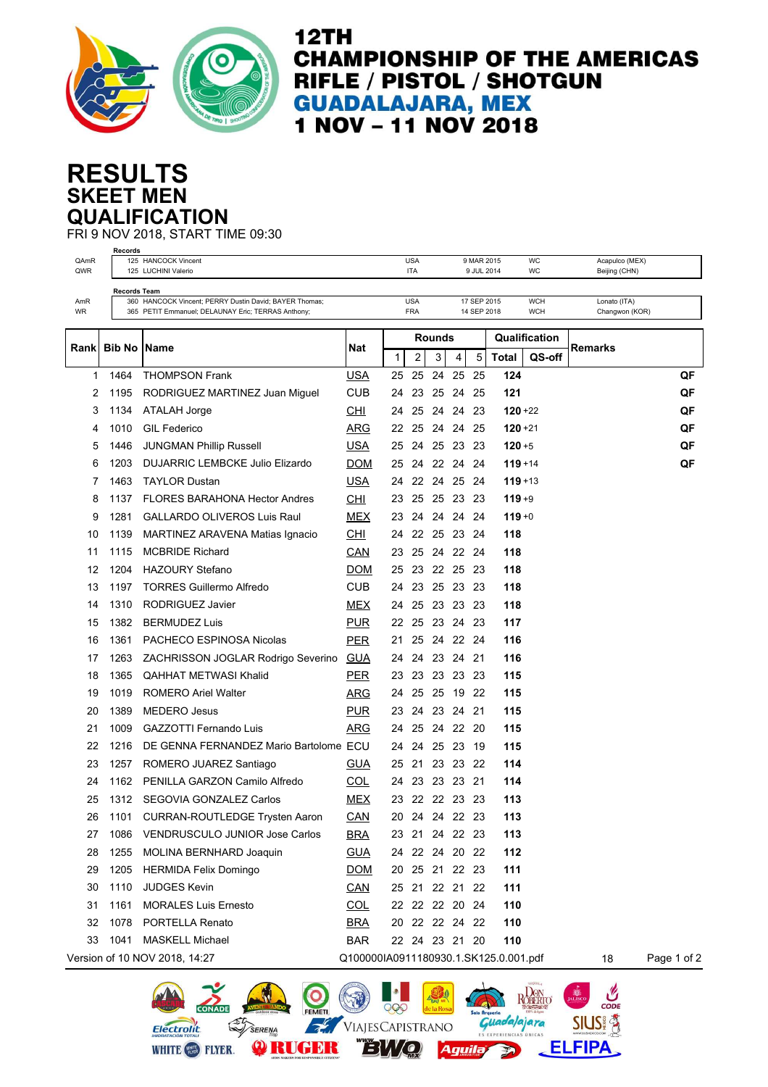

# **SKEET MEN RESULTS QUALIFICATION**

FRI 9 NOV 2018, START TIME 09:30 **Records** QAmR 125 HANCOCK Vincent CHANGER 2015 USA 9 MAR 2015 WC Acapulco (MEX) QWR 125 LUCHINI Valerio ITA 9 JUL 2014 WC Beijing (CHN) **Records Team** AmR 360 HANCOCK Vincent; PERRY Dustin David; BAYER Thomas; USA 17 SEP 2015 WCH Lonato (ITA) WR 365 PETIT Emmanuel; DELAUNAY Eric; TERRAS Anthony; FRA 14 SEP 2018 WCH **Qualification Total Bib No Name Nat Rounds** Rank **Rank Remarks Remarks Remarks Remarks Remarks** 1 2 3 4 5 **Total QS-off** 1 1464 THOMPSON Frank USA 25 25 24 25 25 **124 QF** 2 1195 RODRIGUEZ MARTINEZ Juan Miguel CUB 24 23 25 24 25 **121 QF** 3 1134 ATALAH Jorge CHI 24 25 24 24 23 **120** +22 **QF** 4 1010 GIL Federico ARG 22 25 24 24 25 **120** +21 **QF** 5 1446 JUNGMAN Phillip Russell USA 25 24 25 23 23 **120** +5 **QF** 6 1203 DUJARRIC LEMBCKE Julio Elizardo DOM 25 24 22 24 24 **119** +14 **QF** 7 1463 TAYLOR Dustan USA 24 22 24 25 24 **119** +13 8 1137 FLORES BARAHONA Hector Andres CHI 23 25 25 23 23 **119** +9 9 1281 GALLARDO OLIVEROS Luis Raul MEX 23 24 24 24 24 **119** +0 10 1139 MARTINEZ ARAVENA Matias Ignacio CHI 24 22 25 23 24 **118** 11 1115 MCBRIDE Richard CAN 23 25 24 22 24 **118** 12 1204 HAZOURY Stefano DOM 25 23 22 25 23 **118** 13 1197 TORRES Guillermo Alfredo CUB 24 23 25 23 23 **118** 14 1310 RODRIGUEZ Javier MEX 24 25 23 23 23 **118** 15 1382 BERMUDEZ Luis PUR 22 25 23 24 23 **117** 16 1361 PACHECO ESPINOSA Nicolas PER 21 25 24 22 24 **116** 17 1263 ZACHRISSON JOGLAR Rodrigo Severino GUA 24 24 23 24 21 **116**

18 1365 QAHHAT METWASI Khalid PER 23 23 23 23 23 **115** 19 1019 ROMERO Ariel Walter ARG 24 25 25 19 22 **115** 20 1389 MEDERO Jesus PUR 23 24 23 24 21 **115** 21 1009 GAZZOTTI Fernando Luis ARG 24 25 24 22 20 **115** 22 1216 DE GENNA FERNANDEZ Mario Bartolome ECU 24 24 25 23 19 **115** 23 1257 ROMERO JUAREZ Santiago GUA 25 21 23 23 22 **114** 24 1162 PENILLA GARZON Camilo Alfredo COL 24 23 23 23 21 **114** 25 1312 SEGOVIA GONZALEZ Carlos MEX 23 22 22 23 23 **113** 26 1101 CURRAN-ROUTLEDGE Trysten Aaron CAN 20 24 24 22 23 **113** 27 1086 VENDRUSCULO JUNIOR Jose Carlos BRA 23 21 24 22 23 **113** 28 1255 MOLINA BERNHARD Joaquin GUA 24 22 24 20 22 **112** 29 1205 HERMIDA Felix Domingo DOM 20 25 21 22 23 **111** 30 1110 JUDGES Kevin CAN 25 21 22 21 22 **111** 31 1161 MORALES Luis Ernesto COL 22 22 22 20 24 **110** 32 1078 PORTELLA Renato BRA 20 22 22 24 22 **110** 33 1041 MASKELL Michael BAR 22 24 23 21 20 **110** Version of 10 NOV 2018, 14:27  $Q1000001A0911180930.1.SK125.0.001.pdf$  18 Page 1 of 2  $\mathcal{H}$ ROBERIO 999 Guadalajara **SIUS** VIAJESCAPISTRANO Electrolit SERENA **RUCENR ELFIPA**  $\equiv$   $\sqrt{2}$ **WHITE ( WB**) FLYER Aguila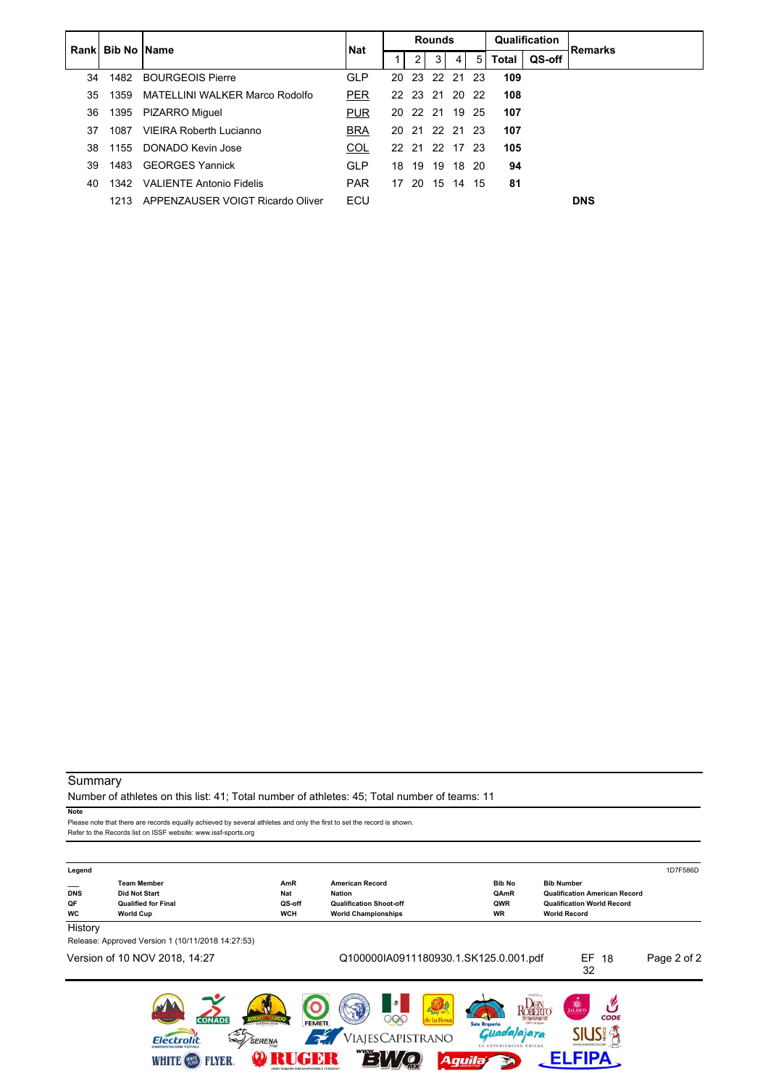| Rankl Bib No IName |      |                                  | <b>Nat</b> |    |    | <b>Rounds</b> |                |                |       | Qualification | Remarks    |
|--------------------|------|----------------------------------|------------|----|----|---------------|----------------|----------------|-------|---------------|------------|
|                    |      |                                  |            |    | 2  | 3             | 4              | 5 <sup>5</sup> | Total | QS-off        |            |
| 34                 | 1482 | <b>BOURGEOIS Pierre</b>          | <b>GLP</b> | 20 | 23 |               | 22 21          | -23            | 109   |               |            |
| 35                 | 1359 | MATELLINI WALKER Marco Rodolfo   | <b>PER</b> |    |    |               | 22 23 21 20 22 |                | 108   |               |            |
| 36                 | 1395 | PIZARRO Miguel                   | <b>PUR</b> |    |    |               | 20 22 21 19 25 |                | 107   |               |            |
| 37                 | 1087 | <b>VIEIRA Roberth Lucianno</b>   | <b>BRA</b> |    |    |               | 20 21 22 21 23 |                | 107   |               |            |
| 38                 | 1155 | DONADO Kevin Jose                | COL        |    |    |               | 22 21 22 17    | -23            | 105   |               |            |
| 39                 | 1483 | <b>GEORGES Yannick</b>           | <b>GLP</b> | 18 | 19 | 19            | 18 20          |                | 94    |               |            |
| 40                 | 1342 | <b>VALIENTE Antonio Fidelis</b>  | <b>PAR</b> | 17 | 20 | 15            | 14             | - 15           | 81    |               |            |
|                    | 1213 | APPENZAUSER VOIGT Ricardo Oliver | ECU        |    |    |               |                |                |       |               | <b>DNS</b> |

Number of athletes on this list: 41; Total number of athletes: 45; Total number of teams: 11 **Note**

Please note that there are records equally achieved by several athletes and only the first to set the record is shown. Refer to the Records list on ISSF website: www.issf-sports.org

| Legend                        |                                                                                              |                                           |                                                                                                         |                                           |                                                                                                                       | 1D7F586D    |
|-------------------------------|----------------------------------------------------------------------------------------------|-------------------------------------------|---------------------------------------------------------------------------------------------------------|-------------------------------------------|-----------------------------------------------------------------------------------------------------------------------|-------------|
| <b>DNS</b><br>QF<br><b>WC</b> | <b>Team Member</b><br><b>Did Not Start</b><br><b>Qualified for Final</b><br><b>World Cup</b> | AmR<br><b>Nat</b><br>QS-off<br><b>WCH</b> | <b>American Record</b><br><b>Nation</b><br><b>Qualification Shoot-off</b><br><b>World Championships</b> | <b>Bib No</b><br>QAmR<br>QWR<br><b>WR</b> | <b>Bib Number</b><br><b>Qualification American Record</b><br><b>Qualification World Record</b><br><b>World Record</b> |             |
| History                       |                                                                                              |                                           |                                                                                                         |                                           |                                                                                                                       |             |
|                               | Release: Approved Version 1 (10/11/2018 14:27:53)                                            |                                           |                                                                                                         |                                           |                                                                                                                       |             |
|                               | Version of 10 NOV 2018, 14:27                                                                |                                           | Q100000IA0911180930.1.SK125.0.001.pdf                                                                   |                                           | EF<br>18<br>32                                                                                                        | Page 2 of 2 |
|                               | <b>CONADE</b><br>outdoor store                                                               | <b>FEMETI</b>                             | <b>PART NR</b><br>200<br>de la Rosa                                                                     | $-6000$<br>Solo Arqueria<br>00% de Autre  | <b>DE</b><br>Ů<br><b>CODE</b>                                                                                         |             |
|                               | <b>SERENA</b><br><b>Flectrolit</b><br><b>IHIDRATACIÓN TOTALI</b>                             |                                           | VIAJESCAPISTRANO                                                                                        | lalajara<br><b>ES EXPERIENCIAS UNICAS</b> | WWW.SIUSMEXICO.COM                                                                                                    |             |
|                               | <b>FLYER</b><br>WHITE<br><b>WHITE</b>                                                        |                                           |                                                                                                         | Aguila                                    |                                                                                                                       |             |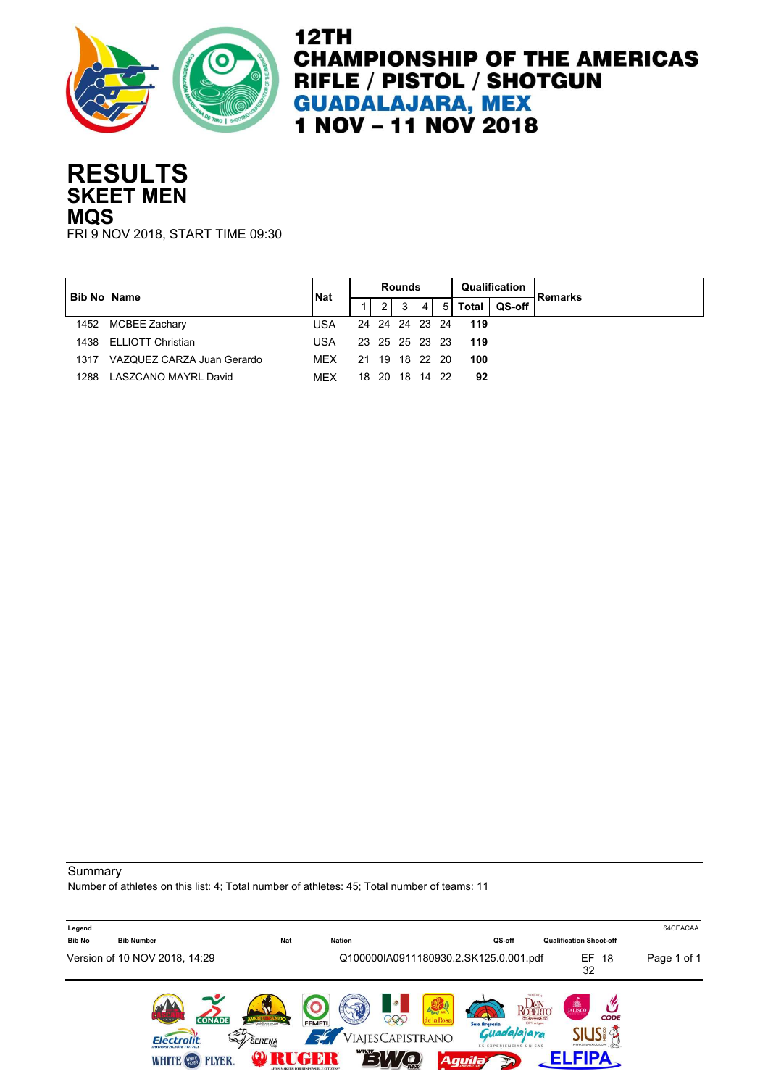

#### **SKEET MEN RESULTS MQS**

FRI 9 NOV 2018, START TIME 09:30

|      | <b>Bib No Name</b>         | <b>Nat</b> |  | <b>Rounds</b> |                |                |       | Qualification | <b>IRemarks</b> |
|------|----------------------------|------------|--|---------------|----------------|----------------|-------|---------------|-----------------|
|      |                            |            |  | 31            | $\overline{4}$ | 5 <sub>l</sub> | Total | QS-off        |                 |
| 1452 | MCBEE Zachary              | USA        |  |               | 24 24 24 23 24 |                | 119   |               |                 |
|      | 1438 ELLIOTT Christian     | USA        |  |               | 23 25 25 23 23 |                | -119  |               |                 |
| 1317 | VAZQUEZ CARZA Juan Gerardo | <b>MEX</b> |  |               | 21 19 18 22 20 |                | 100   |               |                 |
| 1288 | LASZCANO MAYRL David       | MEX        |  |               | 18 20 18 14    | - 22           | 92    |               |                 |

**Summary** 

Number of athletes on this list: 4; Total number of athletes: 45; Total number of teams: 11

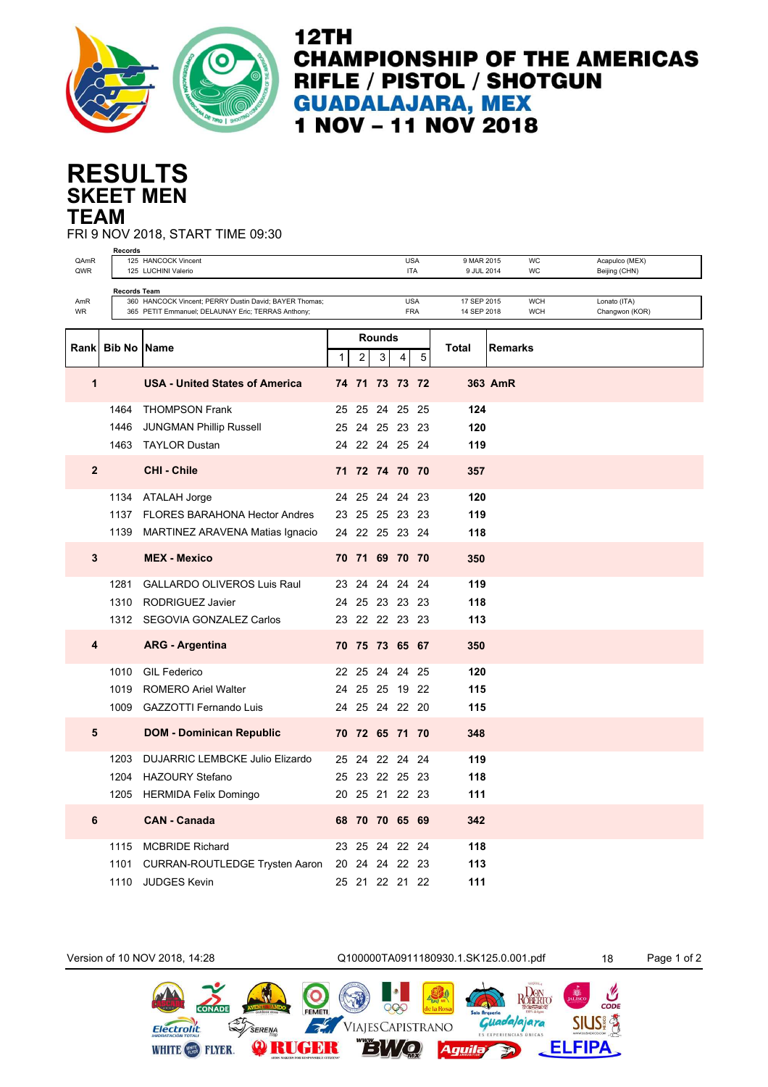

### **SKEET MEN RESULTS TEAM**

FRI 9 NOV 2018, START TIME 09:30

| QAmR           | Records             | 125 HANCOCK Vincent                                    |   |   |               | <b>USA</b>     |   | 9 MAR 2015  |                | <b>WC</b>  | Acapulco (MEX) |
|----------------|---------------------|--------------------------------------------------------|---|---|---------------|----------------|---|-------------|----------------|------------|----------------|
| QWR            |                     | 125 LUCHINI Valerio                                    |   |   |               | <b>ITA</b>     |   | 9 JUL 2014  |                | WC         | Beijing (CHN)  |
|                | <b>Records Team</b> |                                                        |   |   |               |                |   |             |                |            |                |
| AmR            |                     | 360 HANCOCK Vincent; PERRY Dustin David; BAYER Thomas; |   |   |               | <b>USA</b>     |   | 17 SEP 2015 |                | <b>WCH</b> | Lonato (ITA)   |
| <b>WR</b>      |                     | 365 PETIT Emmanuel; DELAUNAY Eric; TERRAS Anthony;     |   |   |               | <b>FRA</b>     |   | 14 SEP 2018 |                | <b>WCH</b> | Changwon (KOR) |
|                |                     |                                                        |   |   | <b>Rounds</b> |                |   |             |                |            |                |
| Rank           | <b>Bib No Name</b>  |                                                        | 1 | 2 | 3             | 4              | 5 | Total       | <b>Remarks</b> |            |                |
|                |                     |                                                        |   |   |               |                |   |             |                |            |                |
| 1              |                     | <b>USA - United States of America</b>                  |   |   |               | 74 71 73 73 72 |   |             | 363 AmR        |            |                |
|                | 1464                | <b>THOMPSON Frank</b>                                  |   |   |               | 25 25 24 25 25 |   | 124         |                |            |                |
|                | 1446                | <b>JUNGMAN Phillip Russell</b>                         |   |   |               | 25 24 25 23 23 |   | 120         |                |            |                |
|                |                     | 1463 TAYLOR Dustan                                     |   |   |               | 24 22 24 25 24 |   | 119         |                |            |                |
|                |                     |                                                        |   |   |               |                |   |             |                |            |                |
| $\overline{2}$ |                     | <b>CHI - Chile</b>                                     |   |   |               | 71 72 74 70 70 |   | 357         |                |            |                |
|                |                     |                                                        |   |   |               |                |   |             |                |            |                |
|                | 1134                | ATALAH Jorge                                           |   |   |               | 24 25 24 24 23 |   | 120         |                |            |                |
|                |                     | 1137 FLORES BARAHONA Hector Andres                     |   |   |               | 23 25 25 23 23 |   | 119         |                |            |                |
|                | 1139                | MARTINEZ ARAVENA Matias Ignacio                        |   |   |               | 24 22 25 23 24 |   | 118         |                |            |                |
| 3              |                     | <b>MEX - Mexico</b>                                    |   |   |               | 70 71 69 70 70 |   | 350         |                |            |                |
|                |                     |                                                        |   |   |               |                |   |             |                |            |                |
|                | 1281                | <b>GALLARDO OLIVEROS Luis Raul</b>                     |   |   |               | 23 24 24 24 24 |   | 119         |                |            |                |
|                | 1310                | RODRIGUEZ Javier                                       |   |   |               | 24 25 23 23 23 |   | 118         |                |            |                |
|                |                     | 1312 SEGOVIA GONZALEZ Carlos                           |   |   |               | 23 22 22 23 23 |   | 113         |                |            |                |
|                |                     |                                                        |   |   |               |                |   |             |                |            |                |
| 4              |                     | <b>ARG - Argentina</b>                                 |   |   |               | 70 75 73 65 67 |   | 350         |                |            |                |
|                | 1010                | <b>GIL Federico</b>                                    |   |   |               | 22 25 24 24 25 |   | 120         |                |            |                |
|                | 1019                | <b>ROMERO Ariel Walter</b>                             |   |   |               | 24 25 25 19 22 |   | 115         |                |            |                |
|                | 1009                | GAZZOTTI Fernando Luis                                 |   |   |               | 24 25 24 22 20 |   | 115         |                |            |                |
|                |                     |                                                        |   |   |               |                |   |             |                |            |                |
| 5              |                     | <b>DOM - Dominican Republic</b>                        |   |   |               | 70 72 65 71 70 |   | 348         |                |            |                |
|                | 1203                | <b>DUJARRIC LEMBCKE Julio Elizardo</b>                 |   |   |               | 25 24 22 24 24 |   | 119         |                |            |                |
|                | 1204                | <b>HAZOURY Stefano</b>                                 |   |   |               | 25 23 22 25 23 |   | 118         |                |            |                |
|                |                     | 1205 HERMIDA Felix Domingo                             |   |   |               | 20 25 21 22 23 |   | 111         |                |            |                |
|                |                     |                                                        |   |   |               |                |   |             |                |            |                |
| 6              |                     | <b>CAN - Canada</b>                                    |   |   |               | 68 70 70 65 69 |   | 342         |                |            |                |
|                |                     |                                                        |   |   |               |                |   |             |                |            |                |
|                | 1115                | <b>MCBRIDE Richard</b>                                 |   |   |               | 23 25 24 22 24 |   | 118         |                |            |                |
|                | 1101                | <b>CURRAN-ROUTLEDGE Trysten Aaron</b>                  |   |   |               | 20 24 24 22 23 |   | 113         |                |            |                |
|                | 1110                | <b>JUDGES Kevin</b>                                    |   |   |               | 25 21 22 21 22 |   | 111         |                |            |                |

Version of 10 NOV 2018, 14:28 <br>
Q100000TA0911180930.1.SK125.0.001.pdf 18 Page 1 of 2  $\frac{v}{\text{CODE}}$ ROBERTO  $QQQ$ Guadalajara **SIUS!** VIAJESCAPISTRANO **Electrolit** SERENA **ORUGER** EV ZO **Aguila ELFIPA** WHITE **(1988** FLYER. 五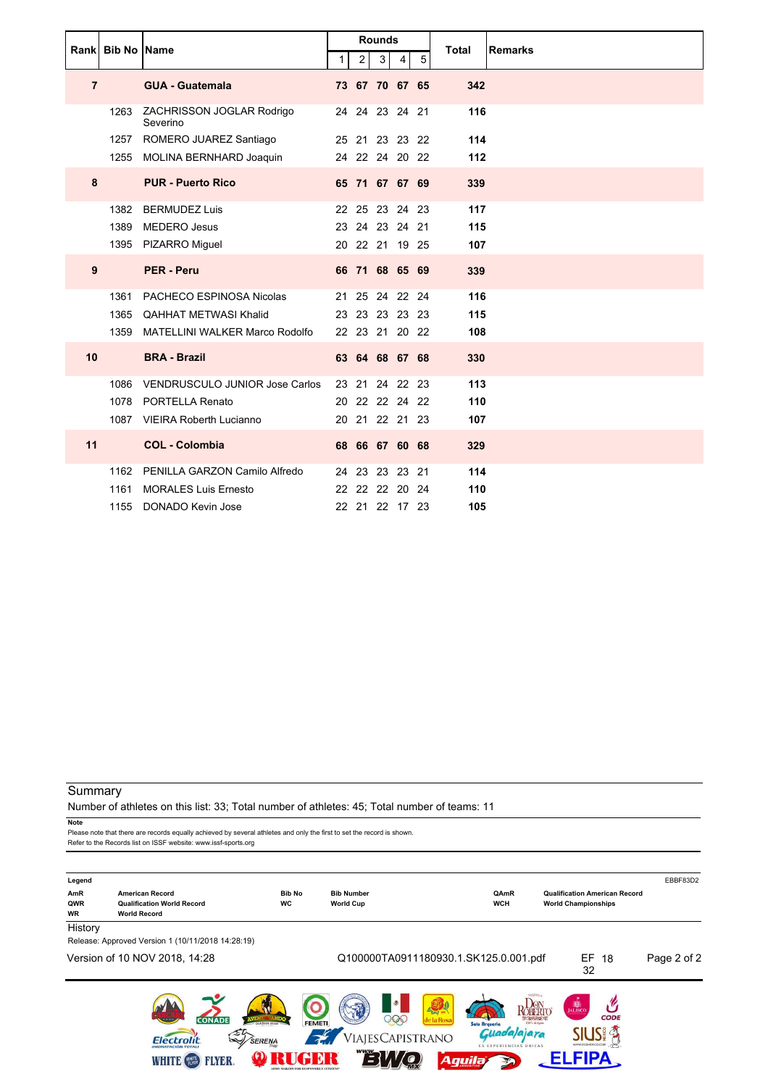|                | <b>Bib No Name</b> |                                       |              |                | <b>Rounds</b> |                |   | <b>Total</b> | <b>Remarks</b> |
|----------------|--------------------|---------------------------------------|--------------|----------------|---------------|----------------|---|--------------|----------------|
| Rank           |                    |                                       | $\mathbf{1}$ | $\overline{2}$ | 3             | 4              | 5 |              |                |
| $\overline{7}$ |                    | <b>GUA - Guatemala</b>                |              |                |               | 73 67 70 67 65 |   | 342          |                |
|                | 1263               | ZACHRISSON JOGLAR Rodrigo<br>Severino |              |                |               | 24 24 23 24 21 |   | 116          |                |
|                |                    | 1257 ROMERO JUAREZ Santiago           |              |                |               | 25 21 23 23 22 |   | 114          |                |
|                |                    | 1255 MOLINA BERNHARD Joaquin          |              |                |               | 24 22 24 20 22 |   | 112          |                |
| 8              |                    | <b>PUR - Puerto Rico</b>              |              |                |               | 65 71 67 67 69 |   | 339          |                |
|                | 1382               | <b>BERMUDEZ Luis</b>                  |              |                |               | 22 25 23 24 23 |   | 117          |                |
|                | 1389               | <b>MEDERO Jesus</b>                   |              |                |               | 23 24 23 24 21 |   | 115          |                |
|                |                    | 1395 PIZARRO Miguel                   |              |                |               | 20 22 21 19 25 |   | 107          |                |
| 9              |                    | <b>PER - Peru</b>                     |              |                |               | 66 71 68 65 69 |   | 339          |                |
|                | 1361               | PACHECO ESPINOSA Nicolas              |              |                |               | 21 25 24 22 24 |   | 116          |                |
|                | 1365               | <b>QAHHAT METWASI Khalid</b>          |              |                |               | 23 23 23 23 23 |   | 115          |                |
|                | 1359               | <b>MATELLINI WALKER Marco Rodolfo</b> |              |                |               | 22 23 21 20 22 |   | 108          |                |
| 10             |                    | <b>BRA - Brazil</b>                   |              |                |               | 63 64 68 67 68 |   | 330          |                |
|                | 1086               | <b>VENDRUSCULO JUNIOR Jose Carlos</b> |              |                |               | 23 21 24 22 23 |   | 113          |                |
|                |                    | 1078 PORTELLA Renato                  |              |                |               | 20 22 22 24 22 |   | 110          |                |
|                |                    | 1087 VIEIRA Roberth Lucianno          |              |                |               | 20 21 22 21 23 |   | 107          |                |
| 11             |                    | <b>COL - Colombia</b>                 |              |                |               | 68 66 67 60 68 |   | 329          |                |
|                |                    | 1162 PENILLA GARZON Camilo Alfredo    |              |                |               | 24 23 23 23 21 |   | 114          |                |
|                | 1161               | <b>MORALES Luis Ernesto</b>           |              |                |               | 22 22 22 20 24 |   | 110          |                |
|                |                    | 1155 DONADO Kevin Jose                |              |                |               | 22 21 22 17 23 |   | 105          |                |

Number of athletes on this list: 33; Total number of athletes: 45; Total number of teams: 11

**Note**

Please note that there are records equally achieved by several athletes and only the first to set the record is shown. Refer to the Records list on ISSF website: www.issf-sports.org

| Legend<br>AmR<br>QWR<br><b>WR</b> | <b>American Record</b><br><b>Qualification World Record</b><br><b>World Record</b>           | <b>Bib No</b><br><b>WC</b> | <b>Bib Number</b><br><b>World Cup</b> |                                                         | QAmR<br><b>WCH</b>                                                                                       | <b>Qualification American Record</b><br><b>World Championships</b> | EBBF83D2    |
|-----------------------------------|----------------------------------------------------------------------------------------------|----------------------------|---------------------------------------|---------------------------------------------------------|----------------------------------------------------------------------------------------------------------|--------------------------------------------------------------------|-------------|
| History                           | Release: Approved Version 1 (10/11/2018 14:28:19)                                            |                            |                                       |                                                         |                                                                                                          |                                                                    |             |
|                                   | Version of 10 NOV 2018, 14:28                                                                |                            |                                       |                                                         | Q100000TA0911180930.1.SK125.0.001.pdf                                                                    | EF<br>18<br>32                                                     | Page 2 of 2 |
|                                   | <b>CONADE</b><br><b>SANDRA</b><br>SERENA<br>Flectrolit<br><b>FLYER</b><br><b>WHITE (FOR)</b> | <b>FEMETI</b>              |                                       | <b>FANT NR</b><br>200<br>de la Rosa<br>VIAJESCAPISTRANO | ROBERTC<br>$\sqrt{2}$<br>Solo Arqueria<br>DO % de Autre<br>ıda/ajara<br>ES EXPERIENCIAS ÚNICAS<br>Aguila | <b>B</b><br><b>CODE</b><br>WWW.SIUSMEXICO.COM                      |             |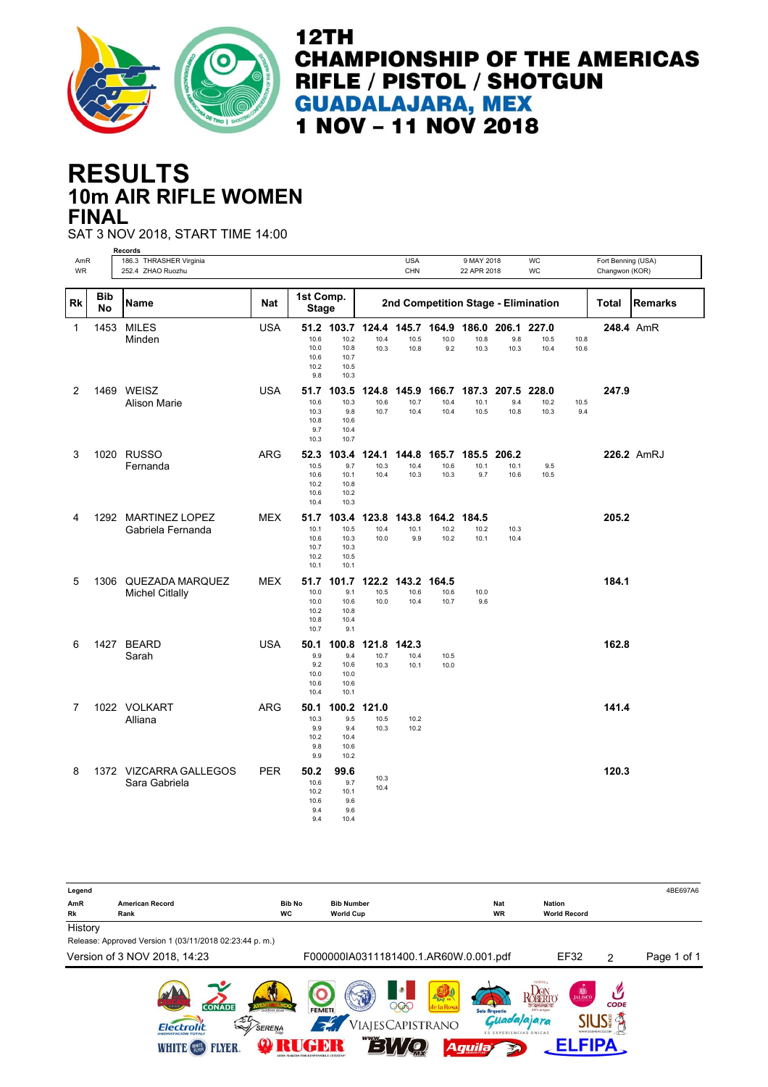

# **10m AIR RIFLE WOMEN RESULTS FINAL**

SAT 3 NOV 2018, START TIME 14:00

|                  |                         | <b>Records</b>                               |            |                                            |                                           |              |                          |              |                           |              |                                     |              |                    |                |
|------------------|-------------------------|----------------------------------------------|------------|--------------------------------------------|-------------------------------------------|--------------|--------------------------|--------------|---------------------------|--------------|-------------------------------------|--------------|--------------------|----------------|
| AmR<br><b>WR</b> |                         | 186.3 THRASHER Virginia<br>252.4 ZHAO Ruozhu |            |                                            |                                           |              | <b>USA</b><br><b>CHN</b> |              | 9 MAY 2018<br>22 APR 2018 |              | <b>WC</b><br><b>WC</b>              |              | Fort Benning (USA) |                |
|                  |                         |                                              |            |                                            |                                           |              |                          |              |                           |              |                                     |              | Changwon (KOR)     |                |
| <b>Rk</b>        | <b>Bib</b><br><b>No</b> | <b>Name</b>                                  | <b>Nat</b> | 1st Comp.<br><b>Stage</b>                  |                                           |              |                          |              |                           |              | 2nd Competition Stage - Elimination |              | <b>Total</b>       | <b>Remarks</b> |
| $\mathbf{1}$     | 1453                    | <b>MILES</b>                                 | <b>USA</b> | 51.2                                       | 103.7                                     | 124.4        |                          | 145.7 164.9  | 186.0                     | 206.1        | 227.0                               |              |                    | 248.4 AmR      |
|                  |                         | Minden                                       |            | 10.6<br>10.0<br>10.6<br>10.2<br>9.8        | 10.2<br>10.8<br>10.7<br>10.5<br>10.3      | 10.4<br>10.3 | 10.5<br>10.8             | 10.0<br>9.2  | 10.8<br>10.3              | 9.8<br>10.3  | 10.5<br>10.4                        | 10.8<br>10.6 |                    |                |
| 2                |                         | 1469 WEISZ                                   | <b>USA</b> | 51.7                                       | 103.5                                     | 124.8        | 145.9                    | 166.7        | 187.3                     | 207.5 228.0  |                                     |              | 247.9              |                |
|                  |                         | <b>Alison Marie</b>                          |            | 10.6<br>10.3<br>10.8<br>9.7<br>10.3        | 10.3<br>9.8<br>10.6<br>10.4<br>10.7       | 10.6<br>10.7 | 10.7<br>10.4             | 10.4<br>10.4 | 10.1<br>10.5              | 9.4<br>10.8  | 10.2<br>10.3                        | 10.5<br>9.4  |                    |                |
| 3                |                         | 1020 RUSSO                                   | ARG        | 52.3                                       | 103.4                                     | 124.1        | 144.8                    | 165.7        | 185.5                     | 206.2        |                                     |              |                    | 226.2 AmRJ     |
|                  |                         | Fernanda                                     |            | 10.5<br>10.6<br>10.2<br>10.6<br>10.4       | 9.7<br>10.1<br>10.8<br>10.2<br>10.3       | 10.3<br>10.4 | 10.4<br>10.3             | 10.6<br>10.3 | 10.1<br>9.7               | 10.1<br>10.6 | 9.5<br>10.5                         |              |                    |                |
| 4                |                         | 1292 MARTINEZ LOPEZ                          | MEX        | 51.7                                       | 103.4                                     | 123.8        | 143.8                    | 164.2 184.5  |                           |              |                                     |              | 205.2              |                |
|                  |                         | Gabriela Fernanda                            |            | 10.1<br>10.6<br>10.7<br>10.2<br>10.1       | 10.5<br>10.3<br>10.3<br>10.5<br>10.1      | 10.4<br>10.0 | 10.1<br>9.9              | 10.2<br>10.2 | 10.2<br>10.1              | 10.3<br>10.4 |                                     |              |                    |                |
| 5                | 1306                    | QUEZADA MARQUEZ                              | <b>MEX</b> | 51.7                                       | 101.7                                     | 122.2        | 143.2                    | 164.5        |                           |              |                                     |              | 184.1              |                |
|                  |                         | <b>Michel Citlally</b>                       |            | 10.0<br>10.0<br>10.2<br>10.8<br>10.7       | 9.1<br>10.6<br>10.8<br>10.4<br>9.1        | 10.5<br>10.0 | 10.6<br>10.4             | 10.6<br>10.7 | 10.0<br>9.6               |              |                                     |              |                    |                |
| 6                |                         | 1427 BEARD                                   | <b>USA</b> | 50.1                                       | 100.8                                     | 121.8        | 142.3                    |              |                           |              |                                     |              | 162.8              |                |
|                  |                         | Sarah                                        |            | 9.9<br>9.2<br>10.0<br>10.6<br>10.4         | 9.4<br>10.6<br>10.0<br>10.6<br>10.1       | 10.7<br>10.3 | 10.4<br>10.1             | 10.5<br>10.0 |                           |              |                                     |              |                    |                |
| 7                |                         | 1022 VOLKART                                 | <b>ARG</b> | 50.1                                       | 100.2                                     | 121.0        |                          |              |                           |              |                                     |              | 141.4              |                |
|                  |                         | Alliana                                      |            | 10.3<br>9.9<br>10.2<br>9.8<br>9.9          | 9.5<br>9.4<br>10.4<br>10.6<br>10.2        | 10.5<br>10.3 | 10.2<br>10.2             |              |                           |              |                                     |              |                    |                |
| 8                |                         | 1372 VIZCARRA GALLEGOS<br>Sara Gabriela      | <b>PER</b> | 50.2<br>10.6<br>10.2<br>10.6<br>9.4<br>9.4 | 99.6<br>9.7<br>10.1<br>9.6<br>9.6<br>10.4 | 10.3<br>10.4 |                          |              |                           |              |                                     |              | 120.3              |                |

| Legend  |                                                                                                                    |               |                   |                                                           |                                                |                                                                                              |             | 4BE697A6    |
|---------|--------------------------------------------------------------------------------------------------------------------|---------------|-------------------|-----------------------------------------------------------|------------------------------------------------|----------------------------------------------------------------------------------------------|-------------|-------------|
| AmR     | <b>American Record</b>                                                                                             | <b>Bib No</b> | <b>Bib Number</b> |                                                           | <b>Nat</b><br><b>WR</b>                        | <b>Nation</b>                                                                                |             |             |
| Rk      | Rank                                                                                                               | <b>WC</b>     | <b>World Cup</b>  |                                                           |                                                | <b>World Record</b>                                                                          |             |             |
| History |                                                                                                                    |               |                   |                                                           |                                                |                                                                                              |             |             |
|         | Release: Approved Version 1 (03/11/2018 02:23:44 p.m.)                                                             |               |                   |                                                           |                                                |                                                                                              |             |             |
|         | Version of 3 NOV 2018, 14:23                                                                                       |               |                   | F000000IA0311181400.1.AR60W.0.001.pdf                     |                                                | EF32                                                                                         | 2           | Page 1 of 1 |
|         | <b>CONADE</b><br>$\sqrt{2}$ is a set of<br>SG<br><b>Electrolit</b><br>$\mathbb{Z}/2$<br><b>IHIDRATACIÓN TOTALI</b> | <b>SERENA</b> | <b>FEMETI</b>     | <b>EVALUATE</b><br>900<br>de la Rosa<br>VIAJES CAPISTRANO | Solo Arqueria<br><b>ES EXPERIENCIAS ÚNICAS</b> | <b>D</b><br>JALISCO<br>KOBERTO<br>$-5002$<br>100% de Anne<br>adalajara<br>WWW.SIUSMEXICO.COM | <b>CODE</b> |             |
|         | <b>FLYER</b><br><b>WHITE</b> (                                                                                     |               | www               |                                                           | Aguila                                         |                                                                                              |             |             |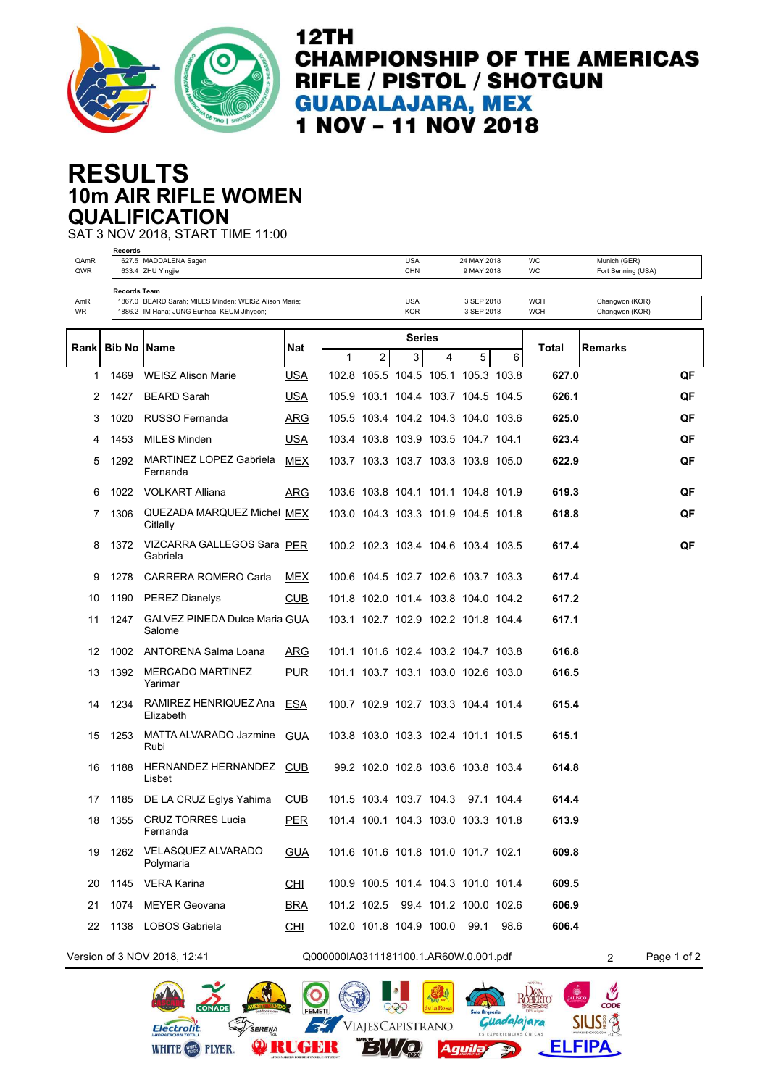

**ROBERTO** 

Guada/ajara

五

**Aguila** 

 $\mathcal{C}$ 

**SIUS!** 

**ELFIPA** 

# **10m AIR RIFLE WOMEN RESULTS QUALIFICATION**

SAT 3 NOV 2018, START TIME 11:00

| QAmR<br>QWR | Records      | 627.5 MADDALENA Sagen<br>633.4 ZHU Yingjie                                                          |            |                                       |                         | <b>USA</b><br><b>CHN</b> |   | 24 MAY 2018<br>9 MAY 2018           |            | WC<br>WC                 | Munich (GER)<br>Fort Benning (USA) |             |
|-------------|--------------|-----------------------------------------------------------------------------------------------------|------------|---------------------------------------|-------------------------|--------------------------|---|-------------------------------------|------------|--------------------------|------------------------------------|-------------|
|             | Records Team |                                                                                                     |            |                                       |                         |                          |   |                                     |            |                          |                                    |             |
| AmR<br>WR   |              | 1867.0 BEARD Sarah; MILES Minden; WEISZ Alison Marie;<br>1886.2 IM Hana; JUNG Eunhea; KEUM Jihyeon; |            |                                       |                         | <b>USA</b><br><b>KOR</b> |   | 3 SEP 2018<br>3 SEP 2018            |            | <b>WCH</b><br><b>WCH</b> | Changwon (KOR)<br>Changwon (KOR)   |             |
|             |              |                                                                                                     |            |                                       |                         |                          |   |                                     |            |                          |                                    |             |
| Rankl       | Bib No I     | <b>Name</b>                                                                                         | Nat        |                                       |                         | <b>Series</b>            |   |                                     |            | Total                    | Remarks                            |             |
|             |              |                                                                                                     |            | 1                                     | $\overline{c}$          | 3 <sup>1</sup>           | 4 | 5                                   | 6          |                          |                                    |             |
| 1           | 1469         | <b>WEISZ Alison Marie</b>                                                                           | <b>USA</b> |                                       |                         |                          |   | 102.8 105.5 104.5 105.1 105.3 103.8 |            | 627.0                    |                                    | QF          |
| 2           | 1427         | <b>BEARD Sarah</b>                                                                                  | <b>USA</b> |                                       |                         |                          |   | 105.9 103.1 104.4 103.7 104.5 104.5 |            | 626.1                    |                                    | QF          |
| 3           | 1020         | RUSSO Fernanda                                                                                      | <b>ARG</b> |                                       |                         |                          |   | 105.5 103.4 104.2 104.3 104.0 103.6 |            | 625.0                    |                                    | QF          |
| 4           | 1453         | <b>MILES Minden</b>                                                                                 | USA        |                                       |                         |                          |   | 103.4 103.8 103.9 103.5 104.7 104.1 |            | 623.4                    |                                    | QF          |
| 5           | 1292         | <b>MARTINEZ LOPEZ Gabriela</b><br>Fernanda                                                          | MEX        |                                       |                         |                          |   | 103.7 103.3 103.7 103.3 103.9 105.0 |            | 622.9                    |                                    | QF          |
| 6           | 1022         | VOLKART Alliana                                                                                     | <b>ARG</b> |                                       |                         |                          |   | 103.6 103.8 104.1 101.1 104.8 101.9 |            | 619.3                    |                                    | QF          |
| 7           | 1306         | QUEZADA MARQUEZ Michel MEX<br>Citlally                                                              |            |                                       |                         |                          |   | 103.0 104.3 103.3 101.9 104.5 101.8 |            | 618.8                    |                                    | QF          |
| 8           | 1372         | VIZCARRA GALLEGOS Sara PER<br>Gabriela                                                              |            |                                       |                         |                          |   | 100.2 102.3 103.4 104.6 103.4 103.5 |            | 617.4                    |                                    | QF          |
| 9           | 1278         | <b>CARRERA ROMERO Carla</b>                                                                         | MEX        |                                       |                         |                          |   | 100.6 104.5 102.7 102.6 103.7 103.3 |            | 617.4                    |                                    |             |
| 10          | 1190         | <b>PEREZ Dianelys</b>                                                                               | <b>CUB</b> |                                       |                         |                          |   | 101.8 102.0 101.4 103.8 104.0 104.2 |            | 617.2                    |                                    |             |
| 11          | 1247         | GALVEZ PINEDA Dulce Maria GUA<br>Salome                                                             |            |                                       |                         |                          |   | 103.1 102.7 102.9 102.2 101.8 104.4 |            | 617.1                    |                                    |             |
| 12          | 1002         | ANTORENA Salma Loana                                                                                | ARG        |                                       |                         |                          |   | 101.1 101.6 102.4 103.2 104.7 103.8 |            | 616.8                    |                                    |             |
| 13          | 1392         | <b>MERCADO MARTINEZ</b><br>Yarimar                                                                  | <b>PUR</b> |                                       |                         |                          |   | 101.1 103.7 103.1 103.0 102.6 103.0 |            | 616.5                    |                                    |             |
| 14          | 1234         | RAMIREZ HENRIQUEZ Ana<br>Elizabeth                                                                  | ESA        |                                       |                         |                          |   | 100.7 102.9 102.7 103.3 104.4 101.4 |            | 615.4                    |                                    |             |
| 15          | 1253         | MATTA ALVARADO Jazmine<br>Rubi                                                                      | <b>GUA</b> |                                       |                         |                          |   | 103.8 103.0 103.3 102.4 101.1 101.5 |            | 615.1                    |                                    |             |
| 16          | 1188         | HERNANDEZ HERNANDEZ<br>Lisbet                                                                       | <b>CUB</b> |                                       |                         |                          |   | 99.2 102.0 102.8 103.6 103.8 103.4  |            | 614.8                    |                                    |             |
| 17          | 1185         | DE LA CRUZ Eglys Yahima                                                                             | <b>CUB</b> |                                       | 101.5 103.4 103.7 104.3 |                          |   |                                     | 97.1 104.4 | 614.4                    |                                    |             |
| 18          | 1355         | <b>CRUZ TORRES Lucia</b><br>Fernanda                                                                | PER        |                                       |                         |                          |   | 101.4 100.1 104.3 103.0 103.3 101.8 |            | 613.9                    |                                    |             |
| 19          | 1262         | <b>VELASQUEZ ALVARADO</b><br>Polymaria                                                              | <b>GUA</b> |                                       |                         |                          |   | 101.6 101.6 101.8 101.0 101.7 102.1 |            | 609.8                    |                                    |             |
| 20          | 1145         | <b>VERA Karina</b>                                                                                  | <u>СНІ</u> |                                       |                         |                          |   | 100.9 100.5 101.4 104.3 101.0 101.4 |            | 609.5                    |                                    |             |
| 21          | 1074         | <b>MEYER Geovana</b>                                                                                | <b>BRA</b> | 101.2 102.5                           |                         |                          |   | 99.4 101.2 100.0 102.6              |            | 606.9                    |                                    |             |
| 22          | 1138         | LOBOS Gabriela                                                                                      | <b>CHI</b> |                                       | 102.0 101.8 104.9 100.0 |                          |   | 99.1                                | 98.6       | 606.4                    |                                    |             |
|             |              | Version of 3 NOV 2018, 12:41                                                                        |            | Q000000IA0311181100.1.AR60W.0.001.pdf |                         |                          |   |                                     |            |                          | $\overline{c}$                     | Page 1 of 2 |

999

VIAJESCAPISTRANO

'BWQ

SERENA

WHITE **@** FLYER **Q RUGER** 

 $\overline{\mathscr{N}}$ 

**Electrolit**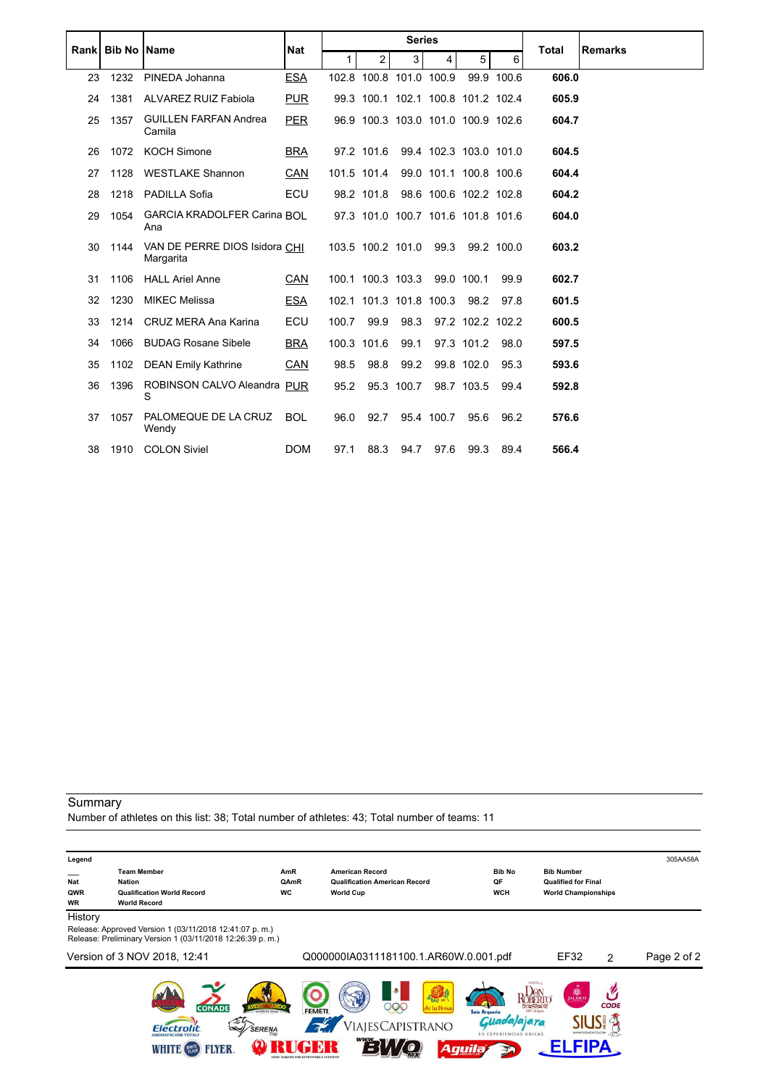| Rank | <b>Bib No Name</b> |                                            | <b>Nat</b> |       |                         | <b>Series</b> |                                    |                  |            | <b>Total</b> | <b>Remarks</b> |
|------|--------------------|--------------------------------------------|------------|-------|-------------------------|---------------|------------------------------------|------------------|------------|--------------|----------------|
|      |                    |                                            |            | 1     | $\overline{2}$          | 3             | $\overline{4}$                     | 5                | 6          |              |                |
| 23   | 1232               | PINEDA Johanna                             | <b>ESA</b> |       | 102.8 100.8 101.0 100.9 |               |                                    |                  | 99.9 100.6 | 606.0        |                |
| 24   | 1381               | <b>ALVAREZ RUIZ Fabiola</b>                | <b>PUR</b> |       |                         |               | 99.3 100.1 102.1 100.8 101.2 102.4 |                  |            | 605.9        |                |
| 25   | 1357               | <b>GUILLEN FARFAN Andrea</b><br>Camila     | <b>PER</b> |       |                         |               | 96.9 100.3 103.0 101.0 100.9 102.6 |                  |            | 604.7        |                |
| 26   | 1072               | <b>KOCH Simone</b>                         | <b>BRA</b> |       | 97.2 101.6              |               | 99.4 102.3 103.0 101.0             |                  |            | 604.5        |                |
| 27   | 1128               | <b>WESTLAKE Shannon</b>                    | <b>CAN</b> |       | 101.5 101.4             |               | 99.0 101.1 100.8 100.6             |                  |            | 604.4        |                |
| 28   | 1218               | <b>PADILLA Sofia</b>                       | <b>ECU</b> |       | 98.2 101.8              |               | 98.6 100.6 102.2 102.8             |                  |            | 604.2        |                |
| 29   | 1054               | <b>GARCIA KRADOLFER Carina BOL</b><br>Ana  |            |       |                         |               | 97.3 101.0 100.7 101.6 101.8 101.6 |                  |            | 604.0        |                |
| 30   | 1144               | VAN DE PERRE DIOS Isidora CHI<br>Margarita |            |       | 103.5 100.2 101.0       |               | 99.3                               |                  | 99.2 100.0 | 603.2        |                |
| 31   | 1106               | <b>HALL Ariel Anne</b>                     | CAN        |       | 100.1 100.3 103.3       |               |                                    | 99.0 100.1       | 99.9       | 602.7        |                |
| 32   | 1230               | <b>MIKEC Melissa</b>                       | ESA        |       | 102.1 101.3 101.8 100.3 |               |                                    | 98.2             | 97.8       | 601.5        |                |
| 33   | 1214               | CRUZ MERA Ana Karina                       | <b>ECU</b> | 100.7 | 99.9                    | 98.3          |                                    | 97.2 102.2 102.2 |            | 600.5        |                |
| 34   | 1066               | <b>BUDAG Rosane Sibele</b>                 | <b>BRA</b> |       | 100.3 101.6             | 99.1          |                                    | 97.3 101.2       | 98.0       | 597.5        |                |
| 35   | 1102               | <b>DEAN Emily Kathrine</b>                 | CAN        | 98.5  | 98.8                    | 99.2          |                                    | 99.8 102.0       | 95.3       | 593.6        |                |
| 36   | 1396               | ROBINSON CALVO Aleandra PUR<br>S           |            | 95.2  |                         | 95.3 100.7    |                                    | 98.7 103.5       | 99.4       | 592.8        |                |
| 37   | 1057               | PALOMEQUE DE LA CRUZ<br>Wendy              | <b>BOL</b> | 96.0  | 92.7                    |               | 95.4 100.7                         | 95.6             | 96.2       | 576.6        |                |
| 38   | 1910               | <b>COLON Siviel</b>                        | <b>DOM</b> | 97.1  | 88.3                    | 94.7          | 97.6                               | 99.3             | 89.4       | 566.4        |                |

Number of athletes on this list: 38; Total number of athletes: 43; Total number of teams: 11

| Legend                         |                                                                                                                                             |                   |                                                                                    |                                                                 |                                                                               | 305AA58A    |
|--------------------------------|---------------------------------------------------------------------------------------------------------------------------------------------|-------------------|------------------------------------------------------------------------------------|-----------------------------------------------------------------|-------------------------------------------------------------------------------|-------------|
| <b>Nat</b><br>QWR<br><b>WR</b> | <b>Team Member</b><br><b>Nation</b><br><b>Qualification World Record</b><br><b>World Record</b>                                             | AmR<br>QAmR<br>WC | <b>American Record</b><br><b>Qualification American Record</b><br><b>World Cup</b> | <b>Bib No</b><br>QF<br><b>WCH</b>                               | <b>Bib Number</b><br><b>Qualified for Final</b><br><b>World Championships</b> |             |
| History                        |                                                                                                                                             |                   |                                                                                    |                                                                 |                                                                               |             |
|                                | Release: Approved Version 1 (03/11/2018 12:41:07 p.m.)<br>Release: Preliminary Version 1 (03/11/2018 12:26:39 p. m.)                        |                   |                                                                                    |                                                                 |                                                                               |             |
|                                | Version of 3 NOV 2018, 12:41                                                                                                                |                   | Q000000IA0311181100.1.AR60W.0.001.pdf                                              |                                                                 | EF32<br>2                                                                     | Page 2 of 2 |
|                                | <b>CONADE</b><br>- outdoor store<br><b>SERENA</b><br>$\mathbb{Z}$<br>Flectrolit<br><b>HIDRATACIÓN TOTALI</b><br><b>LYBR</b><br><b>WHITE</b> | <b>FEMETI</b>     | <b>EPAT NR</b><br>$\partial \Omega$<br>/IAJESCAPISTRANO                            | <b>Solo Arqueria</b><br><b>ES EXPERIENCIAS ÚNICAS</b><br>Aguila | <b>DE</b><br><b>CODE</b><br>$-5000$<br>DO % de Autre                          |             |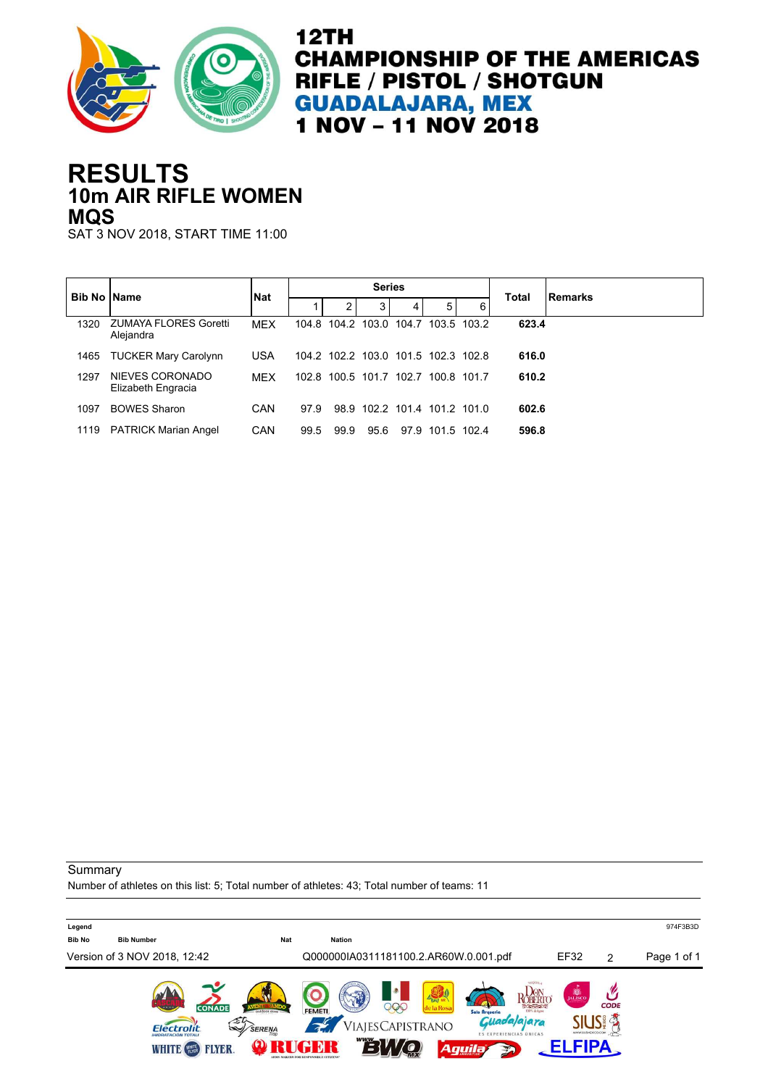

## **10m AIR RIFLE WOMEN RESULTS MQS**

SAT 3 NOV 2018, START TIME 11:00

| <b>Bib No IName</b> |                                           | <b>Nat</b> |      |      | <b>Series</b>  |                                     |   | <b>Total</b> | Remarks |
|---------------------|-------------------------------------------|------------|------|------|----------------|-------------------------------------|---|--------------|---------|
|                     |                                           |            |      |      | 3 <sup>1</sup> | 5                                   | 6 |              |         |
| 1320                | <b>ZUMAYA FLORES Goretti</b><br>Alejandra | <b>MEX</b> |      |      |                | 104.8 104.2 103.0 104.7 103.5 103.2 |   | 623.4        |         |
| 1465                | <b>TUCKER Mary Carolynn</b>               | <b>USA</b> |      |      |                | 104.2 102.2 103.0 101.5 102.3 102.8 |   | 616.0        |         |
| 1297                | NIEVES CORONADO<br>Elizabeth Engracia     | <b>MEX</b> |      |      |                | 102.8 100.5 101.7 102.7 100.8 101.7 |   | 610.2        |         |
| 1097                | <b>BOWES Sharon</b>                       | CAN        | 97.9 |      |                | 98.9 102.2 101.4 101.2 101.0        |   | 602.6        |         |
| 1119                | <b>PATRICK Marian Angel</b>               | CAN        | 99.5 | 99.9 | 95.6           | 97.9 101.5 102.4                    |   | 596.8        |         |

**Summary** 

Number of athletes on this list: 5; Total number of athletes: 43; Total number of teams: 11

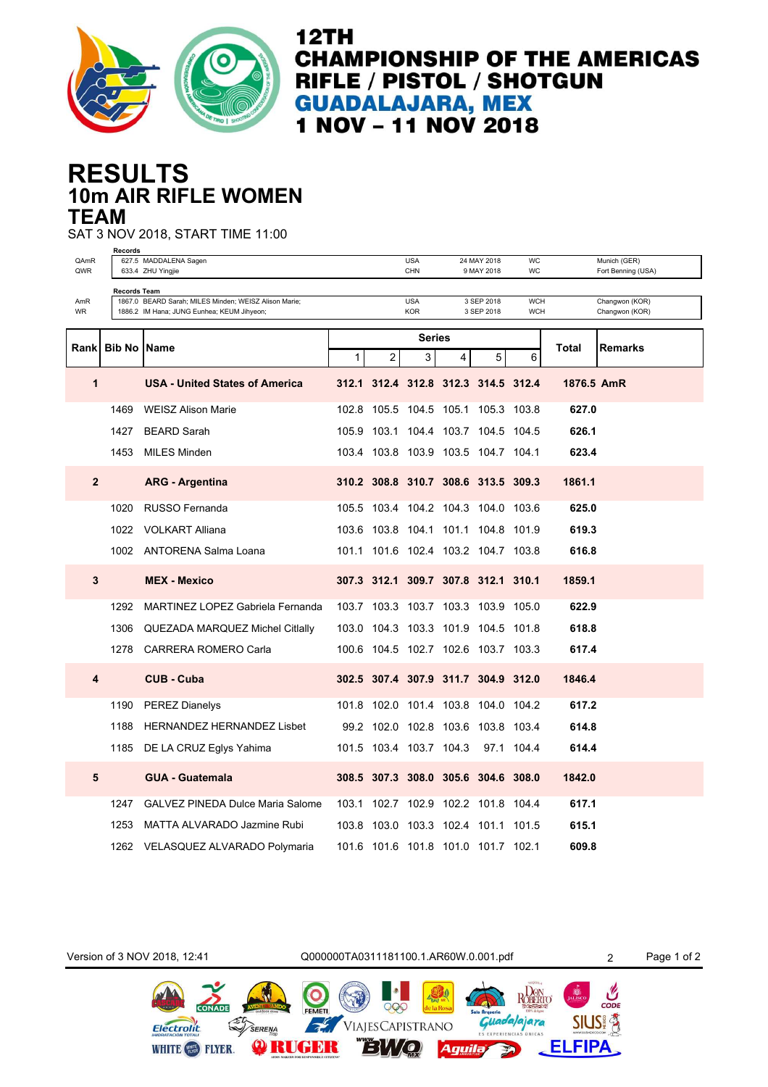

## **10m AIR RIFLE WOMEN RESULTS TEAM**

SAT 3 NOV 2018, START TIME 11:00

|                  | Records             |                                                                                                     |              |                         |                          |   |                                     |                          |              |                                    |
|------------------|---------------------|-----------------------------------------------------------------------------------------------------|--------------|-------------------------|--------------------------|---|-------------------------------------|--------------------------|--------------|------------------------------------|
| QAmR<br>QWR      |                     | 627.5 MADDALENA Sagen<br>633.4 ZHU Yingjie                                                          |              |                         | <b>USA</b><br>CHN        |   | 24 MAY 2018<br>9 MAY 2018           | WC<br><b>WC</b>          |              | Munich (GER)<br>Fort Benning (USA) |
|                  |                     |                                                                                                     |              |                         |                          |   |                                     |                          |              |                                    |
|                  | <b>Records Team</b> |                                                                                                     |              |                         |                          |   |                                     |                          |              |                                    |
| AmR<br><b>WR</b> |                     | 1867.0 BEARD Sarah; MILES Minden; WEISZ Alison Marie;<br>1886.2 IM Hana; JUNG Eunhea; KEUM Jihyeon; |              |                         | <b>USA</b><br><b>KOR</b> |   | 3 SEP 2018<br>3 SEP 2018            | <b>WCH</b><br><b>WCH</b> |              | Changwon (KOR)<br>Changwon (KOR)   |
|                  |                     |                                                                                                     |              |                         |                          |   |                                     |                          |              |                                    |
|                  |                     |                                                                                                     |              |                         | <b>Series</b>            |   |                                     |                          |              |                                    |
| Rankl            | <b>Bib No</b>       | <b>Name</b>                                                                                         | $\mathbf{1}$ | 2                       | 3 <sup>1</sup>           | 4 | 5                                   | 6                        | <b>Total</b> | Remarks                            |
|                  |                     |                                                                                                     |              |                         |                          |   |                                     |                          |              |                                    |
| 1                |                     | <b>USA - United States of America</b>                                                               |              |                         |                          |   | 312.1 312.4 312.8 312.3 314.5 312.4 |                          | 1876.5 AmR   |                                    |
|                  |                     |                                                                                                     |              |                         |                          |   |                                     |                          |              |                                    |
|                  | 1469                | <b>WEISZ Alison Marie</b>                                                                           | 102.8        |                         |                          |   | 105.5 104.5 105.1 105.3 103.8       |                          | 627.0        |                                    |
|                  | 1427                | <b>BEARD Sarah</b>                                                                                  | 105.9        |                         |                          |   | 103.1 104.4 103.7 104.5 104.5       |                          | 626.1        |                                    |
|                  | 1453                | <b>MILES Minden</b>                                                                                 |              |                         |                          |   | 103.4 103.8 103.9 103.5 104.7 104.1 |                          | 623.4        |                                    |
|                  |                     |                                                                                                     |              |                         |                          |   |                                     |                          |              |                                    |
| $\overline{2}$   |                     | <b>ARG - Argentina</b>                                                                              |              |                         |                          |   | 310.2 308.8 310.7 308.6 313.5 309.3 |                          | 1861.1       |                                    |
|                  |                     |                                                                                                     |              |                         |                          |   |                                     |                          |              |                                    |
|                  | 1020                | RUSSO Fernanda                                                                                      |              |                         |                          |   | 105.5 103.4 104.2 104.3 104.0 103.6 |                          | 625.0        |                                    |
|                  | 1022                | <b>VOLKART Alliana</b>                                                                              |              |                         |                          |   | 103.6 103.8 104.1 101.1 104.8 101.9 |                          | 619.3        |                                    |
|                  |                     |                                                                                                     |              |                         |                          |   |                                     |                          |              |                                    |
|                  |                     | 1002 ANTORENA Salma Loana                                                                           |              |                         |                          |   | 101.1 101.6 102.4 103.2 104.7 103.8 |                          | 616.8        |                                    |
|                  |                     |                                                                                                     |              |                         |                          |   |                                     |                          |              |                                    |
| 3                |                     | <b>MEX - Mexico</b>                                                                                 |              |                         |                          |   | 307.3 312.1 309.7 307.8 312.1 310.1 |                          | 1859.1       |                                    |
|                  | 1292                | <b>MARTINEZ LOPEZ Gabriela Fernanda</b>                                                             |              |                         |                          |   | 103.7 103.3 103.7 103.3 103.9 105.0 |                          | 622.9        |                                    |
|                  |                     |                                                                                                     |              |                         |                          |   |                                     |                          |              |                                    |
|                  | 1306                | QUEZADA MARQUEZ Michel Citlally                                                                     |              |                         |                          |   | 103.0 104.3 103.3 101.9 104.5 101.8 |                          | 618.8        |                                    |
|                  | 1278                | <b>CARRERA ROMERO Carla</b>                                                                         |              |                         |                          |   | 100.6 104.5 102.7 102.6 103.7 103.3 |                          | 617.4        |                                    |
|                  |                     |                                                                                                     |              |                         |                          |   |                                     |                          |              |                                    |
| 4                |                     | <b>CUB - Cuba</b>                                                                                   |              |                         |                          |   | 302.5 307.4 307.9 311.7 304.9 312.0 |                          | 1846.4       |                                    |
|                  |                     |                                                                                                     |              |                         |                          |   |                                     |                          |              |                                    |
|                  | 1190                | <b>PEREZ Dianelys</b>                                                                               | 101.8        |                         |                          |   | 102.0 101.4 103.8 104.0 104.2       |                          | 617.2        |                                    |
|                  | 1188                | <b>HERNANDEZ HERNANDEZ Lisbet</b>                                                                   |              |                         |                          |   | 99.2 102.0 102.8 103.6 103.8 103.4  |                          | 614.8        |                                    |
|                  | 1185                | DE LA CRUZ Eglys Yahima                                                                             |              | 101.5 103.4 103.7 104.3 |                          |   |                                     | 97.1 104.4               | 614.4        |                                    |
|                  |                     |                                                                                                     |              |                         |                          |   |                                     |                          |              |                                    |
| 5                |                     | <b>GUA - Guatemala</b>                                                                              |              |                         |                          |   | 308.5 307.3 308.0 305.6 304.6 308.0 |                          | 1842.0       |                                    |
|                  |                     |                                                                                                     |              |                         |                          |   |                                     |                          |              |                                    |
|                  | 1247                | <b>GALVEZ PINEDA Dulce Maria Salome</b>                                                             |              |                         |                          |   | 103.1 102.7 102.9 102.2 101.8 104.4 |                          | 617.1        |                                    |
|                  | 1253                | MATTA ALVARADO Jazmine Rubi                                                                         |              |                         |                          |   | 103.8 103.0 103.3 102.4 101.1 101.5 |                          | 615.1        |                                    |
|                  |                     |                                                                                                     |              |                         |                          |   |                                     |                          |              |                                    |
|                  |                     | 1262 VELASQUEZ ALVARADO Polymaria                                                                   |              |                         |                          |   | 101.6 101.6 101.8 101.0 101.7 102.1 |                          | 609.8        |                                    |

Version of 3 NOV 2018, 12:41 Q000000TA0311181100.1.AR60W.0.001.pdf 2 Page 1 of 2ROBERIO  $CODE$ 000 daļajara **SIUS!**  $\mathcal{L}$ VIAJESCAPISTRANO Electrolit SERENA **ELFIPA** WHITE **(28)** FLYER. **ORUGER**  $\Box'$ **Aguila**  $\frac{1}{2}$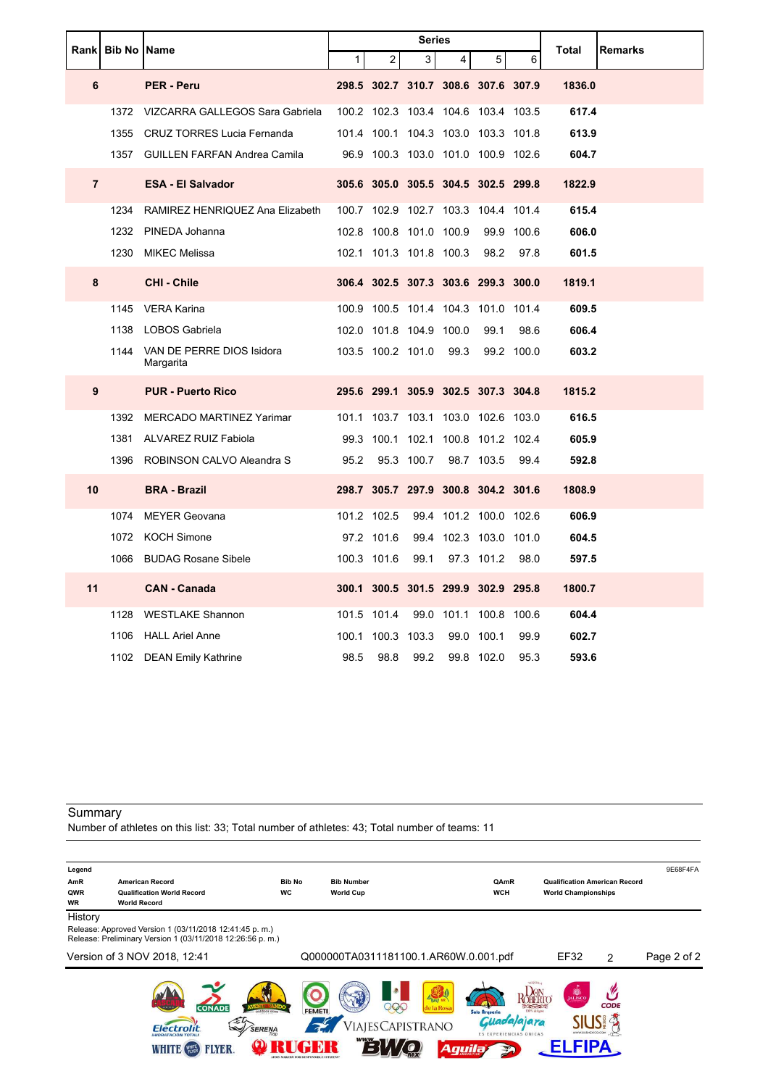|                |                  |                                             |              |                         | <b>Series</b> |                                     |                 |            |        |                |
|----------------|------------------|---------------------------------------------|--------------|-------------------------|---------------|-------------------------------------|-----------------|------------|--------|----------------|
|                | Rank Bib No Name |                                             | $\mathbf{1}$ | $\overline{2}$          | 3             | 4                                   | 5 <sup>1</sup>  | 6          | Total  | <b>Remarks</b> |
| 6              |                  | <b>PER - Peru</b>                           |              |                         |               | 298.5 302.7 310.7 308.6 307.6 307.9 |                 |            | 1836.0 |                |
|                |                  | 1372 VIZCARRA GALLEGOS Sara Gabriela        |              |                         |               | 100.2 102.3 103.4 104.6 103.4 103.5 |                 |            | 617.4  |                |
|                |                  | 1355 CRUZ TORRES Lucia Fernanda             |              |                         |               | 101.4 100.1 104.3 103.0 103.3 101.8 |                 |            | 613.9  |                |
|                |                  | 1357 GUILLEN FARFAN Andrea Camila           |              |                         |               | 96.9 100.3 103.0 101.0 100.9 102.6  |                 |            | 604.7  |                |
| $\overline{7}$ |                  | <b>ESA - El Salvador</b>                    |              |                         |               | 305.6 305.0 305.5 304.5 302.5 299.8 |                 |            | 1822.9 |                |
|                |                  | 1234 RAMIREZ HENRIQUEZ Ana Elizabeth        |              |                         |               | 100.7 102.9 102.7 103.3 104.4 101.4 |                 |            | 615.4  |                |
|                |                  | 1232 PINEDA Johanna                         |              |                         |               | 102.8 100.8 101.0 100.9             |                 | 99.9 100.6 | 606.0  |                |
|                |                  | 1230 MIKEC Melissa                          |              |                         |               | 102.1 101.3 101.8 100.3             |                 | 98.2 97.8  | 601.5  |                |
| 8              |                  | <b>CHI-Chile</b>                            |              |                         |               | 306.4 302.5 307.3 303.6 299.3 300.0 |                 |            | 1819.1 |                |
|                |                  |                                             |              |                         |               |                                     |                 |            |        |                |
|                |                  | 1145 VERA Karina                            |              |                         |               | 100.9 100.5 101.4 104.3 101.0 101.4 |                 |            | 609.5  |                |
|                |                  | 1138 LOBOS Gabriela                         |              | 102.0 101.8 104.9 100.0 |               |                                     | 99.1            | 98.6       | 606.4  |                |
|                |                  | 1144 VAN DE PERRE DIOS Isidora<br>Margarita |              |                         |               | 103.5 100.2 101.0 99.3              |                 | 99.2 100.0 | 603.2  |                |
| 9              |                  | <b>PUR - Puerto Rico</b>                    |              |                         |               | 295.6 299.1 305.9 302.5 307.3 304.8 |                 |            | 1815.2 |                |
|                |                  | 1392 MERCADO MARTINEZ Yarimar               |              |                         |               | 101.1 103.7 103.1 103.0 102.6 103.0 |                 |            | 616.5  |                |
|                |                  | 1381 ALVAREZ RUIZ Fabiola                   |              |                         |               | 99.3 100.1 102.1 100.8 101.2 102.4  |                 |            | 605.9  |                |
|                |                  | 1396 ROBINSON CALVO Aleandra S              | 95.2         |                         |               | 95.3 100.7 98.7 103.5 99.4          |                 |            | 592.8  |                |
| 10             |                  | <b>BRA - Brazil</b>                         |              |                         |               | 298.7 305.7 297.9 300.8 304.2 301.6 |                 |            | 1808.9 |                |
|                | 1074             | MEYER Geovana                               |              | 101.2 102.5             |               | 99.4 101.2 100.0 102.6              |                 |            | 606.9  |                |
|                |                  | 1072 KOCH Simone                            |              | 97.2 101.6              |               | 99.4 102.3 103.0 101.0              |                 |            | 604.5  |                |
|                |                  | 1066 BUDAG Rosane Sibele                    |              | 100.3 101.6             | 99.1          |                                     | 97.3 101.2 98.0 |            | 597.5  |                |
| 11             |                  | <b>CAN - Canada</b>                         |              |                         |               | 300.1 300.5 301.5 299.9 302.9 295.8 |                 |            | 1800.7 |                |
|                |                  | 1128 WESTLAKE Shannon                       |              | 101.5 101.4             |               | 99.0 101.1 100.8 100.6              |                 |            | 604.4  |                |
|                |                  | 1106 HALL Ariel Anne                        |              | 100.1 100.3 103.3       |               |                                     | 99.0 100.1      | 99.9       | 602.7  |                |
|                |                  | 1102 DEAN Emily Kathrine                    | 98.5         | 98.8                    | 99.2          |                                     | 99.8 102.0      | 95.3       | 593.6  |                |

Number of athletes on this list: 33; Total number of athletes: 43; Total number of teams: 11

| Legend           |                                                                                                                      |               |                                                         |                                                         |                                      | 9E68F4FA    |
|------------------|----------------------------------------------------------------------------------------------------------------------|---------------|---------------------------------------------------------|---------------------------------------------------------|--------------------------------------|-------------|
| AmR              | <b>American Record</b>                                                                                               | <b>Bib No</b> | <b>Bib Number</b>                                       | QAmR                                                    | <b>Qualification American Record</b> |             |
| QWR<br><b>WR</b> | <b>Qualification World Record</b><br><b>World Record</b>                                                             | <b>WC</b>     | <b>World Cup</b>                                        | <b>WCH</b>                                              | <b>World Championships</b>           |             |
| History          |                                                                                                                      |               |                                                         |                                                         |                                      |             |
|                  | Release: Approved Version 1 (03/11/2018 12:41:45 p.m.)<br>Release: Preliminary Version 1 (03/11/2018 12:26:56 p. m.) |               |                                                         |                                                         |                                      |             |
|                  | Version of 3 NOV 2018, 12:41                                                                                         |               | Q000000TA0311181100.1.AR60W.0.001.pdf                   |                                                         | EF32<br>2                            | Page 2 of 2 |
|                  | <b>CONADE</b>                                                                                                        | <b>FEMETI</b> | <b>S</b><br><b>EZAT NR</b><br>le l <mark>a Ros</mark> a | <b>Grayers</b><br><b>Solo Arqueria</b><br>DO % de Autre | <b>DE</b><br><b>CODE</b>             |             |
|                  | <b>Flectrolit</b><br>SERENA<br><b>IHIDRATACIÓN TOTALI</b>                                                            |               | ViajesCapistrano                                        | ajara<br><b>ES EXPERIENCIAS UNICAS</b>                  |                                      |             |
|                  | YÐR<br>WHITE                                                                                                         |               |                                                         | <b>Aquila</b>                                           |                                      |             |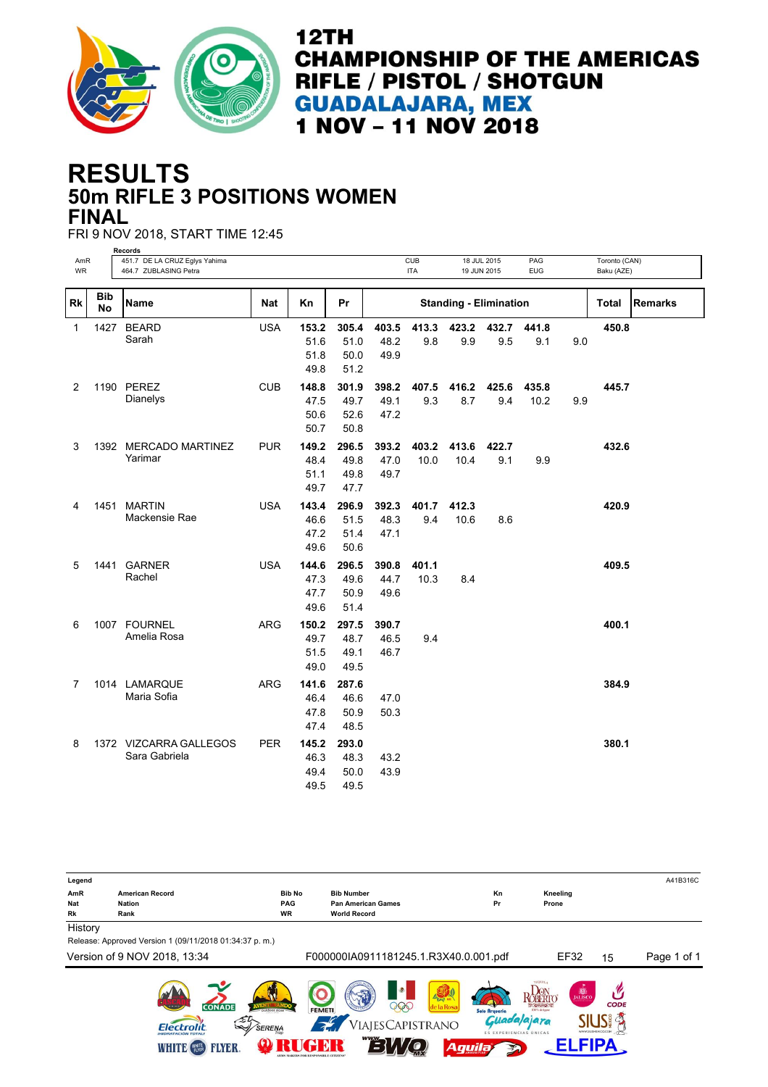

## **50m RIFLE 3 POSITIONS WOMEN RESULTS FINAL**

FRI 9 NOV 2018, START TIME 12:45

|              |                  | <b>Records</b>                                         |            |                               |                               |                       |                          |                     |                               |                   |     |                             |                |
|--------------|------------------|--------------------------------------------------------|------------|-------------------------------|-------------------------------|-----------------------|--------------------------|---------------------|-------------------------------|-------------------|-----|-----------------------------|----------------|
| AmR<br>WR    |                  | 451.7 DE LA CRUZ Eglys Yahima<br>464.7 ZUBLASING Petra |            |                               |                               |                       | <b>CUB</b><br><b>ITA</b> |                     | 18 JUL 2015<br>19 JUN 2015    | PAG<br><b>EUG</b> |     | Toronto (CAN)<br>Baku (AZE) |                |
|              |                  |                                                        |            |                               |                               |                       |                          |                     |                               |                   |     |                             |                |
| <b>Rk</b>    | <b>Bib</b><br>No | Name                                                   | Nat        | Кn                            | Pr                            |                       |                          |                     | <b>Standing - Elimination</b> |                   |     | Total                       | <b>Remarks</b> |
| $\mathbf{1}$ | 1427             | <b>BEARD</b><br>Sarah                                  | <b>USA</b> | 153.2<br>51.6<br>51.8<br>49.8 | 305.4<br>51.0<br>50.0<br>51.2 | 403.5<br>48.2<br>49.9 | 413.3<br>9.8             | 423.2<br>9.9        | 432.7<br>9.5                  | 441.8<br>9.1      | 9.0 | 450.8                       |                |
| 2            |                  | 1190 PEREZ<br>Dianelys                                 | <b>CUB</b> | 148.8<br>47.5<br>50.6<br>50.7 | 301.9<br>49.7<br>52.6<br>50.8 | 398.2<br>49.1<br>47.2 | 407.5<br>9.3             | 416.2<br>8.7        | 425.6<br>9.4                  | 435.8<br>10.2     | 9.9 | 445.7                       |                |
| 3            |                  | 1392 MERCADO MARTINEZ<br>Yarimar                       | <b>PUR</b> | 149.2<br>48.4<br>51.1<br>49.7 | 296.5<br>49.8<br>49.8<br>47.7 | 393.2<br>47.0<br>49.7 | 403.2<br>10.0            | 413.6 422.7<br>10.4 | 9.1                           | 9.9               |     | 432.6                       |                |
| 4            |                  | 1451 MARTIN<br>Mackensie Rae                           | <b>USA</b> | 143.4<br>46.6<br>47.2<br>49.6 | 296.9<br>51.5<br>51.4<br>50.6 | 392.3<br>48.3<br>47.1 | 401.7<br>9.4             | 412.3<br>10.6       | 8.6                           |                   |     | 420.9                       |                |
| 5            |                  | 1441 GARNER<br>Rachel                                  | <b>USA</b> | 144.6<br>47.3<br>47.7<br>49.6 | 296.5<br>49.6<br>50.9<br>51.4 | 390.8<br>44.7<br>49.6 | 401.1<br>10.3            | 8.4                 |                               |                   |     | 409.5                       |                |
| 6            |                  | 1007 FOURNEL<br>Amelia Rosa                            | <b>ARG</b> | 150.2<br>49.7<br>51.5<br>49.0 | 297.5<br>48.7<br>49.1<br>49.5 | 390.7<br>46.5<br>46.7 | 9.4                      |                     |                               |                   |     | 400.1                       |                |
| 7            |                  | 1014 LAMARQUE<br>Maria Sofia                           | <b>ARG</b> | 141.6<br>46.4<br>47.8<br>47.4 | 287.6<br>46.6<br>50.9<br>48.5 | 47.0<br>50.3          |                          |                     |                               |                   |     | 384.9                       |                |
| 8            |                  | 1372 VIZCARRA GALLEGOS<br>Sara Gabriela                | <b>PER</b> | 145.2<br>46.3<br>49.4<br>49.5 | 293.0<br>48.3<br>50.0<br>49.5 | 43.2<br>43.9          |                          |                     |                               |                   |     | 380.1                       |                |

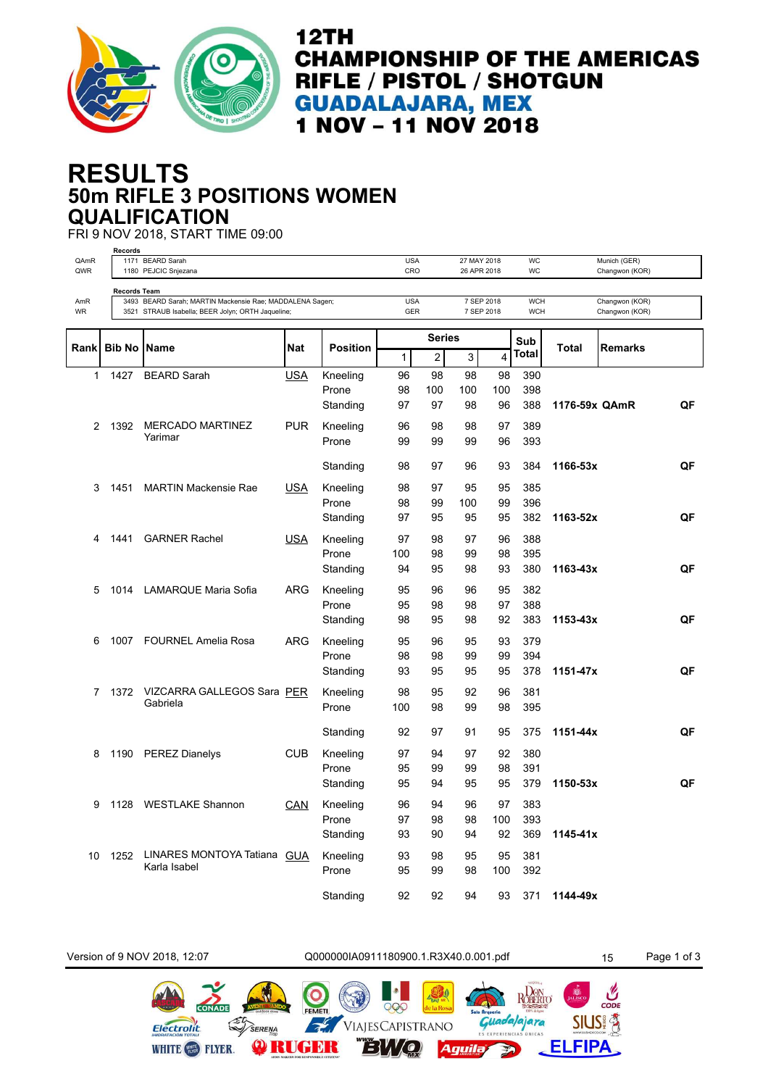

## **50m RIFLE 3 POSITIONS WOMEN RESULTS QUALIFICATION**

FRI 9 NOV 2018, START TIME 09:00

|              | <b>Records</b>      |                                                          |            |                 |                   |                |                            |                         |            |               |                                |    |
|--------------|---------------------|----------------------------------------------------------|------------|-----------------|-------------------|----------------|----------------------------|-------------------------|------------|---------------|--------------------------------|----|
| QAmR<br>QWR  |                     | 1171 BEARD Sarah<br>1180 PEJCIC Snjezana                 |            |                 | <b>USA</b><br>CRO |                | 27 MAY 2018<br>26 APR 2018 |                         | WC<br>WC   |               | Munich (GER)<br>Changwon (KOR) |    |
|              |                     |                                                          |            |                 |                   |                |                            |                         |            |               |                                |    |
| AmR          | <b>Records Team</b> | 3493 BEARD Sarah; MARTIN Mackensie Rae; MADDALENA Sagen; |            |                 | <b>USA</b>        |                | 7 SEP 2018                 |                         | <b>WCH</b> |               | Changwon (KOR)                 |    |
| <b>WR</b>    |                     | 3521 STRAUB Isabella; BEER Jolyn; ORTH Jaqueline;        |            |                 | GER               |                | 7 SEP 2018                 |                         | <b>WCH</b> |               | Changwon (KOR)                 |    |
|              |                     |                                                          |            |                 |                   |                |                            |                         |            |               |                                |    |
| Rankl        | <b>Bib No IName</b> |                                                          | Nat        | <b>Position</b> |                   | <b>Series</b>  |                            |                         | Sub        | Total         | <b>Remarks</b>                 |    |
|              |                     |                                                          |            |                 | $\mathbf{1}$      | $\overline{2}$ | $\mathbf{3}$               | $\overline{\mathbf{4}}$ | Total      |               |                                |    |
| $\mathbf{1}$ | 1427                | <b>BEARD Sarah</b>                                       | <u>USA</u> | Kneeling        | 96                | 98             | 98                         | 98                      | 390        |               |                                |    |
|              |                     |                                                          |            | Prone           | 98                | 100            | 100                        | 100                     | 398        |               |                                |    |
|              |                     |                                                          |            | Standing        | 97                | 97             | 98                         | 96                      | 388        | 1176-59x QAmR |                                | QF |
| 2            | 1392                | <b>MERCADO MARTINEZ</b>                                  | <b>PUR</b> | Kneeling        | 96                | 98             | 98                         | 97                      | 389        |               |                                |    |
|              |                     | Yarimar                                                  |            | Prone           | 99                | 99             | 99                         | 96                      | 393        |               |                                |    |
|              |                     |                                                          |            |                 |                   |                |                            |                         |            |               |                                |    |
|              |                     |                                                          |            | Standing        | 98                | 97             | 96                         | 93                      | 384        | 1166-53x      |                                | QF |
| 3            | 1451                | <b>MARTIN Mackensie Rae</b>                              | <b>USA</b> | Kneeling        | 98                | 97             | 95                         | 95                      | 385        |               |                                |    |
|              |                     |                                                          |            | Prone           | 98                | 99             | 100                        | 99                      | 396        |               |                                |    |
|              |                     |                                                          |            | Standing        | 97                | 95             | 95                         | 95                      | 382        | 1163-52x      |                                | QF |
|              |                     |                                                          |            |                 |                   |                |                            |                         |            |               |                                |    |
| 4            | 1441                | <b>GARNER Rachel</b>                                     | <u>USA</u> | Kneeling        | 97                | 98             | 97                         | 96                      | 388        |               |                                |    |
|              |                     |                                                          |            | Prone           | 100               | 98             | 99                         | 98                      | 395        |               |                                |    |
|              |                     |                                                          |            | Standing        | 94                | 95             | 98                         | 93                      | 380        | $1163 - 43x$  |                                | QF |
| 5            |                     | 1014 LAMARQUE Maria Sofia                                | ARG        | Kneeling        | 95                | 96             | 96                         | 95                      | 382        |               |                                |    |
|              |                     |                                                          |            | Prone           | 95                | 98             | 98                         | 97                      | 388        |               |                                |    |
|              |                     |                                                          |            | Standing        | 98                | 95             | 98                         | 92                      | 383        | 1153-43x      |                                | QF |
| 6            |                     | 1007 FOURNEL Amelia Rosa                                 | ARG        | Kneeling        | 95                | 96             | 95                         | 93                      | 379        |               |                                |    |
|              |                     |                                                          |            | Prone           | 98                | 98             | 99                         | 99                      | 394        |               |                                |    |
|              |                     |                                                          |            | Standing        | 93                | 95             | 95                         | 95                      | 378        | 1151-47x      |                                | QF |
| 7            | 1372                | VIZCARRA GALLEGOS Sara PER                               |            | Kneeling        | 98                | 95             | 92                         | 96                      | 381        |               |                                |    |
|              |                     | Gabriela                                                 |            | Prone           | 100               | 98             | 99                         | 98                      | 395        |               |                                |    |
|              |                     |                                                          |            |                 |                   |                |                            |                         |            |               |                                |    |
|              |                     |                                                          |            | Standing        | 92                | 97             | 91                         | 95                      | 375        | 1151-44x      |                                | QF |
| 8            |                     | 1190 PEREZ Dianelys                                      | <b>CUB</b> | Kneeling        | 97                | 94             | 97                         | 92                      | 380        |               |                                |    |
|              |                     |                                                          |            | Prone           | 95                | 99             | 99                         | 98                      | 391        |               |                                |    |
|              |                     |                                                          |            | Standing        | 95                | 94             | 95                         | 95                      | 379        | 1150-53x      |                                | QF |
|              |                     |                                                          |            |                 |                   |                |                            |                         |            |               |                                |    |
| 9            |                     | 1128 WESTLAKE Shannon                                    | <b>CAN</b> | Kneeling        | 96                | 94             | 96                         | 97                      | 383        |               |                                |    |
|              |                     |                                                          |            | Prone           | 97                | 98             | 98                         | 100                     | 393        |               |                                |    |
|              |                     |                                                          |            | Standing        | 93                | 90             | 94                         | 92                      | 369        | 1145-41x      |                                |    |
| 10           | 1252                | LINARES MONTOYA Tatiana GUA                              |            | Kneeling        | 93                | 98             | 95                         | 95                      | 381        |               |                                |    |
|              |                     | Karla Isabel                                             |            | Prone           | 95                | 99             | 98                         | 100                     | 392        |               |                                |    |
|              |                     |                                                          |            |                 |                   |                |                            |                         |            |               |                                |    |
|              |                     |                                                          |            | Standing        | 92                | 92             | 94                         | 93                      | 371        | 1144-49x      |                                |    |

Electrolit

WHITE **(28)** FLYER.

Version of 9 NOV 2018, 12:07 Q000000IA0911180900.1.R3X40.0.001.pdf 15 Page 1 of 3

 $QQQ$ 

VIAJESCAPISTRANO

 $\Box'$ 

C

**ORUGBR** 

SERENA

 $\mathcal{L}'$ 

ROBERTO

daļajara

 $\frac{1}{2}$ 

**Aguila** 

 $\frac{C}{CODE}$ 

**SIUS!** 

**ELFIPA**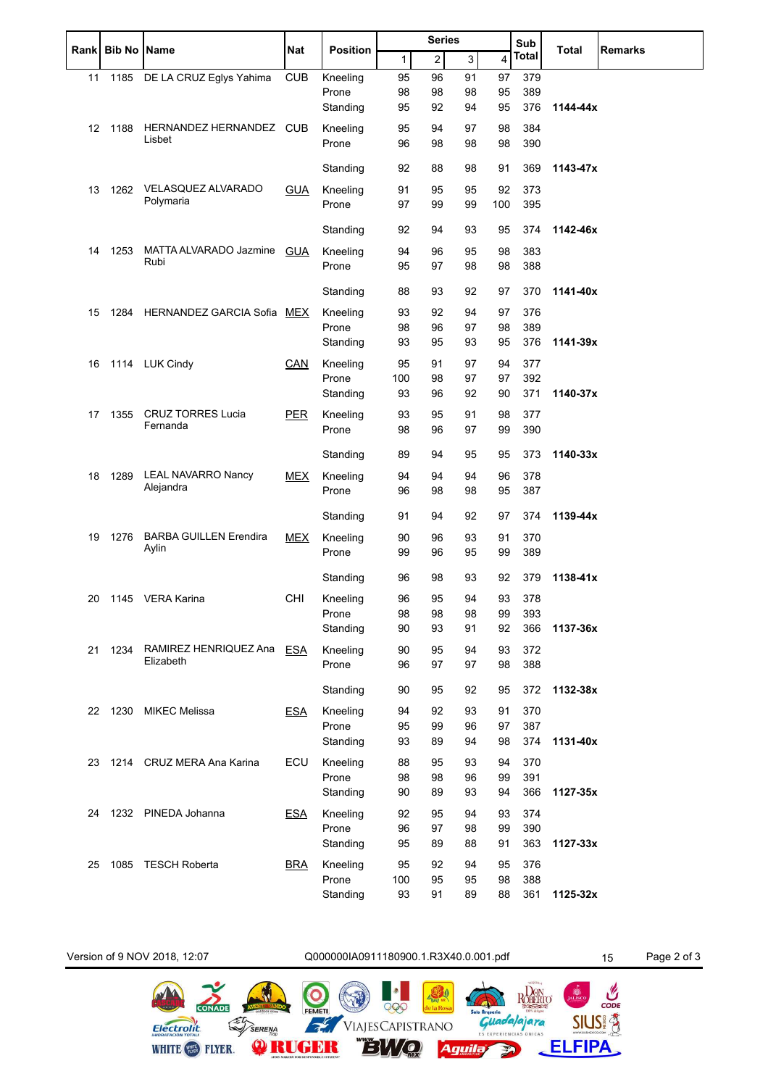|    | Rank   Bib No   Name |                                        | Nat        | <b>Position</b>   |          | <b>Series</b>  |          |                | Sub        | <b>Total</b> | <b>Remarks</b> |
|----|----------------------|----------------------------------------|------------|-------------------|----------|----------------|----------|----------------|------------|--------------|----------------|
|    |                      |                                        |            |                   | 1        | $\overline{c}$ | 3        | $\overline{4}$ | Total      |              |                |
| 11 | 1185                 | DE LA CRUZ Eglys Yahima                | <b>CUB</b> | Kneeling          | 95       | 96             | 91       | 97             | 379        |              |                |
|    |                      |                                        |            | Prone             | 98       | 98             | 98       | 95             | 389        |              |                |
|    |                      |                                        |            | Standing          | 95       | 92             | 94       | 95             | 376        | 1144-44x     |                |
| 12 | 1188                 | HERNANDEZ HERNANDEZ CUB                |            | Kneeling          | 95       | 94             | 97       | 98             | 384        |              |                |
|    |                      | Lisbet                                 |            | Prone             | 96       | 98             | 98       | 98             | 390        |              |                |
|    |                      |                                        |            | Standing          | 92       | 88             | 98       | 91             | 369        | 1143-47x     |                |
|    |                      |                                        |            |                   |          |                |          |                |            |              |                |
| 13 | 1262                 | <b>VELASQUEZ ALVARADO</b><br>Polymaria | <b>GUA</b> | Kneeling          | 91       | 95             | 95       | 92             | 373        |              |                |
|    |                      |                                        |            | Prone             | 97       | 99             | 99       | 100            | 395        |              |                |
|    |                      |                                        |            | Standing          | 92       | 94             | 93       | 95             | 374        | 1142-46x     |                |
| 14 | 1253                 | MATTA ALVARADO Jazmine                 | <b>GUA</b> | Kneeling          | 94       | 96             | 95       | 98             | 383        |              |                |
|    |                      | Rubi                                   |            | Prone             | 95       | 97             | 98       | 98             | 388        |              |                |
|    |                      |                                        |            |                   |          |                |          |                |            |              |                |
|    |                      |                                        |            | Standing          | 88       | 93             | 92       | 97             | 370        | 1141-40x     |                |
| 15 | 1284                 | HERNANDEZ GARCIA Sofia MEX             |            | Kneeling          | 93       | 92             | 94       | 97             | 376        |              |                |
|    |                      |                                        |            | Prone             | 98       | 96             | 97       | 98             | 389        |              |                |
|    |                      |                                        |            | Standing          | 93       | 95             | 93       | 95             | 376        | 1141-39x     |                |
| 16 |                      | 1114 LUK Cindy                         | <b>CAN</b> | Kneeling          | 95       | 91             | 97       | 94             | 377        |              |                |
|    |                      |                                        |            | Prone             | 100      | 98             | 97       | 97             | 392        |              |                |
|    |                      |                                        |            | Standing          | 93       | 96             | 92       | 90             | 371        | 1140-37x     |                |
| 17 | 1355                 | <b>CRUZ TORRES Lucia</b>               | <b>PER</b> | Kneeling          | 93       | 95             | 91       | 98             | 377        |              |                |
|    |                      | Fernanda                               |            | Prone             | 98       | 96             | 97       | 99             | 390        |              |                |
|    |                      |                                        |            | Standing          | 89       | 94             | 95       | 95             | 373        | 1140-33x     |                |
| 18 | 1289                 | <b>LEAL NAVARRO Nancy</b>              |            | Kneeling          | 94       | 94             | 94       | 96             | 378        |              |                |
|    |                      | Alejandra                              | <u>MEX</u> | Prone             | 96       | 98             | 98       | 95             | 387        |              |                |
|    |                      |                                        |            |                   |          |                |          |                |            |              |                |
|    |                      |                                        |            | Standing          | 91       | 94             | 92       | 97             | 374        | 1139-44x     |                |
| 19 | 1276                 | <b>BARBA GUILLEN Erendira</b>          | <b>MEX</b> | Kneeling          | 90       | 96             | 93       | 91             | 370        |              |                |
|    |                      | Aylin                                  |            | Prone             | 99       | 96             | 95       | 99             | 389        |              |                |
|    |                      |                                        |            | Standing          | 96       | 98             | 93       | 92             | 379        | 1138-41x     |                |
|    |                      |                                        |            |                   |          |                |          |                |            |              |                |
| 20 |                      | 1145 VERA Karina                       | <b>CHI</b> | Kneeling<br>Prone | 96       | 95<br>98       | 94       | 93             | 378<br>393 |              |                |
|    |                      |                                        |            | Standing          | 98<br>90 | 93             | 98<br>91 | 99<br>92       | 366        | 1137-36x     |                |
|    |                      |                                        |            |                   |          |                |          |                |            |              |                |
| 21 | 1234                 | RAMIREZ HENRIQUEZ Ana ESA<br>Elizabeth |            | Kneeling<br>Prone | 90<br>96 | 95<br>97       | 94<br>97 | 93<br>98       | 372<br>388 |              |                |
|    |                      |                                        |            |                   |          |                |          |                |            |              |                |
|    |                      |                                        |            | Standing          | 90       | 95             | 92       | 95             | 372        | 1132-38x     |                |
| 22 | 1230                 | <b>MIKEC Melissa</b>                   | <u>ESA</u> | Kneeling          | 94       | 92             | 93       | 91             | 370        |              |                |
|    |                      |                                        |            | Prone             | 95       | 99             | 96       | 97             | 387        |              |                |
|    |                      |                                        |            | Standing          | 93       | 89             | 94       | 98             | 374        | 1131-40x     |                |
| 23 |                      | 1214 CRUZ MERA Ana Karina              | ECU        | Kneeling          | 88       | 95             | 93       | 94             | 370        |              |                |
|    |                      |                                        |            | Prone             | 98       | 98             | 96       | 99             | 391        |              |                |
|    |                      |                                        |            | Standing          | 90       | 89             | 93       | 94             | 366        | 1127-35x     |                |
| 24 |                      | 1232 PINEDA Johanna                    | <b>ESA</b> | Kneeling          | 92       | 95             | 94       | 93             | 374        |              |                |
|    |                      |                                        |            | Prone             | 96       | 97             | 98       | 99             | 390        |              |                |
|    |                      |                                        |            | Standing          | 95       | 89             | 88       | 91             | 363        | 1127-33x     |                |
| 25 | 1085                 | <b>TESCH Roberta</b>                   | <b>BRA</b> | Kneeling          | 95       | 92             | 94       | 95             | 376        |              |                |
|    |                      |                                        |            | Prone             | 100      | 95             | 95       | 98             | 388        |              |                |
|    |                      |                                        |            | Standing          | 93       | 91             | 89       | 88             | 361        | 1125-32x     |                |
|    |                      |                                        |            |                   |          |                |          |                |            |              |                |

CONADE

Electrolit

WHITE **BE** FLYER.

 $\mathcal{L}_{\mathsf{SEREMA}}$ 

Version of 9 NOV 2018, 12:07 Q000000IA0911180900.1.R3X40.0.001.pdf 15 Page 2 of 3

000

VIAJESCAPISTRANO

**BY Cost** 

 $\bullet$ 

FEMETI

**ORUGER** 

 $\mathcal{L}$ 

 $\begin{array}{c}\n\bullet \\
\bullet \\
\bullet \\
\bullet\n\end{array}$ 

Aguila

SIUS<sup>3</sup>

**ELFIPA** 

ROBERTO

**Guada/ajara** 

五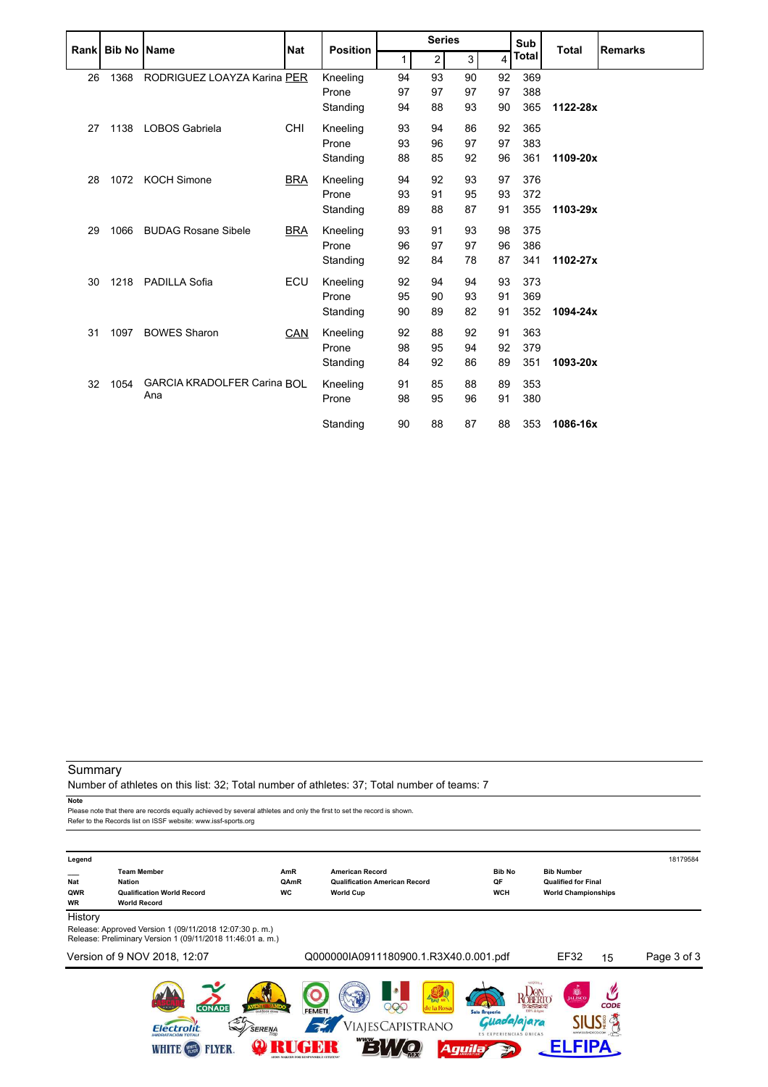|    | Rank Bib No Name |                                    | <b>Nat</b> | <b>Position</b> |             | <b>Series</b>  |    |    | Sub   | <b>Total</b> | <b>Remarks</b> |
|----|------------------|------------------------------------|------------|-----------------|-------------|----------------|----|----|-------|--------------|----------------|
|    |                  |                                    |            |                 | $\mathbf 1$ | $\overline{2}$ | 3  | 4  | Total |              |                |
| 26 | 1368             | RODRIGUEZ LOAYZA Karina PER        |            | Kneeling        | 94          | 93             | 90 | 92 | 369   |              |                |
|    |                  |                                    |            | Prone           | 97          | 97             | 97 | 97 | 388   |              |                |
|    |                  |                                    |            | Standing        | 94          | 88             | 93 | 90 | 365   | 1122-28x     |                |
| 27 | 1138             | <b>LOBOS Gabriela</b>              | <b>CHI</b> | Kneeling        | 93          | 94             | 86 | 92 | 365   |              |                |
|    |                  |                                    |            | Prone           | 93          | 96             | 97 | 97 | 383   |              |                |
|    |                  |                                    |            | Standing        | 88          | 85             | 92 | 96 | 361   | 1109-20x     |                |
| 28 | 1072             | <b>KOCH Simone</b>                 | <b>BRA</b> | Kneeling        | 94          | 92             | 93 | 97 | 376   |              |                |
|    |                  |                                    |            | Prone           | 93          | 91             | 95 | 93 | 372   |              |                |
|    |                  |                                    |            | Standing        | 89          | 88             | 87 | 91 | 355   | 1103-29x     |                |
| 29 | 1066             | <b>BUDAG Rosane Sibele</b>         | <b>BRA</b> | Kneeling        | 93          | 91             | 93 | 98 | 375   |              |                |
|    |                  |                                    |            | Prone           | 96          | 97             | 97 | 96 | 386   |              |                |
|    |                  |                                    |            | Standing        | 92          | 84             | 78 | 87 | 341   | 1102-27x     |                |
| 30 | 1218             | PADILLA Sofia                      | <b>ECU</b> | Kneeling        | 92          | 94             | 94 | 93 | 373   |              |                |
|    |                  |                                    |            | Prone           | 95          | 90             | 93 | 91 | 369   |              |                |
|    |                  |                                    |            | Standing        | 90          | 89             | 82 | 91 | 352   | 1094-24x     |                |
| 31 | 1097             | <b>BOWES Sharon</b>                | CAN        | Kneeling        | 92          | 88             | 92 | 91 | 363   |              |                |
|    |                  |                                    |            | Prone           | 98          | 95             | 94 | 92 | 379   |              |                |
|    |                  |                                    |            | Standing        | 84          | 92             | 86 | 89 | 351   | 1093-20x     |                |
| 32 | 1054             | <b>GARCIA KRADOLFER Carina BOL</b> |            | Kneeling        | 91          | 85             | 88 | 89 | 353   |              |                |
|    |                  | Ana                                |            | Prone           | 98          | 95             | 96 | 91 | 380   |              |                |
|    |                  |                                    |            | Standing        | 90          | 88             | 87 | 88 | 353   | 1086-16x     |                |

Number of athletes on this list: 32; Total number of athletes: 37; Total number of teams: 7

**Note**

Please note that there are records equally achieved by several athletes and only the first to set the record is shown. Refer to the Records list on ISSF website: www.issf-sports.org

| Legend                  |                                                                                                                     |                   |                                                                                    |                                   |                                                                               | 18179584    |
|-------------------------|---------------------------------------------------------------------------------------------------------------------|-------------------|------------------------------------------------------------------------------------|-----------------------------------|-------------------------------------------------------------------------------|-------------|
| Nat<br>QWR<br><b>WR</b> | <b>Team Member</b><br>Nation<br><b>Qualification World Record</b><br><b>World Record</b>                            | AmR<br>QAmR<br>WC | <b>American Record</b><br><b>Qualification American Record</b><br><b>World Cup</b> | <b>Bib No</b><br>QF<br><b>WCH</b> | <b>Bib Number</b><br><b>Qualified for Final</b><br><b>World Championships</b> |             |
| History                 |                                                                                                                     |                   |                                                                                    |                                   |                                                                               |             |
|                         | Release: Approved Version 1 (09/11/2018 12:07:30 p.m.)<br>Release: Preliminary Version 1 (09/11/2018 11:46:01 a.m.) |                   |                                                                                    |                                   |                                                                               |             |
|                         | Version of 9 NOV 2018, 12:07                                                                                        |                   | Q000000IA0911180900.1.R3X40.0.001.pdf                                              |                                   | EF32<br>15                                                                    | Page 3 of 3 |
|                         | <b>CONADE</b><br>outdoor store<br><b>Flectrolit</b><br><b>SERENA</b><br>$\tilde{}$                                  |                   | <b>EZAJ NR</b><br>e la Rosa<br><b>FEMETI</b><br>/IAJESCAPISTRANO                   | Solo Arqueria                     | <b>DE</b><br><b>CODE</b><br>1.5000201<br>D35 de Antre<br>ajara                |             |
|                         | <b>HIDRATACIÓN TOTALI</b><br><b>FLYER</b><br>WHITE                                                                  |                   |                                                                                    | ES EXPERIENCIAS ÚNICAS<br>Aguila  | WWW.SIUSHEXICO.COM                                                            |             |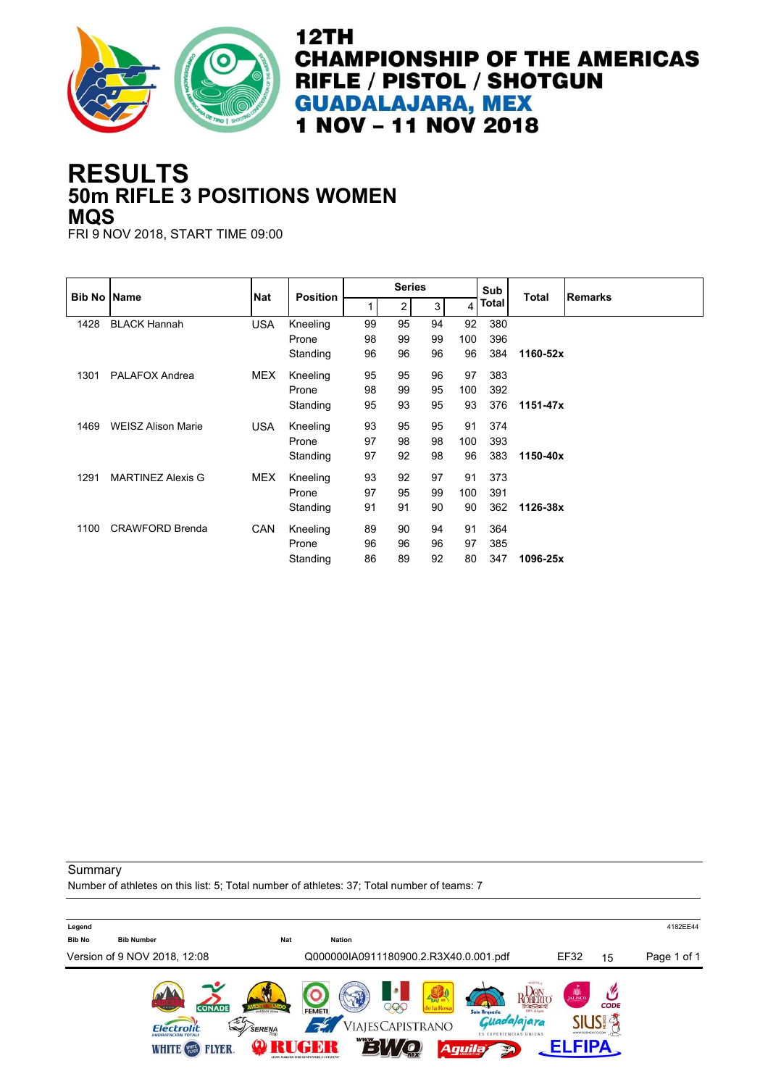

## **50m RIFLE 3 POSITIONS WOMEN RESULTS MQS**

FRI 9 NOV 2018, START TIME 09:00

| <b>Bib No Name</b> |                           | <b>Nat</b> | <b>Position</b> |    | <b>Series</b>  |    |     | Sub   | <b>Total</b> | <b>Remarks</b> |
|--------------------|---------------------------|------------|-----------------|----|----------------|----|-----|-------|--------------|----------------|
|                    |                           |            |                 |    | $\overline{2}$ | 3  | 4   | Total |              |                |
| 1428               | <b>BLACK Hannah</b>       | <b>USA</b> | Kneeling        | 99 | 95             | 94 | 92  | 380   |              |                |
|                    |                           |            | Prone           | 98 | 99             | 99 | 100 | 396   |              |                |
|                    |                           |            | Standing        | 96 | 96             | 96 | 96  | 384   | 1160-52x     |                |
| 1301               | <b>PALAFOX Andrea</b>     | MEX        | Kneeling        | 95 | 95             | 96 | 97  | 383   |              |                |
|                    |                           |            | Prone           | 98 | 99             | 95 | 100 | 392   |              |                |
|                    |                           |            | Standing        | 95 | 93             | 95 | 93  | 376   | 1151-47x     |                |
| 1469               | <b>WEISZ Alison Marie</b> | <b>USA</b> | Kneeling        | 93 | 95             | 95 | 91  | 374   |              |                |
|                    |                           |            | Prone           | 97 | 98             | 98 | 100 | 393   |              |                |
|                    |                           |            | Standing        | 97 | 92             | 98 | 96  | 383   | 1150-40x     |                |
| 1291               | <b>MARTINEZ Alexis G</b>  | <b>MEX</b> | Kneeling        | 93 | 92             | 97 | 91  | 373   |              |                |
|                    |                           |            | Prone           | 97 | 95             | 99 | 100 | 391   |              |                |
|                    |                           |            | Standing        | 91 | 91             | 90 | 90  | 362   | 1126-38x     |                |
| 1100               | <b>CRAWFORD Brenda</b>    | <b>CAN</b> | Kneeling        | 89 | 90             | 94 | 91  | 364   |              |                |
|                    |                           |            | Prone           | 96 | 96             | 96 | 97  | 385   |              |                |
|                    |                           |            | Standing        | 86 | 89             | 92 | 80  | 347   | 1096-25x     |                |

**Summary** 

Number of athletes on this list: 5; Total number of athletes: 37; Total number of teams: 7

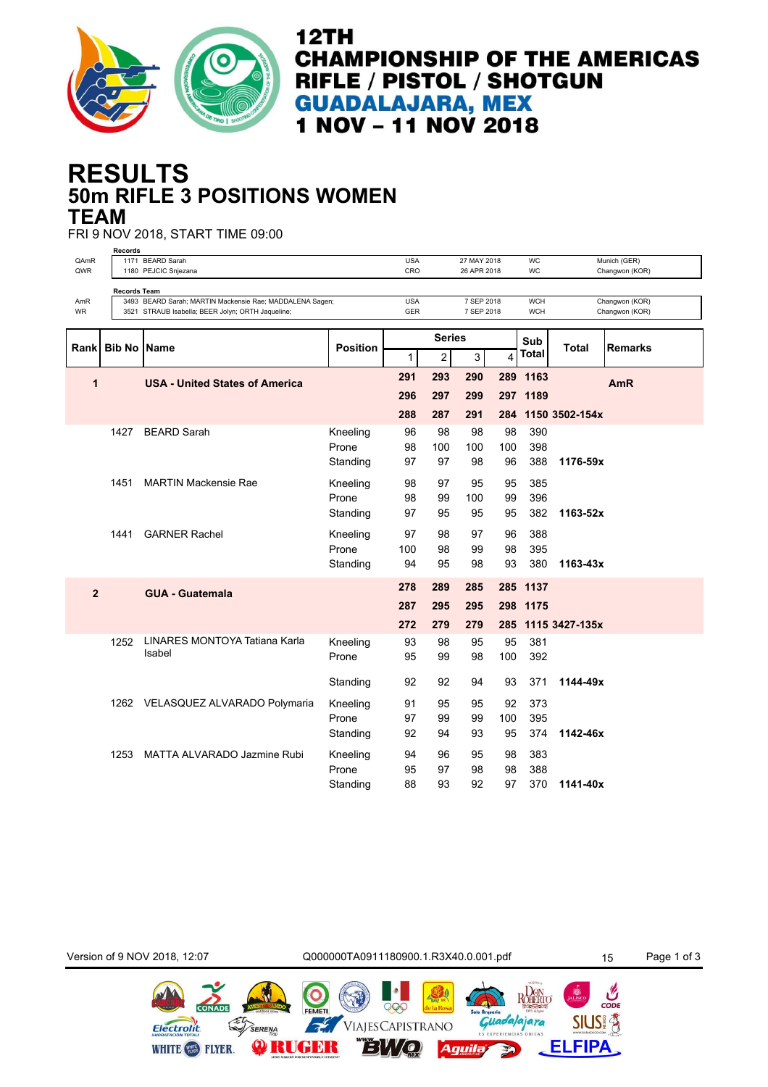

## **50m RIFLE 3 POSITIONS WOMEN RESULTS TEAM**

FRI 9 NOV 2018, START TIME 09:00

|                | <b>Records</b>      |                                                          |                 |                   |                |             |                |                 |                    |                                |
|----------------|---------------------|----------------------------------------------------------|-----------------|-------------------|----------------|-------------|----------------|-----------------|--------------------|--------------------------------|
| QAmR<br>QWR    |                     | 1171 BEARD Sarah<br>1180 PEJCIC Snjezana                 |                 | <b>USA</b><br>CRO |                | 27 MAY 2018 |                | WC<br><b>WC</b> |                    | Munich (GER)<br>Changwon (KOR) |
|                |                     |                                                          |                 |                   |                | 26 APR 2018 |                |                 |                    |                                |
|                | <b>Records Team</b> |                                                          |                 |                   |                |             |                |                 |                    |                                |
| AmR            |                     | 3493 BEARD Sarah; MARTIN Mackensie Rae; MADDALENA Sagen; |                 | <b>USA</b>        |                | 7 SEP 2018  |                | <b>WCH</b>      |                    | Changwon (KOR)                 |
| <b>WR</b>      |                     | 3521 STRAUB Isabella; BEER Jolyn; ORTH Jaqueline;        |                 | GER               |                | 7 SEP 2018  |                | <b>WCH</b>      |                    | Changwon (KOR)                 |
|                |                     |                                                          |                 |                   |                |             |                |                 |                    |                                |
|                |                     |                                                          |                 |                   | <b>Series</b>  |             |                | Sub             |                    |                                |
| Rank           | <b>Bib No Name</b>  |                                                          | <b>Position</b> | $\mathbf{1}$      | $\overline{c}$ | 3           | $\overline{4}$ | Total           | <b>Total</b>       | <b>Remarks</b>                 |
|                |                     |                                                          |                 |                   |                |             |                |                 |                    |                                |
| 1              |                     | <b>USA - United States of America</b>                    |                 | 291               | 293            | 290         |                | 289 1163        |                    | <b>AmR</b>                     |
|                |                     |                                                          |                 | 296               | 297            | 299         |                | 297 1189        |                    |                                |
|                |                     |                                                          |                 |                   |                |             |                |                 |                    |                                |
|                |                     |                                                          |                 | 288               | 287            | 291         | 284            |                 | 1150 3502-154x     |                                |
|                | 1427                | <b>BEARD Sarah</b>                                       | Kneeling        | 96                | 98             | 98          | 98             | 390             |                    |                                |
|                |                     |                                                          | Prone           | 98                | 100            | 100         | 100            | 398             |                    |                                |
|                |                     |                                                          | Standing        | 97                | 97             | 98          | 96             | 388             | 1176-59x           |                                |
|                |                     |                                                          |                 |                   |                |             |                |                 |                    |                                |
|                | 1451                | <b>MARTIN Mackensie Rae</b>                              | Kneeling        | 98                | 97             | 95          | 95             | 385             |                    |                                |
|                |                     |                                                          | Prone           | 98                | 99             | 100         | 99             | 396             |                    |                                |
|                |                     |                                                          | Standing        | 97                | 95             | 95          | 95             | 382             | 1163-52x           |                                |
|                |                     |                                                          |                 |                   |                |             |                |                 |                    |                                |
|                | 1441                | <b>GARNER Rachel</b>                                     | Kneeling        | 97                | 98             | 97          | 96             | 388             |                    |                                |
|                |                     |                                                          | Prone           | 100               | 98             | 99          | 98             | 395             |                    |                                |
|                |                     |                                                          | Standing        | 94                | 95             | 98          | 93             | 380             | $1163 - 43x$       |                                |
|                |                     |                                                          |                 |                   |                |             |                |                 |                    |                                |
| $\overline{2}$ |                     | <b>GUA - Guatemala</b>                                   |                 | 278               | 289            | 285         |                | 285 1137        |                    |                                |
|                |                     |                                                          |                 | 287               | 295            | 295         |                | 298 1175        |                    |                                |
|                |                     |                                                          |                 |                   |                |             |                |                 |                    |                                |
|                |                     |                                                          |                 | 272               | 279            | 279         |                |                 | 285 1115 3427-135x |                                |
|                | 1252                | LINARES MONTOYA Tatiana Karla                            | Kneeling        | 93                | 98             | 95          | 95             | 381             |                    |                                |
|                |                     | Isabel                                                   | Prone           | 95                | 99             | 98          | 100            | 392             |                    |                                |
|                |                     |                                                          |                 |                   |                |             |                |                 |                    |                                |
|                |                     |                                                          | Standing        | 92                | 92             | 94          | 93             | 371             | 1144-49x           |                                |
|                |                     |                                                          |                 |                   |                |             |                |                 |                    |                                |
|                |                     | 1262 VELASQUEZ ALVARADO Polymaria                        | Kneeling        | 91                | 95             | 95          | 92             | 373             |                    |                                |
|                |                     |                                                          | Prone           | 97                | 99             | 99          | 100            | 395             |                    |                                |
|                |                     |                                                          | Standing        | 92                | 94             | 93          | 95             | 374             | 1142-46x           |                                |
|                | 1253                | MATTA ALVARADO Jazmine Rubi                              |                 | 94                | 96             | 95          | 98             | 383             |                    |                                |
|                |                     |                                                          | Kneeling        |                   |                |             |                |                 |                    |                                |
|                |                     |                                                          | Prone           | 95                | 97             | 98          | 98             | 388             |                    |                                |
|                |                     |                                                          | Standing        | 88                | 93             | 92          | 97             | 370             | 1141-40x           |                                |
|                |                     |                                                          |                 |                   |                |             |                |                 |                    |                                |

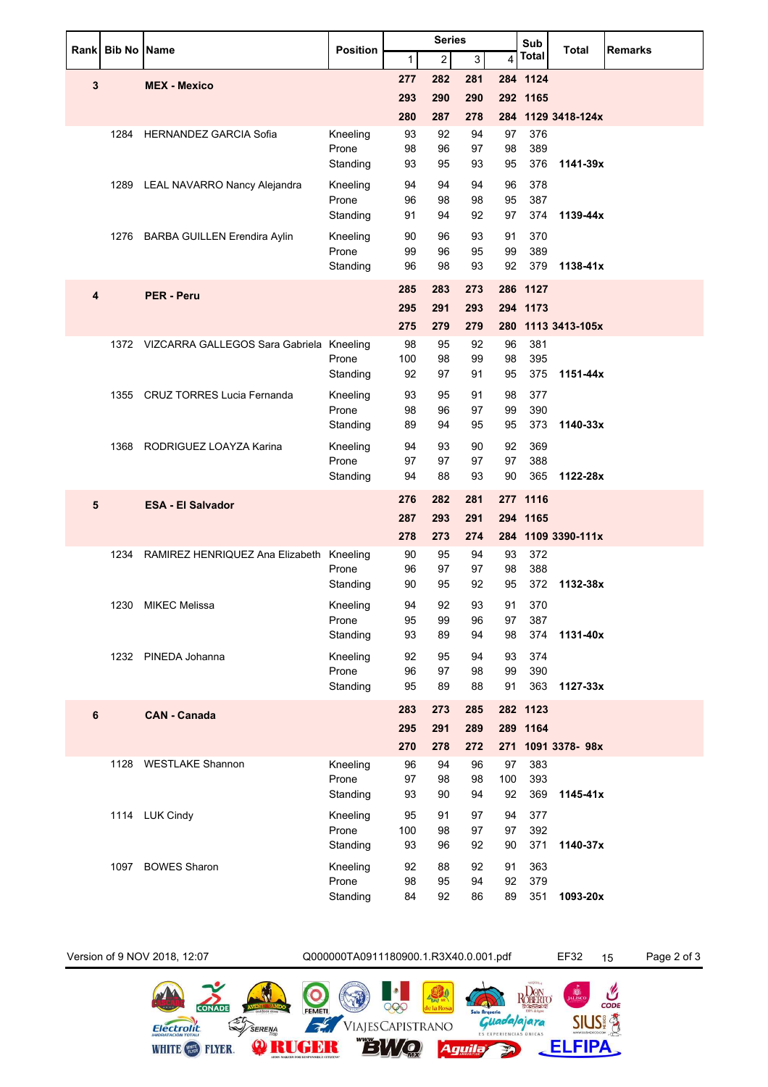|      | <b>Bib No Name</b> |                                               | <b>Position</b>   |           | <b>Series</b>  |           |           | Sub          | <b>Total</b>       | <b>Remarks</b> |
|------|--------------------|-----------------------------------------------|-------------------|-----------|----------------|-----------|-----------|--------------|--------------------|----------------|
| Rank |                    |                                               |                   | 1         | $\overline{c}$ | 3         | 4         | <b>Total</b> |                    |                |
| 3    |                    | <b>MEX - Mexico</b>                           |                   | 277       | 282            | 281       |           | 284 1124     |                    |                |
|      |                    |                                               |                   | 293       | 290            | 290       |           | 292 1165     |                    |                |
|      |                    |                                               |                   | 280       | 287            | 278       |           |              | 284 1129 3418-124x |                |
|      |                    | 1284 HERNANDEZ GARCIA Sofia                   | Kneeling<br>Prone | 93<br>98  | 92<br>96       | 94<br>97  | 97<br>98  | 376<br>389   |                    |                |
|      |                    |                                               | Standing          | 93        | 95             | 93        | 95        | 376          | 1141-39x           |                |
|      |                    | 1289 LEAL NAVARRO Nancy Alejandra             | Kneeling          | 94        | 94             | 94        | 96        | 378          |                    |                |
|      |                    |                                               | Prone             | 96        | 98             | 98        | 95        | 387          |                    |                |
|      |                    |                                               | Standing          | 91        | 94             | 92        | 97        | 374          | 1139-44x           |                |
|      |                    | 1276 BARBA GUILLEN Erendira Aylin             | Kneeling          | 90        | 96             | 93        | 91        | 370          |                    |                |
|      |                    |                                               | Prone             | 99        | 96             | 95        | 99        | 389          |                    |                |
|      |                    |                                               | Standing          | 96        | 98             | 93        | 92        | 379          | 1138-41x           |                |
| 4    |                    | <b>PER - Peru</b>                             |                   | 285       | 283            | 273       |           | 286 1127     |                    |                |
|      |                    |                                               |                   | 295       | 291            | 293       |           | 294 1173     |                    |                |
|      |                    | 1372 VIZCARRA GALLEGOS Sara Gabriela          | Kneeling          | 275<br>98 | 279<br>95      | 279<br>92 | 96        | 381          | 280 1113 3413-105x |                |
|      |                    |                                               | Prone             | 100       | 98             | 99        | 98        | 395          |                    |                |
|      |                    |                                               | Standing          | 92        | 97             | 91        | 95        | 375          | 1151-44x           |                |
|      |                    | 1355 CRUZ TORRES Lucia Fernanda               | Kneeling          | 93        | 95             | 91        | 98        | 377          |                    |                |
|      |                    |                                               | Prone             | 98        | 96             | 97        | 99        | 390          |                    |                |
|      |                    |                                               | Standing          | 89        | 94             | 95        | 95        | 373          | 1140-33x           |                |
|      |                    | 1368 RODRIGUEZ LOAYZA Karina                  | Kneeling          | 94        | 93             | 90        | 92        | 369          |                    |                |
|      |                    |                                               | Prone<br>Standing | 97<br>94  | 97<br>88       | 97<br>93  | 97<br>90  | 388<br>365   | 1122-28x           |                |
|      |                    |                                               |                   | 276       | 282            | 281       |           | 277 1116     |                    |                |
| 5    |                    | <b>ESA - El Salvador</b>                      |                   | 287       | 293            | 291       |           | 294 1165     |                    |                |
|      |                    |                                               |                   | 278       | 273            | 274       |           |              | 284 1109 3390-111x |                |
|      |                    | 1234 RAMIREZ HENRIQUEZ Ana Elizabeth Kneeling |                   | 90        | 95             | 94        | 93        | 372          |                    |                |
|      |                    |                                               | Prone             | 96        | 97             | 97        | 98        | 388          |                    |                |
|      |                    |                                               | Standing          | 90        | 95             | 92        | 95        | 372          | 1132-38x           |                |
|      |                    | 1230 MIKEC Melissa                            | Kneeling          | 94        | 92             | 93        | 91        | 370          |                    |                |
|      |                    |                                               | Prone<br>Standing | 95<br>93  | 99<br>89       | 96<br>94  | 97<br>98  | 387<br>374   | 1131-40x           |                |
|      |                    | 1232 PINEDA Johanna                           | Kneeling          | 92        | 95             | 94        | 93        | 374          |                    |                |
|      |                    |                                               | Prone             | 96        | 97             | 98        | 99        | 390          |                    |                |
|      |                    |                                               | Standing          | 95        | 89             | 88        | 91        | 363          | 1127-33x           |                |
| 6    |                    | <b>CAN - Canada</b>                           |                   | 283       | 273            | 285       |           | 282 1123     |                    |                |
|      |                    |                                               |                   | 295       | 291            | 289       |           | 289 1164     |                    |                |
|      |                    |                                               |                   | 270       | 278            | 272       |           |              | 271 1091 3378- 98x |                |
|      |                    | 1128 WESTLAKE Shannon                         | Kneeling          | 96        | 94             | 96        | 97        | 383          |                    |                |
|      |                    |                                               | Prone<br>Standing | 97<br>93  | 98<br>90       | 98<br>94  | 100<br>92 | 393<br>369   | 1145-41x           |                |
|      |                    | 1114 LUK Cindy                                | Kneeling          | 95        | 91             | 97        | 94        | 377          |                    |                |
|      |                    |                                               | Prone             | 100       | 98             | 97        | 97        | 392          |                    |                |
|      |                    |                                               | Standing          | 93        | 96             | 92        | 90        | 371          | 1140-37x           |                |
|      |                    | 1097 BOWES Sharon                             | Kneeling          | 92        | 88             | 92        | 91        | 363          |                    |                |
|      |                    |                                               | Prone             | 98        | 95             | 94        | 92        | 379          |                    |                |
|      |                    |                                               | Standing          | 84        | 92             | 86        | 89        | 351          | 1093-20x           |                |

Version of 9 NOV 2018, 12:07 Q000000TA0911180900.1.R3X40.0.001.pdf EF32 15 Page 2 of 3黑  $\mathcal{C}$ ROBERIO **O** O CONADE  $QQQ$ FEMETI e <mark>la Ros</mark> **Guada/ajara SIUSI** 含 VIAJESCAPISTRANO SERENA Electrolit  $\frac{1}{2}$ 

**BWQ** 

Aguila

五

**ELFIPA** 

**ORUGBR** 

WHITE **WE** FLYER.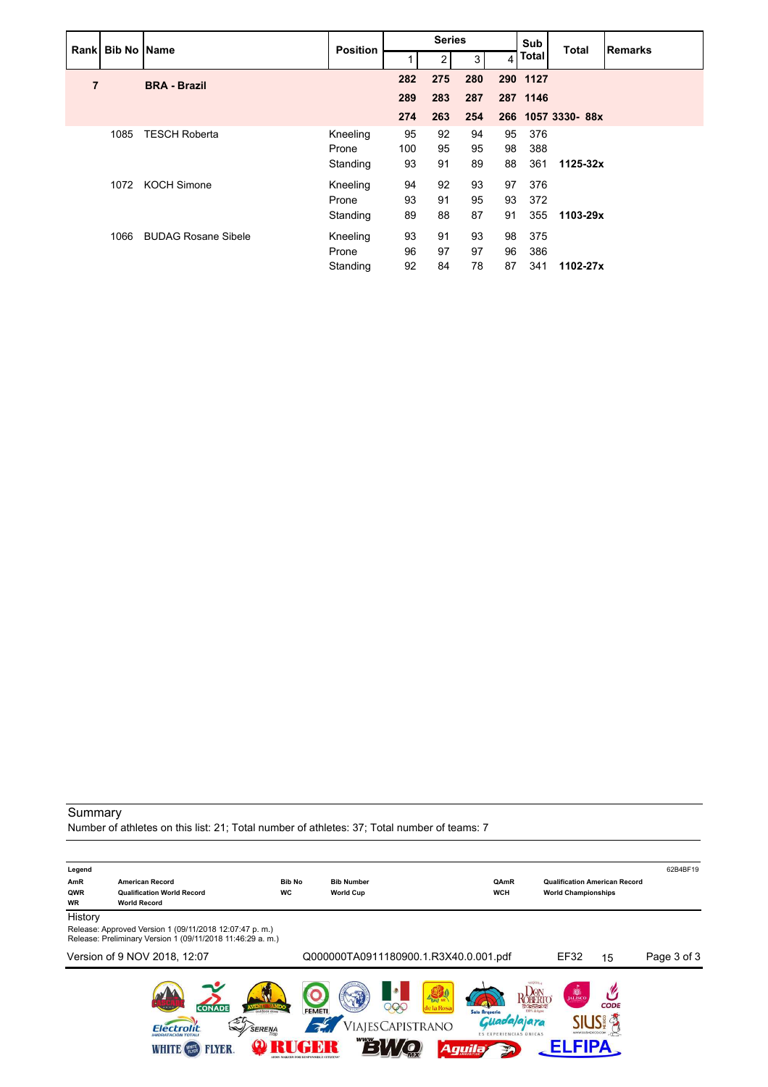|                | Rank   Bib No   Name |                            | <b>Position</b> |     | <b>Series</b> |     |                | Sub      | <b>Total</b>      | Remarks |
|----------------|----------------------|----------------------------|-----------------|-----|---------------|-----|----------------|----------|-------------------|---------|
|                |                      |                            |                 |     | 2             | 3   | $\overline{4}$ | Total    |                   |         |
| $\overline{7}$ |                      | <b>BRA - Brazil</b>        |                 | 282 | 275           | 280 |                | 290 1127 |                   |         |
|                |                      |                            |                 | 289 | 283           | 287 |                | 287 1146 |                   |         |
|                |                      |                            |                 | 274 | 263           | 254 |                |          | 266 1057 3330-88x |         |
|                | 1085                 | <b>TESCH Roberta</b>       | Kneeling        | 95  | 92            | 94  | 95             | 376      |                   |         |
|                |                      |                            | Prone           | 100 | 95            | 95  | 98             | 388      |                   |         |
|                |                      |                            | Standing        | 93  | 91            | 89  | 88             | 361      | $1125 - 32x$      |         |
|                | 1072                 | <b>KOCH Simone</b>         | Kneeling        | 94  | 92            | 93  | 97             | 376      |                   |         |
|                |                      |                            | Prone           | 93  | 91            | 95  | 93             | 372      |                   |         |
|                |                      |                            | Standing        | 89  | 88            | 87  | 91             | 355      | 1103-29x          |         |
|                | 1066                 | <b>BUDAG Rosane Sibele</b> | Kneeling        | 93  | 91            | 93  | 98             | 375      |                   |         |
|                |                      |                            | Prone           | 96  | 97            | 97  | 96             | 386      |                   |         |
|                |                      |                            | Standing        | 92  | 84            | 78  | 87             | 341      | 1102-27x          |         |

Number of athletes on this list: 21; Total number of athletes: 37; Total number of teams: 7

| Legend<br>AmR<br>QWR<br><b>WR</b> | <b>American Record</b><br><b>Qualification World Record</b><br><b>World Record</b>                                  | <b>Bib No</b><br>WC | <b>Bib Number</b><br><b>World Cup</b> | QAmR<br><b>WCH</b>                                                                | <b>Qualification American Record</b><br><b>World Championships</b>                                                   | 62B4BF19    |
|-----------------------------------|---------------------------------------------------------------------------------------------------------------------|---------------------|---------------------------------------|-----------------------------------------------------------------------------------|----------------------------------------------------------------------------------------------------------------------|-------------|
| History                           |                                                                                                                     |                     |                                       |                                                                                   |                                                                                                                      |             |
|                                   | Release: Approved Version 1 (09/11/2018 12:07:47 p.m.)<br>Release: Preliminary Version 1 (09/11/2018 11:46:29 a.m.) |                     |                                       |                                                                                   |                                                                                                                      |             |
|                                   | Version of 9 NOV 2018, 12:07                                                                                        |                     |                                       | Q000000TA0911180900.1.R3X40.0.001.pdf                                             | EF32<br>15                                                                                                           | Page 3 of 3 |
|                                   | <b>CONADE</b><br>outdoor store<br>SERENA<br>Flectrolit<br>FLYER<br><b>WHITE (FARE)</b>                              | <b>FEMETI</b>       | 206<br>ViajesCapistrano               | <b>EXAMINE</b><br>de la Rosa<br>Solo Arqueria<br>ES EXPERIENCIAS ÚNICAS<br>Aguila | B <sub>u</sub><br><b>KOBERTO</b><br><b>CODE</b><br>$-6002$<br>100% de Autre<br><i>dajajara</i><br>WWW.SEUSHEXICO.COM |             |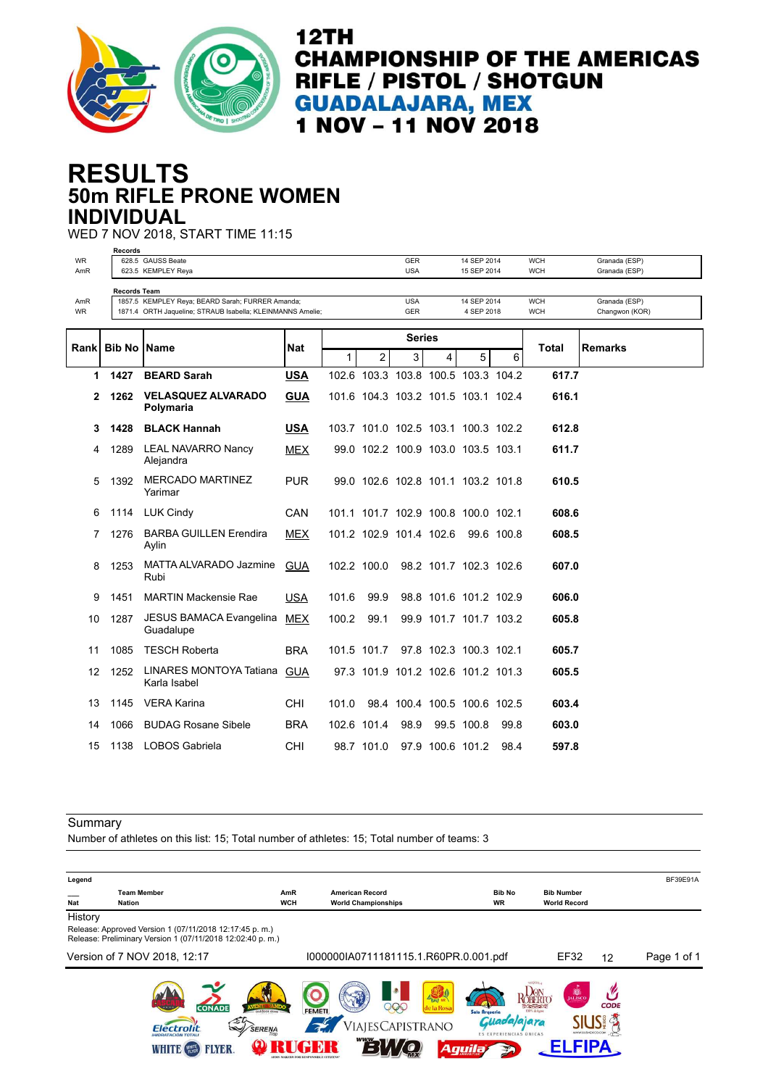

## **50m RIFLE PRONE WOMEN RESULTS INDIVIDUAL**

WED 7 NOV 2018, START TIME 11:15 **Records**

|           | necorus         |                                                            |            |       |                |                                     |                        |             |            |            |                |
|-----------|-----------------|------------------------------------------------------------|------------|-------|----------------|-------------------------------------|------------------------|-------------|------------|------------|----------------|
| <b>WR</b> |                 | 628.5 GAUSS Beate                                          |            |       |                | <b>GER</b>                          |                        | 14 SEP 2014 |            | <b>WCH</b> | Granada (ESP)  |
| AmR       |                 | 623.5 KEMPLEY Reya                                         |            |       |                | <b>USA</b>                          |                        | 15 SEP 2014 |            | <b>WCH</b> | Granada (ESP)  |
|           |                 |                                                            |            |       |                |                                     |                        |             |            |            |                |
|           | Records Team    |                                                            |            |       |                |                                     |                        |             |            |            |                |
| AmR       |                 | 1857.5 KEMPLEY Reya; BEARD Sarah; FURRER Amanda;           |            |       |                | <b>USA</b>                          |                        | 14 SEP 2014 |            | <b>WCH</b> | Granada (ESP)  |
| WR        |                 | 1871.4 ORTH Jaqueline; STRAUB Isabella; KLEINMANNS Amelie; |            |       |                | <b>GER</b>                          |                        | 4 SEP 2018  |            | <b>WCH</b> | Changwon (KOR) |
|           |                 |                                                            |            |       |                |                                     |                        |             |            |            |                |
|           |                 |                                                            |            |       |                | <b>Series</b>                       |                        |             |            |            |                |
| Rankl     | <b>Bib No I</b> | <b>Name</b>                                                | <b>Nat</b> |       | $\overline{2}$ | 3                                   |                        | 5           | 6          | Total      | <b>Remarks</b> |
|           |                 |                                                            |            | 1.    |                |                                     | 4                      |             |            |            |                |
| 1         | 1427            | <b>BEARD Sarah</b>                                         | <b>USA</b> |       |                | 102.6 103.3 103.8 100.5 103.3 104.2 |                        |             |            | 617.7      |                |
|           |                 |                                                            |            |       |                |                                     |                        |             |            |            |                |
| 2         | 1262            | <b>VELASQUEZ ALVARADO</b>                                  | <b>GUA</b> |       |                | 101.6 104.3 103.2 101.5 103.1 102.4 |                        |             |            | 616.1      |                |
|           |                 | Polymaria                                                  |            |       |                |                                     |                        |             |            |            |                |
|           |                 |                                                            |            |       |                |                                     |                        |             |            |            |                |
| 3         | 1428            | <b>BLACK Hannah</b>                                        | <b>USA</b> |       |                | 103.7 101.0 102.5 103.1 100.3 102.2 |                        |             |            | 612.8      |                |
|           |                 |                                                            |            |       |                |                                     |                        |             |            |            |                |
| 4         | 1289            | <b>LEAL NAVARRO Nancy</b>                                  | <b>MEX</b> |       |                | 99.0 102.2 100.9 103.0 103.5 103.1  |                        |             |            | 611.7      |                |
|           |                 | Alejandra                                                  |            |       |                |                                     |                        |             |            |            |                |
| 5         | 1392            | <b>MERCADO MARTINEZ</b>                                    | <b>PUR</b> |       |                | 99.0 102.6 102.8 101.1 103.2 101.8  |                        |             |            | 610.5      |                |
|           |                 | Yarimar                                                    |            |       |                |                                     |                        |             |            |            |                |
|           |                 |                                                            |            |       |                |                                     |                        |             |            |            |                |
| 6         | 1114            | <b>LUK Cindy</b>                                           | CAN        |       |                | 101.1 101.7 102.9 100.8 100.0 102.1 |                        |             |            | 608.6      |                |
|           |                 |                                                            |            |       |                |                                     |                        |             |            |            |                |
| 7         | 1276            | <b>BARBA GUILLEN Erendira</b>                              | <b>MEX</b> |       |                | 101.2 102.9 101.4 102.6             |                        |             | 99.6 100.8 | 608.5      |                |
|           |                 | Aylin                                                      |            |       |                |                                     |                        |             |            |            |                |
|           |                 |                                                            |            |       |                |                                     |                        |             |            |            |                |
| 8         | 1253            | MATTA ALVARADO Jazmine                                     | <b>GUA</b> |       | 102.2 100.0    |                                     | 98.2 101.7 102.3 102.6 |             |            | 607.0      |                |
|           |                 | Rubi                                                       |            |       |                |                                     |                        |             |            |            |                |
| 9         | 1451            | <b>MARTIN Mackensie Rae</b>                                |            | 101.6 | 99.9           |                                     | 98.8 101.6 101.2 102.9 |             |            | 606.0      |                |
|           |                 |                                                            | <b>USA</b> |       |                |                                     |                        |             |            |            |                |
| 10        | 1287            | <b>JESUS BAMACA Evangelina</b>                             | <b>MEX</b> | 100.2 | 99.1           |                                     | 99.9 101.7 101.7 103.2 |             |            | 605.8      |                |
|           |                 | Guadalupe                                                  |            |       |                |                                     |                        |             |            |            |                |
|           |                 |                                                            |            |       |                |                                     |                        |             |            |            |                |
| 11        | 1085            | <b>TESCH Roberta</b>                                       | <b>BRA</b> |       | 101.5 101.7    |                                     | 97.8 102.3 100.3 102.1 |             |            | 605.7      |                |
|           |                 |                                                            |            |       |                |                                     |                        |             |            |            |                |
| 12        | 1252            | <b>LINARES MONTOYA Tatiana</b>                             | <b>GUA</b> |       |                | 97.3 101.9 101.2 102.6 101.2 101.3  |                        |             |            | 605.5      |                |
|           |                 | Karla Isabel                                               |            |       |                |                                     |                        |             |            |            |                |
|           |                 |                                                            |            |       |                |                                     |                        |             |            |            |                |
| 13        | 1145            | VERA Karina                                                | CHI        | 101.0 |                | 98.4 100.4 100.5 100.6 102.5        |                        |             |            | 603.4      |                |
|           |                 |                                                            |            |       |                |                                     |                        |             |            |            |                |
| 14        | 1066            | <b>BUDAG Rosane Sibele</b>                                 | <b>BRA</b> |       | 102.6 101.4    | 98.9                                |                        | 99.5 100.8  | 99.8       | 603.0      |                |
| 15        |                 | 1138 LOBOS Gabriela                                        | <b>CHI</b> |       | 98.7 101.0     |                                     | 97.9 100.6 101.2       |             | 98.4       | 597.8      |                |
|           |                 |                                                            |            |       |                |                                     |                        |             |            |            |                |

#### **Summary**

Number of athletes on this list: 15; Total number of athletes: 15; Total number of teams: 3

| Legend     |                                                                                                                     |                   |                                                                          |                                                |                                                           | BF39E91A    |
|------------|---------------------------------------------------------------------------------------------------------------------|-------------------|--------------------------------------------------------------------------|------------------------------------------------|-----------------------------------------------------------|-------------|
|            | <b>Team Member</b>                                                                                                  | AmR               | <b>American Record</b>                                                   | <b>Bib No</b>                                  | <b>Bib Number</b>                                         |             |
| <b>Nat</b> | <b>Nation</b>                                                                                                       | <b>WCH</b>        | <b>World Championships</b>                                               | WR                                             | <b>World Record</b>                                       |             |
| History    |                                                                                                                     |                   |                                                                          |                                                |                                                           |             |
|            | Release: Approved Version 1 (07/11/2018 12:17:45 p.m.)<br>Release: Preliminary Version 1 (07/11/2018 12:02:40 p.m.) |                   |                                                                          |                                                |                                                           |             |
|            | Version of 7 NOV 2018, 12:17                                                                                        |                   | I000000IA0711181115.1.R60PR.0.001.pdf                                    |                                                | EF32<br>12                                                | Page 1 of 1 |
|            | <b>CONADE</b><br><b>Flectrolit</b><br><b>SERENA</b><br>$\mathbb{Z}$<br><b>IHIDRATACIÓN TOTALI</b>                   | - outdoor store - | <b>EXAMINE</b><br>206<br>le la Rosa<br><b>FEMETI</b><br>VIAJESCAPISTRANO | Solo Arqueria<br><b>ES EXPERIENCIAS UNICAS</b> | <b>DE</b><br><b>CODE</b><br><b>Cover</b><br>100% de Autre |             |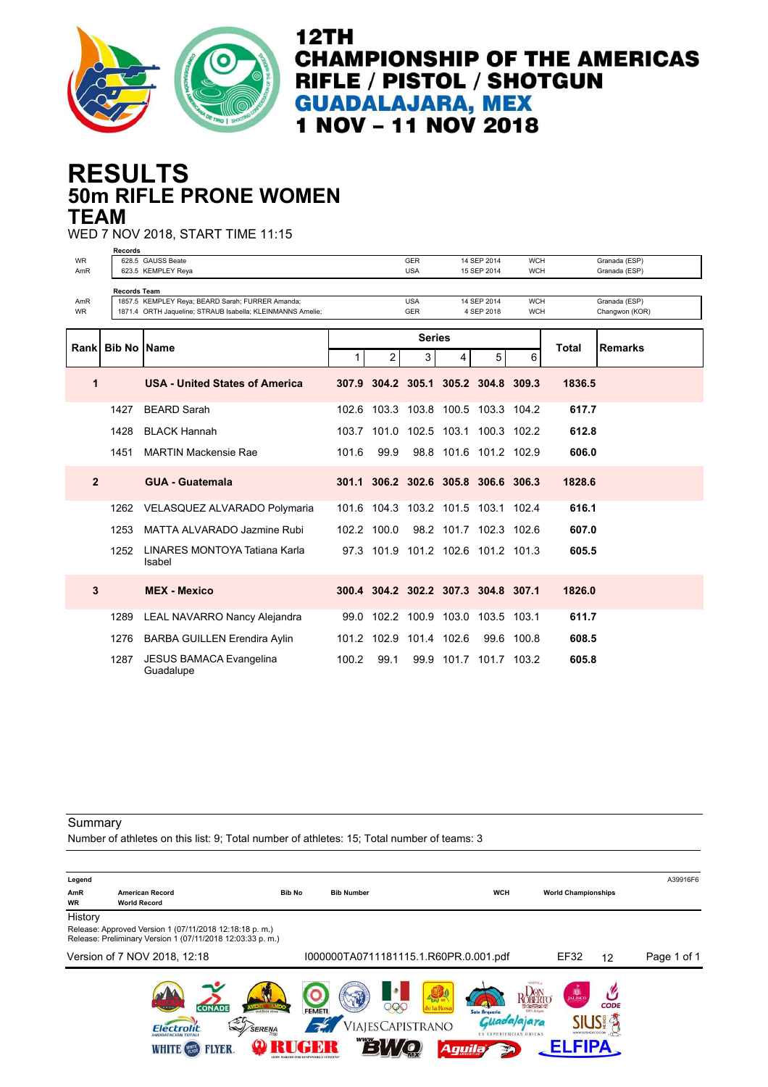

## **50m RIFLE PRONE WOMEN RESULTS TEAM**

WED 7 NOV 2018, START TIME 11:15

|                | <b>Records</b>            |                                                            |       |             |                                     |   |                        |            |        |                |
|----------------|---------------------------|------------------------------------------------------------|-------|-------------|-------------------------------------|---|------------------------|------------|--------|----------------|
| <b>WR</b>      |                           | 628.5 GAUSS Beate                                          |       |             | GER                                 |   | 14 SEP 2014            | <b>WCH</b> |        | Granada (ESP)  |
| AmR            |                           | 623.5 KEMPLEY Reya                                         |       |             | <b>USA</b>                          |   | 15 SEP 2014            | <b>WCH</b> |        | Granada (ESP)  |
|                | <b>Records Team</b>       |                                                            |       |             |                                     |   |                        |            |        |                |
| AmR            |                           | 1857.5 KEMPLEY Reya; BEARD Sarah; FURRER Amanda;           |       |             | <b>USA</b>                          |   | 14 SEP 2014            | <b>WCH</b> |        | Granada (ESP)  |
| <b>WR</b>      |                           | 1871.4 ORTH Jaqueline; STRAUB Isabella; KLEINMANNS Amelie; |       |             | <b>GER</b>                          |   | 4 SEP 2018             | <b>WCH</b> |        | Changwon (KOR) |
|                |                           |                                                            |       |             | <b>Series</b>                       |   |                        |            |        |                |
|                | <b>Rankl Bib No IName</b> |                                                            |       |             |                                     |   |                        |            | Total  | <b>Remarks</b> |
|                |                           |                                                            | 1     | 2           | 3                                   | 4 | 5                      | 6          |        |                |
| 1              |                           | <b>USA - United States of America</b>                      |       |             | 307.9 304.2 305.1 305.2 304.8 309.3 |   |                        |            | 1836.5 |                |
|                | 1427                      | <b>BEARD Sarah</b>                                         |       |             | 102.6 103.3 103.8 100.5 103.3 104.2 |   |                        |            | 617.7  |                |
|                | 1428                      | <b>BLACK Hannah</b>                                        |       |             | 103.7 101.0 102.5 103.1 100.3 102.2 |   |                        |            | 612.8  |                |
|                | 1451                      | <b>MARTIN Mackensie Rae</b>                                | 101.6 | 99.9        |                                     |   | 98.8 101.6 101.2 102.9 |            | 606.0  |                |
| $\overline{2}$ |                           | <b>GUA - Guatemala</b>                                     |       |             | 301.1 306.2 302.6 305.8 306.6 306.3 |   |                        |            | 1828.6 |                |
|                | 1262                      | VELASQUEZ ALVARADO Polymaria                               |       |             | 101.6 104.3 103.2 101.5 103.1 102.4 |   |                        |            | 616.1  |                |
|                | 1253                      | MATTA ALVARADO Jazmine Rubi                                |       | 102.2 100.0 |                                     |   | 98.2 101.7 102.3 102.6 |            | 607.0  |                |
|                | 1252                      | LINARES MONTOYA Tatiana Karla<br>Isabel                    |       |             | 97.3 101.9 101.2 102.6 101.2 101.3  |   |                        |            | 605.5  |                |
| 3              |                           | <b>MEX - Mexico</b>                                        |       |             | 300.4 304.2 302.2 307.3 304.8 307.1 |   |                        |            | 1826.0 |                |
|                | 1289                      | <b>LEAL NAVARRO Nancy Alejandra</b>                        | 99.0  |             | 102.2 100.9 103.0                   |   | 103.5 103.1            |            | 611.7  |                |
|                | 1276                      | <b>BARBA GUILLEN Erendira Aylin</b>                        |       |             | 101.2 102.9 101.4 102.6             |   |                        | 99.6 100.8 | 608.5  |                |
|                | 1287                      | <b>JESUS BAMACA Evangelina</b><br>Guadalupe                | 100.2 | 99.1        |                                     |   | 99.9 101.7 101.7 103.2 |            | 605.8  |                |

**Summary** 

Number of athletes on this list: 9; Total number of athletes: 15; Total number of teams: 3

| Legend           |                                                                                                                      |                                            |                                               |                                         |                                                                                           | A39916F6    |
|------------------|----------------------------------------------------------------------------------------------------------------------|--------------------------------------------|-----------------------------------------------|-----------------------------------------|-------------------------------------------------------------------------------------------|-------------|
| AmR<br><b>WR</b> | <b>American Record</b><br><b>World Record</b>                                                                        | <b>Bib No</b>                              | <b>Bib Number</b>                             | <b>WCH</b>                              | <b>World Championships</b>                                                                |             |
| History          |                                                                                                                      |                                            |                                               |                                         |                                                                                           |             |
|                  | Release: Approved Version 1 (07/11/2018 12:18:18 p.m.)<br>Release: Preliminary Version 1 (07/11/2018 12:03:33 p. m.) |                                            |                                               |                                         |                                                                                           |             |
|                  | Version of 7 NOV 2018, 12:18                                                                                         |                                            | I000000TA0711181115.1.R60PR.0.001.pdf         |                                         | EF32<br>12                                                                                | Page 1 of 1 |
|                  | <b>CONADE</b><br>$z\nu$<br>Flectro                                                                                   | <b>FEMETI</b><br>outdoor store -<br>SERENA | <b>EXAMINE</b><br>la Rosa<br>VIAJESCAPISTRANO | <b>Solo Arqueria</b>                    | JALISCO<br><b>CODE</b><br>$-50020$<br>DOS de Autre<br><i>Vajara</i><br>WWW.SIUSMEXICO.COM |             |
|                  | FLYER<br>WHIDE                                                                                                       |                                            |                                               | <b>ES EXPERIENCIAS UNICAS</b><br>Aguila |                                                                                           |             |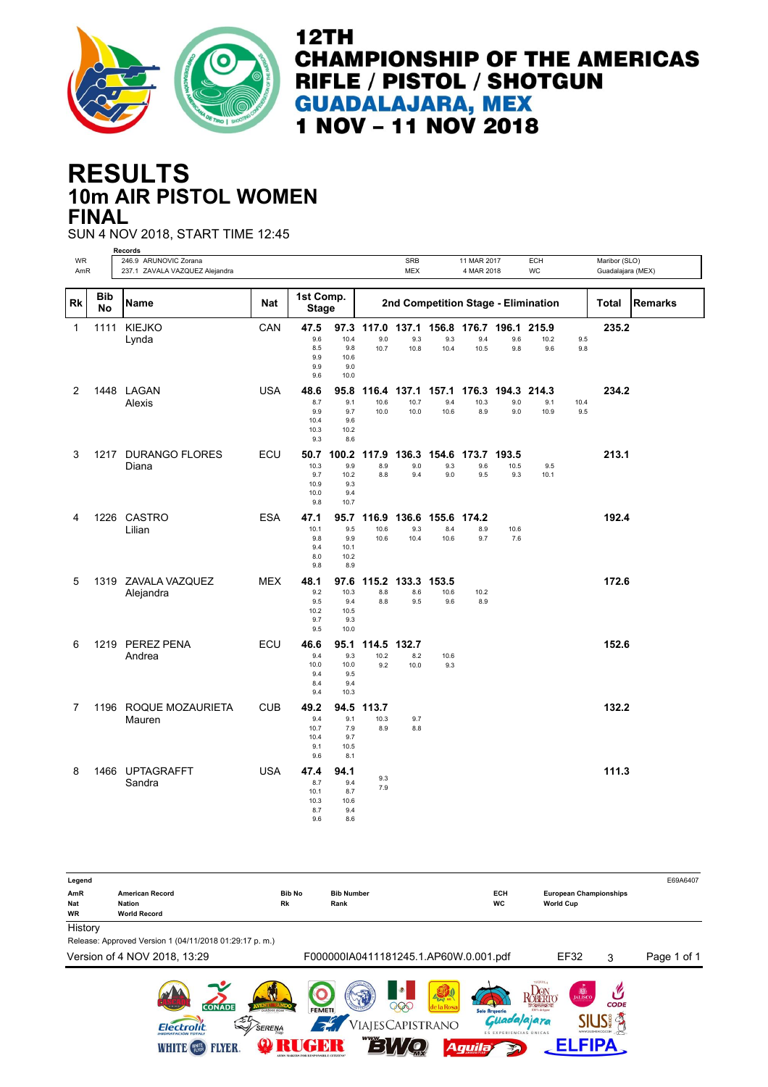

# **10m AIR PISTOL WOMEN RESULTS FINAL**

SUN 4 NOV 2018, START TIME 12:45

|     |                  | Records                         |            |                                           |                                          |                      |                          |             |                           |                   |                                     |             |                   |         |
|-----|------------------|---------------------------------|------------|-------------------------------------------|------------------------------------------|----------------------|--------------------------|-------------|---------------------------|-------------------|-------------------------------------|-------------|-------------------|---------|
| WR  |                  | 246.9 ARUNOVIC Zorana           |            |                                           |                                          |                      | <b>SRB</b><br><b>MEX</b> |             | 11 MAR 2017<br>4 MAR 2018 |                   | ECH<br>WC                           |             | Maribor (SLO)     |         |
| AmR |                  | 237.1 ZAVALA VAZQUEZ Alejandra  |            |                                           |                                          |                      |                          |             |                           |                   |                                     |             | Guadalajara (MEX) |         |
| Rk  | <b>Bib</b><br>No | Name                            | Nat        | 1st Comp.<br><b>Stage</b>                 |                                          |                      |                          |             |                           |                   | 2nd Competition Stage - Elimination |             | Total             | Remarks |
| 1   |                  | 1111 KIEJKO                     | CAN        | 47.5                                      | 97.3                                     | 117.0                |                          | 137.1 156.8 | 176.7 196.1               |                   | 215.9                               |             | 235.2             |         |
|     |                  | Lynda                           |            | 9.6<br>8.5<br>9.9<br>9.9<br>9.6           | 10.4<br>9.8<br>10.6<br>9.0<br>10.0       | 9.0<br>10.7          | 9.3<br>10.8              | 9.3<br>10.4 | 9.4<br>10.5               | 9.6<br>9.8        | 10.2<br>9.6                         | 9.5<br>9.8  |                   |         |
| 2   |                  | 1448 LAGAN                      | USA        | 48.6                                      | 95.8                                     |                      | 116.4 137.1              | 157.1       |                           | 176.3 194.3 214.3 |                                     |             | 234.2             |         |
|     |                  | Alexis                          |            | 8.7<br>9.9<br>10.4<br>10.3<br>9.3         | 9.1<br>9.7<br>9.6<br>10.2<br>8.6         | 10.6<br>10.0         | 10.7<br>10.0             | 9.4<br>10.6 | 10.3<br>8.9               | 9.0<br>9.0        | 9.1<br>10.9                         | 10.4<br>9.5 |                   |         |
| 3   |                  | 1217 DURANGO FLORES             | ECU        | 50.7                                      | 100.2                                    | 117.9                | 136.3                    | 154.6       | 173.7                     | 193.5             |                                     |             | 213.1             |         |
|     |                  | Diana                           |            | 10.3<br>9.7<br>10.9<br>10.0<br>9.8        | 9.9<br>10.2<br>9.3<br>9.4<br>10.7        | 8.9<br>8.8           | 9.0<br>9.4               | 9.3<br>9.0  | 9.6<br>9.5                | 10.5<br>9.3       | 9.5<br>10.1                         |             |                   |         |
| 4   |                  | 1226 CASTRO                     | <b>ESA</b> | 47.1                                      | 95.7                                     |                      | 116.9 136.6 155.6 174.2  |             |                           |                   |                                     |             | 192.4             |         |
|     |                  | Lilian                          |            | 10.1<br>9.8<br>9.4<br>8.0<br>9.8          | 9.5<br>9.9<br>10.1<br>10.2<br>8.9        | 10.6<br>10.6         | 9.3<br>10.4              | 8.4<br>10.6 | 8.9<br>9.7                | 10.6<br>7.6       |                                     |             |                   |         |
| 5   |                  | 1319 ZAVALA VAZQUEZ             | MEX        | 48.1                                      | 97.6                                     |                      | 115.2 133.3              | 153.5       |                           |                   |                                     |             | 172.6             |         |
|     |                  | Alejandra                       |            | 9.2<br>9.5<br>10.2<br>9.7<br>9.5          | 10.3<br>9.4<br>10.5<br>9.3<br>10.0       | 8.8<br>8.8           | 8.6<br>9.5               | 10.6<br>9.6 | 10.2<br>8.9               |                   |                                     |             |                   |         |
| 6   |                  | 1219 PEREZ PENA                 | ECU        | 46.6                                      | 95.1                                     |                      | 114.5 132.7              |             |                           |                   |                                     |             | 152.6             |         |
|     |                  | Andrea                          |            | 9.4<br>10.0<br>9.4<br>8.4<br>9.4          | 9.3<br>10.0<br>9.5<br>9.4<br>10.3        | 10.2<br>9.2          | 8.2<br>10.0              | 10.6<br>9.3 |                           |                   |                                     |             |                   |         |
| 7   |                  | 1196 ROQUE MOZAURIETA<br>Mauren | <b>CUB</b> | 49.2<br>9.4<br>10.7<br>10.4<br>9.1<br>9.6 | 94.5<br>9.1<br>7.9<br>9.7<br>10.5<br>8.1 | 113.7<br>10.3<br>8.9 | 9.7<br>8.8               |             |                           |                   |                                     |             | 132.2             |         |
| 8   |                  | 1466 UPTAGRAFFT                 | <b>USA</b> | 47.4                                      | 94.1                                     |                      |                          |             |                           |                   |                                     |             | 111.3             |         |
|     |                  | Sandra                          |            | 8.7<br>10.1<br>10.3<br>8.7<br>9.6         | 9.4<br>8.7<br>10.6<br>9.4<br>8.6         | 9.3<br>7.9           |                          |             |                           |                   |                                     |             |                   |         |

**Legend** E69A6407 **AmR American Record Bib No Bib Number ECH European Championships Nat Nation Rk Rank WC World Cup WR World Record History** Release: Approved Version 1 (04/11/2018 01:29:17 p. m.) Version of 4 NOV 2018, 13:29 F000000IA0411181245.1.AP60W.0.001.pdf EF32 3 Page 1 of 1Y ROBERTO CODE 999 FEMETI **SIUS # 离** Guada|ajara SERENA Electrolit  $\overline{\mathscr{X}}$ VIAJESCAPISTRANO **ELFIPA** WHITE **(200** FLYER. **ORUGBR** Aquila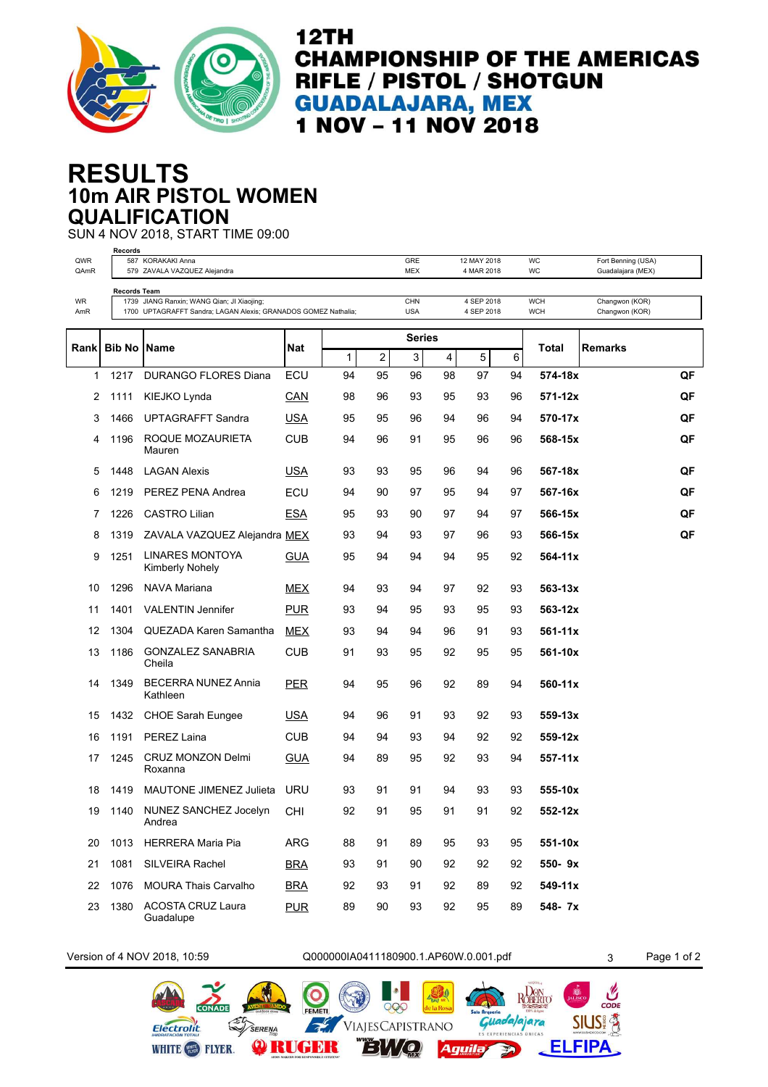

# **10m AIR PISTOL WOMEN RESULTS QUALIFICATION**

SUN 4 NOV 2018, START TIME 09:00 **Records**

| QWR<br>QAmR      |                     | 587 KORAKAKI Anna<br>579 ZAVALA VAZQUEZ Alejandra                                                            |            |              |    | GRE<br><b>MEX</b> |    | 12 MAY 2018<br>4 MAR 2018 |    | WC<br>WC                 | Fort Benning (USA)<br>Guadalajara (MEX) |                        |  |
|------------------|---------------------|--------------------------------------------------------------------------------------------------------------|------------|--------------|----|-------------------|----|---------------------------|----|--------------------------|-----------------------------------------|------------------------|--|
| <b>WR</b><br>AmR | <b>Records Team</b> | 1739 JIANG Ranxin; WANG Qian; JI Xiaojing;<br>1700 UPTAGRAFFT Sandra; LAGAN Alexis; GRANADOS GOMEZ Nathalia; |            |              |    | CHN<br><b>USA</b> |    | 4 SEP 2018<br>4 SEP 2018  |    | <b>WCH</b><br><b>WCH</b> | Changwon (KOR)<br>Changwon (KOR)        |                        |  |
| Rank             | <b>Bib No IName</b> |                                                                                                              | Nat        |              |    | <b>Series</b>     |    |                           |    | Total                    | <b>Remarks</b>                          |                        |  |
|                  |                     |                                                                                                              |            | $\mathbf{1}$ | 2  | 3                 | 4  | 5                         | 6  |                          |                                         |                        |  |
| 1                | 1217                | <b>DURANGO FLORES Diana</b>                                                                                  | ECU        | 94           | 95 | 96                | 98 | 97                        | 94 | 574-18x                  |                                         | QF                     |  |
| 2                | 1111                | KIEJKO Lynda                                                                                                 | <b>CAN</b> | 98           | 96 | 93                | 95 | 93                        | 96 | 571-12x                  |                                         | QF                     |  |
| 3                | 1466                | <b>UPTAGRAFFT Sandra</b>                                                                                     | <b>USA</b> | 95           | 95 | 96                | 94 | 96                        | 94 | 570-17x                  |                                         | QF                     |  |
| 4                | 1196                | ROQUE MOZAURIETA<br>Mauren                                                                                   | <b>CUB</b> | 94           | 96 | 91                | 95 | 96                        | 96 | 568-15x                  |                                         | QF                     |  |
| 5                | 1448                | <b>LAGAN Alexis</b>                                                                                          | <b>USA</b> | 93           | 93 | 95                | 96 | 94                        | 96 | 567-18x                  |                                         | QF                     |  |
| 6                | 1219                | PEREZ PENA Andrea                                                                                            | <b>ECU</b> | 94           | 90 | 97                | 95 | 94                        | 97 | 567-16x                  |                                         | QF                     |  |
| 7                | 1226                | <b>CASTRO Lilian</b>                                                                                         | <b>ESA</b> | 95           | 93 | 90                | 97 | 94                        | 97 | 566-15x                  |                                         | QF                     |  |
| 8                | 1319                | ZAVALA VAZQUEZ Alejandra MEX                                                                                 |            | 93           | 94 | 93                | 97 | 96                        | 93 | 566-15x                  |                                         | $\mathsf{Q}\mathsf{F}$ |  |
| 9                | 1251                | <b>LINARES MONTOYA</b><br>Kimberly Nohely                                                                    | <b>GUA</b> | 95           | 94 | 94                | 94 | 95                        | 92 | 564-11x                  |                                         |                        |  |
| 10               | 1296                | NAVA Mariana                                                                                                 | <b>MEX</b> | 94           | 93 | 94                | 97 | 92                        | 93 | 563-13x                  |                                         |                        |  |
| 11               | 1401                | <b>VALENTIN Jennifer</b>                                                                                     | <b>PUR</b> | 93           | 94 | 95                | 93 | 95                        | 93 | 563-12x                  |                                         |                        |  |
| 12               | 1304                | QUEZADA Karen Samantha                                                                                       | <b>MEX</b> | 93           | 94 | 94                | 96 | 91                        | 93 | 561-11x                  |                                         |                        |  |
| 13               | 1186                | <b>GONZALEZ SANABRIA</b><br>Cheila                                                                           | <b>CUB</b> | 91           | 93 | 95                | 92 | 95                        | 95 | 561-10x                  |                                         |                        |  |
| 14               | 1349                | <b>BECERRA NUNEZ Annia</b><br>Kathleen                                                                       | <b>PER</b> | 94           | 95 | 96                | 92 | 89                        | 94 | 560-11x                  |                                         |                        |  |
| 15               | 1432                | <b>CHOE Sarah Eungee</b>                                                                                     | <b>USA</b> | 94           | 96 | 91                | 93 | 92                        | 93 | 559-13x                  |                                         |                        |  |
| 16               | 1191                | <b>PEREZ Laina</b>                                                                                           | <b>CUB</b> | 94           | 94 | 93                | 94 | 92                        | 92 | 559-12x                  |                                         |                        |  |
| 17               | 1245                | <b>CRUZ MONZON Delmi</b><br>Roxanna                                                                          | <b>GUA</b> | 94           | 89 | 95                | 92 | 93                        | 94 | 557-11x                  |                                         |                        |  |
| 18               | 1419                | <b>MAUTONE JIMENEZ Julieta</b>                                                                               | URU        | 93           | 91 | 91                | 94 | 93                        | 93 | $555-10x$                |                                         |                        |  |
| 19               | 1140                | NUNEZ SANCHEZ Jocelyn<br>Andrea                                                                              | <b>CHI</b> | 92           | 91 | 95                | 91 | 91                        | 92 | 552-12x                  |                                         |                        |  |
| 20               | 1013                | <b>HERRERA Maria Pia</b>                                                                                     | ARG        | 88           | 91 | 89                | 95 | 93                        | 95 | 551-10x                  |                                         |                        |  |
| 21               | 1081                | <b>SILVEIRA Rachel</b>                                                                                       | <b>BRA</b> | 93           | 91 | 90                | 92 | 92                        | 92 | 550-9x                   |                                         |                        |  |
| 22               | 1076                | <b>MOURA Thais Carvalho</b>                                                                                  | <b>BRA</b> | 92           | 93 | 91                | 92 | 89                        | 92 | 549-11x                  |                                         |                        |  |
| 23               | 1380                | <b>ACOSTA CRUZ Laura</b><br>Guadalupe                                                                        | <b>PUR</b> | 89           | 90 | 93                | 92 | 95                        | 89 | 548- 7x                  |                                         |                        |  |

Electrolit

WHITE **(28)** FLYER.

Version of 4 NOV 2018, 10:59 Q000000IA0411180900.1.AP60W.0.001.pdf 3 Page 1 of 2

000

VIAJESCAPISTRANO

 $E \left( \frac{1}{2} \right)$ 

O

**ORUGBR** 

SERENA

 $\mathcal{F}$ 

ROBERTO

Guada|ajara

勁

**Aguila** 

 $rac{C}{CODE}$ 

**SIUS!** 

**ELFIPA**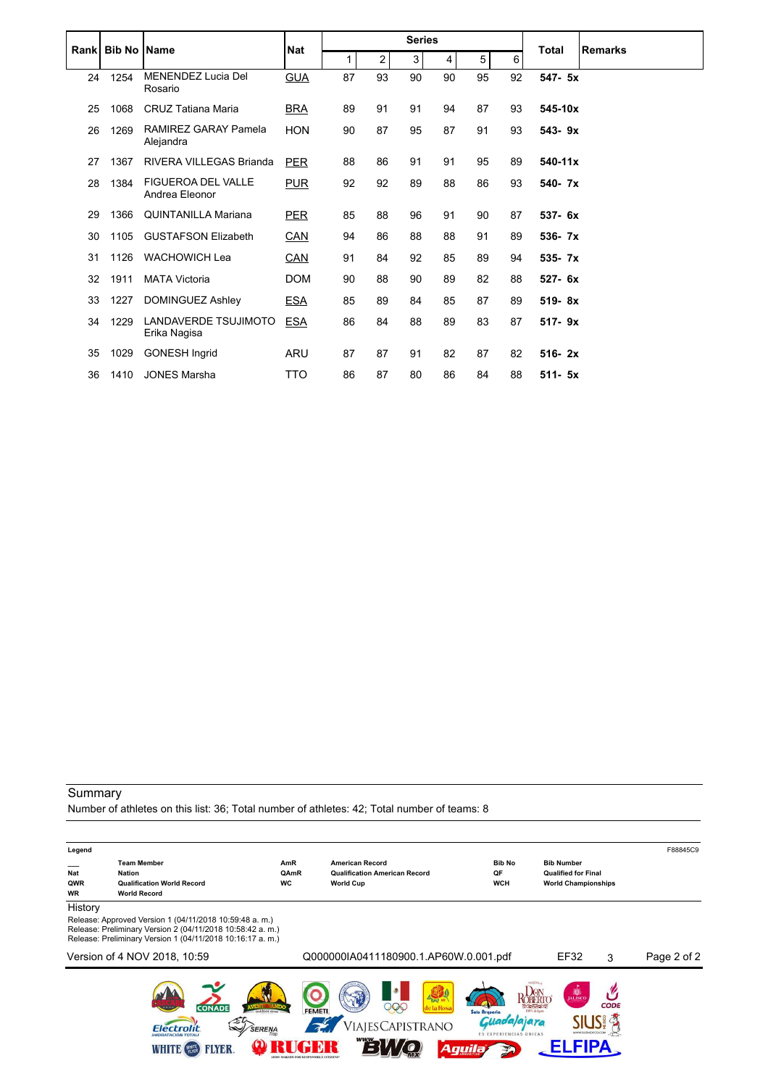|      |                     |                                             |            | <b>Series</b> |                |    |    |    |    |              |                |
|------|---------------------|---------------------------------------------|------------|---------------|----------------|----|----|----|----|--------------|----------------|
| Rank | <b>Bib No IName</b> |                                             | <b>Nat</b> |               | $\overline{2}$ | 3  | 4  | 5  | 6  | <b>Total</b> | <b>Remarks</b> |
| 24   | 1254                | <b>MENENDEZ Lucia Del</b><br>Rosario        | <b>GUA</b> | 87            | 93             | 90 | 90 | 95 | 92 | 547- 5x      |                |
| 25   | 1068                | <b>CRUZ Tatiana Maria</b>                   | <b>BRA</b> | 89            | 91             | 91 | 94 | 87 | 93 | 545-10x      |                |
| 26   | 1269                | RAMIREZ GARAY Pamela<br>Alejandra           | <b>HON</b> | 90            | 87             | 95 | 87 | 91 | 93 | $543 - 9x$   |                |
| 27   | 1367                | RIVERA VILLEGAS Brianda                     | <b>PER</b> | 88            | 86             | 91 | 91 | 95 | 89 | 540-11x      |                |
| 28   | 1384                | <b>FIGUEROA DEL VALLE</b><br>Andrea Eleonor | <b>PUR</b> | 92            | 92             | 89 | 88 | 86 | 93 | 540- 7x      |                |
| 29   | 1366                | <b>QUINTANILLA Mariana</b>                  | <b>PER</b> | 85            | 88             | 96 | 91 | 90 | 87 | 537- 6x      |                |
| 30   | 1105                | <b>GUSTAFSON Elizabeth</b>                  | CAN        | 94            | 86             | 88 | 88 | 91 | 89 | 536-7x       |                |
| 31   | 1126                | <b>WACHOWICH Lea</b>                        | CAN        | 91            | 84             | 92 | 85 | 89 | 94 | 535- 7x      |                |
| 32   | 1911                | <b>MATA Victoria</b>                        | <b>DOM</b> | 90            | 88             | 90 | 89 | 82 | 88 | $527 - 6x$   |                |
| 33   | 1227                | <b>DOMINGUEZ Ashley</b>                     | <b>ESA</b> | 85            | 89             | 84 | 85 | 87 | 89 | $519 - 8x$   |                |
| 34   | 1229                | <b>LANDAVERDE TSUJIMOTO</b><br>Erika Nagisa | ESA        | 86            | 84             | 88 | 89 | 83 | 87 | $517 - 9x$   |                |
| 35   | 1029                | <b>GONESH Ingrid</b>                        | ARU        | 87            | 87             | 91 | 82 | 87 | 82 | $516 - 2x$   |                |
| 36   | 1410                | <b>JONES Marsha</b>                         | TTO        | 86            | 87             | 80 | 86 | 84 | 88 | $511 - 5x$   |                |

Number of athletes on this list: 36; Total number of athletes: 42; Total number of teams: 8

| Legend                  |                                                                                                                                                                                  |                                 |                                                                                    |                                                                   |                                                                               | F88845C9    |
|-------------------------|----------------------------------------------------------------------------------------------------------------------------------------------------------------------------------|---------------------------------|------------------------------------------------------------------------------------|-------------------------------------------------------------------|-------------------------------------------------------------------------------|-------------|
| Nat<br>QWR<br><b>WR</b> | <b>Team Member</b><br><b>Nation</b><br><b>Qualification World Record</b><br><b>World Record</b>                                                                                  | AmR<br><b>QAmR</b><br><b>WC</b> | <b>American Record</b><br><b>Qualification American Record</b><br><b>World Cup</b> | <b>Bib No</b><br>QF<br><b>WCH</b>                                 | <b>Bib Number</b><br><b>Qualified for Final</b><br><b>World Championships</b> |             |
| History                 | Release: Approved Version 1 (04/11/2018 10:59:48 a.m.)<br>Release: Preliminary Version 2 (04/11/2018 10:58:42 a.m.)<br>Release: Preliminary Version 1 (04/11/2018 10:16:17 a.m.) |                                 |                                                                                    |                                                                   |                                                                               |             |
|                         | Version of 4 NOV 2018, 10:59                                                                                                                                                     |                                 | Q000000IA0411180900.1.AP60W.0.001.pdf                                              |                                                                   | EF32<br>3                                                                     | Page 2 of 2 |
|                         | <b>CONADE</b><br><b>SERENA</b><br>$\rightarrow$<br>Flectrolit<br><b>FLYER</b><br>WHITE                                                                                           | <b>FEMETI</b>                   | <b>Days &amp; MIR</b><br>le la Rosa<br>IAJES CAPISTRANO<br>Aguila                  | G. Geven<br><b>Solo Arqueria</b><br><b>ES EXPERIENCIAS UNICAS</b> | <b>DE</b><br><b>CODE</b><br>WWW.SIUSHEXICO.COM                                |             |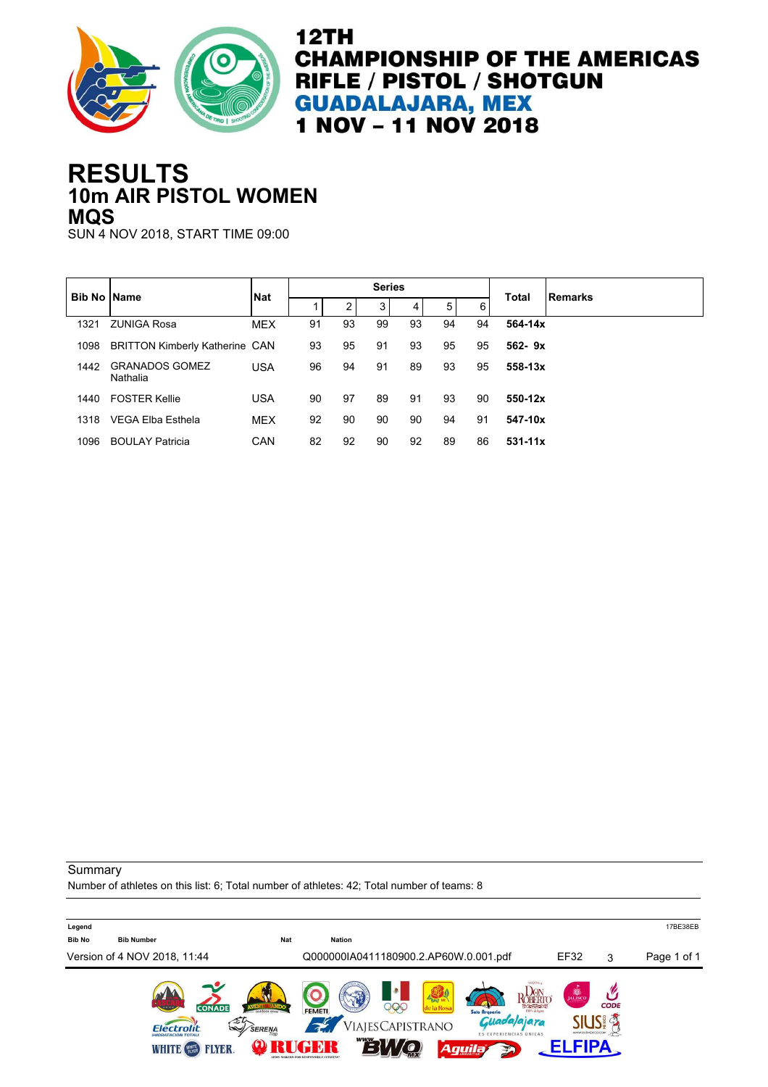

## **10m AIR PISTOL WOMEN RESULTS MQS**

SUN 4 NOV 2018, START TIME 09:00

| <b>Bib No IName</b> |                                       | <b>Nat</b> |    |    | <b>Series</b> |    |    |    | Total       | <b>Remarks</b> |
|---------------------|---------------------------------------|------------|----|----|---------------|----|----|----|-------------|----------------|
|                     |                                       |            |    | 2  | 3             | 4  | 5  | 6  |             |                |
| 1321                | <b>ZUNIGA Rosa</b>                    | <b>MEX</b> | 91 | 93 | 99            | 93 | 94 | 94 | 564-14x     |                |
| 1098                | <b>BRITTON Kimberly Katherine CAN</b> |            | 93 | 95 | 91            | 93 | 95 | 95 | $562 - 9x$  |                |
| 1442                | <b>GRANADOS GOMEZ</b><br>Nathalia     | <b>USA</b> | 96 | 94 | 91            | 89 | 93 | 95 | 558-13x     |                |
| 1440                | <b>FOSTER Kellie</b>                  | <b>USA</b> | 90 | 97 | 89            | 91 | 93 | 90 | 550-12x     |                |
| 1318                | VEGA Elba Esthela                     | <b>MEX</b> | 92 | 90 | 90            | 90 | 94 | 91 | 547-10x     |                |
| 1096                | <b>BOULAY Patricia</b>                | CAN        | 82 | 92 | 90            | 92 | 89 | 86 | $531 - 11x$ |                |
|                     |                                       |            |    |    |               |    |    |    |             |                |

**Summary** 

Number of athletes on this list: 6; Total number of athletes: 42; Total number of teams: 8

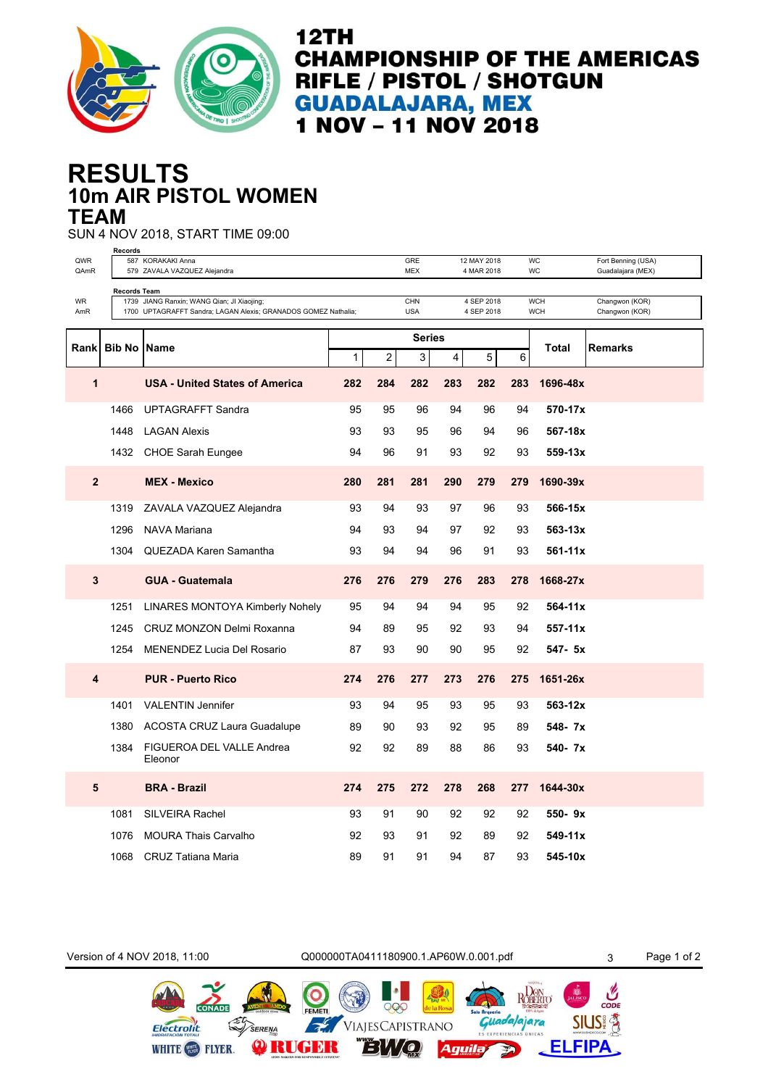

## **10m AIR PISTOL WOMEN RESULTS TEAM**

SUN 4 NOV 2018, START TIME 09:00

|                | Records             |                                                                                                              |     |     |                   |     |                           |     |                          |                                         |
|----------------|---------------------|--------------------------------------------------------------------------------------------------------------|-----|-----|-------------------|-----|---------------------------|-----|--------------------------|-----------------------------------------|
| QWR<br>QAmR    |                     | 587 KORAKAKI Anna<br>579 ZAVALA VAZQUEZ Alejandra                                                            |     |     | GRE<br>MEX        |     | 12 MAY 2018<br>4 MAR 2018 |     | WC<br>WC                 | Fort Benning (USA)<br>Guadalajara (MEX) |
|                | <b>Records Team</b> |                                                                                                              |     |     |                   |     |                           |     |                          |                                         |
| WR<br>AmR      |                     | 1739 JIANG Ranxin; WANG Qian; JI Xiaojing;<br>1700 UPTAGRAFFT Sandra; LAGAN Alexis; GRANADOS GOMEZ Nathalia; |     |     | CHN<br><b>USA</b> |     | 4 SEP 2018<br>4 SEP 2018  |     | <b>WCH</b><br><b>WCH</b> | Changwon (KOR)<br>Changwon (KOR)        |
|                |                     |                                                                                                              |     |     | <b>Series</b>     |     |                           |     |                          |                                         |
| Rank           | <b>Bib No</b>       | Name                                                                                                         | 1   | 2   | 3                 | 4   | 5                         | 6   | Total                    | Remarks                                 |
| 1              |                     | <b>USA - United States of America</b>                                                                        | 282 | 284 | 282               | 283 | 282                       | 283 | 1696-48x                 |                                         |
|                | 1466                | <b>UPTAGRAFFT Sandra</b>                                                                                     | 95  | 95  | 96                | 94  | 96                        | 94  | 570-17x                  |                                         |
|                | 1448                | <b>LAGAN Alexis</b>                                                                                          | 93  | 93  | 95                | 96  | 94                        | 96  | 567-18x                  |                                         |
|                |                     | 1432 CHOE Sarah Eungee                                                                                       | 94  | 96  | 91                | 93  | 92                        | 93  | $559 - 13x$              |                                         |
| $\overline{2}$ |                     | <b>MEX - Mexico</b>                                                                                          | 280 | 281 | 281               | 290 | 279                       | 279 | 1690-39x                 |                                         |
|                | 1319                | ZAVALA VAZQUEZ Alejandra                                                                                     | 93  | 94  | 93                | 97  | 96                        | 93  | 566-15x                  |                                         |
|                | 1296                | NAVA Mariana                                                                                                 | 94  | 93  | 94                | 97  | 92                        | 93  | $563 - 13x$              |                                         |
|                | 1304                | QUEZADA Karen Samantha                                                                                       | 93  | 94  | 94                | 96  | 91                        | 93  | $561 - 11x$              |                                         |
| 3              |                     | <b>GUA - Guatemala</b>                                                                                       | 276 | 276 | 279               | 276 | 283                       | 278 | 1668-27x                 |                                         |
|                | 1251                | <b>LINARES MONTOYA Kimberly Nohely</b>                                                                       | 95  | 94  | 94                | 94  | 95                        | 92  | $564 - 11x$              |                                         |
|                | 1245                | CRUZ MONZON Delmi Roxanna                                                                                    | 94  | 89  | 95                | 92  | 93                        | 94  | $557 - 11x$              |                                         |
|                | 1254                | <b>MENENDEZ Lucia Del Rosario</b>                                                                            | 87  | 93  | 90                | 90  | 95                        | 92  | $547 - 5x$               |                                         |
| 4              |                     | <b>PUR - Puerto Rico</b>                                                                                     | 274 | 276 | 277               | 273 | 276                       | 275 | 1651-26x                 |                                         |
|                | 1401                | <b>VALENTIN Jennifer</b>                                                                                     | 93  | 94  | 95                | 93  | 95                        | 93  | 563-12x                  |                                         |
|                | 1380                | <b>ACOSTA CRUZ Laura Guadalupe</b>                                                                           | 89  | 90  | 93                | 92  | 95                        | 89  | 548-7x                   |                                         |
|                | 1384                | FIGUEROA DEL VALLE Andrea<br>Eleonor                                                                         | 92  | 92  | 89                | 88  | 86                        | 93  | 540- 7x                  |                                         |
| 5              |                     | <b>BRA - Brazil</b>                                                                                          | 274 | 275 | 272               | 278 | 268                       | 277 | 1644-30x                 |                                         |
|                | 1081                | <b>SILVEIRA Rachel</b>                                                                                       | 93  | 91  | 90                | 92  | 92                        | 92  | 550-9x                   |                                         |
|                | 1076                | <b>MOURA Thais Carvalho</b>                                                                                  | 92  | 93  | 91                | 92  | 89                        | 92  | 549-11x                  |                                         |
|                | 1068                | <b>CRUZ Tatiana Maria</b>                                                                                    | 89  | 91  | 91                | 94  | 87                        | 93  | 545-10x                  |                                         |

Version of 4 NOV 2018, 11:00 Q000000TA0411180900.1.AP60W.0.001.pdf 3 Page 1 of 2ROBERIO CODE 999 Guada|ajara **SIUS!** VIAJESCAPISTRANO Electrolit SERENA  $\cancel{\preccurlyeq}$ 

EVVO

**Aguila** 

 $\overline{P}$ 

**ORUGBR** 

WHITE **(28)** FLYER.

**ELFIPA**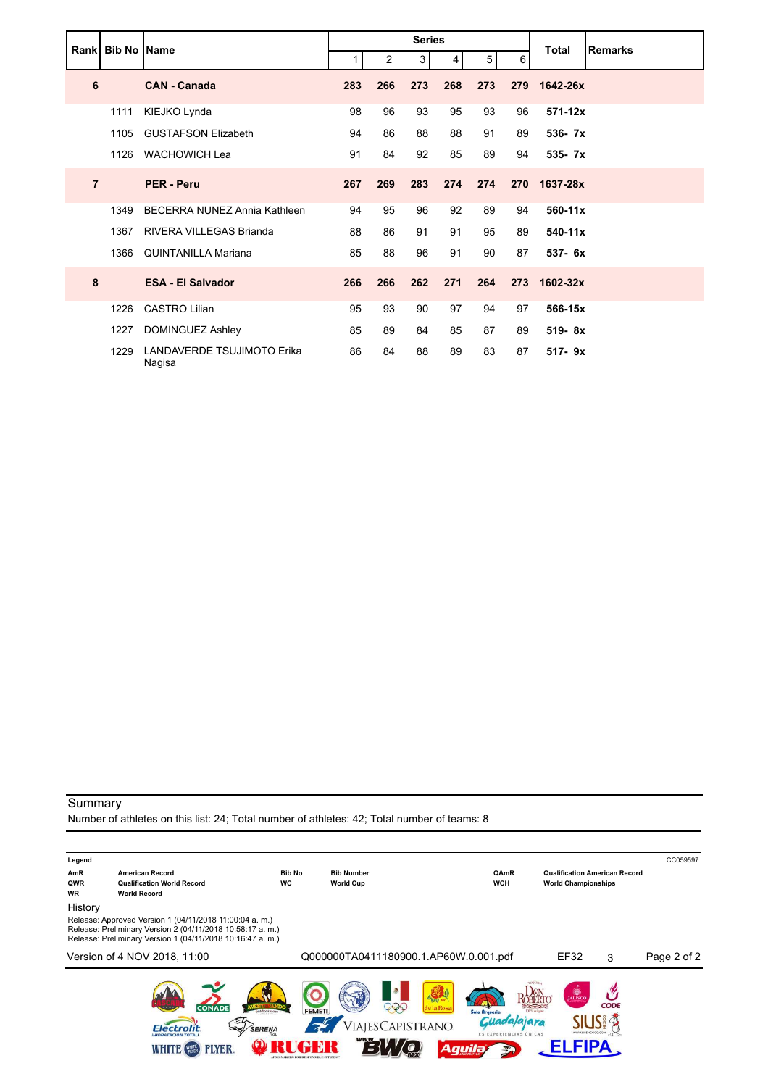|                | Rank Bib No Name |                                             |     |                | <b>Series</b> |     |                |     | <b>Total</b> | <b>Remarks</b> |
|----------------|------------------|---------------------------------------------|-----|----------------|---------------|-----|----------------|-----|--------------|----------------|
|                |                  |                                             | 1   | $\overline{2}$ | 3             | 4   | 5 <sup>1</sup> | 6   |              |                |
| 6              |                  | <b>CAN - Canada</b>                         | 283 | 266            | 273           | 268 | 273            | 279 | 1642-26x     |                |
|                | 1111             | KIEJKO Lynda                                | 98  | 96             | 93            | 95  | 93             | 96  | $571 - 12x$  |                |
|                | 1105             | <b>GUSTAFSON Elizabeth</b>                  | 94  | 86             | 88            | 88  | 91             | 89  | 536-7x       |                |
|                | 1126             | <b>WACHOWICH Lea</b>                        | 91  | 84             | 92            | 85  | 89             | 94  | 535- 7x      |                |
| $\overline{7}$ |                  | <b>PER - Peru</b>                           | 267 | 269            | 283           | 274 | 274            | 270 | 1637-28x     |                |
|                | 1349             | BECERRA NUNEZ Annia Kathleen                | 94  | 95             | 96            | 92  | 89             | 94  | 560-11x      |                |
|                | 1367             | RIVERA VILLEGAS Brianda                     | 88  | 86             | 91            | 91  | 95             | 89  | 540-11x      |                |
|                | 1366             | <b>QUINTANILLA Mariana</b>                  | 85  | 88             | 96            | 91  | 90             | 87  | $537 - 6x$   |                |
| 8              |                  | <b>ESA - El Salvador</b>                    | 266 | 266            | 262           | 271 | 264            | 273 | 1602-32x     |                |
|                | 1226             | <b>CASTRO Lilian</b>                        | 95  | 93             | 90            | 97  | 94             | 97  | 566-15x      |                |
|                | 1227             | DOMINGUEZ Ashley                            | 85  | 89             | 84            | 85  | 87             | 89  | 519-8x       |                |
|                | 1229             | <b>LANDAVERDE TSUJIMOTO Erika</b><br>Nagisa | 86  | 84             | 88            | 89  | 83             | 87  | $517 - 9x$   |                |

Number of athletes on this list: 24; Total number of athletes: 42; Total number of teams: 8

| Legend           |                                                                                                                                                                                    |               |                                       |                                                                                              |                                      | CC059597    |
|------------------|------------------------------------------------------------------------------------------------------------------------------------------------------------------------------------|---------------|---------------------------------------|----------------------------------------------------------------------------------------------|--------------------------------------|-------------|
| AmR              | <b>American Record</b>                                                                                                                                                             | <b>Bib No</b> | <b>Bib Number</b>                     | QAmR                                                                                         | <b>Qualification American Record</b> |             |
| QWR<br><b>WR</b> | <b>Qualification World Record</b><br><b>World Record</b>                                                                                                                           | <b>WC</b>     | <b>World Cup</b>                      | <b>WCH</b>                                                                                   | <b>World Championships</b>           |             |
| History          |                                                                                                                                                                                    |               |                                       |                                                                                              |                                      |             |
|                  | Release: Approved Version 1 (04/11/2018 11:00:04 a. m.)<br>Release: Preliminary Version 2 (04/11/2018 10:58:17 a. m.)<br>Release: Preliminary Version 1 (04/11/2018 10:16:47 a.m.) |               |                                       |                                                                                              |                                      |             |
|                  | Version of 4 NOV 2018, 11:00                                                                                                                                                       |               | Q000000TA0411180900.1.AP60W.0.001.pdf |                                                                                              | EF32<br>3                            | Page 2 of 2 |
|                  | <b>CONADE</b><br>$\mathbb{S}^5$<br><b>SERENA</b><br>Flectro<br>YÐR                                                                                                                 | <b>FEMETI</b> | 200<br>IAJES CAPISTRANO<br>Aguila     | <b>Service</b><br>Solo Arqueria<br>83% de Autre<br>lalajara<br><b>ES EXPERIENCIAS UNICAS</b> | <b>B</b><br>JALISCO<br><b>CODE</b>   |             |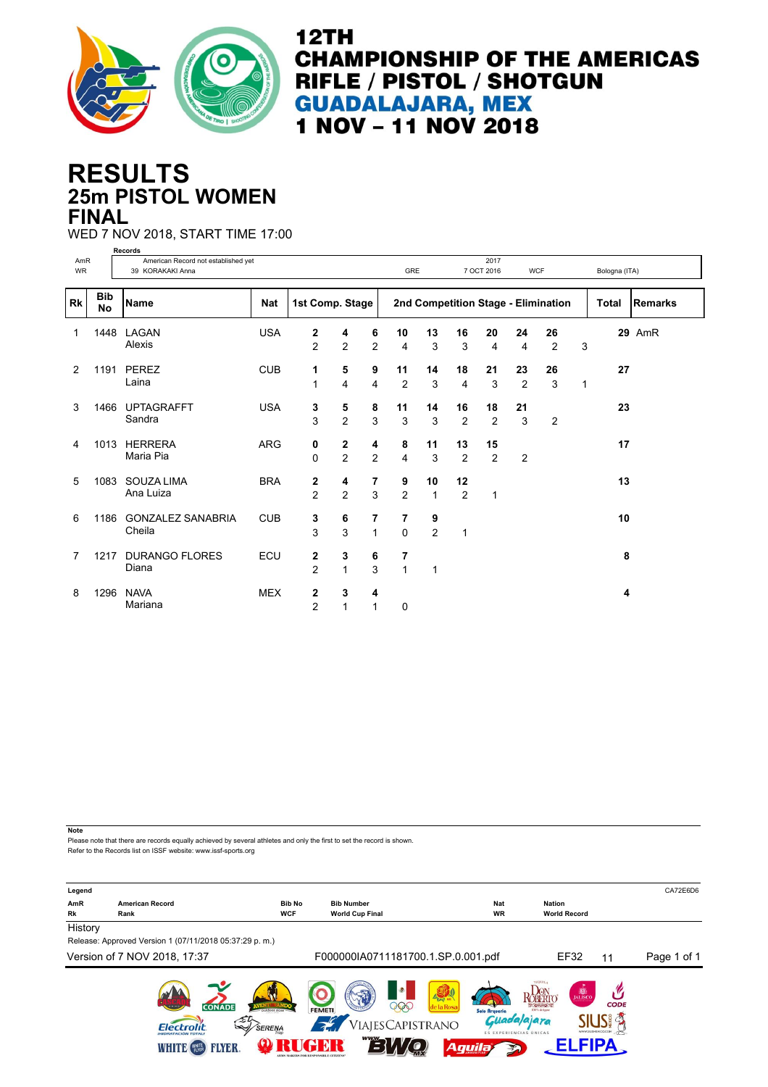

## **25m PISTOL WOMEN RESULTS FINAL**

#### WED 7 NOV 2018, START TIME 17:00

|           |                  | Records                                                 |            |                                  |                     |                     |                      |                     |                      |                      |                      |                                     |   |               |                |
|-----------|------------------|---------------------------------------------------------|------------|----------------------------------|---------------------|---------------------|----------------------|---------------------|----------------------|----------------------|----------------------|-------------------------------------|---|---------------|----------------|
| AmR<br>WR |                  | American Record not established yet<br>39 KORAKAKI Anna |            |                                  |                     |                     | GRE                  |                     |                      | 2017<br>7 OCT 2016   |                      | <b>WCF</b>                          |   | Bologna (ITA) |                |
| Rk        | <b>Bib</b><br>No | <b>Name</b>                                             | <b>Nat</b> | 1st Comp. Stage                  |                     |                     |                      |                     |                      |                      |                      | 2nd Competition Stage - Elimination |   | <b>Total</b>  | <b>Remarks</b> |
| 1         | 1448             | LAGAN<br>Alexis                                         | <b>USA</b> | 2<br>$\mathfrak{p}$              | 4<br>$\overline{2}$ | 6<br>$\overline{2}$ | 10<br>$\overline{4}$ | 13<br>3             | 16<br>3              | 20<br>4              | 24<br>4              | 26<br>$\overline{2}$                | 3 |               | <b>29 AmR</b>  |
| 2         | 1191             | PEREZ<br>Laina                                          | <b>CUB</b> | 1<br>$\mathbf{1}$                | 5<br>$\overline{4}$ | 9<br>$\overline{4}$ | 11<br>$\overline{2}$ | 14<br>3             | 18<br>$\overline{4}$ | 21<br>3              | 23<br>$\overline{2}$ | 26<br>3                             | 1 | 27            |                |
| 3         | 1466             | <b>UPTAGRAFFT</b><br>Sandra                             | <b>USA</b> | 3<br>3                           | 5<br>$\overline{2}$ | 8<br>3              | 11<br>3              | 14<br>3             | 16<br>$\overline{2}$ | 18<br>$\overline{2}$ | 21<br>3              | $\overline{2}$                      |   | 23            |                |
| 4         | 1013             | <b>HERRERA</b><br>Maria Pia                             | <b>ARG</b> | 0<br>$\mathbf{0}$                | 2<br>$\overline{2}$ | 4<br>$\overline{2}$ | 8<br>4               | 11<br>3             | 13<br>2              | 15<br>2              | 2                    |                                     |   | 17            |                |
| 5         | 1083             | SOUZA LIMA<br>Ana Luiza                                 | <b>BRA</b> | 2<br>$\overline{2}$              | 4<br>$\overline{2}$ | 7<br>3              | 9<br>$\overline{2}$  | 10<br>1             | 12<br>$\overline{2}$ | $\mathbf{1}$         |                      |                                     |   | 13            |                |
| 6         | 1186             | <b>GONZALEZ SANABRIA</b><br>Cheila                      | <b>CUB</b> | 3<br>3                           | 6<br>3              | 7<br>$\mathbf{1}$   | 7<br>$\Omega$        | 9<br>$\overline{2}$ | $\mathbf 1$          |                      |                      |                                     |   | 10            |                |
| 7         | 1217             | <b>DURANGO FLORES</b><br>Diana                          | <b>ECU</b> | $\mathbf{2}$<br>$\overline{2}$   | 3<br>$\mathbf{1}$   | 6<br>3              | 7<br>$\mathbf{1}$    | 1                   |                      |                      |                      |                                     |   | 8             |                |
| 8         | 1296             | <b>NAVA</b><br>Mariana                                  | <b>MEX</b> | $\overline{2}$<br>$\overline{2}$ | 3<br>1              | 4<br>1              | 0                    |                     |                      |                      |                      |                                     |   | 4             |                |

**Note**

Please note that there are records equally achieved by several athletes and only the first to set the record is shown.

Refer to the Records list on ISSF website: www.issf-sports.org

| Legend    |                                                                                                                                      |                             |                                             |                                                                                            |                                                                                                                      |             | CA72E6D6    |
|-----------|--------------------------------------------------------------------------------------------------------------------------------------|-----------------------------|---------------------------------------------|--------------------------------------------------------------------------------------------|----------------------------------------------------------------------------------------------------------------------|-------------|-------------|
| AmR<br>Rk | <b>American Record</b><br>Rank                                                                                                       | <b>Bib No</b><br><b>WCF</b> | <b>Bib Number</b><br><b>World Cup Final</b> | Nat<br>WR                                                                                  | <b>Nation</b><br><b>World Record</b>                                                                                 |             |             |
| History   |                                                                                                                                      |                             |                                             |                                                                                            |                                                                                                                      |             |             |
|           | Release: Approved Version 1 (07/11/2018 05:37:29 p. m.)                                                                              |                             |                                             |                                                                                            |                                                                                                                      |             |             |
|           | Version of 7 NOV 2018, 17:37                                                                                                         |                             |                                             | F000000IA0711181700.1.SP.0.001.pdf                                                         | <b>EF32</b>                                                                                                          | 11          | Page 1 of 1 |
|           | <b>CONADE</b><br>$\mathcal{Z}$<br><b>Electrolit</b><br><b>SERENA</b><br><b>IHIDRATACIÓN TOTALI</b><br><b>FLYER</b><br>WHITE<br>WHITE |                             | <b>FEMETI</b><br><b>FEE</b>                 | ۸<br>E EVERY MR<br>206<br>de la Rosa<br><b>Solo Arqueria</b><br>VIAJESCAPISTRANO<br>Aguila | <b>D</b><br>JALISCO<br>ROBERTO'<br>ıda ajara<br>WWW.SIUSMEXICO.COM<br><b>ES EXPERIENCIAS ÚNICAS</b><br>$\rightarrow$ | <b>CODE</b> |             |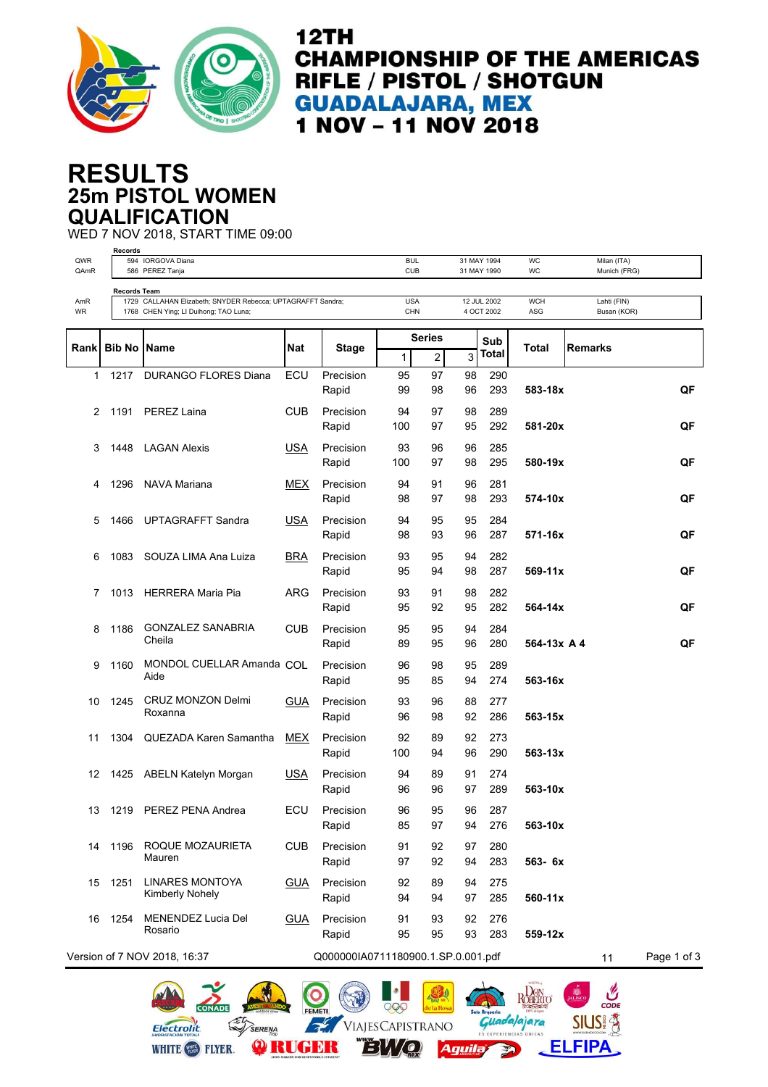

 $\mathcal{C}$ 

**SIUS 含** 

**ELFIPA** 

ROBERIO

Guadalajara

Aguila (B)

# **25m PISTOL WOMEN RESULTS QUALIFICATION**

WED 7 NOV 2018, START TIME 09:00

| QWR<br>QAmR | Records            | 594 IORGOVA Diana<br>586 PEREZ Tanja                                                                                        |                                    | <b>BUL</b><br><b>CUB</b> |               |                   | 31 MAY 1994<br>31 MAY 1990 | Milan (ITA)<br>WC<br>WC<br>Munich (FRG) |                   |                            |    |
|-------------|--------------------|-----------------------------------------------------------------------------------------------------------------------------|------------------------------------|--------------------------|---------------|-------------------|----------------------------|-----------------------------------------|-------------------|----------------------------|----|
| AmR<br>WR   |                    | <b>Records Team</b><br>1729 CALLAHAN Elizabeth; SNYDER Rebecca; UPTAGRAFFT Sandra;<br>1768 CHEN Ying; LI Duihong; TAO Luna; |                                    |                          |               | <b>USA</b><br>CHN |                            | 12 JUL 2002<br>4 OCT 2002               | <b>WCH</b><br>ASG | Lahti (FIN)<br>Busan (KOR) |    |
|             | <b>Bib No Name</b> |                                                                                                                             | Nat                                | <b>Stage</b>             | <b>Series</b> |                   | Sub                        |                                         |                   |                            |    |
| Rank        |                    |                                                                                                                             |                                    |                          | 1             | $\overline{c}$    | 3                          | Total<br>Total                          | <b>Remarks</b>    |                            |    |
| 1           | 1217               | <b>DURANGO FLORES Diana</b>                                                                                                 | ECU                                | Precision<br>Rapid       | 95<br>99      | 97<br>98          | 98<br>96                   | 290<br>293                              | 583-18x           |                            | QF |
| 2           | 1191               | <b>PEREZ Laina</b>                                                                                                          | CUB                                | Precision<br>Rapid       | 94<br>100     | 97<br>97          | 98<br>95                   | 289<br>292                              | 581-20x           |                            | QF |
| 3           | 1448               | <b>LAGAN Alexis</b>                                                                                                         | <u>USA</u>                         | Precision<br>Rapid       | 93<br>100     | 96<br>97          | 96<br>98                   | 285<br>295                              | 580-19x           |                            | QF |
| 4           | 1296               | <b>NAVA Mariana</b>                                                                                                         | MEX                                | Precision<br>Rapid       | 94<br>98      | 91<br>97          | 96<br>98                   | 281<br>293                              | 574-10x           |                            | QF |
| 5           | 1466               | <b>UPTAGRAFFT Sandra</b>                                                                                                    | <b>USA</b>                         | Precision<br>Rapid       | 94<br>98      | 95<br>93          | 95<br>96                   | 284<br>287                              | 571-16x           |                            | QF |
| 6           | 1083               | SOUZA LIMA Ana Luiza                                                                                                        | <b>BRA</b>                         | Precision<br>Rapid       | 93<br>95      | 95<br>94          | 94<br>98                   | 282<br>287                              | $569 - 11x$       |                            | QF |
| 7           | 1013               | <b>HERRERA Maria Pia</b>                                                                                                    | <b>ARG</b>                         | Precision<br>Rapid       | 93<br>95      | 91<br>92          | 98<br>95                   | 282<br>282                              | 564-14x           |                            | QF |
| 8           | 1186               | <b>GONZALEZ SANABRIA</b><br>Cheila                                                                                          | CUB                                | Precision<br>Rapid       | 95<br>89      | 95<br>95          | 94<br>96                   | 284<br>280                              | 564-13x A 4       |                            | QF |
| 9           | 1160               | MONDOL CUELLAR Amanda COL<br>Aide                                                                                           |                                    | Precision<br>Rapid       | 96<br>95      | 98<br>85          | 95<br>94                   | 289<br>274                              | 563-16x           |                            |    |
| 10          | 1245               | <b>CRUZ MONZON Delmi</b><br>Roxanna                                                                                         | <b>GUA</b>                         | Precision<br>Rapid       | 93<br>96      | 96<br>98          | 88<br>92                   | 277<br>286                              | 563-15x           |                            |    |
| 11          | 1304               | <b>QUEZADA Karen Samantha</b>                                                                                               | <b>MEX</b>                         | Precision<br>Rapid       | 92<br>100     | 89<br>94          | 92<br>96                   | 273<br>290                              | 563-13x           |                            |    |
| 12          |                    | 1425 ABELN Katelyn Morgan                                                                                                   | <u>USA</u>                         | Precision<br>Rapid       | 94<br>96      | 89<br>96          | 91<br>97                   | 274<br>289                              | 563-10x           |                            |    |
| 13          | 1219               | PEREZ PENA Andrea                                                                                                           | ECU                                | Precision<br>Rapid       | 96<br>85      | 95<br>97          | 96<br>94                   | 287<br>276                              | 563-10x           |                            |    |
| 14          | 1196               | ROQUE MOZAURIETA<br>Mauren                                                                                                  | <b>CUB</b>                         | Precision<br>Rapid       | 91<br>97      | 92<br>92          | 97<br>94                   | 280<br>283                              | 563- 6x           |                            |    |
| 15          | 1251               | <b>LINARES MONTOYA</b><br><b>Kimberly Nohely</b>                                                                            | <b>GUA</b>                         | Precision<br>Rapid       | 92<br>94      | 89<br>94          | 94<br>97                   | 275<br>285                              | 560-11x           |                            |    |
| 16          | 1254               | MENENDEZ Lucia Del<br>Rosario                                                                                               | <b>GUA</b>                         | Precision<br>Rapid       | 91<br>95      | 93<br>95          | 92<br>93                   | 276<br>283                              | 559-12x           |                            |    |
|             |                    | Version of 7 NOV 2018, 16:37                                                                                                | Q000000IA0711180900.1.SP.0.001.pdf |                          |               |                   |                            |                                         | 11                | Page 1 of 3                |    |

999

**EWQ** 

VIAJESCAPISTRANO

SERENA

WHITE **B** FLYER **Q RUGER** 

**Electrolit**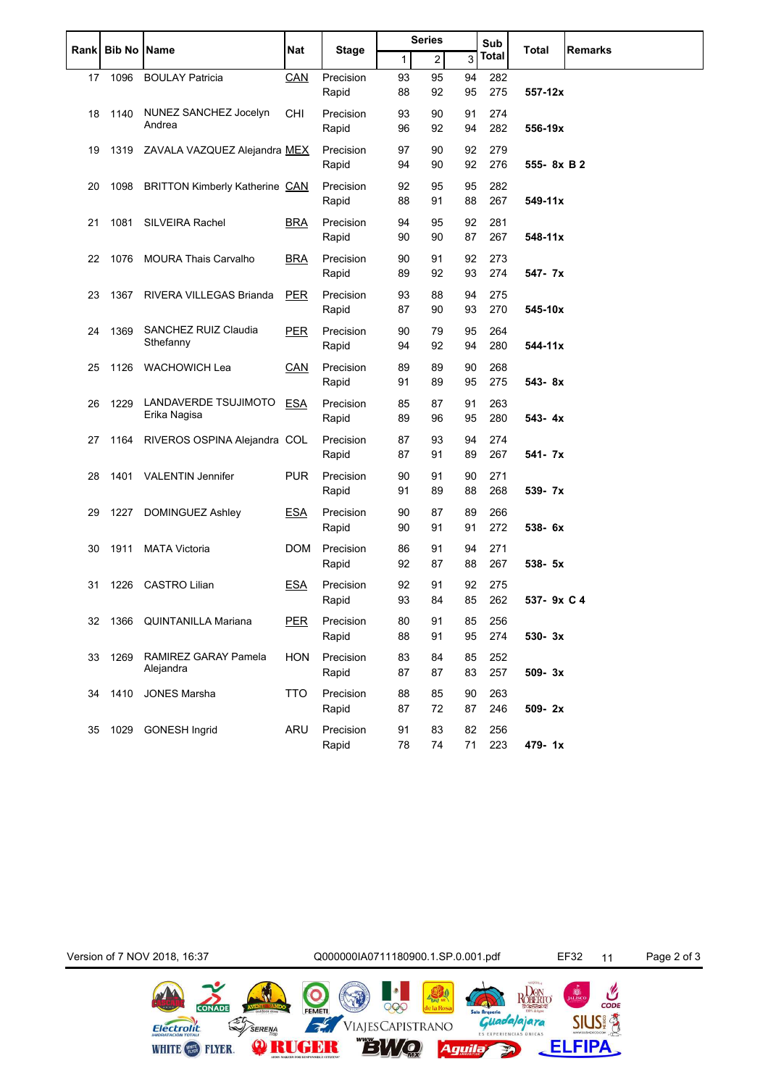|    | Rank Bib No Name |                                       | <b>Nat</b> | <b>Stage</b>       | <b>Series</b> |                |          | Sub          |             |                |
|----|------------------|---------------------------------------|------------|--------------------|---------------|----------------|----------|--------------|-------------|----------------|
|    |                  |                                       |            |                    | 1             | $\overline{c}$ | 3        | <b>Total</b> | Total       | <b>Remarks</b> |
| 17 | 1096             | <b>BOULAY Patricia</b>                | CAN        | Precision<br>Rapid | 93<br>88      | 95<br>92       | 94<br>95 | 282<br>275   | 557-12x     |                |
| 18 | 1140             | NUNEZ SANCHEZ Jocelyn<br>Andrea       | <b>CHI</b> | Precision<br>Rapid | 93<br>96      | 90<br>92       | 91<br>94 | 274<br>282   | 556-19x     |                |
| 19 | 1319             | ZAVALA VAZQUEZ Alejandra MEX          |            | Precision<br>Rapid | 97<br>94      | 90<br>90       | 92<br>92 | 279<br>276   | 555-8x B 2  |                |
| 20 | 1098             | <b>BRITTON Kimberly Katherine CAN</b> |            | Precision<br>Rapid | 92<br>88      | 95<br>91       | 95<br>88 | 282<br>267   | $549 - 11x$ |                |
| 21 | 1081             | <b>SILVEIRA Rachel</b>                | <b>BRA</b> | Precision<br>Rapid | 94<br>90      | 95<br>90       | 92<br>87 | 281<br>267   | 548-11x     |                |
| 22 | 1076             | MOURA Thais Carvalho                  | <b>BRA</b> | Precision<br>Rapid | 90<br>89      | 91<br>92       | 92<br>93 | 273<br>274   | 547- 7x     |                |
| 23 | 1367             | RIVERA VILLEGAS Brianda               | <b>PER</b> | Precision<br>Rapid | 93<br>87      | 88<br>90       | 94<br>93 | 275<br>270   | 545-10x     |                |
| 24 | 1369             | SANCHEZ RUIZ Claudia<br>Sthefanny     | <b>PER</b> | Precision<br>Rapid | 90<br>94      | 79<br>92       | 95<br>94 | 264<br>280   | $544 - 11x$ |                |
| 25 | 1126             | <b>WACHOWICH Lea</b>                  | <b>CAN</b> | Precision<br>Rapid | 89<br>91      | 89<br>89       | 90<br>95 | 268<br>275   | 543-8x      |                |
| 26 | 1229             | LANDAVERDE TSUJIMOTO<br>Erika Nagisa  | ESA        | Precision<br>Rapid | 85<br>89      | 87<br>96       | 91<br>95 | 263<br>280   | 543-4x      |                |
| 27 |                  | 1164 RIVEROS OSPINA Alejandra COL     |            | Precision<br>Rapid | 87<br>87      | 93<br>91       | 94<br>89 | 274<br>267   | 541-7x      |                |
| 28 | 1401             | <b>VALENTIN Jennifer</b>              | <b>PUR</b> | Precision<br>Rapid | 90<br>91      | 91<br>89       | 90<br>88 | 271<br>268   | 539- 7x     |                |
| 29 | 1227             | DOMINGUEZ Ashley                      | <u>ESA</u> | Precision<br>Rapid | 90<br>90      | 87<br>91       | 89<br>91 | 266<br>272   | 538- 6x     |                |
| 30 | 1911             | <b>MATA Victoria</b>                  | <b>DOM</b> | Precision<br>Rapid | 86<br>92      | 91<br>87       | 94<br>88 | 271<br>267   | 538- 5x     |                |
| 31 | 1226             | <b>CASTRO Lilian</b>                  | <u>ESA</u> | Precision<br>Rapid | 92<br>93      | 91<br>84       | 92<br>85 | 275<br>262   | 537- 9x C 4 |                |
| 32 | 1366             | QUINTANILLA Mariana                   | <b>PER</b> | Precision<br>Rapid | 80<br>88      | 91<br>91       | 85<br>95 | 256<br>274   | 530-3x      |                |
| 33 | 1269             | RAMIREZ GARAY Pamela<br>Alejandra     | <b>HON</b> | Precision<br>Rapid | 83<br>87      | 84<br>87       | 85<br>83 | 252<br>257   | 509-3x      |                |
| 34 | 1410             | <b>JONES Marsha</b>                   | <b>TTO</b> | Precision<br>Rapid | 88<br>87      | 85<br>72       | 90<br>87 | 263<br>246   | 509-2x      |                |
| 35 |                  | 1029 GONESH Ingrid                    | ARU        | Precision<br>Rapid | 91<br>78      | 83<br>74       | 82<br>71 | 256<br>223   | 479-1x      |                |

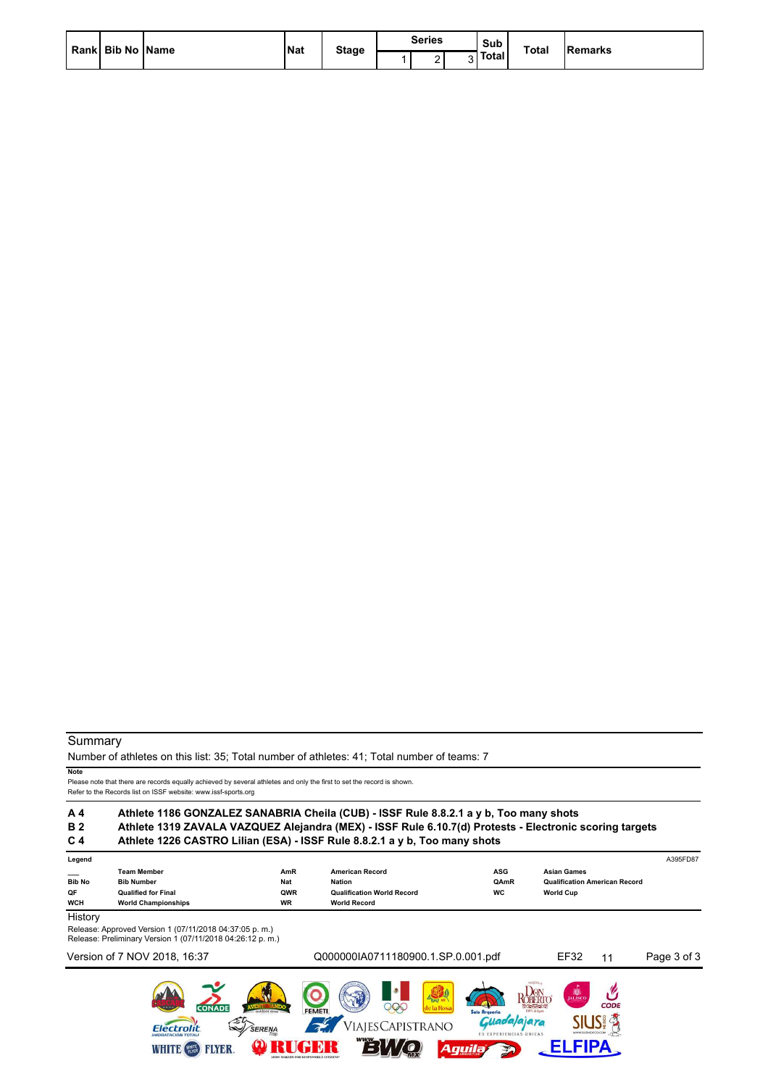| Rank Bib No Name | <b>Nat</b> |              | Series | Sub          | <b>Total</b> | <b>IRemarks</b> |
|------------------|------------|--------------|--------|--------------|--------------|-----------------|
|                  |            | <b>Stage</b> | -      | <b>Total</b> |              |                 |

Number of athletes on this list: 35; Total number of athletes: 41; Total number of teams: 7

**RICH AR** 

#### **Note**

Please note that there are records equally achieved by several athletes and only the first to set the record is shown. Refer to the Records list on ISSF website: www.issf-sports.org

WHITE **(1988** FLYER.

#### **A 4 Athlete 1186 GONZALEZ SANABRIA Cheila (CUB) - ISSF Rule 8.8.2.1 a y b, Too many shots B 2 Athlete 1319 ZAVALA VAZQUEZ Alejandra (MEX) - ISSF Rule 6.10.7(d) Protests - Electronic scoring targets C 4 Athlete 1226 CASTRO Lilian (ESA) - ISSF Rule 8.8.2.1 a y b, Too many shots Legend** A395FD87 **\_\_\_ Team Member AmR American Record ASG Asian Games Bib No Bib Number Nat Nation QAmR Qualification American Record QF Qualified for Final QWR Qualification World Record WC World Cup World Championships History** Release: Approved Version 1 (07/11/2018 04:37:05 p. m.) Release: Preliminary Version 1 (07/11/2018 04:26:12 p. m.) Version of 7 NOV 2018, 16:37 Q000000IA0711180900.1.SP.0.001.pdf EF32 11 Page 3 of 3 $QQQ$ CODE **SIUS!** a/ajara VIAJESCAPISTRANO Electrolit SERENA

**ELLO** 

Aguila

**ELFIPA**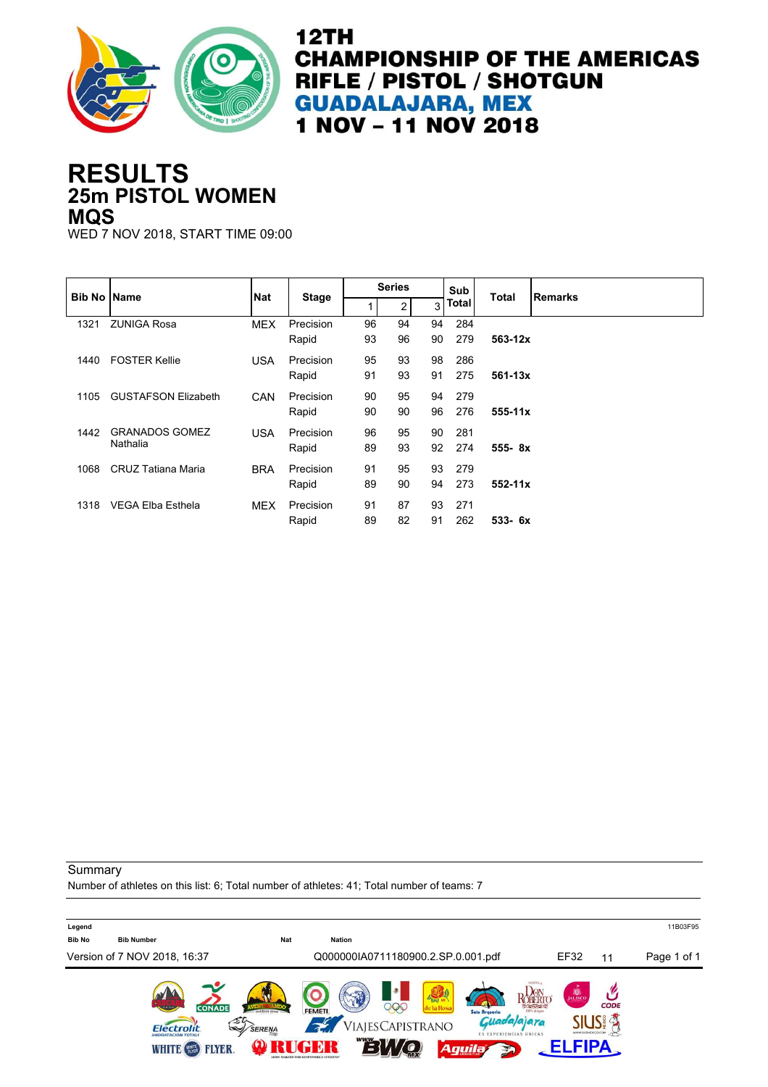

## **25m PISTOL WOMEN RESULTS MQS**

WED 7 NOV 2018, START TIME 09:00

| <b>Bib No Name</b> |                                   | <b>Nat</b> | <b>Stage</b>       |          | <b>Series</b> |          | Sub          | <b>Total</b> | <b>Remarks</b> |
|--------------------|-----------------------------------|------------|--------------------|----------|---------------|----------|--------------|--------------|----------------|
|                    |                                   |            |                    |          | 2             | 3        | <b>Total</b> |              |                |
| 1321               | <b>ZUNIGA Rosa</b>                | <b>MEX</b> | Precision<br>Rapid | 96<br>93 | 94<br>96      | 94<br>90 | 284<br>279   | $563 - 12x$  |                |
| 1440               | <b>FOSTER Kellie</b>              | <b>USA</b> | Precision<br>Rapid | 95<br>91 | 93<br>93      | 98<br>91 | 286<br>275   | $561 - 13x$  |                |
| 1105               | <b>GUSTAFSON Elizabeth</b>        | <b>CAN</b> | Precision<br>Rapid | 90<br>90 | 95<br>90      | 94<br>96 | 279<br>276   | $555 - 11x$  |                |
| 1442               | <b>GRANADOS GOMEZ</b><br>Nathalia | <b>USA</b> | Precision<br>Rapid | 96<br>89 | 95<br>93      | 90<br>92 | 281<br>274   | $555 - 8x$   |                |
| 1068               | CRUZ Tatiana Maria                | <b>BRA</b> | Precision<br>Rapid | 91<br>89 | 95<br>90      | 93<br>94 | 279<br>273   | $552 - 11x$  |                |
| 1318               | <b>VEGA Elba Esthela</b>          | <b>MEX</b> | Precision<br>Rapid | 91<br>89 | 87<br>82      | 93<br>91 | 271<br>262   | $533 - 6x$   |                |

**Summary** 

Number of athletes on this list: 6; Total number of athletes: 41; Total number of teams: 7

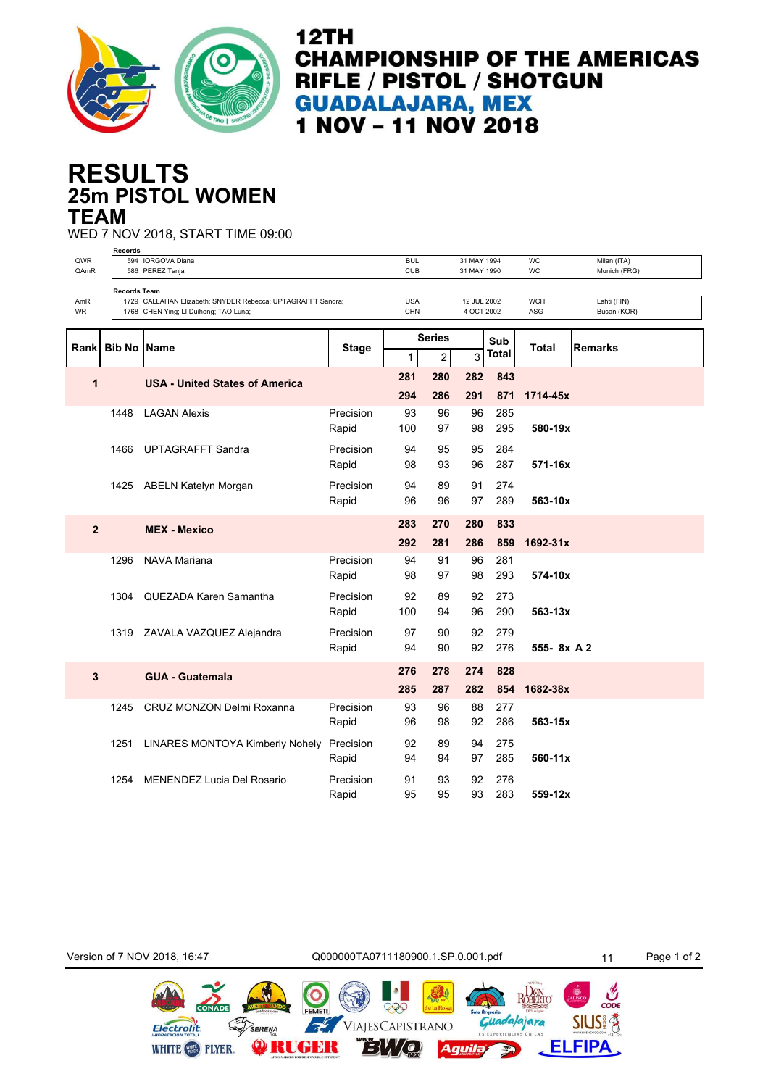

## **25m PISTOL WOMEN RESULTS TEAM**

WED 7 NOV 2018, START TIME 09:00

|                | <b>Records</b> |                                                             |              |            |                |             |       |              |                |
|----------------|----------------|-------------------------------------------------------------|--------------|------------|----------------|-------------|-------|--------------|----------------|
| QWR            |                | 594 IORGOVA Diana                                           |              | <b>BUL</b> |                | 31 MAY 1994 |       | <b>WC</b>    | Milan (ITA)    |
| QAmR           |                | 586 PEREZ Tanja                                             |              | <b>CUB</b> |                | 31 MAY 1990 |       | <b>WC</b>    | Munich (FRG)   |
|                | Records Team   |                                                             |              |            |                |             |       |              |                |
| AmR            |                | 1729 CALLAHAN Elizabeth; SNYDER Rebecca; UPTAGRAFFT Sandra; |              | <b>USA</b> |                | 12 JUL 2002 |       | <b>WCH</b>   | Lahti (FIN)    |
| <b>WR</b>      |                | 1768 CHEN Ying; LI Duihong; TAO Luna;                       |              | CHN        |                | 4 OCT 2002  |       | ASG          | Busan (KOR)    |
|                |                |                                                             |              |            |                |             |       |              |                |
|                |                |                                                             |              |            | <b>Series</b>  |             | Sub   |              |                |
| Rank           | <b>Bib No</b>  | <b>Name</b>                                                 | <b>Stage</b> |            |                |             | Total | Total        | <b>Remarks</b> |
|                |                |                                                             |              | 1          | $\overline{c}$ | 3           |       |              |                |
|                |                |                                                             |              | 281        | 280            | 282         | 843   |              |                |
| 1              |                | <b>USA - United States of America</b>                       |              |            |                |             |       |              |                |
|                |                |                                                             |              | 294        | 286            | 291         | 871   | 1714-45x     |                |
|                | 1448           | <b>LAGAN Alexis</b>                                         | Precision    | 93         | 96             | 96          | 285   |              |                |
|                |                |                                                             | Rapid        | 100        | 97             | 98          | 295   | 580-19x      |                |
|                |                |                                                             |              |            |                |             |       |              |                |
|                | 1466           | <b>UPTAGRAFFT Sandra</b>                                    | Precision    | 94         | 95             | 95          | 284   |              |                |
|                |                |                                                             | Rapid        | 98         | 93             | 96          | 287   | 571-16x      |                |
|                |                |                                                             |              |            |                |             |       |              |                |
|                |                | 1425 ABELN Katelyn Morgan                                   | Precision    | 94         | 89             | 91          | 274   |              |                |
|                |                |                                                             | Rapid        | 96         | 96             | 97          | 289   | 563-10x      |                |
|                |                |                                                             |              |            |                |             |       |              |                |
| $\overline{2}$ |                | <b>MEX - Mexico</b>                                         |              | 283        | 270            | 280         | 833   |              |                |
|                |                |                                                             |              | 292        | 281            | 286         | 859   |              |                |
|                |                |                                                             |              |            |                |             |       | $1692 - 31x$ |                |
|                | 1296           | <b>NAVA Mariana</b>                                         | Precision    | 94         | 91             | 96          | 281   |              |                |
|                |                |                                                             | Rapid        | 98         | 97             | 98          | 293   | 574-10x      |                |
|                |                |                                                             |              |            |                |             |       |              |                |
|                | 1304           | QUEZADA Karen Samantha                                      | Precision    | 92         | 89             | 92          | 273   |              |                |
|                |                |                                                             | Rapid        | 100        | 94             | 96          | 290   | $563 - 13x$  |                |
|                |                |                                                             |              |            |                |             |       |              |                |
|                |                | 1319 ZAVALA VAZQUEZ Alejandra                               | Precision    | 97         | 90             | 92          | 279   |              |                |
|                |                |                                                             | Rapid        | 94         | 90             | 92          | 276   | 555- 8x A 2  |                |
|                |                |                                                             |              |            |                |             |       |              |                |
| 3              |                | <b>GUA - Guatemala</b>                                      |              | 276        | 278            | 274         | 828   |              |                |
|                |                |                                                             |              | 285        | 287            | 282         | 854   | 1682-38x     |                |
|                |                |                                                             |              |            |                |             |       |              |                |
|                | 1245           | <b>CRUZ MONZON Delmi Roxanna</b>                            | Precision    | 93         | 96             | 88          | 277   |              |                |
|                |                |                                                             | Rapid        | 96         | 98             | 92          | 286   | 563-15x      |                |
|                |                |                                                             |              |            |                |             |       |              |                |
|                | 1251           | <b>LINARES MONTOYA Kimberly Nohely</b>                      | Precision    | 92         | 89             | 94          | 275   |              |                |
|                |                |                                                             | Rapid        | 94         | 94             | 97          | 285   | $560 - 11x$  |                |
|                |                |                                                             | Precision    |            | 93             | 92          | 276   |              |                |
|                | 1254           | <b>MENENDEZ Lucia Del Rosario</b>                           |              | 91         |                |             |       |              |                |
|                |                |                                                             | Rapid        | 95         | 95             | 93          | 283   | $559-12x$    |                |

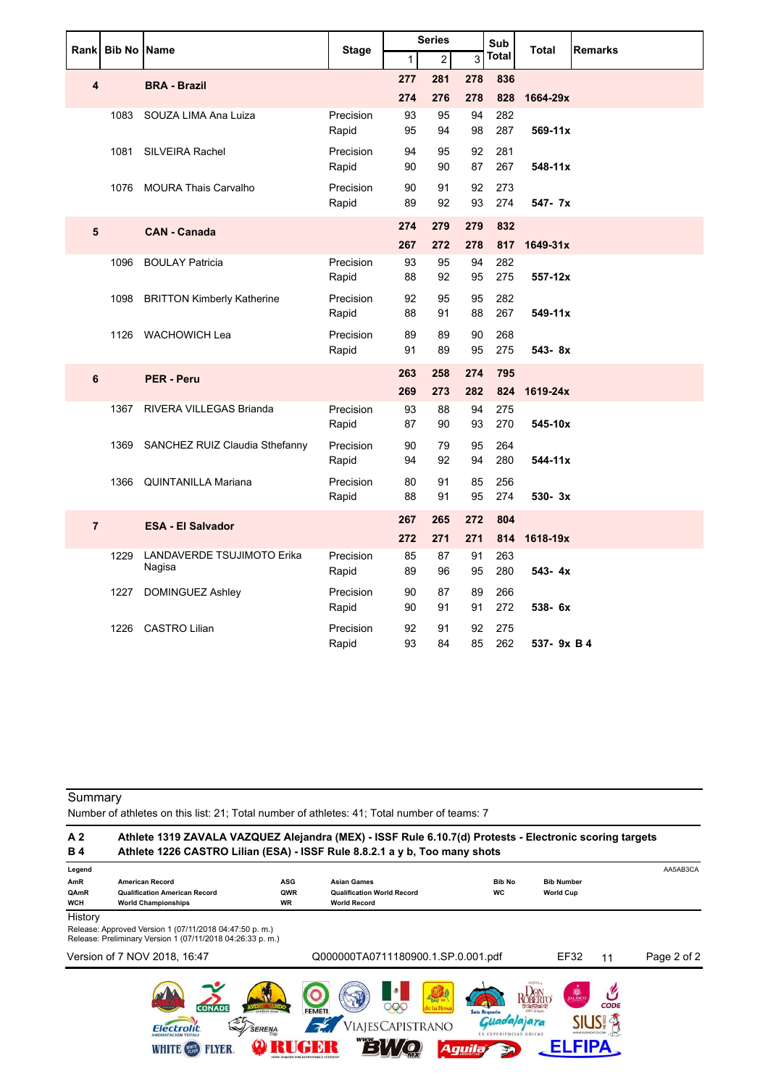|                         |                    |                                   |                    |              | <b>Series</b>  |            | Sub        |              |                |
|-------------------------|--------------------|-----------------------------------|--------------------|--------------|----------------|------------|------------|--------------|----------------|
| Rank                    | <b>Bib No Name</b> |                                   | <b>Stage</b>       | $\mathbf{1}$ | $\overline{2}$ | 3          | Total      | <b>Total</b> | <b>Remarks</b> |
| $\overline{\mathbf{4}}$ |                    | <b>BRA - Brazil</b>               |                    | 277          | 281            | 278        | 836        |              |                |
|                         |                    |                                   |                    | 274          | 276            | 278        | 828        | 1664-29x     |                |
|                         | 1083               | SOUZA LIMA Ana Luiza              | Precision<br>Rapid | 93<br>95     | 95<br>94       | 94<br>98   | 282<br>287 | $569 - 11x$  |                |
|                         |                    | 1081 SILVEIRA Rachel              | Precision<br>Rapid | 94<br>90     | 95<br>90       | 92<br>87   | 281<br>267 | $548 - 11x$  |                |
|                         |                    | 1076 MOURA Thais Carvalho         | Precision<br>Rapid | 90<br>89     | 91<br>92       | 92<br>93   | 273<br>274 | 547- 7x      |                |
| 5                       |                    | <b>CAN - Canada</b>               |                    | 274          | 279            | 279        | 832        |              |                |
|                         |                    |                                   |                    | 267          | 272            | 278        | 817        | 1649-31x     |                |
|                         | 1096               | <b>BOULAY Patricia</b>            | Precision<br>Rapid | 93<br>88     | 95<br>92       | 94<br>95   | 282<br>275 | $557-12x$    |                |
|                         | 1098               | <b>BRITTON Kimberly Katherine</b> | Precision          | 92           | 95             | 95         | 282        |              |                |
|                         |                    |                                   | Rapid              | 88           | 91             | 88         | 267        | $549 - 11x$  |                |
|                         | 1126               | WACHOWICH Lea                     | Precision<br>Rapid | 89<br>91     | 89<br>89       | 90<br>95   | 268<br>275 | 543-8x       |                |
|                         |                    |                                   |                    |              |                |            |            |              |                |
| $\bf 6$                 |                    | <b>PER - Peru</b>                 |                    | 263<br>269   | 258<br>273     | 274<br>282 | 795<br>824 | 1619-24x     |                |
|                         | 1367               | RIVERA VILLEGAS Brianda           | Precision          | 93           | 88             | 94         | 275        |              |                |
|                         |                    |                                   | Rapid              | 87           | 90             | 93         | 270        | 545-10x      |                |
|                         | 1369               | SANCHEZ RUIZ Claudia Sthefanny    | Precision          | 90           | 79             | 95         | 264        |              |                |
|                         |                    |                                   | Rapid              | 94           | 92             | 94         | 280        | $544 - 11x$  |                |
|                         | 1366               | <b>QUINTANILLA Mariana</b>        | Precision          | 80           | 91             | 85         | 256        |              |                |
|                         |                    |                                   | Rapid              | 88           | 91             | 95         | 274        | 530-3x       |                |
| $\overline{7}$          |                    | <b>ESA - El Salvador</b>          |                    | 267          | 265            | 272        | 804        |              |                |
|                         |                    |                                   |                    | 272          | 271            | 271        | 814        | 1618-19x     |                |
|                         | 1229               | LANDAVERDE TSUJIMOTO Erika        | Precision          | 85           | 87             | 91         | 263        |              |                |
|                         |                    | Nagisa                            | Rapid              | 89           | 96             | 95         | 280        | $543 - 4x$   |                |
|                         | 1227               | DOMINGUEZ Ashley                  | Precision          | 90           | 87             | 89         | 266        |              |                |
|                         |                    |                                   | Rapid              | 90           | 91             | 91         | 272        | $538 - 6x$   |                |
|                         | 1226               | <b>CASTRO Lilian</b>              | Precision          | 92           | 91             | 92         | 275        |              |                |
|                         |                    |                                   | Rapid              | 93           | 84             | 85         | 262        | 537- 9x B 4  |                |

Number of athletes on this list: 21; Total number of athletes: 41; Total number of teams: 7

| A <sub>2</sub><br><b>B4</b> | Athlete 1319 ZAVALA VAZQUEZ Alejandra (MEX) - ISSF Rule 6.10.7(d) Protests - Electronic scoring targets<br>Athlete 1226 CASTRO Lilian (ESA) - ISSF Rule 8.8.2.1 a y b, Too many shots |                  |                                                          |                                                    |                                                    |             |
|-----------------------------|---------------------------------------------------------------------------------------------------------------------------------------------------------------------------------------|------------------|----------------------------------------------------------|----------------------------------------------------|----------------------------------------------------|-------------|
| Legend<br>AmR               | <b>American Record</b>                                                                                                                                                                | <b>ASG</b>       | <b>Asian Games</b>                                       | <b>Bib No</b>                                      | <b>Bib Number</b>                                  | AA5AB3CA    |
| QAmR<br><b>WCH</b>          | <b>Qualification American Record</b><br><b>World Championships</b>                                                                                                                    | QWR<br><b>WR</b> | <b>Qualification World Record</b><br><b>World Record</b> | <b>WC</b>                                          | <b>World Cup</b>                                   |             |
| History                     |                                                                                                                                                                                       |                  |                                                          |                                                    |                                                    |             |
|                             | Release: Approved Version 1 (07/11/2018 04:47:50 p.m.)<br>Release: Preliminary Version 1 (07/11/2018 04:26:33 p. m.)                                                                  |                  |                                                          |                                                    |                                                    |             |
|                             | Version of 7 NOV 2018, 16:47                                                                                                                                                          |                  | Q000000TA0711180900.1.SP.0.001.pdf                       |                                                    | EF32<br>11                                         | Page 2 of 2 |
|                             | <b>CONADE</b><br>SERENA<br>Flectrolit                                                                                                                                                 | outdoor store    | <b>FEMETI</b><br>/IAJESCAPISTRANO                        | <b>Contract</b><br>la Rosa<br><b>Solo Arqueria</b> | <b>D</b><br><b>CODE</b><br>D3% de Autre<br>ajajara |             |
|                             | <b>LYER</b><br><b>WHITE (WE</b>                                                                                                                                                       |                  |                                                          | <b>ES EXPERIENCIAS UNICAS</b><br>Aguila            |                                                    |             |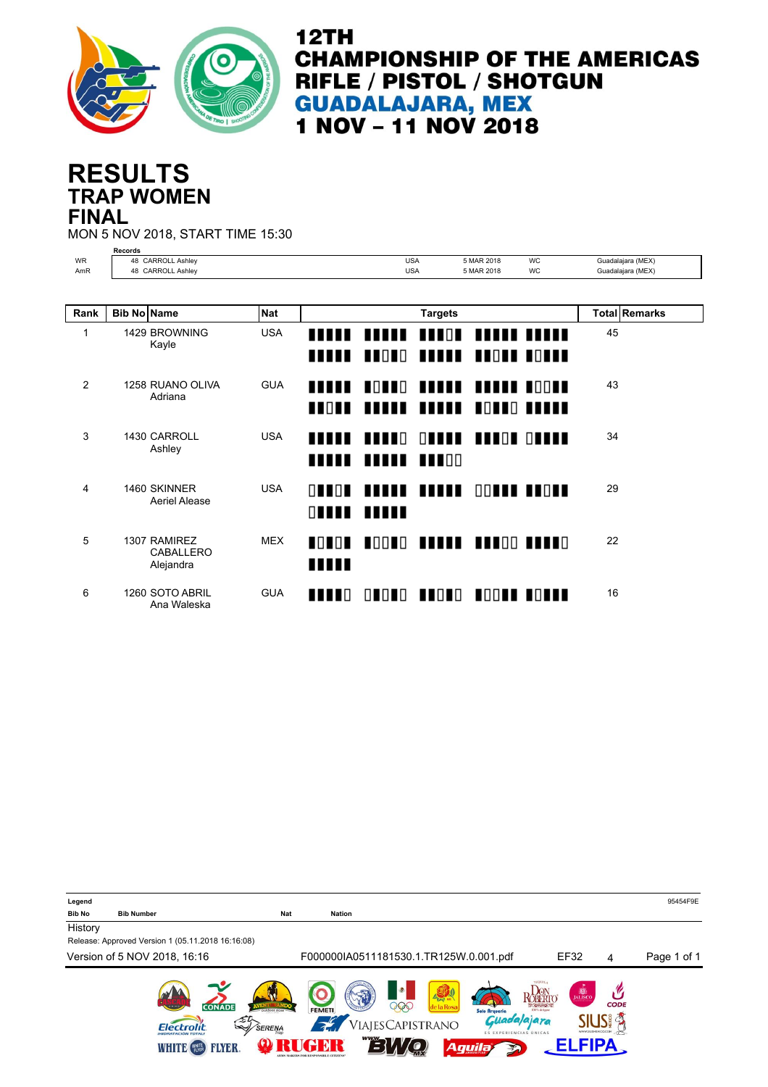

## **TRAP WOMEN RESULTS FINAL**

MON 5 NOV 2018, START TIME 15:30

|           | <b>Records</b>                         |            |                          |                          |                      |                                |                                       |    |                      |
|-----------|----------------------------------------|------------|--------------------------|--------------------------|----------------------|--------------------------------|---------------------------------------|----|----------------------|
| <b>WR</b> | 48 CARROLL Ashley                      |            |                          | <b>USA</b>               |                      | 5 MAR 2018                     | <b>WC</b>                             |    | Guadalajara (MEX)    |
| AmR       | 48 CARROLL Ashley                      |            |                          | <b>USA</b>               |                      | 5 MAR 2018                     | <b>WC</b>                             |    | Guadalajara (MEX)    |
|           |                                        |            |                          |                          |                      |                                |                                       |    |                      |
| Rank      | <b>Bib No Name</b>                     | <b>Nat</b> |                          |                          | <b>Targets</b>       |                                |                                       |    | <b>Total Remarks</b> |
| 1         | 1429 BROWNING<br>Kayle                 | <b>USA</b> | <b>HHH</b><br>IIII       | ,,,,,,<br>$\blacksquare$ | <b>TTTOL</b><br>IIII |                                | <b>HIII HIII</b><br><b>TION TOINE</b> | 45 |                      |
|           |                                        |            |                          |                          |                      |                                |                                       |    |                      |
| 2         | 1258 RUANO OLIVA<br>Adriana            | <b>GUA</b> | ,,,,,                    | HOLLO <sub>1</sub>       | <b>TITLE</b>         |                                | <b>ANTIL TOONE</b>                    | 43 |                      |
|           |                                        |            | <b>TOTI</b>              | ,,,,,,                   | ,,,,,                |                                | TOTTO TITTLE                          |    |                      |
| 3         | 1430 CARROLL<br>Ashley                 | <b>USA</b> | <b>TITLE</b>             | <b>TTTT</b> O            |                      | OUTLE THIOR OUTLE              |                                       | 34 |                      |
|           |                                        |            | <b>TITLE</b>             | ,,,,,,                   | <b>THEFT</b>         |                                |                                       |    |                      |
| 4         | 1460 SKINNER<br>Aeriel Alease          | <b>USA</b> | $\Box$<br>0 <b>1 1 1</b> | Ш                        | <b>TITLE TELLE</b>   |                                | <b>OOD OF BUILDING</b>                | 29 |                      |
|           |                                        |            |                          |                          |                      |                                |                                       |    |                      |
| 5         | 1307 RAMIREZ<br>CABALLERO<br>Alejandra | <b>MEX</b> | $\blacksquare$<br>IIIII  |                          |                      | NOONO NNNNN NNNOO NNNNO        |                                       | 22 |                      |
| 6         | 1260 SOTO ABRIL<br>Ana Waleska         | <b>GUA</b> | <b>THTD</b>              |                          |                      | <b>ONONO NUONO NOONU NOUNU</b> |                                       | 16 |                      |

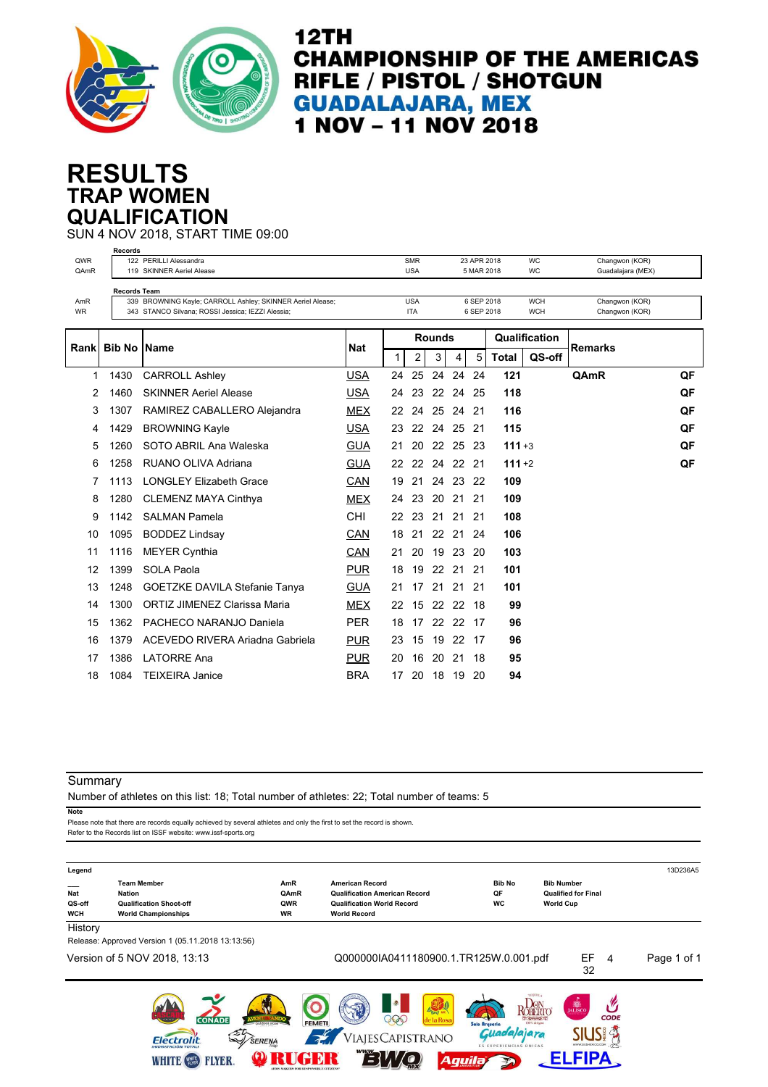

## **TRAP WOMEN RESULTS QUALIFICATION**

SUN 4 NOV 2018, START TIME 09:00

|       | Records             |                                                            |            |    |            |               |          |             |              |               |                   |    |
|-------|---------------------|------------------------------------------------------------|------------|----|------------|---------------|----------|-------------|--------------|---------------|-------------------|----|
| QWR   |                     | 122 PERILLI Alessandra                                     |            |    | <b>SMR</b> |               |          | 23 APR 2018 |              | WC            | Changwon (KOR)    |    |
| QAmR  |                     | 119 SKINNER Aeriel Alease                                  |            |    | <b>USA</b> |               |          | 5 MAR 2018  |              | WC            | Guadalajara (MEX) |    |
|       | <b>Records Team</b> |                                                            |            |    |            |               |          |             |              |               |                   |    |
| AmR   |                     | 339 BROWNING Kayle; CARROLL Ashley; SKINNER Aeriel Alease; |            |    | <b>USA</b> |               |          | 6 SEP 2018  |              | <b>WCH</b>    | Changwon (KOR)    |    |
| WR    |                     | 343 STANCO Silvana; ROSSI Jessica; IEZZI Alessia;          |            |    | ITA        |               |          | 6 SEP 2018  |              | <b>WCH</b>    | Changwon (KOR)    |    |
|       |                     |                                                            |            |    |            |               |          |             |              |               |                   |    |
|       |                     |                                                            |            |    |            | <b>Rounds</b> |          |             |              | Qualification |                   |    |
| Rankl | <b>Bib No IName</b> |                                                            | <b>Nat</b> |    |            |               |          |             |              |               | <b>Remarks</b>    |    |
|       |                     |                                                            |            | 1  | 2          | 3             | 4        | 5           | <b>Total</b> | QS-off        |                   |    |
| 1     | 1430                | <b>CARROLL Ashley</b>                                      | <b>USA</b> | 24 | 25         |               | 24 24 24 |             | 121          |               | QAmR              | QF |
| 2     | 1460                | <b>SKINNER Aeriel Alease</b>                               | <b>USA</b> | 24 | 23         |               | 22 24 25 |             | 118          |               |                   | QF |
| 3     | 1307                | RAMIREZ CABALLERO Alejandra                                | <b>MEX</b> | 22 | 24         | 25            | 24       | -21         | 116          |               |                   | QF |
| 4     | 1429                | <b>BROWNING Kayle</b>                                      | USA        | 23 | 22         | 24            | -25      | -21         | 115          |               |                   | QF |
| 5     | 1260                | SOTO ABRIL Ana Waleska                                     | <b>GUA</b> | 21 | 20         | 22 25         |          | -23         | $111 + 3$    |               |                   | QF |
| 6     | 1258                | RUANO OLIVA Adriana                                        | <b>GUA</b> | 22 | 22         |               | 24 22 21 |             | $111 + 2$    |               |                   | QF |
| 7     | 1113                | <b>LONGLEY Elizabeth Grace</b>                             | CAN        | 19 | 21         | 24            | 23 22    |             | 109          |               |                   |    |
| 8     | 1280                | <b>CLEMENZ MAYA Cinthya</b>                                | <b>MEX</b> | 24 | 23         |               | 20 21 21 |             | 109          |               |                   |    |
| 9     | 1142                | <b>SALMAN Pamela</b>                                       | <b>CHI</b> | 22 | 23         | 21            | 21 21    |             | 108          |               |                   |    |
| 10    | 1095                | <b>BODDEZ Lindsay</b>                                      | CAN        | 18 | 21         |               | 22 21 24 |             | 106          |               |                   |    |
| 11    | 1116                | <b>MEYER Cynthia</b>                                       | CAN        | 21 | 20         |               | 19 23 20 |             | 103          |               |                   |    |
| 12    | 1399                | <b>SOLA Paola</b>                                          | <b>PUR</b> | 18 | 19         | 22            | 21       | -21         | 101          |               |                   |    |
| 13    | 1248                | <b>GOETZKE DAVILA Stefanie Tanya</b>                       | <b>GUA</b> | 21 | 17         | 21            | 21       | -21         | 101          |               |                   |    |
| 14    | 1300                | <b>ORTIZ JIMENEZ Clarissa Maria</b>                        | <b>MEX</b> | 22 | 15         | 22            | 22       | -18         | 99           |               |                   |    |
| 15    | 1362                | PACHECO NARANJO Daniela                                    | <b>PER</b> | 18 | 17         | 22            | 22       | 17          | 96           |               |                   |    |
| 16    | 1379                | ACEVEDO RIVERA Ariadna Gabriela                            | <b>PUR</b> | 23 | 15         | 19            | 22       | 17          | 96           |               |                   |    |
| 17    | 1386                | <b>LATORRE Ana</b>                                         | <b>PUR</b> | 20 | 16         | 20            | 21       | 18          | 95           |               |                   |    |
| 18    | 1084                | <b>TEIXEIRA Janice</b>                                     | <b>BRA</b> | 17 | 20         | 18            | 19       | -20         | 94           |               |                   |    |

**Summary** 

Number of athletes on this list: 18; Total number of athletes: 22; Total number of teams: 5

Please note that there are records equally achieved by several athletes and only the first to set the record is shown. **Note** Refer to the Records list on ISSF website: www.issf-sports.org

| Legend                             |                                                                                                     |                                 |                                                                                                                            |                                  |                                                                     | 13D236A5    |
|------------------------------------|-----------------------------------------------------------------------------------------------------|---------------------------------|----------------------------------------------------------------------------------------------------------------------------|----------------------------------|---------------------------------------------------------------------|-------------|
| <b>Nat</b><br>QS-off<br><b>WCH</b> | <b>Team Member</b><br><b>Nation</b><br><b>Qualification Shoot-off</b><br><b>World Championships</b> | AmR<br>QAmR<br>QWR<br><b>WR</b> | <b>American Record</b><br><b>Qualification American Record</b><br><b>Qualification World Record</b><br><b>World Record</b> | <b>Bib No</b><br>QF<br><b>WC</b> | <b>Bib Number</b><br><b>Qualified for Final</b><br><b>World Cup</b> |             |
| History                            |                                                                                                     |                                 |                                                                                                                            |                                  |                                                                     |             |
|                                    | Release: Approved Version 1 (05.11.2018 13:13:56)                                                   |                                 |                                                                                                                            |                                  |                                                                     |             |
|                                    | Version of 5 NOV 2018, 13:13                                                                        |                                 | Q000000IA0411180900.1.TR125W.0.001.pdf                                                                                     |                                  | EF<br>4<br>32                                                       | Page 1 of 1 |
|                                    | <b>CONADE</b>                                                                                       | <b>FEMETI</b><br>outdoor store  | <b>BOUT NR</b><br>206<br>e la Rosa                                                                                         | Solo Arqueria                    | <b>B</b><br><b>KOBERTO</b><br><b>CODE</b><br>$-50000$               |             |
|                                    | Flectrolit<br><b>IHIDRATACIÓN TOTALI</b>                                                            | SERENA                          | VIAJESCAPISTRANO                                                                                                           | ES EXPERIENCIAS UNICAS           | ajara                                                               |             |
|                                    | LYER<br><b>WHITE</b>                                                                                |                                 | Aguila                                                                                                                     |                                  |                                                                     |             |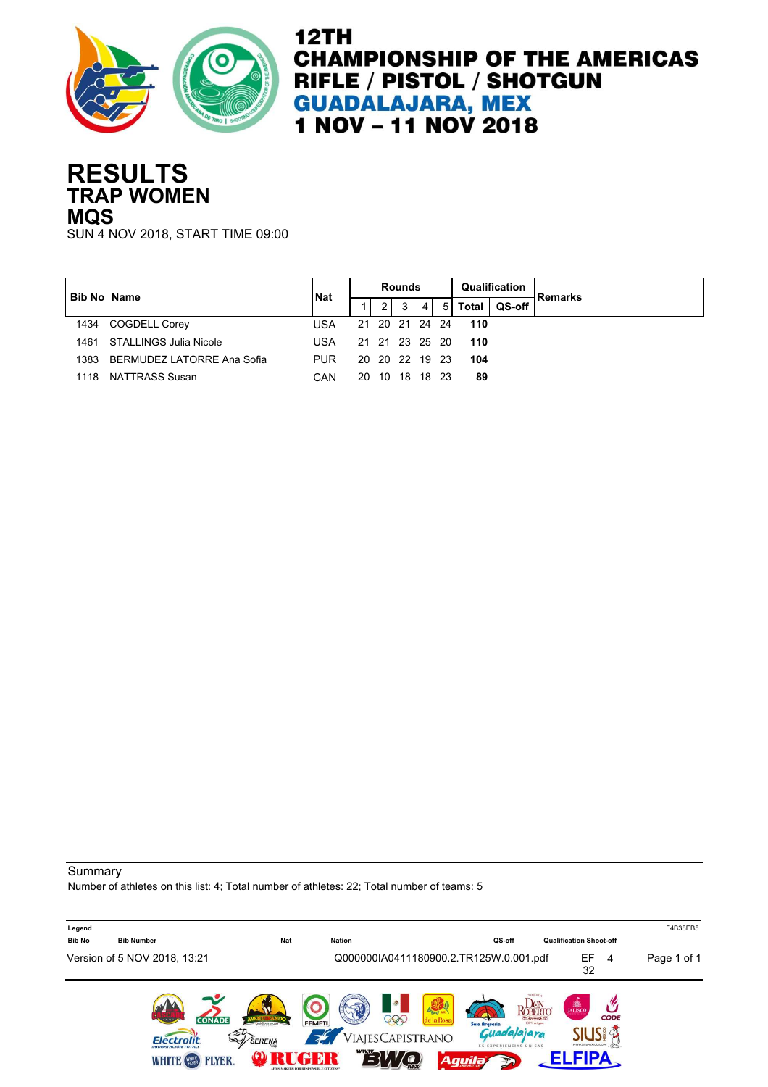

### **TRAP WOMEN RESULTS MQS**

SUN 4 NOV 2018, START TIME 09:00

|      | <b>Bib No IName</b>        | <b>Nat</b> |     | <b>Rounds</b>  |                |                |       | Qualification | <b>Remarks</b> |
|------|----------------------------|------------|-----|----------------|----------------|----------------|-------|---------------|----------------|
|      |                            |            |     | 3 <sub>1</sub> | $\overline{4}$ | 5 <sup>1</sup> | Total | QS-off        |                |
| 1434 | <b>COGDELL Corey</b>       | USA        |     | 21 20 21 24 24 |                |                | 110   |               |                |
| 1461 | STALLINGS Julia Nicole     | USA        |     | 21 21 23 25 20 |                |                | 110   |               |                |
| 1383 | BERMUDEZ LATORRE Ana Sofia | <b>PUR</b> |     | 20 20 22 19 23 |                |                | 104   |               |                |
| 1118 | NATTRASS Susan             | CAN        | 20. | 10 18          | 18             | - 23           | 89    |               |                |

**Summary** 

Number of athletes on this list: 4; Total number of athletes: 22; Total number of teams: 5

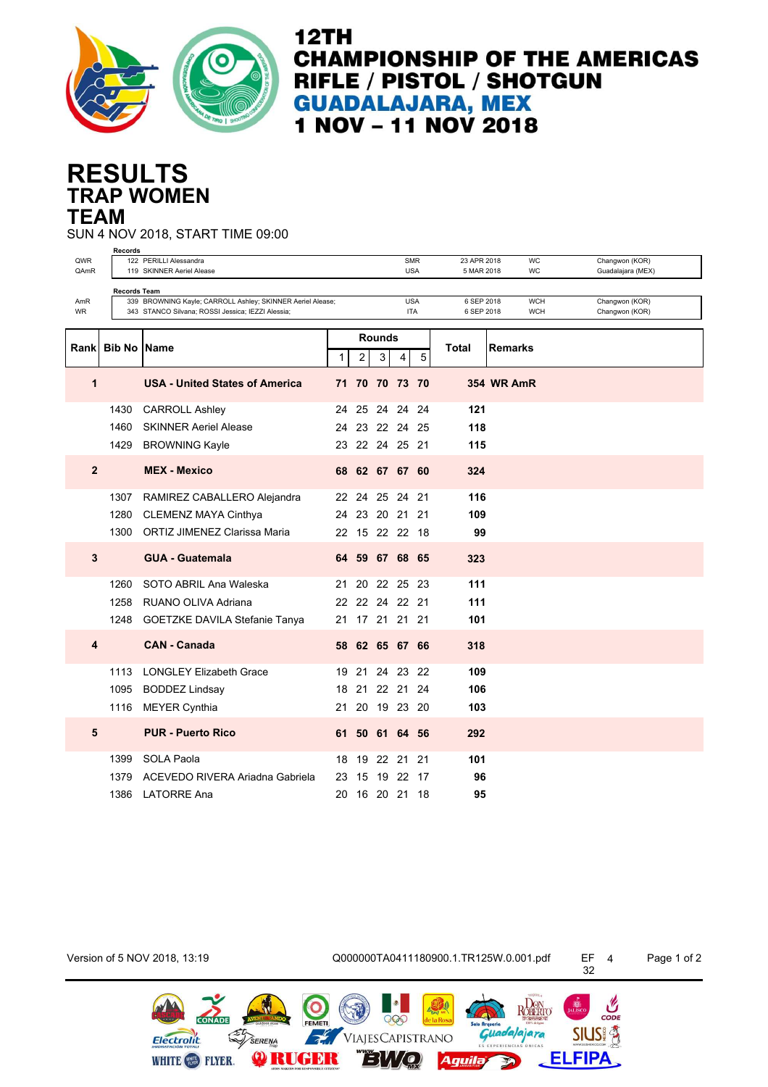

## **TRAP WOMEN RESULTS TEAM**

SUN 4 NOV 2018, START TIME 09:00

|                | <b>Records</b>  |                                                            |    |    |               |                |      |             |                   |                   |
|----------------|-----------------|------------------------------------------------------------|----|----|---------------|----------------|------|-------------|-------------------|-------------------|
| QWR            |                 | 122 PERILLI Alessandra                                     |    |    |               | <b>SMR</b>     |      | 23 APR 2018 | WC                | Changwon (KOR)    |
| QAmR           |                 | 119 SKINNER Aeriel Alease                                  |    |    |               | <b>USA</b>     |      | 5 MAR 2018  | WC                | Guadalajara (MEX) |
|                | Records Team    |                                                            |    |    |               |                |      |             |                   |                   |
| AmR            |                 | 339 BROWNING Kayle; CARROLL Ashley; SKINNER Aeriel Alease; |    |    |               | <b>USA</b>     |      | 6 SEP 2018  | <b>WCH</b>        | Changwon (KOR)    |
| WR             |                 | 343 STANCO Silvana; ROSSI Jessica; IEZZI Alessia;          |    |    |               | ITA            |      | 6 SEP 2018  | <b>WCH</b>        | Changwon (KOR)    |
|                |                 |                                                            |    |    |               |                |      |             |                   |                   |
|                |                 |                                                            |    |    | <b>Rounds</b> |                |      |             |                   |                   |
| Rankl          | <b>Bib No I</b> | <b>Name</b>                                                |    |    |               |                |      | Total       | <b>Remarks</b>    |                   |
|                |                 |                                                            | 1  | 2  | 3             | 4              | 5    |             |                   |                   |
| 1              |                 | <b>USA - United States of America</b>                      |    |    |               | 71 70 70 73 70 |      |             | <b>354 WR AmR</b> |                   |
|                | 1430            | <b>CARROLL Ashley</b>                                      | 24 |    |               | 25 24 24 24    |      | 121         |                   |                   |
|                | 1460            | <b>SKINNER Aeriel Alease</b>                               | 24 |    |               | 23 22 24 25    |      | 118         |                   |                   |
|                | 1429            | <b>BROWNING Kayle</b>                                      |    |    |               | 23 22 24 25 21 |      | 115         |                   |                   |
|                |                 |                                                            |    |    |               |                |      |             |                   |                   |
| $\overline{2}$ |                 | <b>MEX - Mexico</b>                                        |    |    |               | 68 62 67 67 60 |      | 324         |                   |                   |
|                |                 |                                                            |    |    |               |                |      |             |                   |                   |
|                | 1307            | RAMIREZ CABALLERO Alejandra                                |    |    |               | 22 24 25 24 21 |      | 116         |                   |                   |
|                | 1280            | <b>CLEMENZ MAYA Cinthya</b>                                |    |    |               | 24 23 20 21 21 |      |             |                   |                   |
|                |                 |                                                            |    |    |               |                |      | 109         |                   |                   |
|                | 1300            | <b>ORTIZ JIMENEZ Clarissa Maria</b>                        |    |    |               | 22 15 22 22 18 |      | 99          |                   |                   |
|                |                 |                                                            |    |    |               |                |      |             |                   |                   |
| 3              |                 | <b>GUA - Guatemala</b>                                     |    |    |               | 64 59 67 68 65 |      | 323         |                   |                   |
|                |                 |                                                            |    |    |               |                |      |             |                   |                   |
|                | 1260            | SOTO ABRIL Ana Waleska                                     |    |    |               | 21 20 22 25 23 |      | 111         |                   |                   |
|                | 1258            | RUANO OLIVA Adriana                                        | 22 |    |               | 22 24 22 21    |      | 111         |                   |                   |
|                | 1248            | GOETZKE DAVILA Stefanie Tanya                              |    |    |               | 21 17 21 21 21 |      | 101         |                   |                   |
|                |                 |                                                            |    |    |               |                |      |             |                   |                   |
| 4              |                 | <b>CAN - Canada</b>                                        | 58 |    |               | 62 65 67 66    |      | 318         |                   |                   |
|                |                 |                                                            |    |    |               |                |      |             |                   |                   |
|                | 1113            | <b>LONGLEY Elizabeth Grace</b>                             | 19 | 21 |               | 24 23 22       |      | 109         |                   |                   |
|                | 1095            | <b>BODDEZ Lindsay</b>                                      | 18 |    |               | 21  22  21  24 |      | 106         |                   |                   |
|                |                 |                                                            |    |    |               |                |      |             |                   |                   |
|                | 1116            | <b>MEYER Cynthia</b>                                       | 21 |    |               | 20 19 23 20    |      | 103         |                   |                   |
|                |                 |                                                            |    |    |               |                |      |             |                   |                   |
| 5              |                 | <b>PUR - Puerto Rico</b>                                   |    |    |               | 61 50 61 64 56 |      | 292         |                   |                   |
|                |                 |                                                            |    |    |               |                |      |             |                   |                   |
|                | 1399            | <b>SOLA Paola</b>                                          | 18 |    |               | 19 22 21 21    |      | 101         |                   |                   |
|                | 1379            | ACEVEDO RIVERA Ariadna Gabriela                            | 23 | 15 | 19 22         |                | - 17 | 96          |                   |                   |
|                | 1386            | <b>LATORRE Ana</b>                                         | 20 |    |               | 16 20 21 18    |      | 95          |                   |                   |
|                |                 |                                                            |    |    |               |                |      |             |                   |                   |

Electrolit

WHITE **OB** FLYER.

SERENA

**ORUGER** 

Version of 5 NOV 2018, 13:19 Q000000TA0411180900.1.TR125W.0.001.pdf EF 4 Page 1 of 2

Aquila

OOC

VIAJESCAPISTRANO

**TERVIC** 

32

 $CODE$ 

**SIUS A** 

**ELFIPA** 

ROBERTO

i/ajara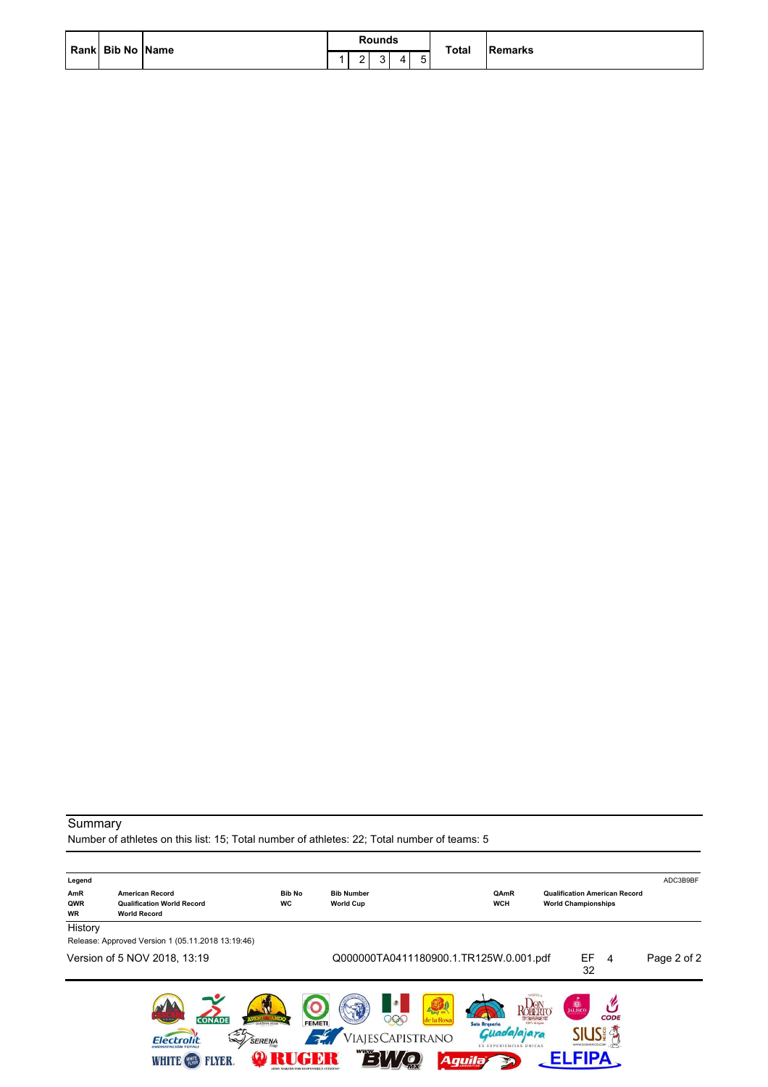| Rank Bib No Name |  |             | Rounds |  | Total | <b>Remarks</b> |
|------------------|--|-------------|--------|--|-------|----------------|
|                  |  | $\sim$<br>- |        |  |       |                |

Number of athletes on this list: 15; Total number of athletes: 22; Total number of teams: 5

| Legend<br>AmR<br>QWR<br><b>WR</b> | <b>American Record</b><br><b>Qualification World Record</b><br><b>World Record</b>                                          | <b>Bib No</b><br><b>WC</b> | <b>Bib Number</b><br><b>World Cup</b>                              | QAmR<br><b>WCH</b>                                                                              | <b>Qualification American Record</b><br><b>World Championships</b> | ADC3B9BF    |
|-----------------------------------|-----------------------------------------------------------------------------------------------------------------------------|----------------------------|--------------------------------------------------------------------|-------------------------------------------------------------------------------------------------|--------------------------------------------------------------------|-------------|
| History                           |                                                                                                                             |                            |                                                                    |                                                                                                 |                                                                    |             |
|                                   | Release: Approved Version 1 (05.11.2018 13:19:46)                                                                           |                            |                                                                    |                                                                                                 |                                                                    |             |
|                                   | Version of 5 NOV 2018, 13:19                                                                                                |                            | Q000000TA0411180900.1.TR125W.0.001.pdf                             |                                                                                                 | EF<br>4<br>32                                                      | Page 2 of 2 |
|                                   | <b>CONADE</b><br>$A$ to $M$ 6<br><b>SERENA</b><br>Flectrolit<br><b>IHIDRATACIÓN TOTALI</b><br>LYER<br><b>WHITE</b><br>WHITE | <b>FEMETI</b>              | <b>Ezal NR</b><br>200<br>la Rosa<br>VIAJESCAPISTRANO<br><u>( o</u> | $-6002$<br>DO % de Autre<br>Solo Arqueria<br>alajara<br>ES EXPERIENCIAS UNICAS<br><b>Aquila</b> | <b>B</b><br><b>CODE</b><br>FIPA                                    |             |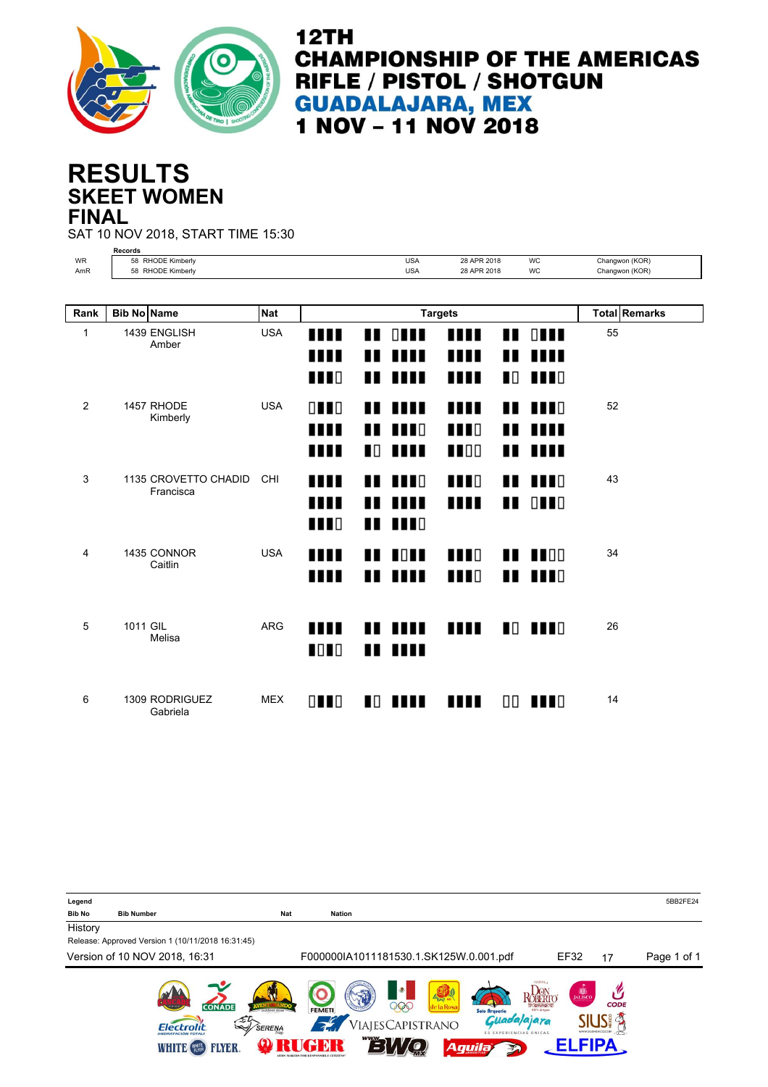

## **SKEET WOMEN RESULTS FINAL**

SAT 10 NOV 2018, START TIME 15:30

|              | <b>Records</b>                    |            |                      |                                          |                                            |                      |                |  |
|--------------|-----------------------------------|------------|----------------------|------------------------------------------|--------------------------------------------|----------------------|----------------|--|
| WR           | 58 RHODE Kimberly                 |            |                      | <b>USA</b>                               | 28 APR 2018                                | <b>WC</b>            | Changwon (KOR) |  |
| AmR          | 58 RHODE Kimberly                 |            |                      | <b>USA</b>                               | 28 APR 2018                                | <b>WC</b>            | Changwon (KOR) |  |
|              |                                   |            |                      |                                          |                                            |                      |                |  |
| Rank         | <b>Bib No Name</b>                | <b>Nat</b> |                      | <b>Targets</b>                           |                                            | <b>Total Remarks</b> |                |  |
| $\mathbf{1}$ | 1439 ENGLISH<br>Amber             | <b>USA</b> | Ш<br>ш               | $\Box$<br>$\mathbf{H}$<br><br>∎∎         | Ш<br>                                      | $\blacksquare$<br>ш  | 55             |  |
|              |                                   |            | <b>TTT</b> O         | ш<br>ш                                   | $\blacksquare$<br>Ш                        | <b>TTT</b> O         |                |  |
| 2            | 1457 RHODE<br>Kimberly            | <b>USA</b> | $\Box$               | 11 MH                                    | Ш                                          | <b>THE READ</b>      | 52             |  |
|              |                                   |            | 1111<br><b>THE</b>   | <b>THER</b><br>∎∎<br>$\blacksquare$<br>ш | $\blacksquare$<br>ш<br>$\blacksquare$<br>Ш | Ш<br>1 I I I         |                |  |
| 3            | 1135 CROVETTO CHADID<br>Francisca | CHI        | Ш                    | <b>THEFT</b><br>. .                      | <b>TTT</b> N<br>                           | <b>TTT</b>           | 43             |  |
|              |                                   |            | ш<br>$\blacksquare$  | <br>ш<br><b>THE READ</b>                 | Ш<br>ш                                     | $\Box$               |                |  |
| 4            | 1435 CONNOR<br>Caitlin            | <b>USA</b> | m                    | HN H<br>∎∎                               | <b>TTT</b> O                               | $\blacksquare$       | 34             |  |
|              |                                   |            | m                    | 11 1111                                  | $\blacksquare$                             | $\blacksquare$       |                |  |
| 5            | 1011 GIL<br>Melisa                | <b>ARG</b> | <b>THE</b><br>$\Box$ | Ш<br>. .<br>11 1111                      | Ш                                          | $\blacksquare$       | 26             |  |
| 6            | 1309 RODRIGUEZ<br>Gabriela        | <b>MEX</b> | $\Box$               | <b>NO MEDIA</b>                          | <b>THE</b>                                 | 00 1110              | 14             |  |

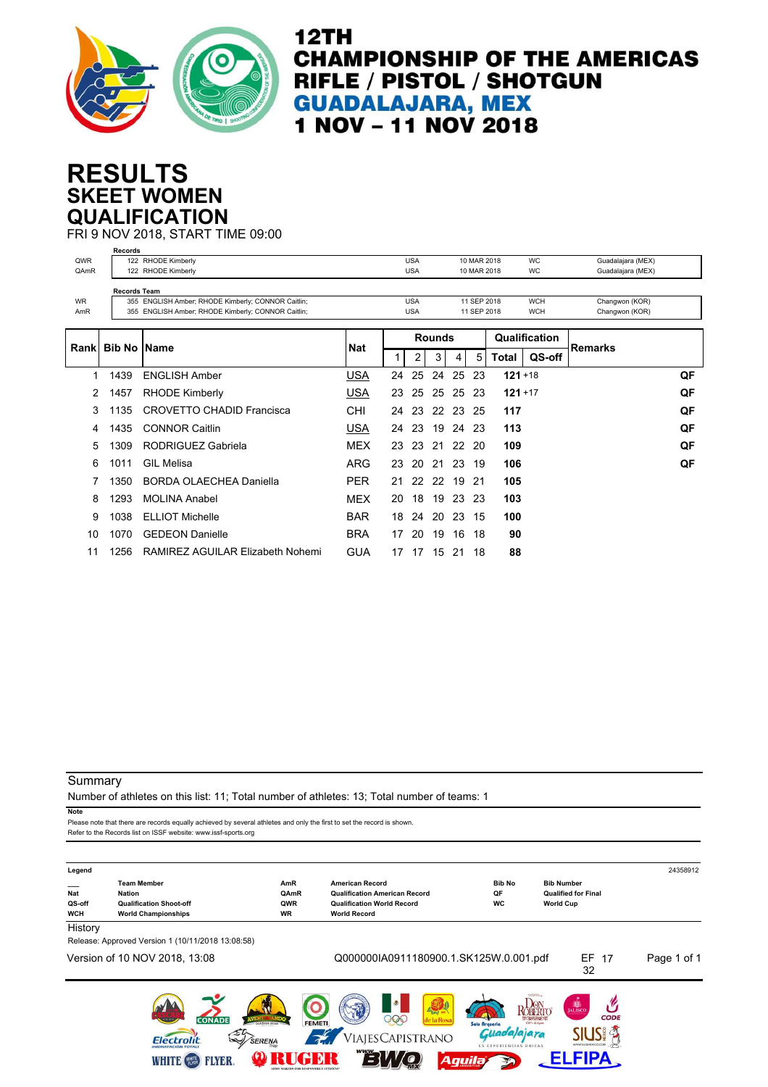

## **SKEET WOMEN RESULTS QUALIFICATION**

FRI 9 NOV 2018, START TIME 09:00

|                           | <b>Records</b>      |                                                    |            |    |            |               |             |             |            |                |                   |    |
|---------------------------|---------------------|----------------------------------------------------|------------|----|------------|---------------|-------------|-------------|------------|----------------|-------------------|----|
| QWR                       |                     | 122 RHODE Kimberly                                 |            |    | <b>USA</b> |               |             | 10 MAR 2018 |            | <b>WC</b>      | Guadalajara (MEX) |    |
| QAmR                      |                     | 122 RHODE Kimberly                                 |            |    | <b>USA</b> |               |             | 10 MAR 2018 |            | <b>WC</b>      | Guadalajara (MEX) |    |
|                           | <b>Records Team</b> |                                                    |            |    |            |               |             |             |            |                |                   |    |
| <b>WR</b>                 |                     | 355 ENGLISH Amber; RHODE Kimberly; CONNOR Caitlin; |            |    | <b>USA</b> |               |             | 11 SEP 2018 |            | <b>WCH</b>     | Changwon (KOR)    |    |
| AmR                       |                     | 355 ENGLISH Amber; RHODE Kimberly; CONNOR Caitlin; |            |    | <b>USA</b> |               | 11 SEP 2018 |             | <b>WCH</b> | Changwon (KOR) |                   |    |
|                           |                     |                                                    |            |    |            |               |             |             |            |                |                   |    |
|                           |                     |                                                    |            |    |            | <b>Rounds</b> |             |             |            | Qualification  |                   |    |
| <b>Rankl Bib No IName</b> |                     |                                                    | Nat        |    | 2          | 3             | 4           | 5           | Total      | QS-off         | <b>Remarks</b>    |    |
| 1                         | 1439                | <b>ENGLISH Amber</b>                               | USA        | 24 | 25         | 24            | 25          | 23          | $121 + 18$ |                |                   | QF |
| 2                         | 1457                | <b>RHODE Kimberly</b>                              | <b>USA</b> | 23 | 25         | 25            | 25          | 23          | $121 + 17$ |                |                   | QF |
| 3                         | 1135                | <b>CROVETTO CHADID Francisca</b>                   | CHI        | 24 | 23         |               | 22 23       | -25         | 117        |                |                   | QF |
| 4                         | 1435                | <b>CONNOR Caitlin</b>                              | USA        | 24 | 23         | 19            |             | 24 23       | 113        |                |                   | QF |
| 5                         | 1309                | RODRIGUEZ Gabriela                                 | <b>MEX</b> | 23 | 23         | 21            | 22          | -20         | 109        |                |                   | QF |
| 6                         | 1011                | <b>GIL Melisa</b>                                  | ARG        | 23 | 20         | 21            | -23         | 19          | 106        |                |                   | QF |
|                           | 1350                | <b>BORDA OLAECHEA Daniella</b>                     | <b>PER</b> | 21 | 22         | 22            | 19          | 21          | 105        |                |                   |    |
| 8                         | 1293                | <b>MOLINA Anabel</b>                               | <b>MEX</b> | 20 | 18         | 19            | 23          | 23          | 103        |                |                   |    |
| 9                         | 1038                | <b>ELLIOT Michelle</b>                             | <b>BAR</b> | 18 | 24         | 20            | 23          | 15          | 100        |                |                   |    |
| 10                        | 1070                | <b>GEDEON Danielle</b>                             | <b>BRA</b> | 17 | 20         | 19            | 16          | 18          | 90         |                |                   |    |
| 11                        | 1256                | RAMIREZ AGUILAR Elizabeth Nohemi                   | <b>GUA</b> | 17 | 17         | 15            | 21          | 18          | 88         |                |                   |    |

#### **Summary**

Number of athletes on this list: 11; Total number of athletes: 13; Total number of teams: 1

Please note that there are records equally achieved by several athletes and only the first to set the record is shown. **Note** Refer to the Records list on ISSF website: www.issf-sports.org

| Legend               |                                                                                             |               |                                                                           |                                                                  |                                                | 24358912    |
|----------------------|---------------------------------------------------------------------------------------------|---------------|---------------------------------------------------------------------------|------------------------------------------------------------------|------------------------------------------------|-------------|
|                      | <b>Team Member</b>                                                                          | AmR           | <b>American Record</b>                                                    | <b>Bib No</b>                                                    | <b>Bib Number</b>                              |             |
| <b>Nat</b><br>QS-off | <b>Nation</b><br><b>Qualification Shoot-off</b>                                             | QAmR<br>QWR   | <b>Qualification American Record</b><br><b>Qualification World Record</b> | QF<br><b>WC</b>                                                  | <b>Qualified for Final</b><br><b>World Cup</b> |             |
| <b>WCH</b>           | <b>World Championships</b>                                                                  | <b>WR</b>     | <b>World Record</b>                                                       |                                                                  |                                                |             |
| History              |                                                                                             |               |                                                                           |                                                                  |                                                |             |
|                      | Release: Approved Version 1 (10/11/2018 13:08:58)                                           |               |                                                                           |                                                                  |                                                |             |
|                      | Version of 10 NOV 2018, 13:08                                                               |               | Q000000IA0911180900.1.SK125W.0.001.pdf                                    |                                                                  | EF 17<br>32                                    | Page 1 of 1 |
|                      | <b>CONADE</b><br>outdoor store<br><b>SERENA</b><br>Flectrolit<br><b>IHIDRATACIÓN TOTALI</b> | <b>FEMETI</b> | <b>Condust</b><br>000<br>de la Rosa<br><b><i>IAJESCAPISTRANO</i></b>      | 1.50020<br>Solo Arqueria<br>uadalajara<br>ES EXPERIENCIAS UNICAS | <b>B</b><br><b>CODE</b><br>WWW.SIUSHEXICO.COM  |             |

WHITE SERVER PRUGER EVOLUTE TO ELFIPA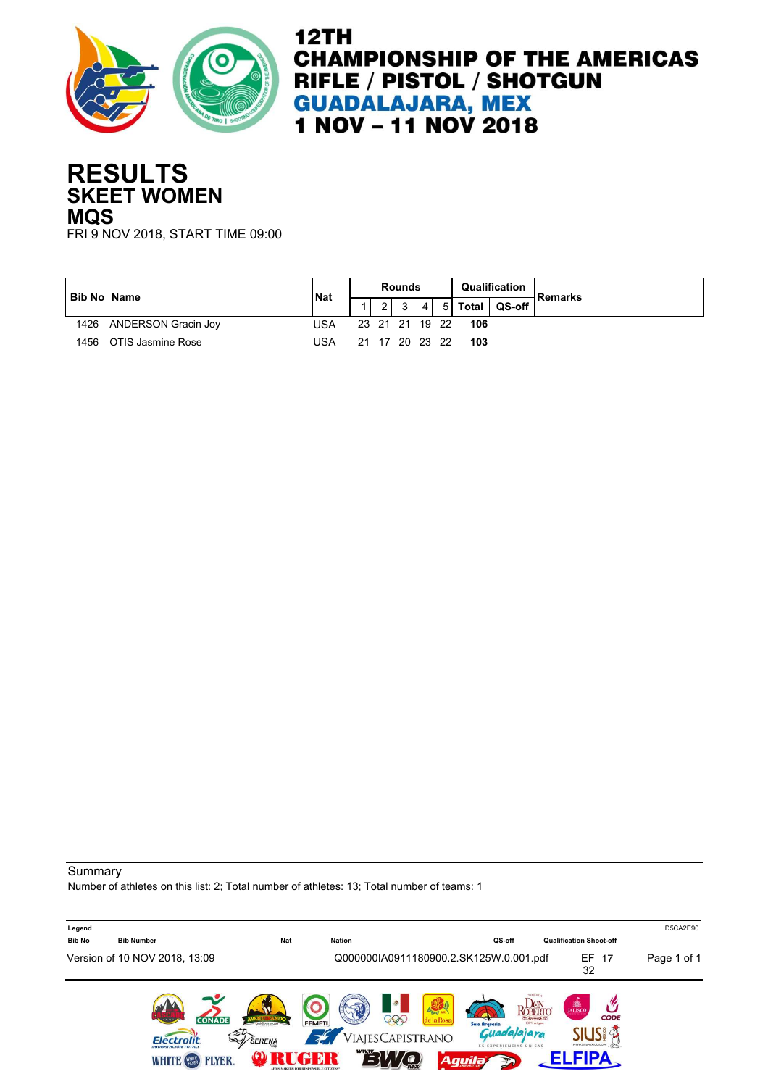

## **SKEET WOMEN RESULTS MQS**

FRI 9 NOV 2018, START TIME 09:00

|      | <b>Bib No Name</b>  | <b>Nat</b> |    |                      | Rounds            |                |     | Qualification  | Remarks |
|------|---------------------|------------|----|----------------------|-------------------|----------------|-----|----------------|---------|
|      |                     |            |    | $\Omega$<br><u>.</u> | $\lceil 3 \rceil$ | $\overline{4}$ |     | 5 Total QS-off |         |
| 1426 | ANDERSON Gracin Joy | JSA        |    |                      | 23 21 21 19 22    |                | 106 |                |         |
| 1456 | OTIS Jasmine Rose   | USA        | 21 |                      | 17 20 23 22       |                | 103 |                |         |

**Summary** 

Number of athletes on this list: 2; Total number of athletes: 13; Total number of teams: 1

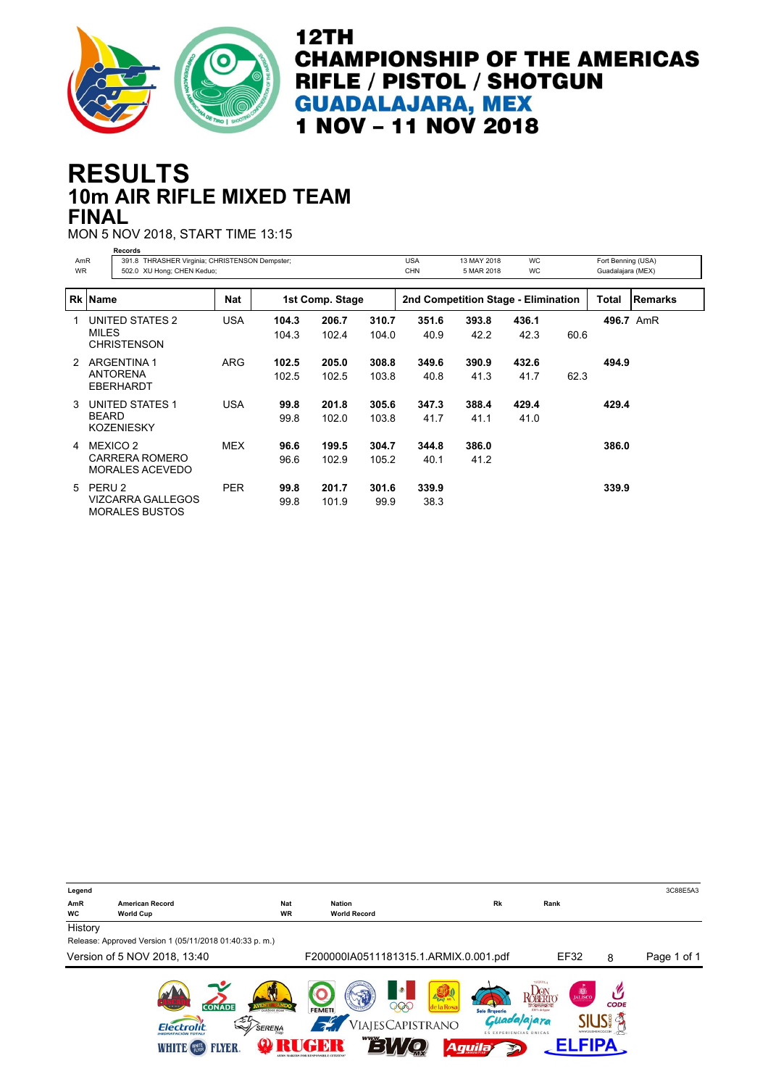

# **10m AIR RIFLE MIXED TEAM RESULTS FINAL**

MON 5 NOV 2018, START TIME 13:15

|                  | <b>Records</b>                                                               |            |                |                 |                |                                     |                           |                        |      |                                         |           |
|------------------|------------------------------------------------------------------------------|------------|----------------|-----------------|----------------|-------------------------------------|---------------------------|------------------------|------|-----------------------------------------|-----------|
| AmR<br><b>WR</b> | 391.8 THRASHER Virginia; CHRISTENSON Dempster;<br>502.0 XU Hong; CHEN Keduo; |            |                |                 |                | <b>USA</b><br>CHN                   | 13 MAY 2018<br>5 MAR 2018 | <b>WC</b><br><b>WC</b> |      | Fort Benning (USA)<br>Guadalajara (MEX) |           |
|                  | <b>Rk Name</b>                                                               | Nat        |                | 1st Comp. Stage |                | 2nd Competition Stage - Elimination |                           |                        |      | Total                                   | Remarks   |
| 1                | UNITED STATES 2<br><b>MILES</b><br><b>CHRISTENSON</b>                        | USA        | 104.3<br>104.3 | 206.7<br>102.4  | 310.7<br>104.0 | 351.6<br>40.9                       | 393.8<br>42.2             | 436.1<br>42.3          | 60.6 |                                         | 496.7 AmR |
| $\mathcal{P}$    | <b>ARGENTINA 1</b><br><b>ANTORENA</b><br><b>EBERHARDT</b>                    | ARG        | 102.5<br>102.5 | 205.0<br>102.5  | 308.8<br>103.8 | 349.6<br>40.8                       | 390.9<br>41.3             | 432.6<br>41.7          | 62.3 | 494.9                                   |           |
| 3                | UNITED STATES 1<br><b>BEARD</b><br><b>KOZENIESKY</b>                         | <b>USA</b> | 99.8<br>99.8   | 201.8<br>102.0  | 305.6<br>103.8 | 347.3<br>41.7                       | 388.4<br>41.1             | 429.4<br>41.0          |      | 429.4                                   |           |
| 4                | MEXICO 2<br>CARRERA ROMERO<br><b>MORALES ACEVEDO</b>                         | <b>MEX</b> | 96.6<br>96.6   | 199.5<br>102.9  | 304.7<br>105.2 | 344.8<br>40.1                       | 386.0<br>41.2             |                        |      | 386.0                                   |           |
| .5               | PERU <sub>2</sub><br>VIZCARRA GALLEGOS<br><b>MORALES BUSTOS</b>              | <b>PER</b> | 99.8<br>99.8   | 201.7<br>101.9  | 301.6<br>99.9  | 339.9<br>38.3                       |                           |                        |      | 339.9                                   |           |

| Legend    |                                                                                                                          |                         |                                      |                                                                                       |                                                                                             |             | 3C88E5A3    |
|-----------|--------------------------------------------------------------------------------------------------------------------------|-------------------------|--------------------------------------|---------------------------------------------------------------------------------------|---------------------------------------------------------------------------------------------|-------------|-------------|
| AmR<br>WC | <b>American Record</b><br><b>World Cup</b>                                                                               | <b>Nat</b><br>WR        | <b>Nation</b><br><b>World Record</b> | <b>Rk</b>                                                                             | Rank                                                                                        |             |             |
| History   |                                                                                                                          |                         |                                      |                                                                                       |                                                                                             |             |             |
|           | Release: Approved Version 1 (05/11/2018 01:40:33 p. m.)                                                                  |                         |                                      |                                                                                       |                                                                                             |             |             |
|           | Version of 5 NOV 2018, 13:40                                                                                             |                         |                                      | F200000IA0511181315.1.ARMIX.0.001.pdf                                                 | EF32                                                                                        | 8           | Page 1 of 1 |
|           | <b>CONADE</b><br><b>CARTING</b><br><b>Flectrolit</b><br><b>IHIDRATACIÓN TOTALI</b><br><b>WHITE</b> WHITE<br><b>FLYER</b> | outdoor store<br>SERENA | <b>FEMETI</b><br><b>TEV</b>          | <b>EVALUATION</b><br>990<br>de la Rosa<br>Solo Arqueria<br>VIAJESCAPISTRANO<br>Aguila | $\frac{1}{\sqrt{2}}$<br>ROBERTO<br>lalajara<br>WWW.SIUSMEXICO.COM<br>ES EXPERIENCIAS ÚNICAS | <b>CODE</b> |             |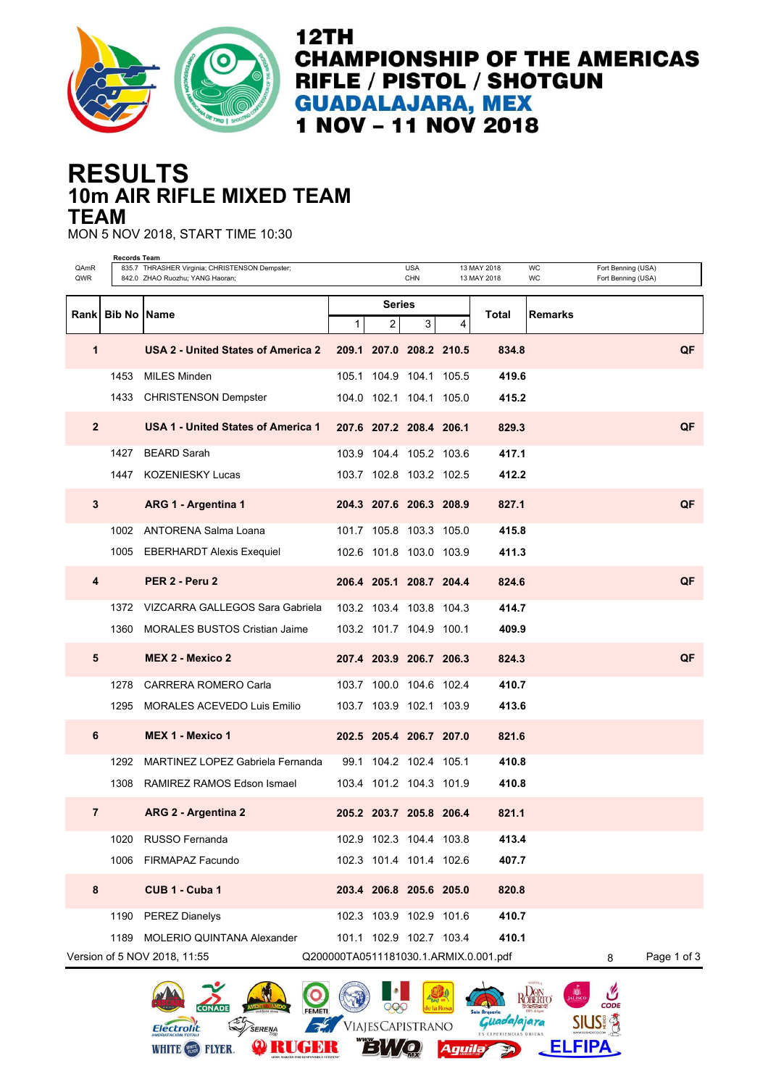

**ROBERTO** 

**SIUS!** 

**ELFIPA** 

arqueria<br>Guada/ajara

 $\mathcal{D}$ 

**Aguila** 

## **10m AIR RIFLE MIXED TEAM RESULTS TEAM**

MON 5 NOV 2018, START TIME 10:30

**Electrolit** 

SERENA WHITE **@** FLYER **Q RUGER** 

| QAmR<br>QWR    | <b>Records Team</b> | 835.7 THRASHER Virginia; CHRISTENSON Dempster;<br>842.0 ZHAO Ruozhu; YANG Haoran; |                                       |                | <b>USA</b><br><b>CHN</b> |   | 13 MAY 2018<br>WC<br>13 MAY 2018<br>WC | Fort Benning (USA)<br>Fort Benning (USA) |             |
|----------------|---------------------|-----------------------------------------------------------------------------------|---------------------------------------|----------------|--------------------------|---|----------------------------------------|------------------------------------------|-------------|
|                |                     |                                                                                   |                                       | <b>Series</b>  |                          |   |                                        |                                          |             |
| Rank           | <b>Bib No IName</b> |                                                                                   | $\mathbf{1}$                          | $\overline{c}$ | 3 <sup>1</sup>           | 4 | Total<br><b>Remarks</b>                |                                          |             |
| 1              |                     | USA 2 - United States of America 2                                                |                                       |                | 209.1 207.0 208.2 210.5  |   | 834.8                                  |                                          | QF          |
|                | 1453                | MILES Minden                                                                      |                                       |                | 105.1 104.9 104.1 105.5  |   | 419.6                                  |                                          |             |
|                | 1433                | <b>CHRISTENSON Dempster</b>                                                       |                                       |                | 104.0 102.1 104.1 105.0  |   | 415.2                                  |                                          |             |
| $\overline{2}$ |                     | <b>USA 1 - United States of America 1</b>                                         |                                       |                | 207.6 207.2 208.4 206.1  |   | 829.3                                  |                                          | QF          |
|                |                     | 1427 BEARD Sarah                                                                  |                                       |                | 103.9 104.4 105.2 103.6  |   | 417.1                                  |                                          |             |
|                |                     | 1447 KOZENIESKY Lucas                                                             |                                       |                | 103.7 102.8 103.2 102.5  |   | 412.2                                  |                                          |             |
| 3              |                     | <b>ARG 1 - Argentina 1</b>                                                        |                                       |                | 204.3 207.6 206.3 208.9  |   | 827.1                                  |                                          | QF          |
|                |                     | 1002 ANTORENA Salma Loana                                                         |                                       |                | 101.7 105.8 103.3 105.0  |   | 415.8                                  |                                          |             |
|                |                     | 1005 EBERHARDT Alexis Exequiel                                                    |                                       |                | 102.6 101.8 103.0 103.9  |   | 411.3                                  |                                          |             |
| 4              |                     | PER 2 - Peru 2                                                                    |                                       |                | 206.4 205.1 208.7 204.4  |   | 824.6                                  |                                          | QF          |
|                |                     | 1372 VIZCARRA GALLEGOS Sara Gabriela                                              |                                       |                | 103.2 103.4 103.8 104.3  |   | 414.7                                  |                                          |             |
|                | 1360                | <b>MORALES BUSTOS Cristian Jaime</b>                                              |                                       |                | 103.2 101.7 104.9 100.1  |   | 409.9                                  |                                          |             |
| 5              |                     | MEX 2 - Mexico 2                                                                  |                                       |                | 207.4 203.9 206.7 206.3  |   | 824.3                                  |                                          | QF          |
|                |                     | 1278 CARRERA ROMERO Carla                                                         |                                       |                | 103.7 100.0 104.6 102.4  |   | 410.7                                  |                                          |             |
|                | 1295                | <b>MORALES ACEVEDO Luis Emilio</b>                                                |                                       |                | 103.7 103.9 102.1 103.9  |   | 413.6                                  |                                          |             |
| 6              |                     | MEX 1 - Mexico 1                                                                  |                                       |                | 202.5 205.4 206.7 207.0  |   | 821.6                                  |                                          |             |
|                |                     | 1292 MARTINEZ LOPEZ Gabriela Fernanda                                             |                                       |                | 99.1 104.2 102.4 105.1   |   | 410.8                                  |                                          |             |
|                |                     | 1308 RAMIREZ RAMOS Edson Ismael                                                   |                                       |                | 103.4 101.2 104.3 101.9  |   | 410.8                                  |                                          |             |
| $\overline{7}$ |                     | ARG 2 - Argentina 2                                                               |                                       |                | 205.2 203.7 205.8 206.4  |   | 821.1                                  |                                          |             |
|                | 1020                | RUSSO Fernanda                                                                    |                                       |                | 102.9 102.3 104.4 103.8  |   | 413.4                                  |                                          |             |
|                | 1006                | FIRMAPAZ Facundo                                                                  |                                       |                | 102.3 101.4 101.4 102.6  |   | 407.7                                  |                                          |             |
| 8              |                     | CUB 1 - Cuba 1                                                                    |                                       |                | 203.4 206.8 205.6 205.0  |   | 820.8                                  |                                          |             |
|                | 1190                | <b>PEREZ Dianelys</b>                                                             |                                       |                | 102.3 103.9 102.9 101.6  |   | 410.7                                  |                                          |             |
|                | 1189                | <b>MOLERIO QUINTANA Alexander</b>                                                 |                                       |                | 101.1 102.9 102.7 103.4  |   | 410.1                                  |                                          |             |
|                |                     | Version of 5 NOV 2018, 11:55                                                      | Q200000TA0511181030.1.ARMIX.0.001.pdf |                |                          |   |                                        | 8                                        | Page 1 of 3 |

999

VIAJESCAPISTRANO

**EWQ**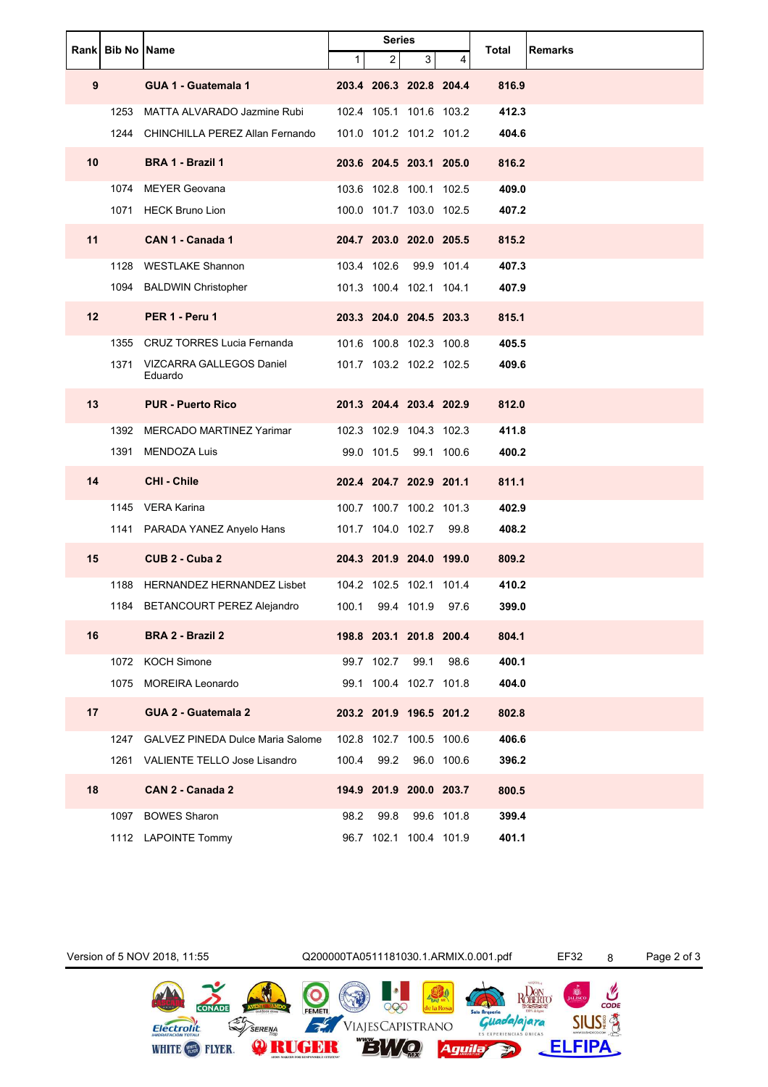|         |                      |                                          |       | <b>Series</b>   |                         |            |       |         |
|---------|----------------------|------------------------------------------|-------|-----------------|-------------------------|------------|-------|---------|
|         | Rank   Bib No   Name |                                          | 1.    | $\overline{2}$  | 3                       | 4          | Total | Remarks |
| 9       |                      | GUA 1 - Guatemala 1                      |       |                 | 203.4 206.3 202.8 204.4 |            | 816.9 |         |
|         | 1253                 | MATTA ALVARADO Jazmine Rubi              |       |                 | 102.4 105.1 101.6 103.2 |            | 412.3 |         |
|         |                      | 1244 CHINCHILLA PEREZ Allan Fernando     |       |                 | 101.0 101.2 101.2 101.2 |            | 404.6 |         |
| 10      |                      | BRA 1 - Brazil 1                         |       |                 | 203.6 204.5 203.1 205.0 |            | 816.2 |         |
|         |                      | 1074 MEYER Geovana                       |       |                 | 103.6 102.8 100.1 102.5 |            | 409.0 |         |
|         |                      | 1071 HECK Bruno Lion                     |       |                 | 100.0 101.7 103.0 102.5 |            | 407.2 |         |
| 11      |                      | CAN 1 - Canada 1                         |       |                 | 204.7 203.0 202.0 205.5 |            | 815.2 |         |
|         |                      | 1128 WESTLAKE Shannon                    |       | 103.4 102.6     |                         | 99.9 101.4 | 407.3 |         |
|         |                      | 1094 BALDWIN Christopher                 |       |                 | 101.3 100.4 102.1 104.1 |            | 407.9 |         |
| $12 \,$ |                      | PER 1 - Peru 1                           |       |                 | 203.3 204.0 204.5 203.3 |            | 815.1 |         |
|         |                      | 1355 CRUZ TORRES Lucia Fernanda          |       |                 | 101.6 100.8 102.3 100.8 |            | 405.5 |         |
|         |                      | 1371 VIZCARRA GALLEGOS Daniel<br>Eduardo |       |                 | 101.7 103.2 102.2 102.5 |            | 409.6 |         |
| 13      |                      | <b>PUR - Puerto Rico</b>                 |       |                 | 201.3 204.4 203.4 202.9 |            | 812.0 |         |
|         |                      | 1392 MERCADO MARTINEZ Yarimar            |       |                 | 102.3 102.9 104.3 102.3 |            | 411.8 |         |
|         |                      | 1391 MENDOZA Luis                        |       |                 | 99.0 101.5 99.1 100.6   |            | 400.2 |         |
| 14      |                      | <b>CHI - Chile</b>                       |       |                 | 202.4 204.7 202.9 201.1 |            | 811.1 |         |
|         |                      | 1145 VERA Karina                         |       |                 | 100.7 100.7 100.2 101.3 |            | 402.9 |         |
|         |                      | 1141 PARADA YANEZ Anyelo Hans            |       |                 | 101.7 104.0 102.7 99.8  |            | 408.2 |         |
| 15      |                      | CUB 2 - Cuba 2                           |       |                 | 204.3 201.9 204.0 199.0 |            | 809.2 |         |
|         |                      | 1188 HERNANDEZ HERNANDEZ Lisbet          |       |                 | 104.2 102.5 102.1 101.4 |            | 410.2 |         |
|         |                      | 1184 BETANCOURT PEREZ Alejandro          |       |                 | 100.1 99.4 101.9 97.6   |            | 399.0 |         |
| 16      |                      | <b>BRA 2 - Brazil 2</b>                  |       |                 | 198.8 203.1 201.8 200.4 |            | 804.1 |         |
|         |                      | 1072 KOCH Simone                         |       | 99.7 102.7 99.1 |                         | 98.6       | 400.1 |         |
|         |                      | 1075 MOREIRA Leonardo                    |       |                 | 99.1 100.4 102.7 101.8  |            | 404.0 |         |
| 17      |                      | GUA 2 - Guatemala 2                      |       |                 | 203.2 201.9 196.5 201.2 |            | 802.8 |         |
|         |                      | 1247 GALVEZ PINEDA Dulce Maria Salome    |       |                 | 102.8 102.7 100.5 100.6 |            | 406.6 |         |
|         |                      | 1261 VALIENTE TELLO Jose Lisandro        | 100.4 |                 | 99.2 96.0 100.6         |            | 396.2 |         |
| 18      |                      | CAN 2 - Canada 2                         |       |                 | 194.9 201.9 200.0 203.7 |            | 800.5 |         |
|         |                      | 1097 BOWES Sharon                        | 98.2  | 99.8            |                         | 99.6 101.8 | 399.4 |         |
|         |                      | 1112 LAPOINTE Tommy                      |       |                 | 96.7 102.1 100.4 101.9  |            | 401.1 |         |

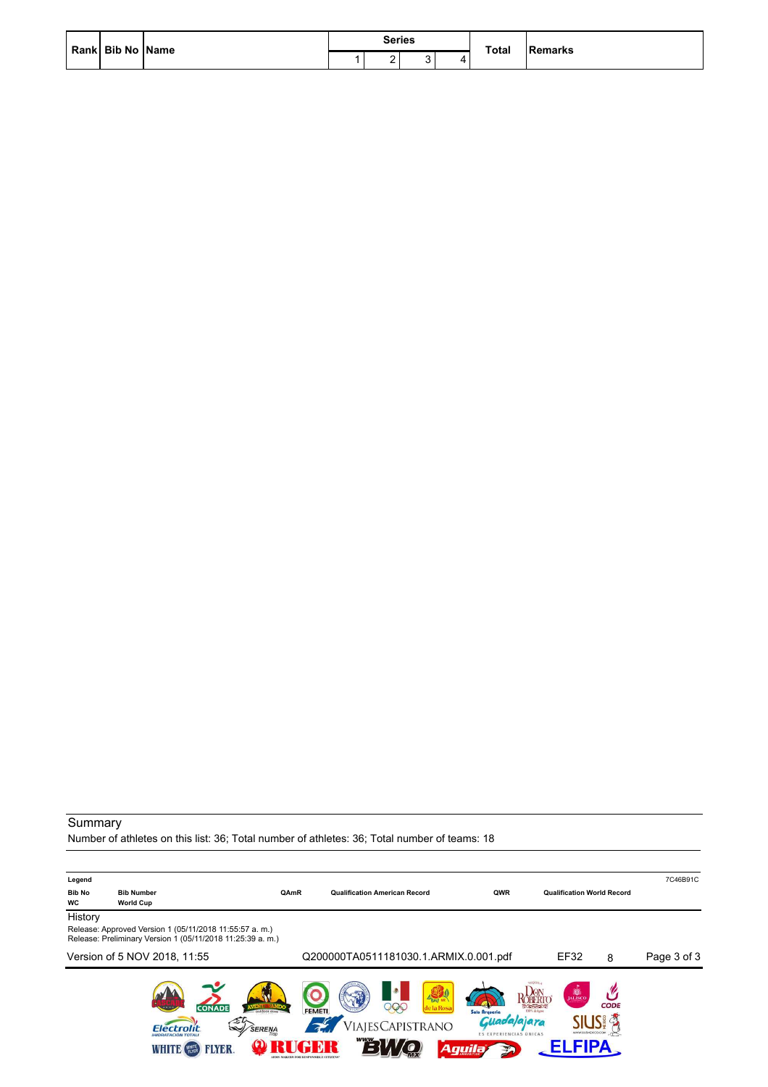| Rank Bib No Name |  | Series |   | <b>Total</b> | Remarks |
|------------------|--|--------|---|--------------|---------|
|                  |  | -      | ∸ |              |         |

Number of athletes on this list: 36; Total number of athletes: 36; Total number of teams: 18

| Legend<br><b>Bib No</b><br><b>WC</b> | <b>Bib Number</b><br><b>World Cup</b>                                                            | QAmR          | <b>Qualification American Record</b>                    | QWR                                                             | <b>Qualification World Record</b>                                               | 7C46B91C    |
|--------------------------------------|--------------------------------------------------------------------------------------------------|---------------|---------------------------------------------------------|-----------------------------------------------------------------|---------------------------------------------------------------------------------|-------------|
| History                              | Release: Approved Version 1 (05/11/2018 11:55:57 a.m.)                                           |               |                                                         |                                                                 |                                                                                 |             |
|                                      | Release: Preliminary Version 1 (05/11/2018 11:25:39 a.m.)<br>Version of 5 NOV 2018, 11:55        |               | Q200000TA0511181030.1.ARMIX.0.001.pdf                   |                                                                 | EF32<br>8                                                                       | Page 3 of 3 |
|                                      | <b>CONADE</b><br>SERENA<br>$\tilde{}$<br>Flectrolit<br><b>IHIDRATACIÓN TOTALI</b><br><b>LYER</b> | <b>FEMETI</b> | <b>EXAMPLE</b><br>206<br>le la Rosa<br>ViajesCapistrano | Solo Arqueria<br><b>ES EXPERIENCIAS ÚNICAS</b><br><b>Aguila</b> | B <sub>u</sub><br><b>CODE</b><br>$-50024$<br>D35 de Antre<br>WWW.SIUSHEXICO.COM |             |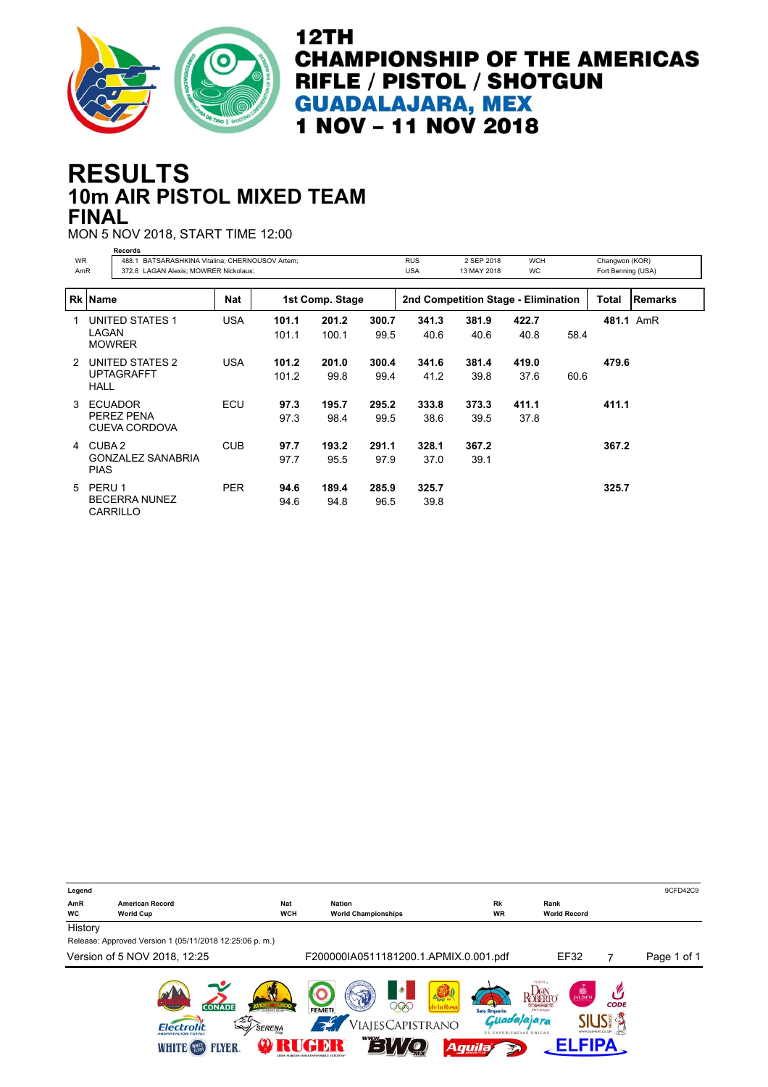

## **10m AIR PISTOL MIXED TEAM RESULTS FINAL**

MON 5 NOV 2018, START TIME 12:00 **Records**

| <b>WR</b><br>AmR | RECUIUS                       | BATSARASHKINA Vitalina; CHERNOUSOV Artem;<br>488.1<br>372.8 LAGAN Alexis; MOWRER Nickolaus; |            |                |                 |               |                                     | 2 SEP 2018<br>13 MAY 2018 | <b>WCH</b><br><b>WC</b> |      | Changwon (KOR)<br>Fort Benning (USA) |           |
|------------------|-------------------------------|---------------------------------------------------------------------------------------------|------------|----------------|-----------------|---------------|-------------------------------------|---------------------------|-------------------------|------|--------------------------------------|-----------|
|                  | <b>Rk Name</b>                |                                                                                             | Nat        |                | 1st Comp. Stage |               | 2nd Competition Stage - Elimination |                           |                         |      | Total                                | Remarks   |
| 1.               | LAGAN<br><b>MOWRER</b>        | UNITED STATES 1                                                                             | <b>USA</b> | 101.1<br>101.1 | 201.2<br>100.1  | 300.7<br>99.5 | 341.3<br>40.6                       | 381.9<br>40.6             | 422.7<br>40.8           | 58.4 |                                      | 481.1 AmR |
| $\mathcal{P}$    | <b>UPTAGRAFFT</b><br>HALL     | UNITED STATES 2                                                                             | USA        | 101.2<br>101.2 | 201.0<br>99.8   | 300.4<br>99.4 | 341.6<br>41.2                       | 381.4<br>39.8             | 419.0<br>37.6           | 60.6 | 479.6                                |           |
| $\mathcal{S}$    | <b>ECUADOR</b><br>PEREZ PENA  | <b>CUEVA CORDOVA</b>                                                                        | ECU        | 97.3<br>97.3   | 195.7<br>98.4   | 295.2<br>99.5 | 333.8<br>38.6                       | 373.3<br>39.5             | 411.1<br>37.8           |      | 411.1                                |           |
| 4                | CUBA 2<br><b>PIAS</b>         | <b>GONZALEZ SANABRIA</b>                                                                    | <b>CUB</b> | 97.7<br>97.7   | 193.2<br>95.5   | 291.1<br>97.9 | 328.1<br>37.0                       | 367.2<br>39.1             |                         |      | 367.2                                |           |
| $5 -$            | PERU <sub>1</sub><br>CARRILLO | <b>BECERRA NUNEZ</b>                                                                        | <b>PER</b> | 94.6<br>94.6   | 189.4<br>94.8   | 285.9<br>96.5 | 325.7<br>39.8                       |                           |                         |      | 325.7                                |           |

| Legend    |                                                                                                             |                                 |                                                                                                    |                         |                                                                                                                                         | 9CFD42C9    |
|-----------|-------------------------------------------------------------------------------------------------------------|---------------------------------|----------------------------------------------------------------------------------------------------|-------------------------|-----------------------------------------------------------------------------------------------------------------------------------------|-------------|
| AmR<br>WC | <b>American Record</b><br><b>World Cup</b>                                                                  | <b>Nat</b><br><b>WCH</b>        | <b>Nation</b><br><b>World Championships</b>                                                        | <b>Rk</b><br><b>WR</b>  | Rank<br><b>World Record</b>                                                                                                             |             |
| History   |                                                                                                             |                                 |                                                                                                    |                         |                                                                                                                                         |             |
|           | Release: Approved Version 1 (05/11/2018 12:25:06 p. m.)                                                     |                                 |                                                                                                    |                         |                                                                                                                                         |             |
|           | Version of 5 NOV 2018, 12:25                                                                                |                                 | F200000IA0511181200.1.APMIX.0.001.pdf                                                              |                         | EF32<br>7                                                                                                                               | Page 1 of 1 |
|           | <b>CONADE</b><br>EV<br><b>Flectrolit</b><br><b>IHIDRATACIÓN TOTAL</b><br><b>FLYER</b><br><b>WHITE</b> WHILE | $-$ outdoor store $-$<br>SERENA | LE EUR MR<br>200<br>de la Rosa<br><b>FEMETI</b><br>ViajesCapistrano<br><b>WWW</b><br>▭<br>$\equiv$ | Solo Arqueria<br>Aguila | <b>D</b><br>JALISCO<br><b>DBERTO</b><br><b>The Control of</b><br><i>lalajara</i><br>WWW.SIUSMEXICO.COM<br><b>ES EXPERIENCIAS ÚNICAS</b> | <b>CODE</b> |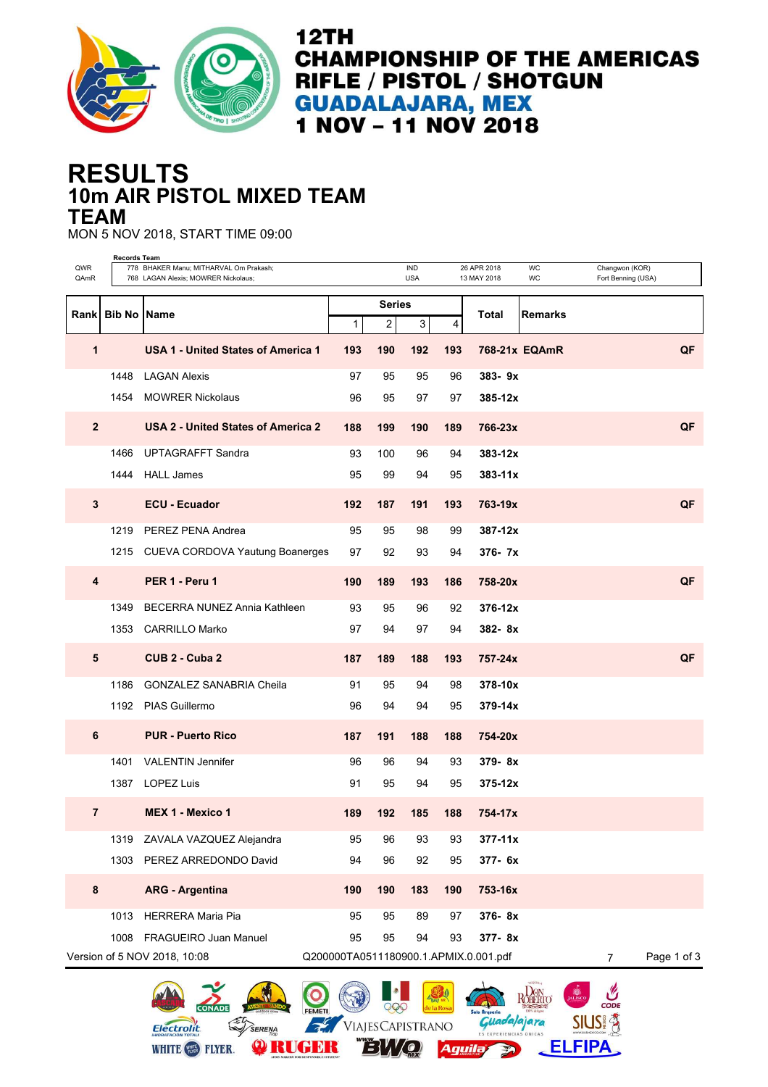

**ROBERTO** 

**SIUS!** 

**ELFIPA** 

arqueria<br>Guada/ajara

 $\mathcal{D}$ 

**Aguila** 

## **10m AIR PISTOL MIXED TEAM RESULTS TEAM**

MON 5 NOV 2018, START TIME 09:00

**Electrolit** 

SERENA WHITE **@** FLYER **Q RUGER** 

| QWR            | <b>Records Team</b> | 778 BHAKER Manu; MITHARVAL Om Prakash;    |                                       |                | <b>IND</b> |     | 26 APR 2018 | WC             | Changwon (KOR)     |             |
|----------------|---------------------|-------------------------------------------|---------------------------------------|----------------|------------|-----|-------------|----------------|--------------------|-------------|
| QAmR           |                     | 768 LAGAN Alexis; MOWRER Nickolaus;       |                                       |                | <b>USA</b> |     | 13 MAY 2018 | WC             | Fort Benning (USA) |             |
|                | Rank Bib No Name    |                                           |                                       | <b>Series</b>  |            |     | Total       | <b>Remarks</b> |                    |             |
|                |                     |                                           | 1                                     | $\overline{c}$ | 3          | 4   |             |                |                    |             |
| 1              |                     | <b>USA 1 - United States of America 1</b> | 193                                   | 190            | 192        | 193 |             | 768-21x EQAmR  |                    | QF          |
|                | 1448                | <b>LAGAN Alexis</b>                       | 97                                    | 95             | 95         | 96  | 383-9x      |                |                    |             |
|                | 1454                | <b>MOWRER Nickolaus</b>                   | 96                                    | 95             | 97         | 97  | $385 - 12x$ |                |                    |             |
| $\overline{2}$ |                     | USA 2 - United States of America 2        | 188                                   | 199            | 190        | 189 | 766-23x     |                |                    | QF          |
|                | 1466                | <b>UPTAGRAFFT Sandra</b>                  | 93                                    | 100            | 96         | 94  | 383-12x     |                |                    |             |
|                | 1444                | <b>HALL James</b>                         | 95                                    | 99             | 94         | 95  | 383-11x     |                |                    |             |
| 3              |                     | <b>ECU - Ecuador</b>                      | 192                                   | 187            | 191        | 193 | 763-19x     |                |                    | QF          |
|                |                     | 1219 PEREZ PENA Andrea                    | 95                                    | 95             | 98         | 99  | 387-12x     |                |                    |             |
|                |                     | 1215 CUEVA CORDOVA Yautung Boanerges      | 97                                    | 92             | 93         | 94  | 376-7x      |                |                    |             |
| 4              |                     | PER 1 - Peru 1                            | 190                                   | 189            | 193        | 186 | 758-20x     |                |                    | QF          |
|                | 1349                | BECERRA NUNEZ Annia Kathleen              | 93                                    | 95             | 96         | 92  | 376-12x     |                |                    |             |
|                | 1353                | <b>CARRILLO Marko</b>                     | 97                                    | 94             | 97         | 94  | 382-8x      |                |                    |             |
| 5              |                     | CUB 2 - Cuba 2                            | 187                                   | 189            | 188        | 193 | 757-24x     |                |                    | QF          |
|                | 1186                | <b>GONZALEZ SANABRIA Cheila</b>           | 91                                    | 95             | 94         | 98  | 378-10x     |                |                    |             |
|                |                     | 1192 PIAS Guillermo                       | 96                                    | 94             | 94         | 95  | 379-14x     |                |                    |             |
| 6              |                     | <b>PUR - Puerto Rico</b>                  | 187                                   | 191            | 188        | 188 | 754-20x     |                |                    |             |
|                | 1401                | <b>VALENTIN Jennifer</b>                  | 96                                    | 96             | 94         | 93  | 379-8x      |                |                    |             |
|                |                     | 1387 LOPEZ Luis                           | 91                                    | 95             | 94         | 95  | $375 - 12x$ |                |                    |             |
| $\overline{7}$ |                     | MEX 1 - Mexico 1                          | 189                                   | 192            | 185        | 188 | 754-17x     |                |                    |             |
|                |                     | 1319 ZAVALA VAZQUEZ Alejandra             | 95                                    | 96             | 93         | 93  | $377 - 11x$ |                |                    |             |
|                |                     | 1303 PEREZ ARREDONDO David                | 94                                    | 96             | 92         | 95  | 377- 6x     |                |                    |             |
| 8              |                     | <b>ARG - Argentina</b>                    | 190                                   | 190            | 183        | 190 | 753-16x     |                |                    |             |
|                |                     | 1013 HERRERA Maria Pia                    | 95                                    | 95             | 89         | 97  | 376-8x      |                |                    |             |
|                |                     | 1008 FRAGUEIRO Juan Manuel                | 95                                    | 95             | 94         | 93  | 377-8x      |                |                    |             |
|                |                     | Version of 5 NOV 2018, 10:08              | Q200000TA0511180900.1.APMIX.0.001.pdf |                |            |     |             |                | $\overline{7}$     | Page 1 of 3 |

999

VIAJESCAPISTRANO

**ELVO**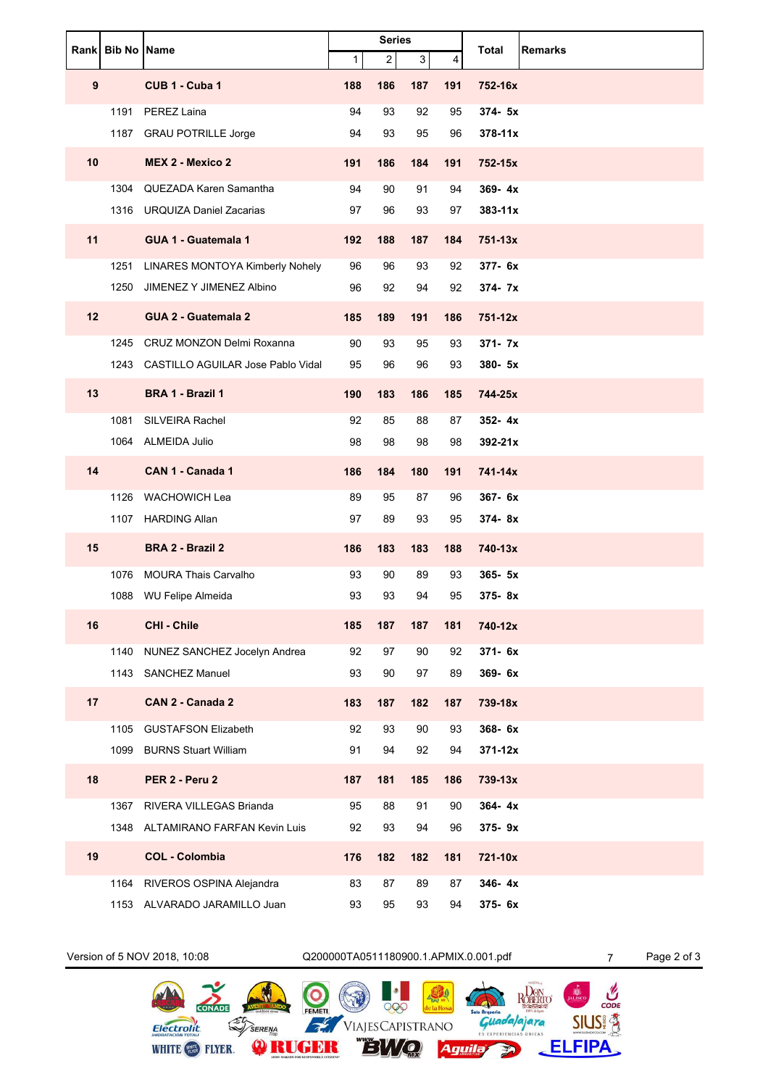|    | Rank Bib No Name |                                        |     | <b>Series</b> |     |     | <b>Total</b> | <b>Remarks</b> |
|----|------------------|----------------------------------------|-----|---------------|-----|-----|--------------|----------------|
|    |                  |                                        | 1   | 2             | 3   | 4   |              |                |
| 9  |                  | CUB 1 - Cuba 1                         | 188 | 186           | 187 | 191 | 752-16x      |                |
|    | 1191             | PEREZ Laina                            | 94  | 93            | 92  | 95  | 374- 5x      |                |
|    |                  | 1187 GRAU POTRILLE Jorge               | 94  | 93            | 95  | 96  | $378 - 11x$  |                |
| 10 |                  | MEX 2 - Mexico 2                       | 191 | 186           | 184 | 191 | 752-15x      |                |
|    | 1304             | QUEZADA Karen Samantha                 | 94  | 90            | 91  | 94  | $369 - 4x$   |                |
|    |                  | 1316 URQUIZA Daniel Zacarias           | 97  | 96            | 93  | 97  | $383 - 11x$  |                |
| 11 |                  | GUA 1 - Guatemala 1                    | 192 | 188           | 187 | 184 | 751-13x      |                |
|    | 1251             | <b>LINARES MONTOYA Kimberly Nohely</b> | 96  | 96            | 93  | 92  | 377- 6x      |                |
|    | 1250             | JIMENEZ Y JIMENEZ Albino               | 96  | 92            | 94  | 92  | 374-7x       |                |
| 12 |                  | <b>GUA 2 - Guatemala 2</b>             | 185 | 189           | 191 | 186 | 751-12x      |                |
|    |                  | 1245 CRUZ MONZON Delmi Roxanna         | 90  | 93            | 95  | 93  | $371 - 7x$   |                |
|    |                  | 1243 CASTILLO AGUILAR Jose Pablo Vidal | 95  | 96            | 96  | 93  | 380- 5x      |                |
| 13 |                  | BRA 1 - Brazil 1                       | 190 | 183           | 186 | 185 | 744-25x      |                |
|    | 1081             | <b>SILVEIRA Rachel</b>                 | 92  | 85            | 88  | 87  | $352 - 4x$   |                |
|    |                  | 1064 ALMEIDA Julio                     | 98  | 98            | 98  | 98  | 392-21x      |                |
| 14 |                  | CAN 1 - Canada 1                       | 186 | 184           | 180 | 191 | 741-14x      |                |
|    | 1126             | <b>WACHOWICH Lea</b>                   | 89  | 95            | 87  | 96  | 367-6x       |                |
|    |                  | 1107 HARDING Allan                     | 97  | 89            | 93  | 95  | 374-8x       |                |
| 15 |                  | <b>BRA 2 - Brazil 2</b>                | 186 | 183           | 183 | 188 | 740-13x      |                |
|    | 1076             | <b>MOURA Thais Carvalho</b>            | 93  | 90            | 89  | 93  | 365- 5x      |                |
|    |                  | 1088 WU Felipe Almeida                 | 93  | 93            | 94  | 95  | 375-8x       |                |
| 16 |                  | <b>CHI - Chile</b>                     | 185 | 187           | 187 | 181 | 740-12x      |                |
|    | 1140             | NUNEZ SANCHEZ Jocelyn Andrea           | 92  | 97            | 90  | 92  | 371-6x       |                |
|    |                  | 1143 SANCHEZ Manuel                    | 93  | 90            | 97  | 89  | 369-6x       |                |
| 17 |                  | CAN 2 - Canada 2                       | 183 | 187           | 182 | 187 | 739-18x      |                |
|    |                  | 1105 GUSTAFSON Elizabeth               | 92  | 93            | 90  | 93  | 368-6x       |                |
|    |                  | 1099 BURNS Stuart William              | 91  | 94            | 92  | 94  | 371-12x      |                |
| 18 |                  | PER 2 - Peru 2                         | 187 | 181           | 185 | 186 | 739-13x      |                |
|    |                  | 1367 RIVERA VILLEGAS Brianda           | 95  | 88            | 91  | 90  | 364-4x       |                |
|    |                  | 1348 ALTAMIRANO FARFAN Kevin Luis      | 92  | 93            | 94  | 96  | 375-9x       |                |
| 19 |                  | <b>COL - Colombia</b>                  | 176 | 182           | 182 | 181 | 721-10x      |                |
|    |                  | 1164 RIVEROS OSPINA Alejandra          | 83  | 87            | 89  | 87  | 346-4x       |                |
|    |                  | 1153 ALVARADO JARAMILLO Juan           | 93  | 95            | 93  | 94  | 375- 6x      |                |

CONADE

Electrolit

WHITE **WE** FLYER.

SERENA

Version of 5 NOV 2018, 10:08 Q200000TA0511180900.1.APMIX.0.001.pdf 7 Page 2 of 3

 $QQQ$ 

VIAJESCAPISTRANO

**EWQ** 

O

FEMETI

**ORUGER** 

 $\frac{1}{2}$ 

黑

e la Ros

Aguila

ROBERIO

**Guadajajara** 

五

 $\mathcal{C}$ 

**SIUS! 含** 

es<br>Lisc

**ELFIPA**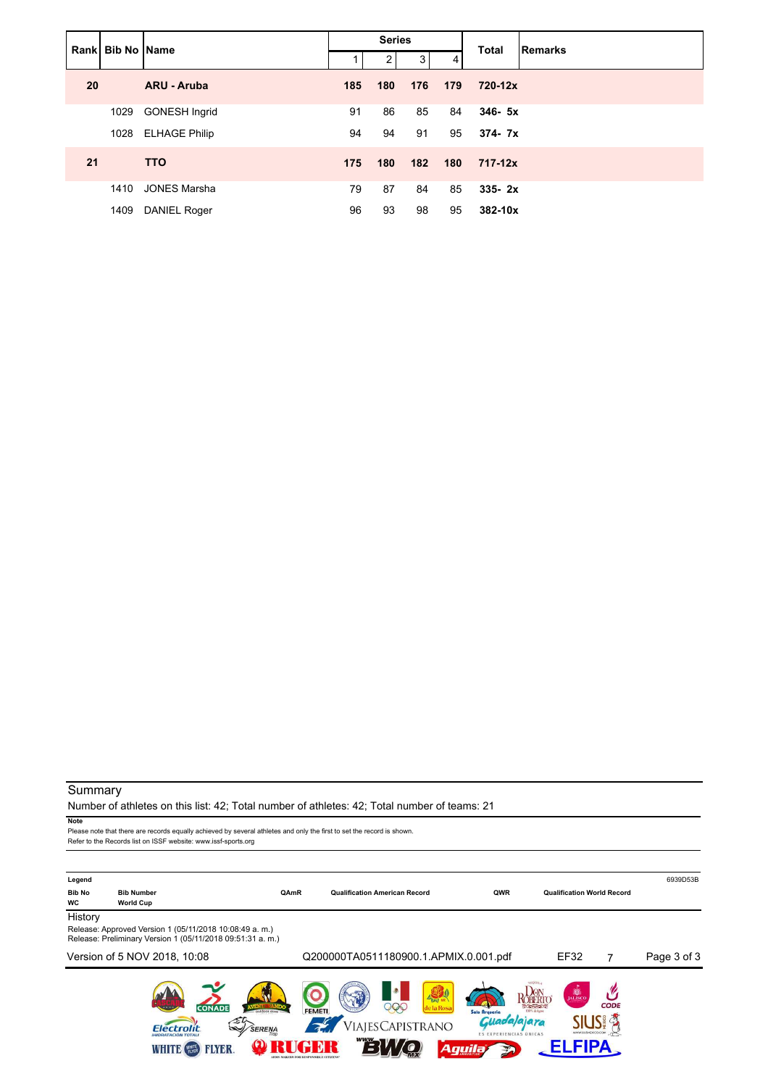|    | Rank   Bib No   Name |                      |     | <b>Series</b>  |     |     | <b>Total</b> | Remarks |
|----|----------------------|----------------------|-----|----------------|-----|-----|--------------|---------|
|    |                      |                      |     | $\overline{2}$ | 3   | 4   |              |         |
| 20 |                      | <b>ARU - Aruba</b>   | 185 | 180            | 176 | 179 | 720-12x      |         |
|    | 1029                 | <b>GONESH Ingrid</b> | 91  | 86             | 85  | 84  | $346 - 5x$   |         |
|    | 1028                 | <b>ELHAGE Philip</b> | 94  | 94             | 91  | 95  | $374 - 7x$   |         |
| 21 |                      | <b>TTO</b>           | 175 | 180            | 182 | 180 | $717 - 12x$  |         |
|    | 1410                 | JONES Marsha         | 79  | 87             | 84  | 85  | $335 - 2x$   |         |
|    | 1409                 | DANIEL Roger         | 96  | 93             | 98  | 95  | 382-10x      |         |

Number of athletes on this list: 42; Total number of athletes: 42; Total number of teams: 21

**Note**

Please note that there are records equally achieved by several athletes and only the first to set the record is shown. Refer to the Records list on ISSF website: www.issf-sports.org **Legend** 6939D53B **Bib No Bib Number QAmR Qualification American Record QWR Qualification World Record World Cup History** 

Release: Approved Version 1 (05/11/2018 10:08:49 a. m.) Release: Preliminary Version 1 (05/11/2018 09:51:31 a. m.)

#### Version of 5 NOV 2018, 10:08 Q200000TA0511180900.1.APMIX.0.001.pdf EF32 7 Page 3 of 3 $\mathbf{p}_0$  $\bullet$ ROBERIO  $\mathcal{C}$ 000 FEMETI **SIUS! 4** lajajara VIAJESCAPISTRANO SERENA  $\boldsymbol{\varepsilon}$ Electrolit **ELFIPA EWO** WHITE **BE** FLYER. RUCER Aguila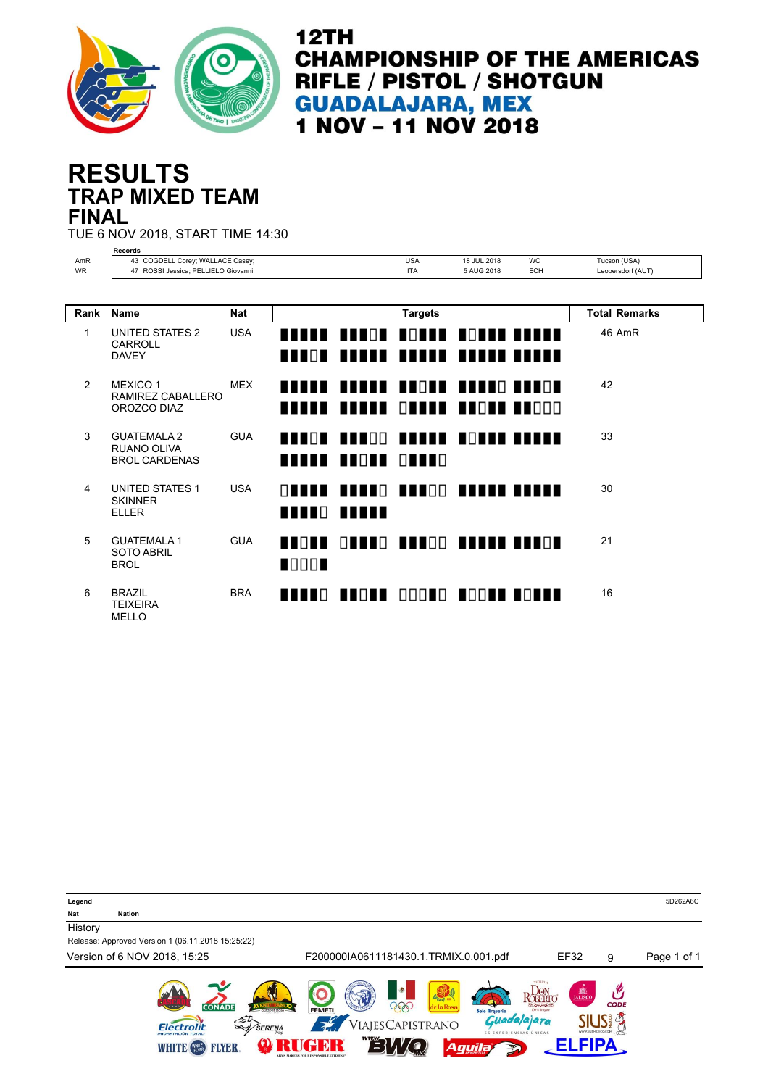

## **TRAP MIXED TEAM RESULTS FINAL**

TUE 6 NOV 2018, START TIME 14:30

|           | Records                                                   |            |                |                                                                        |                |                     |           |                      |  |
|-----------|-----------------------------------------------------------|------------|----------------|------------------------------------------------------------------------|----------------|---------------------|-----------|----------------------|--|
| AmR       | 43 COGDELL Corey; WALLACE Casey;                          |            |                |                                                                        | <b>USA</b>     | 18 JUL 2018         | <b>WC</b> | Tucson (USA)         |  |
| <b>WR</b> | 47 ROSSI Jessica; PELLIELO Giovanni;                      |            |                |                                                                        | <b>ITA</b>     | 5 AUG 2018          | ECH       | Leobersdorf (AUT)    |  |
|           |                                                           |            |                |                                                                        |                |                     |           |                      |  |
| Rank      | <b>Name</b>                                               | <b>Nat</b> |                |                                                                        | <b>Targets</b> |                     |           | <b>Total Remarks</b> |  |
| 1         | UNITED STATES 2<br>CARROLL<br><b>DAVEY</b>                | <b>USA</b> |                | ANANA ANAQA AQDAA                                                      |                | <u> FORES EREIS</u> |           | 46 AmR               |  |
| 2         | <b>MEXICO 1</b><br>RAMIREZ CABALLERO<br>OROZCO DIAZ       | <b>MEX</b> |                | <u> TETEL TETEL BEGEL ETELG BERGE</u><br>TTTEE TEETE OFFIE TEOTE BEOOD |                |                     |           | 42                   |  |
| 3         | <b>GUATEMALA 2</b><br>RUANO OLIVA<br><b>BROL CARDENAS</b> | <b>GUA</b> |                | HUNGU UUNGG UUNUA HOUNU UUNUU<br>ATALA ATOMA OMANO                     |                |                     |           | 33                   |  |
| 4         | <b>UNITED STATES 1</b><br><b>SKINNER</b><br><b>ELLER</b>  | <b>USA</b> |                | ONNAN ANNO ANNO ANNAN ANNAN<br>TITIO TITIT                             |                |                     |           | 30                   |  |
| 5         | <b>GUATEMALA1</b><br><b>SOTO ABRIL</b><br><b>BROL</b>     | <b>GUA</b> | $\blacksquare$ | HOUH ONNEG HINGG HUNDH HUNGH                                           |                |                     |           | 21                   |  |
| 6         | <b>BRAZIL</b><br><b>TEIXEIRA</b><br><b>MELLO</b>          | <b>BRA</b> |                | HARRO HUONN OOONO NOONN HONNE                                          |                |                     |           | 16                   |  |

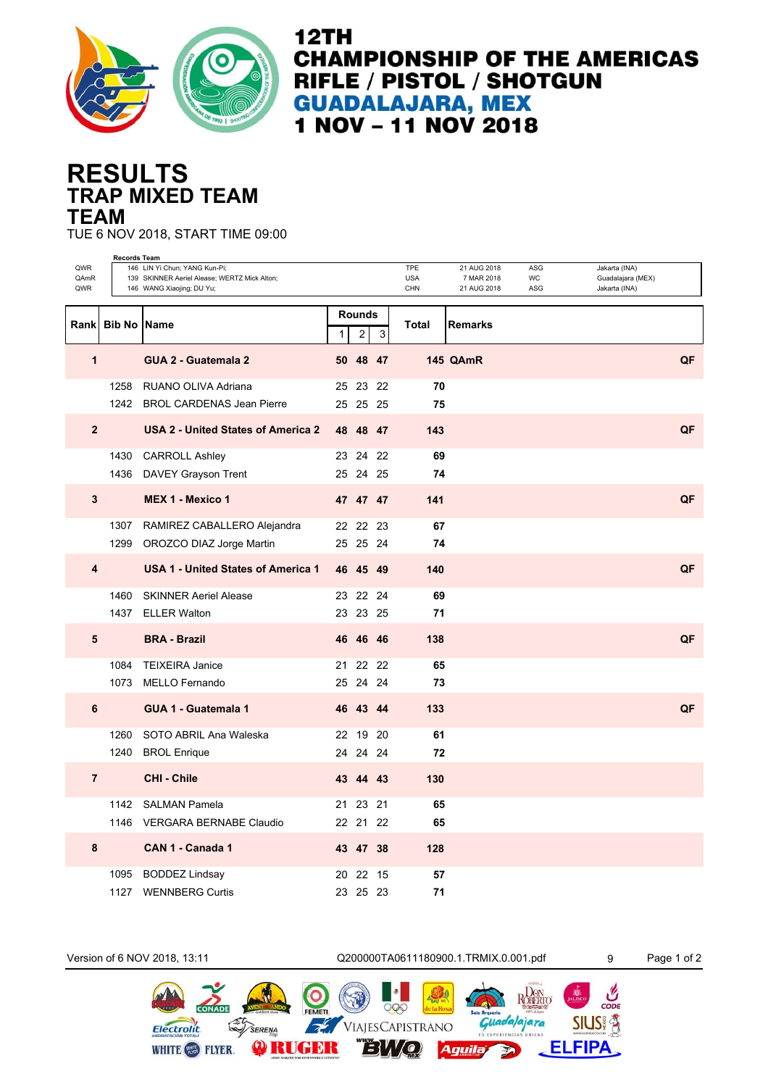

## **TRAP MIXED TEAM RESULTS TEAM**

TUE 6 NOV 2018, START TIME 09:00

| QWR<br>QAmR    | <b>Records Team</b>       | 146 LIN Yi Chun; YANG Kun-Pi;<br>139 SKINNER Aeriel Alease; WERTZ Mick Alton; |               |                |    | TPE<br><b>USA</b> | 21 AUG 2018<br>7 MAR 2018 | ASG<br>WC | Jakarta (INA)<br>Guadalajara (MEX) |    |
|----------------|---------------------------|-------------------------------------------------------------------------------|---------------|----------------|----|-------------------|---------------------------|-----------|------------------------------------|----|
| QWR            |                           | 146 WANG Xiaojing; DU Yu;                                                     |               |                |    | <b>CHN</b>        | 21 AUG 2018               | ASG       | Jakarta (INA)                      |    |
|                |                           |                                                                               | <b>Rounds</b> |                |    |                   |                           |           |                                    |    |
|                | <b>Rankl Bib No IName</b> |                                                                               | 1             | $\overline{c}$ | 3  | <b>Total</b>      | Remarks                   |           |                                    |    |
| $\mathbf{1}$   |                           | <b>GUA 2 - Guatemala 2</b>                                                    |               | 50 48 47       |    |                   | <b>145 QAmR</b>           |           |                                    | QF |
|                | 1258                      | RUANO OLIVA Adriana                                                           |               | 25 23          | 22 | 70                |                           |           |                                    |    |
|                |                           | 1242 BROL CARDENAS Jean Pierre                                                |               | 25 25 25       |    | 75                |                           |           |                                    |    |
| $\overline{2}$ |                           | <b>USA 2 - United States of America 2</b>                                     |               | 48 48 47       |    | 143               |                           |           |                                    | QF |
|                | 1430                      | CARROLL Ashley                                                                |               | 23 24 22       |    | 69                |                           |           |                                    |    |
|                |                           | 1436 DAVEY Grayson Trent                                                      |               | 25 24 25       |    | 74                |                           |           |                                    |    |
| 3              |                           | <b>MEX 1 - Mexico 1</b>                                                       |               | 47 47 47       |    | 141               |                           |           |                                    | QF |
|                |                           | 1307 RAMIREZ CABALLERO Alejandra                                              |               | 22 22 23       |    | 67                |                           |           |                                    |    |
|                |                           | 1299 OROZCO DIAZ Jorge Martin                                                 |               | 25 25 24       |    | 74                |                           |           |                                    |    |
| 4              |                           | <b>USA 1 - United States of America 1</b>                                     |               | 46 45 49       |    | 140               |                           |           |                                    | QF |
|                | 1460                      | <b>SKINNER Aeriel Alease</b>                                                  |               | 23 22 24       |    | 69                |                           |           |                                    |    |
|                |                           | 1437 ELLER Walton                                                             |               | 23 23 25       |    | 71                |                           |           |                                    |    |
| 5              |                           | <b>BRA - Brazil</b>                                                           |               | 46 46 46       |    | 138               |                           |           |                                    | QF |
|                | 1084                      | <b>TEIXEIRA Janice</b>                                                        |               | 21 22 22       |    | 65                |                           |           |                                    |    |
|                | 1073                      | <b>MELLO Fernando</b>                                                         |               | 25 24 24       |    | 73                |                           |           |                                    |    |
| 6              |                           | GUA 1 - Guatemala 1                                                           |               | 46 43 44       |    | 133               |                           |           |                                    | QF |
|                | 1260                      | SOTO ABRIL Ana Waleska                                                        |               | 22 19 20       |    | 61                |                           |           |                                    |    |
|                |                           | 1240 BROL Enrique                                                             |               | 24 24 24       |    | 72                |                           |           |                                    |    |
| $\overline{7}$ |                           | <b>CHI - Chile</b>                                                            |               | 43 44 43       |    | 130               |                           |           |                                    |    |
|                |                           | 1142 SALMAN Pamela                                                            |               | 21 23 21       |    | 65                |                           |           |                                    |    |
|                |                           | 1146 VERGARA BERNABE Claudio                                                  |               | 22 21          | 22 | 65                |                           |           |                                    |    |
| 8              |                           | CAN 1 - Canada 1                                                              |               | 43 47 38       |    | 128               |                           |           |                                    |    |
|                |                           | 1095 BODDEZ Lindsay                                                           |               | 20 22 15       |    | 57                |                           |           |                                    |    |
|                |                           | 1127 WENNBERG Curtis                                                          |               | 23 25 23       |    | 71                |                           |           |                                    |    |